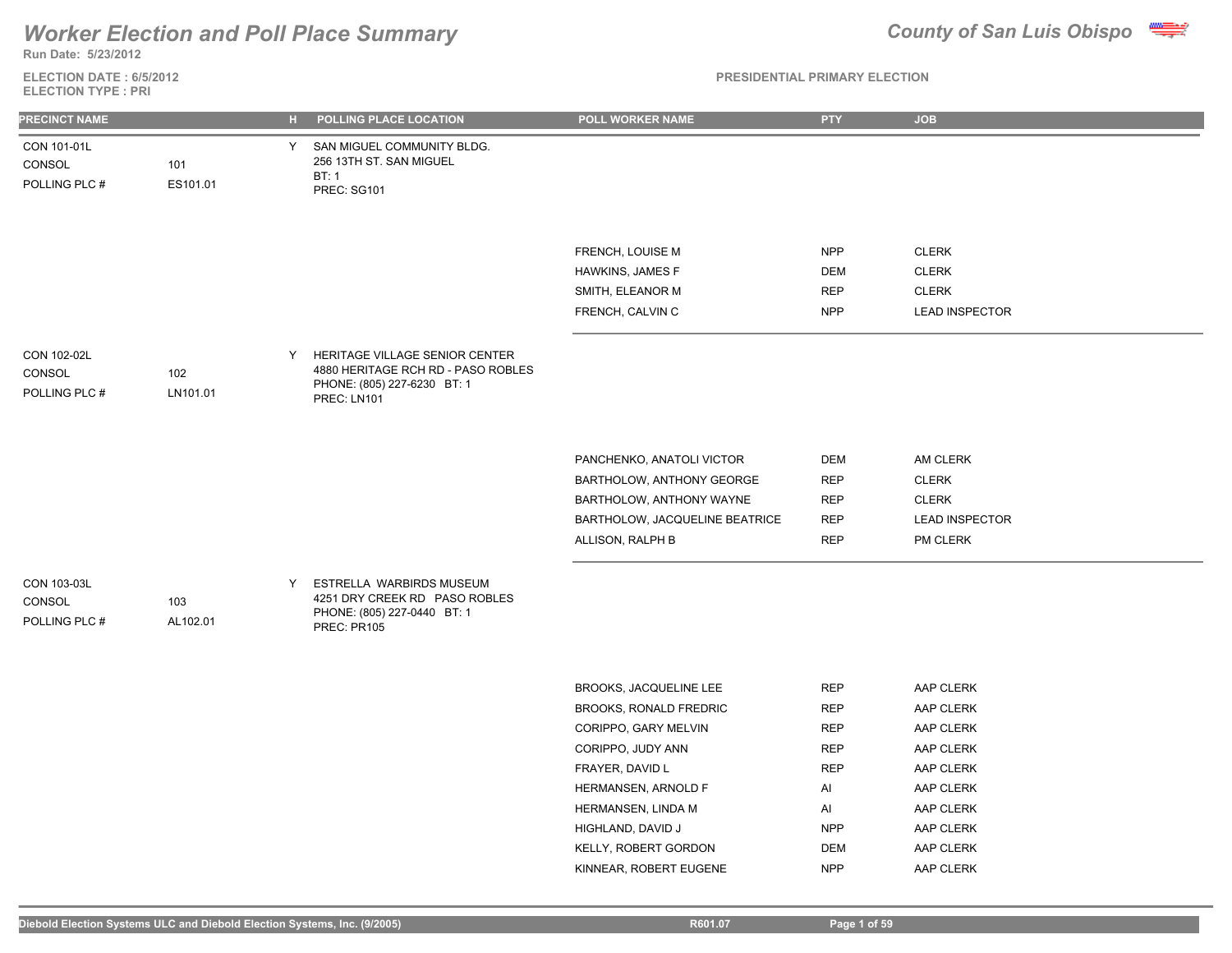**Run Date: 5/23/2012**

### **ELECTION DATE : 6/5/2012 ELECTION TYPE : PRI**

| <b>PRECINCT NAME</b>                   |                 |    | H POLLING PLACE LOCATION                                                                                           | POLL WORKER NAME                                                                                                                                                                                                                     | <b>PTY</b>                                                                                                               | <b>JOB</b>                                                                                                                     |
|----------------------------------------|-----------------|----|--------------------------------------------------------------------------------------------------------------------|--------------------------------------------------------------------------------------------------------------------------------------------------------------------------------------------------------------------------------------|--------------------------------------------------------------------------------------------------------------------------|--------------------------------------------------------------------------------------------------------------------------------|
| CON 101-01L<br>CONSOL<br>POLLING PLC # | 101<br>ES101.01 | Y. | SAN MIGUEL COMMUNITY BLDG.<br>256 13TH ST. SAN MIGUEL<br>BT:1<br>PREC: SG101                                       |                                                                                                                                                                                                                                      |                                                                                                                          |                                                                                                                                |
|                                        |                 |    |                                                                                                                    | FRENCH, LOUISE M<br>HAWKINS, JAMES F<br>SMITH, ELEANOR M<br>FRENCH, CALVIN C                                                                                                                                                         | <b>NPP</b><br><b>DEM</b><br><b>REP</b><br><b>NPP</b>                                                                     | <b>CLERK</b><br><b>CLERK</b><br><b>CLERK</b><br><b>LEAD INSPECTOR</b>                                                          |
| CON 102-02L<br>CONSOL<br>POLLING PLC # | 102<br>LN101.01 | Y  | HERITAGE VILLAGE SENIOR CENTER<br>4880 HERITAGE RCH RD - PASO ROBLES<br>PHONE: (805) 227-6230 BT: 1<br>PREC: LN101 |                                                                                                                                                                                                                                      |                                                                                                                          |                                                                                                                                |
|                                        |                 |    |                                                                                                                    | PANCHENKO, ANATOLI VICTOR<br>BARTHOLOW, ANTHONY GEORGE<br>BARTHOLOW, ANTHONY WAYNE<br>BARTHOLOW, JACQUELINE BEATRICE<br>ALLISON, RALPH B                                                                                             | DEM<br><b>REP</b><br><b>REP</b><br><b>REP</b><br><b>REP</b>                                                              | AM CLERK<br><b>CLERK</b><br><b>CLERK</b><br><b>LEAD INSPECTOR</b><br>PM CLERK                                                  |
| CON 103-03L<br>CONSOL<br>POLLING PLC # | 103<br>AL102.01 | Y  | ESTRELLA WARBIRDS MUSEUM<br>4251 DRY CREEK RD PASO ROBLES<br>PHONE: (805) 227-0440 BT: 1<br>PREC: PR105            |                                                                                                                                                                                                                                      |                                                                                                                          |                                                                                                                                |
|                                        |                 |    |                                                                                                                    | BROOKS, JACQUELINE LEE<br>BROOKS, RONALD FREDRIC<br>CORIPPO, GARY MELVIN<br>CORIPPO, JUDY ANN<br>FRAYER, DAVID L<br>HERMANSEN, ARNOLD F<br>HERMANSEN, LINDA M<br>HIGHLAND, DAVID J<br>KELLY, ROBERT GORDON<br>KINNEAR, ROBERT EUGENE | <b>REP</b><br><b>REP</b><br><b>REP</b><br><b>REP</b><br><b>REP</b><br>AI<br>Al<br><b>NPP</b><br><b>DEM</b><br><b>NPP</b> | AAP CLERK<br>AAP CLERK<br>AAP CLERK<br>AAP CLERK<br>AAP CLERK<br>AAP CLERK<br>AAP CLERK<br>AAP CLERK<br>AAP CLERK<br>AAP CLERK |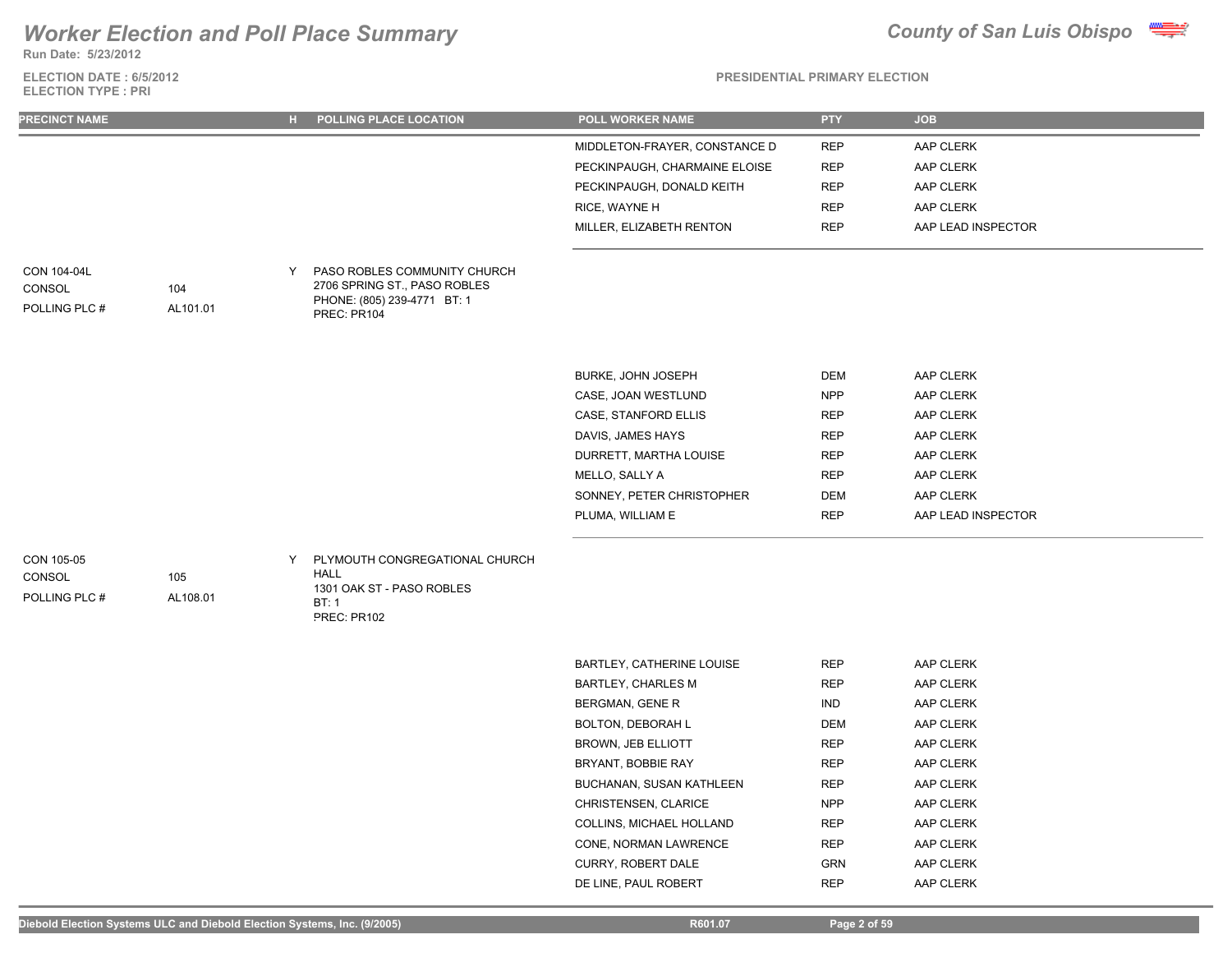

**ELECTION DATE : 6/5/2012 Run Date: 5/23/2012**

**ELECTION TYPE : PRI**

### **PRESIDENTIAL PRIMARY ELECTION**

| <b>PRECINCT NAME</b>                   |                 |   | H POLLING PLACE LOCATION                                                                                   | POLL WORKER NAME              | <b>PTY</b> | <b>JOB</b>         |
|----------------------------------------|-----------------|---|------------------------------------------------------------------------------------------------------------|-------------------------------|------------|--------------------|
|                                        |                 |   |                                                                                                            | MIDDLETON-FRAYER, CONSTANCE D | <b>REP</b> | AAP CLERK          |
|                                        |                 |   |                                                                                                            | PECKINPAUGH, CHARMAINE ELOISE | <b>REP</b> | AAP CLERK          |
|                                        |                 |   |                                                                                                            | PECKINPAUGH, DONALD KEITH     | <b>REP</b> | AAP CLERK          |
|                                        |                 |   |                                                                                                            | RICE, WAYNE H                 | <b>REP</b> | AAP CLERK          |
|                                        |                 |   |                                                                                                            | MILLER, ELIZABETH RENTON      | <b>REP</b> | AAP LEAD INSPECTOR |
| CON 104-04L<br>CONSOL<br>POLLING PLC # | 104<br>AL101.01 | Y | PASO ROBLES COMMUNITY CHURCH<br>2706 SPRING ST., PASO ROBLES<br>PHONE: (805) 239-4771 BT: 1<br>PREC: PR104 |                               |            |                    |
|                                        |                 |   |                                                                                                            | BURKE, JOHN JOSEPH            | <b>DEM</b> | AAP CLERK          |
|                                        |                 |   |                                                                                                            | CASE, JOAN WESTLUND           | <b>NPP</b> | AAP CLERK          |
|                                        |                 |   |                                                                                                            | CASE, STANFORD ELLIS          | <b>REP</b> | AAP CLERK          |
|                                        |                 |   |                                                                                                            | DAVIS, JAMES HAYS             | <b>REP</b> | AAP CLERK          |
|                                        |                 |   |                                                                                                            | DURRETT, MARTHA LOUISE        | <b>REP</b> | AAP CLERK          |
|                                        |                 |   |                                                                                                            | MELLO, SALLY A                | <b>REP</b> | AAP CLERK          |
|                                        |                 |   |                                                                                                            | SONNEY, PETER CHRISTOPHER     | <b>DEM</b> | AAP CLERK          |
|                                        |                 |   |                                                                                                            | PLUMA, WILLIAM E              | <b>REP</b> | AAP LEAD INSPECTOR |
| CON 105-05<br>CONSOL<br>POLLING PLC #  | 105<br>AL108.01 | Y | PLYMOUTH CONGREGATIONAL CHURCH<br><b>HALL</b><br>1301 OAK ST - PASO ROBLES<br>BT: 1<br>PREC: PR102         |                               |            |                    |
|                                        |                 |   |                                                                                                            | BARTLEY, CATHERINE LOUISE     | <b>REP</b> | AAP CLERK          |
|                                        |                 |   |                                                                                                            | <b>BARTLEY, CHARLES M</b>     | <b>REP</b> | AAP CLERK          |
|                                        |                 |   |                                                                                                            | BERGMAN, GENE R               | <b>IND</b> | AAP CLERK          |
|                                        |                 |   |                                                                                                            | <b>BOLTON, DEBORAH L</b>      | <b>DEM</b> | AAP CLERK          |
|                                        |                 |   |                                                                                                            | <b>BROWN, JEB ELLIOTT</b>     | <b>REP</b> | AAP CLERK          |
|                                        |                 |   |                                                                                                            | BRYANT, BOBBIE RAY            | <b>REP</b> | AAP CLERK          |
|                                        |                 |   |                                                                                                            | BUCHANAN, SUSAN KATHLEEN      | <b>REP</b> | AAP CLERK          |

CHRISTENSEN, CLARICE NPP AAP CLERK COLLINS, MICHAEL HOLLAND REP AAP CLERK CONE, NORMAN LAWRENCE REP AAP CLERK CURRY, ROBERT DALE GRN GRN AAP CLERK DE LINE, PAUL ROBERT REP AAP CLERK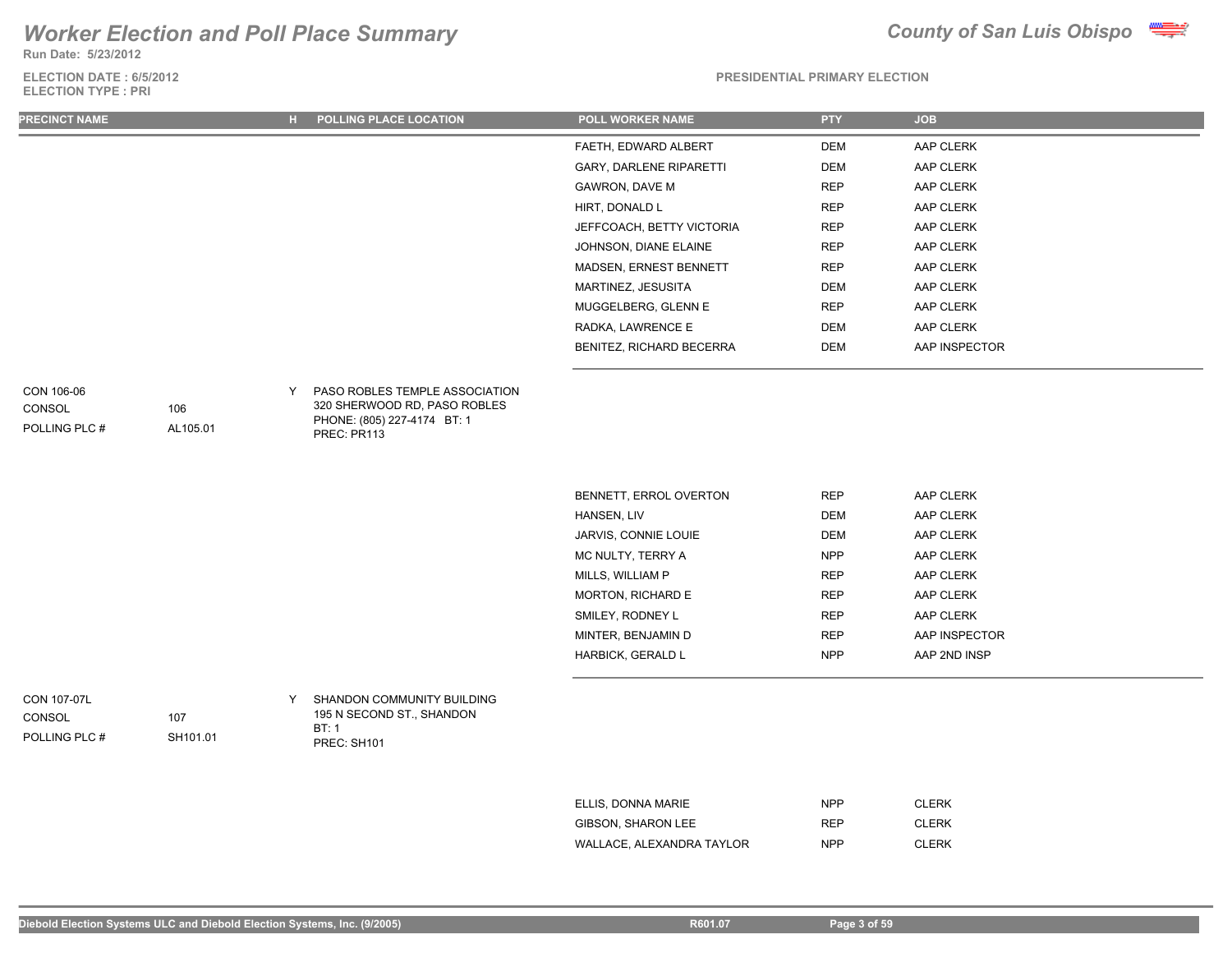**Run Date: 5/23/2012**

### **ELECTION DATE : 6/5/2012 ELECTION TYPE : PRI**



### **PRESIDENTIAL PRIMARY ELECTION**

| <b>PRECINCT NAME</b>                  |                             | н. | POLLING PLACE LOCATION                                                                | <b>POLL WORKER NAME</b>        | <b>PTY</b> | <b>JOB</b>    |
|---------------------------------------|-----------------------------|----|---------------------------------------------------------------------------------------|--------------------------------|------------|---------------|
|                                       |                             |    |                                                                                       | FAETH, EDWARD ALBERT           | <b>DEM</b> | AAP CLERK     |
|                                       |                             |    |                                                                                       | <b>GARY, DARLENE RIPARETTI</b> | <b>DEM</b> | AAP CLERK     |
|                                       |                             |    |                                                                                       | <b>GAWRON, DAVE M</b>          | <b>REP</b> | AAP CLERK     |
|                                       |                             |    |                                                                                       | HIRT, DONALD L                 | <b>REP</b> | AAP CLERK     |
|                                       |                             |    |                                                                                       | JEFFCOACH, BETTY VICTORIA      | <b>REP</b> | AAP CLERK     |
|                                       |                             |    |                                                                                       | JOHNSON, DIANE ELAINE          | <b>REP</b> | AAP CLERK     |
|                                       |                             |    |                                                                                       | MADSEN, ERNEST BENNETT         | <b>REP</b> | AAP CLERK     |
|                                       |                             |    |                                                                                       | MARTINEZ, JESUSITA             | <b>DEM</b> | AAP CLERK     |
|                                       |                             |    |                                                                                       | MUGGELBERG, GLENN E            | <b>REP</b> | AAP CLERK     |
|                                       |                             |    |                                                                                       | RADKA, LAWRENCE E              | <b>DEM</b> | AAP CLERK     |
|                                       |                             |    |                                                                                       | BENITEZ, RICHARD BECERRA       | DEM        | AAP INSPECTOR |
| CONSOL<br>POLLING PLC #               | 106<br>AL105.01             |    | PHONE: (805) 227-4174 BT: 1<br>PREC: PR113                                            |                                |            |               |
|                                       |                             |    |                                                                                       | BENNETT, ERROL OVERTON         | <b>REP</b> | AAP CLERK     |
|                                       |                             |    |                                                                                       | HANSEN, LIV                    | <b>DEM</b> | AAP CLERK     |
|                                       |                             |    |                                                                                       | JARVIS, CONNIE LOUIE           | <b>DEM</b> | AAP CLERK     |
|                                       |                             |    |                                                                                       | MC NULTY, TERRY A              | <b>NPP</b> | AAP CLERK     |
|                                       |                             |    |                                                                                       | MILLS, WILLIAM P               | <b>REP</b> | AAP CLERK     |
|                                       |                             |    |                                                                                       | MORTON, RICHARD E              | <b>REP</b> | AAP CLERK     |
|                                       |                             |    |                                                                                       | SMILEY, RODNEY L               | <b>REP</b> | AAP CLERK     |
|                                       |                             |    |                                                                                       | MINTER, BENJAMIN D             | <b>REP</b> | AAP INSPECTOR |
|                                       |                             |    |                                                                                       | HARBICK, GERALD L              | <b>NPP</b> | AAP 2ND INSP  |
| CON 107-07L<br>CONSOL<br>POI INGPI C# | 107<br>SH <sub>101</sub> 01 | Y  | SHANDON COMMUNITY BUILDING<br>195 N SECOND ST., SHANDON<br>BT: 1<br><b>DDCA OUIAI</b> |                                |            |               |

PREC: SH101

| ELLIS, DONNA MARIE        | <b>NPP</b> | <b>CLERK</b> |
|---------------------------|------------|--------------|
| GIBSON, SHARON LEE        | <b>RFP</b> | <b>CLERK</b> |
| WALLACE, ALEXANDRA TAYLOR | <b>NPP</b> | <b>CLERK</b> |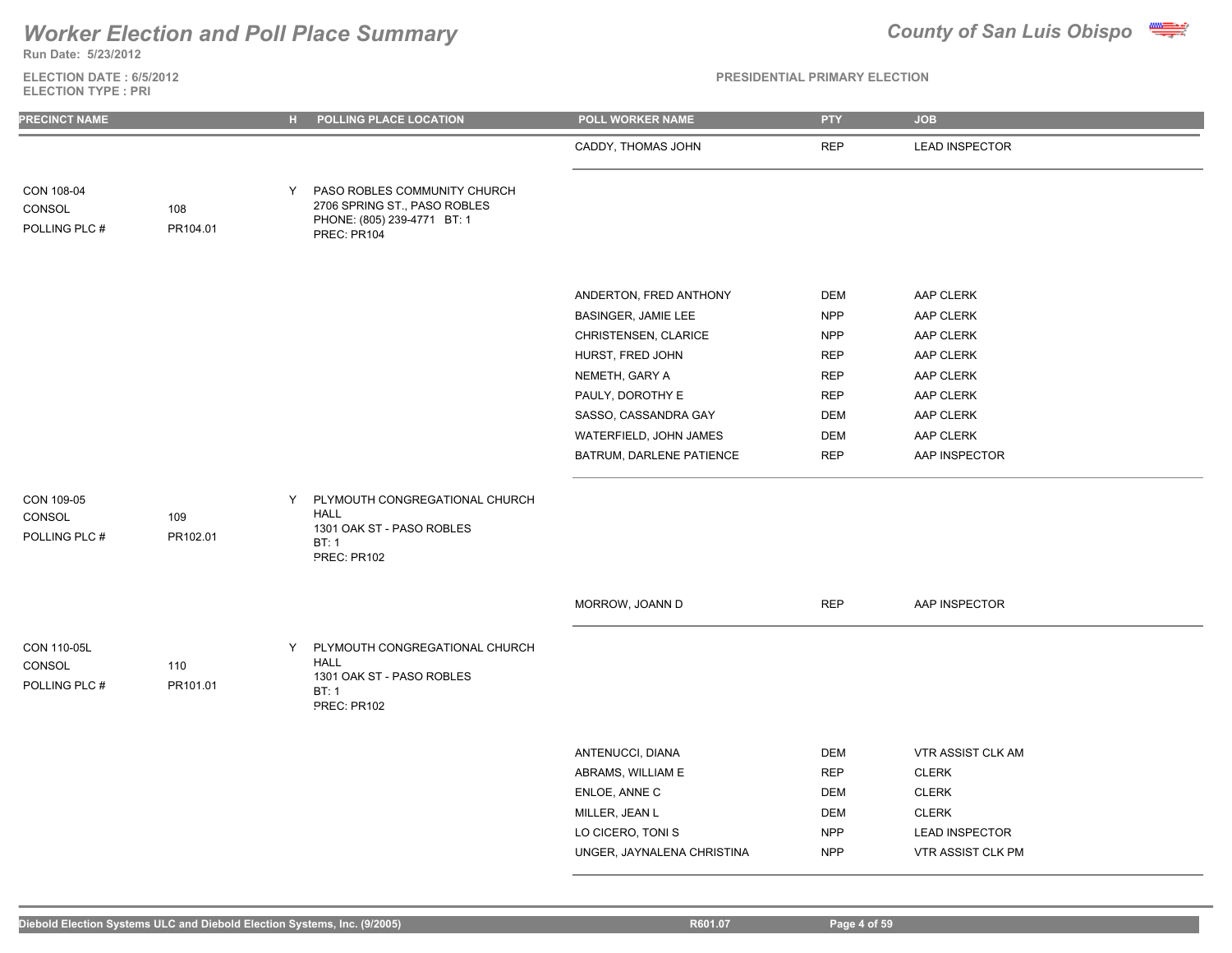

**Run Date: 5/23/2012**

### **ELECTION DATE : 6/5/2012 ELECTION TYPE : PRI**

| <b>PRECINCT NAME</b>                   |                 | POLLING PLACE LOCATION<br>н.                                                                                    | POLL WORKER NAME                                                                                                                                                                                              | <b>PTY</b>                                                                                                                 | <b>JOB</b>                                                                                                            |
|----------------------------------------|-----------------|-----------------------------------------------------------------------------------------------------------------|---------------------------------------------------------------------------------------------------------------------------------------------------------------------------------------------------------------|----------------------------------------------------------------------------------------------------------------------------|-----------------------------------------------------------------------------------------------------------------------|
|                                        |                 |                                                                                                                 | CADDY, THOMAS JOHN                                                                                                                                                                                            | <b>REP</b>                                                                                                                 | <b>LEAD INSPECTOR</b>                                                                                                 |
| CON 108-04<br>CONSOL<br>POLLING PLC #  | 108<br>PR104.01 | PASO ROBLES COMMUNITY CHURCH<br>Y<br>2706 SPRING ST., PASO ROBLES<br>PHONE: (805) 239-4771 BT: 1<br>PREC: PR104 |                                                                                                                                                                                                               |                                                                                                                            |                                                                                                                       |
|                                        |                 |                                                                                                                 | ANDERTON, FRED ANTHONY<br>BASINGER, JAMIE LEE<br>CHRISTENSEN, CLARICE<br>HURST, FRED JOHN<br>NEMETH, GARY A<br>PAULY, DOROTHY E<br>SASSO, CASSANDRA GAY<br>WATERFIELD, JOHN JAMES<br>BATRUM, DARLENE PATIENCE | <b>DEM</b><br><b>NPP</b><br><b>NPP</b><br><b>REP</b><br><b>REP</b><br><b>REP</b><br><b>DEM</b><br><b>DEM</b><br><b>REP</b> | AAP CLERK<br>AAP CLERK<br>AAP CLERK<br>AAP CLERK<br>AAP CLERK<br>AAP CLERK<br>AAP CLERK<br>AAP CLERK<br>AAP INSPECTOR |
| CON 109-05<br>CONSOL<br>POLLING PLC #  | 109<br>PR102.01 | PLYMOUTH CONGREGATIONAL CHURCH<br>Y<br><b>HALL</b><br>1301 OAK ST - PASO ROBLES<br>BT: 1<br>PREC: PR102         |                                                                                                                                                                                                               |                                                                                                                            |                                                                                                                       |
|                                        |                 |                                                                                                                 | MORROW, JOANN D                                                                                                                                                                                               | <b>REP</b>                                                                                                                 | AAP INSPECTOR                                                                                                         |
| CON 110-05L<br>CONSOL<br>POLLING PLC # | 110<br>PR101.01 | PLYMOUTH CONGREGATIONAL CHURCH<br>Y<br><b>HALL</b><br>1301 OAK ST - PASO ROBLES<br>BT: 1<br>PREC: PR102         |                                                                                                                                                                                                               |                                                                                                                            |                                                                                                                       |
|                                        |                 |                                                                                                                 | ANTENUCCI, DIANA<br>ABRAMS, WILLIAM E<br>ENLOE, ANNE C<br>MILLER, JEAN L<br>LO CICERO, TONI S<br>UNGER, JAYNALENA CHRISTINA                                                                                   | <b>DEM</b><br><b>REP</b><br>DEM<br>DEM<br><b>NPP</b><br><b>NPP</b>                                                         | VTR ASSIST CLK AM<br><b>CLERK</b><br><b>CLERK</b><br><b>CLERK</b><br><b>LEAD INSPECTOR</b><br>VTR ASSIST CLK PM       |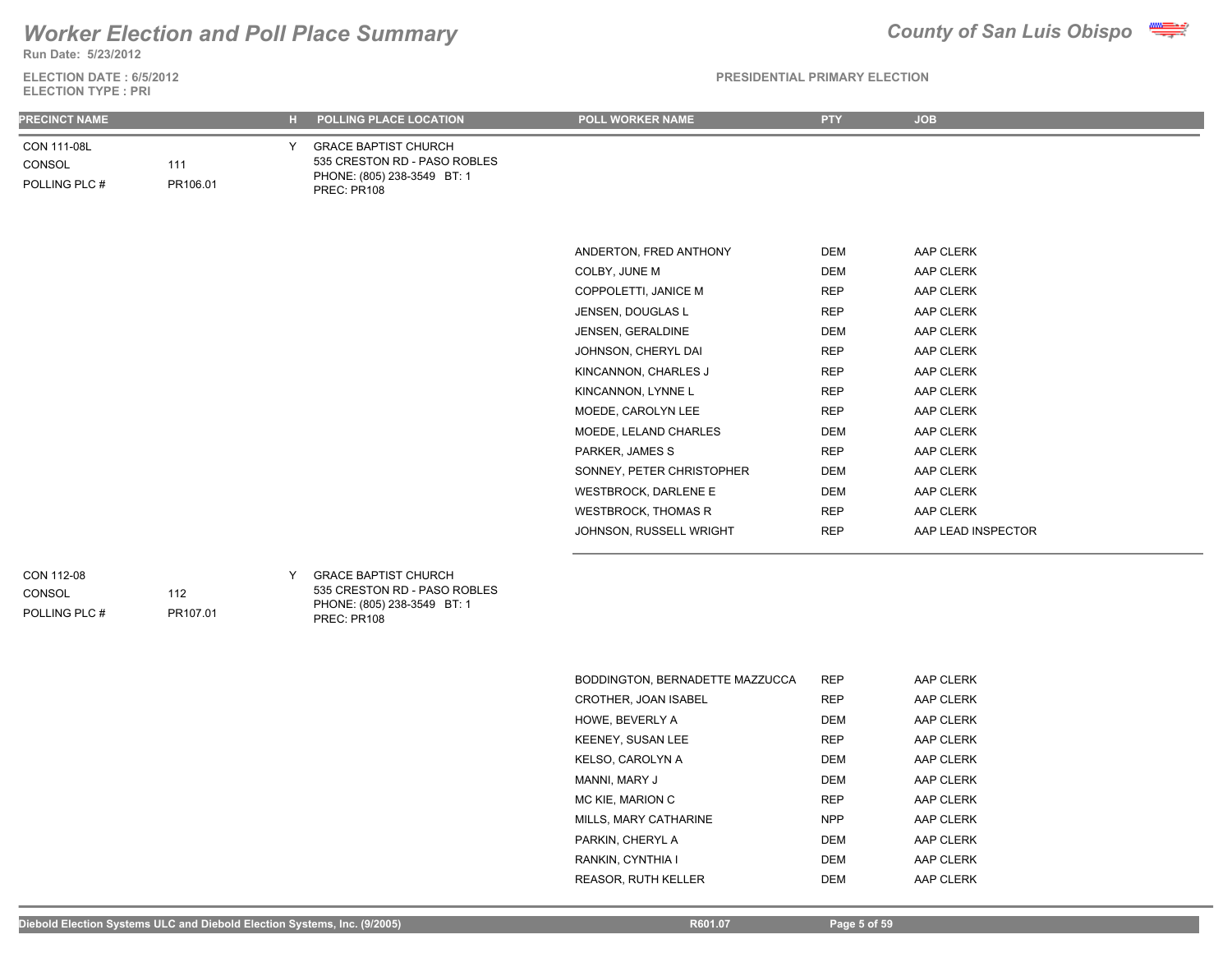## **Run Date: 5/23/2012** *Worker Election and Poll Place Summary County of San Luis Obispo*

**ELECTION DATE : 6/5/2012**



**PRESIDENTIAL PRIMARY ELECTION**

| <b>ELECTION TYPE: PRI</b>              |                 |                |                                                                                                           |                                 |            |                    |  |
|----------------------------------------|-----------------|----------------|-----------------------------------------------------------------------------------------------------------|---------------------------------|------------|--------------------|--|
| <b>PRECINCT NAME</b>                   |                 | $\mathbf{H}$ . | POLLING PLACE LOCATION                                                                                    | POLL WORKER NAME                | <b>PTY</b> | <b>JOB</b>         |  |
| CON 111-08L<br>CONSOL<br>POLLING PLC # | 111<br>PR106.01 | Y.             | <b>GRACE BAPTIST CHURCH</b><br>535 CRESTON RD - PASO ROBLES<br>PHONE: (805) 238-3549 BT: 1<br>PREC: PR108 |                                 |            |                    |  |
|                                        |                 |                |                                                                                                           |                                 |            |                    |  |
|                                        |                 |                |                                                                                                           | ANDERTON, FRED ANTHONY          | DEM        | AAP CLERK          |  |
|                                        |                 |                |                                                                                                           | COLBY, JUNE M                   | <b>DEM</b> | AAP CLERK          |  |
|                                        |                 |                |                                                                                                           | COPPOLETTI, JANICE M            | <b>REP</b> | AAP CLERK          |  |
|                                        |                 |                |                                                                                                           | JENSEN, DOUGLAS L               | <b>REP</b> | AAP CLERK          |  |
|                                        |                 |                |                                                                                                           | JENSEN, GERALDINE               | <b>DEM</b> | AAP CLERK          |  |
|                                        |                 |                |                                                                                                           | JOHNSON, CHERYL DAI             | <b>REP</b> | AAP CLERK          |  |
|                                        |                 |                |                                                                                                           | KINCANNON, CHARLES J            | <b>REP</b> | AAP CLERK          |  |
|                                        |                 |                |                                                                                                           | KINCANNON, LYNNE L              | <b>REP</b> | AAP CLERK          |  |
|                                        |                 |                |                                                                                                           | MOEDE, CAROLYN LEE              | <b>REP</b> | AAP CLERK          |  |
|                                        |                 |                |                                                                                                           | MOEDE, LELAND CHARLES           | DEM        | AAP CLERK          |  |
|                                        |                 |                |                                                                                                           | PARKER, JAMES S                 | <b>REP</b> | AAP CLERK          |  |
|                                        |                 |                |                                                                                                           | SONNEY, PETER CHRISTOPHER       | <b>DEM</b> | AAP CLERK          |  |
|                                        |                 |                |                                                                                                           | <b>WESTBROCK, DARLENE E</b>     | <b>DEM</b> | AAP CLERK          |  |
|                                        |                 |                |                                                                                                           | <b>WESTBROCK, THOMAS R</b>      | <b>REP</b> | AAP CLERK          |  |
|                                        |                 |                |                                                                                                           | JOHNSON, RUSSELL WRIGHT         | <b>REP</b> | AAP LEAD INSPECTOR |  |
| CON 112-08<br>CONSOL<br>POLLING PLC #  | 112<br>PR107.01 | Y              | <b>GRACE BAPTIST CHURCH</b><br>535 CRESTON RD - PASO ROBLES<br>PHONE: (805) 238-3549 BT: 1<br>PREC: PR108 |                                 |            |                    |  |
|                                        |                 |                |                                                                                                           | BODDINGTON, BERNADETTE MAZZUCCA | <b>REP</b> | AAP CLERK          |  |
|                                        |                 |                |                                                                                                           | CROTHER, JOAN ISABEL            | <b>REP</b> | AAP CLERK          |  |
|                                        |                 |                |                                                                                                           | HOWE, BEVERLY A                 | <b>DEM</b> | AAP CLERK          |  |
|                                        |                 |                |                                                                                                           | KEENEY, SUSAN LEE               | <b>REP</b> | AAP CLERK          |  |
|                                        |                 |                |                                                                                                           | KELSO, CAROLYN A                | DEM        | AAP CLERK          |  |
|                                        |                 |                |                                                                                                           | MANNI, MARY J                   | <b>DEM</b> | AAP CLERK          |  |
|                                        |                 |                |                                                                                                           | MC KIE, MARION C                | <b>REP</b> | AAP CLERK          |  |
|                                        |                 |                |                                                                                                           | MILLS, MARY CATHARINE           | <b>NPP</b> | AAP CLERK          |  |
|                                        |                 |                |                                                                                                           | PARKIN, CHERYL A                | <b>DEM</b> | AAP CLERK          |  |

RANKIN, CYNTHIA I DEM DEM AAP CLERK REASOR, RUTH KELLER DEM DEM AAP CLERK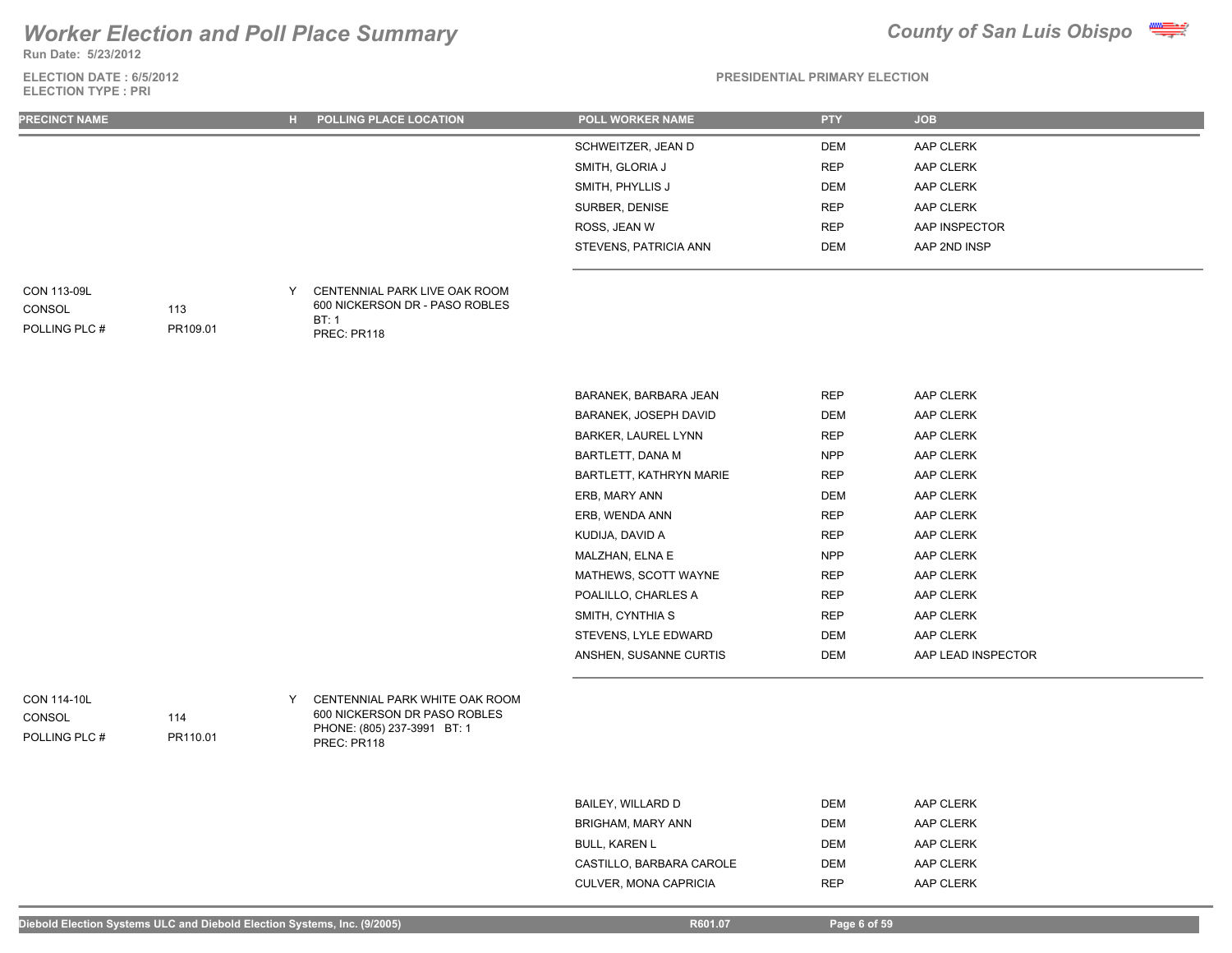**Run Date: 5/23/2012**

### **ELECTION DATE : 6/5/2012 ELECTION TYPE : PRI**



| <b>PRECINCT NAME</b>                          |                 |   | H POLLING PLACE LOCATION                                                                                     | POLL WORKER NAME           | <b>PTY</b> | <b>JOB</b>         |
|-----------------------------------------------|-----------------|---|--------------------------------------------------------------------------------------------------------------|----------------------------|------------|--------------------|
|                                               |                 |   |                                                                                                              | SCHWEITZER, JEAN D         | <b>DEM</b> | AAP CLERK          |
|                                               |                 |   |                                                                                                              | SMITH, GLORIA J            | <b>REP</b> | AAP CLERK          |
|                                               |                 |   |                                                                                                              | SMITH, PHYLLIS J           | <b>DEM</b> | AAP CLERK          |
|                                               |                 |   |                                                                                                              | SURBER, DENISE             | <b>REP</b> | AAP CLERK          |
|                                               |                 |   |                                                                                                              | ROSS, JEAN W               | <b>REP</b> | AAP INSPECTOR      |
|                                               |                 |   |                                                                                                              | STEVENS, PATRICIA ANN      | <b>DEM</b> | AAP 2ND INSP       |
| CON 113-09L<br>CONSOL<br>POLLING PLC #        | 113<br>PR109.01 | Y | CENTENNIAL PARK LIVE OAK ROOM<br>600 NICKERSON DR - PASO ROBLES<br>BT:1<br>PREC: PR118                       |                            |            |                    |
|                                               |                 |   |                                                                                                              | BARANEK, BARBARA JEAN      | REP        | AAP CLERK          |
|                                               |                 |   |                                                                                                              | BARANEK, JOSEPH DAVID      | <b>DEM</b> | AAP CLERK          |
|                                               |                 |   |                                                                                                              | <b>BARKER, LAUREL LYNN</b> | <b>REP</b> | AAP CLERK          |
|                                               |                 |   |                                                                                                              | <b>BARTLETT, DANA M</b>    | <b>NPP</b> | AAP CLERK          |
|                                               |                 |   |                                                                                                              | BARTLETT, KATHRYN MARIE    | <b>REP</b> | AAP CLERK          |
|                                               |                 |   |                                                                                                              | ERB, MARY ANN              | <b>DEM</b> | AAP CLERK          |
|                                               |                 |   |                                                                                                              | ERB, WENDA ANN             | <b>REP</b> | AAP CLERK          |
|                                               |                 |   |                                                                                                              | KUDIJA, DAVID A            | <b>REP</b> | AAP CLERK          |
|                                               |                 |   |                                                                                                              | MALZHAN, ELNA E            | <b>NPP</b> | AAP CLERK          |
|                                               |                 |   |                                                                                                              | MATHEWS, SCOTT WAYNE       | <b>REP</b> | AAP CLERK          |
|                                               |                 |   |                                                                                                              | POALILLO, CHARLES A        | <b>REP</b> | AAP CLERK          |
|                                               |                 |   |                                                                                                              | SMITH, CYNTHIA S           | <b>REP</b> | AAP CLERK          |
|                                               |                 |   |                                                                                                              | STEVENS, LYLE EDWARD       | <b>DEM</b> | AAP CLERK          |
|                                               |                 |   |                                                                                                              | ANSHEN, SUSANNE CURTIS     | <b>DEM</b> | AAP LEAD INSPECTOR |
| <b>CON 114-10L</b><br>CONSOL<br>POLLING PLC # | 114<br>PR110.01 | Y | CENTENNIAL PARK WHITE OAK ROOM<br>600 NICKERSON DR PASO ROBLES<br>PHONE: (805) 237-3991 BT: 1<br>PREC: PR118 |                            |            |                    |

| BAILEY, WILLARD D        | <b>DEM</b> | AAP CLERK |
|--------------------------|------------|-----------|
| BRIGHAM, MARY ANN        | <b>DEM</b> | AAP CLERK |
| <b>BULL, KAREN L</b>     | <b>DEM</b> | AAP CLERK |
| CASTILLO, BARBARA CAROLE | <b>DEM</b> | AAP CLERK |
| CULVER, MONA CAPRICIA    | <b>RFP</b> | AAP CLERK |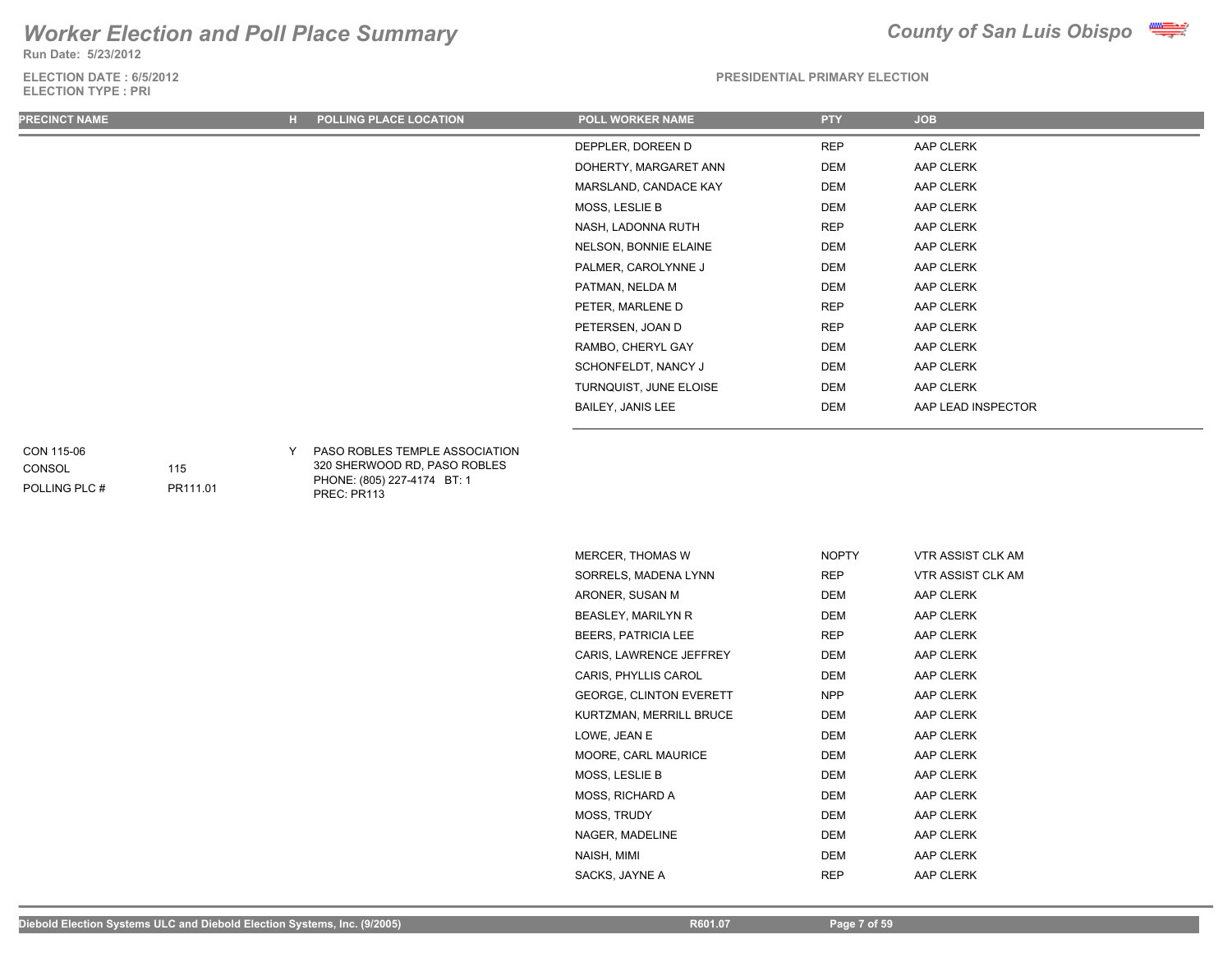**Run Date: 5/23/2012**

### **ELECTION DATE : 6/5/2012 ELECTION TYPE : PRI**



**PRESIDENTIAL PRIMARY ELECTION**

| <b>PRECINCT NAME</b> | <b>POLLING PLACE LOCATION</b><br>н. | <b>POLL WORKER NAME</b>  | <b>PTY</b> | <b>JOB</b>         |
|----------------------|-------------------------------------|--------------------------|------------|--------------------|
|                      |                                     | DEPPLER, DOREEN D        | <b>REP</b> | AAP CLERK          |
|                      |                                     | DOHERTY, MARGARET ANN    | DEM        | AAP CLERK          |
|                      |                                     | MARSLAND, CANDACE KAY    | DEM        | AAP CLERK          |
|                      |                                     | MOSS, LESLIE B           | DEM        | AAP CLERK          |
|                      |                                     | NASH, LADONNA RUTH       | <b>REP</b> | AAP CLERK          |
|                      |                                     | NELSON, BONNIE ELAINE    | DEM        | AAP CLERK          |
|                      |                                     | PALMER, CAROLYNNE J      | DEM        | AAP CLERK          |
|                      |                                     | PATMAN, NELDA M          | DEM        | AAP CLERK          |
|                      |                                     | PETER, MARLENE D         | <b>REP</b> | AAP CLERK          |
|                      |                                     | PETERSEN, JOAN D         | <b>REP</b> | AAP CLERK          |
|                      |                                     | RAMBO, CHERYL GAY        | <b>DEM</b> | AAP CLERK          |
|                      |                                     | SCHONFELDT, NANCY J      | <b>DEM</b> | AAP CLERK          |
|                      |                                     | TURNQUIST, JUNE ELOISE   | DEM        | AAP CLERK          |
|                      |                                     | <b>BAILEY, JANIS LEE</b> | DEM        | AAP LEAD INSPECTOR |

### CON 115-06

CONSOL

115

PR111.01

POLLING PLC #

Y PASO ROBLES TEMPLE ASSOCIATION 320 SHERWOOD RD, PASO ROBLES PHONE: (805) 227-4174 BT: 1 PREC: PR113

| <b>NOPTY</b> | <b>VTR ASSIST CLK AM</b> |
|--------------|--------------------------|
| REP          | VTR ASSIST CLK AM        |
| DEM          | AAP CLERK                |
| <b>DEM</b>   | AAP CLERK                |
| <b>REP</b>   | AAP CLERK                |
| <b>DEM</b>   | AAP CLERK                |
| DEM          | AAP CLERK                |
| NPP          | AAP CLERK                |
| DEM          | AAP CLERK                |
| <b>DEM</b>   | AAP CLERK                |
| <b>DEM</b>   | AAP CLERK                |
| DEM          | AAP CLERK                |
| DEM          | AAP CLERK                |
| <b>DEM</b>   | AAP CLERK                |
| <b>DEM</b>   | AAP CLERK                |
| <b>DEM</b>   | AAP CLERK                |
| <b>REP</b>   | AAP CLERK                |
|              |                          |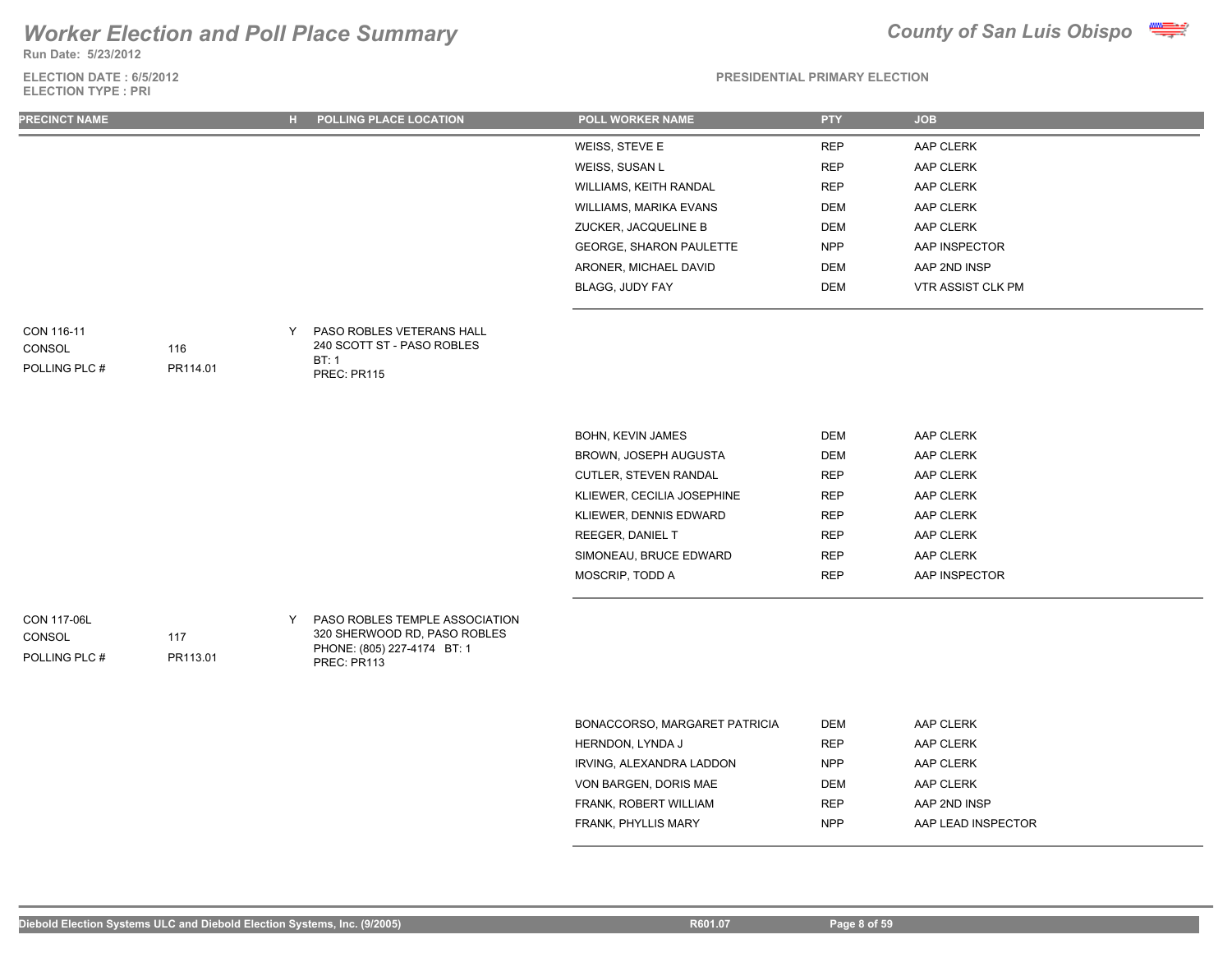**Run Date: 5/23/2012**

### **ELECTION DATE : 6/5/2012 ELECTION TYPE : PRI**



### **PRESIDENTIAL PRIMARY ELECTION**

| <b>PRECINCT NAME</b> | <b>POLLING PLACE LOCATION</b><br>н | <b>POLL WORKER NAME</b>        | <b>PTY</b> | <b>JOB</b>        |
|----------------------|------------------------------------|--------------------------------|------------|-------------------|
|                      |                                    | WEISS, STEVE E                 | <b>REP</b> | AAP CLERK         |
|                      |                                    | WEISS, SUSAN L                 | <b>REP</b> | AAP CLERK         |
|                      |                                    | WILLIAMS, KEITH RANDAL         | <b>REP</b> | AAP CLERK         |
|                      |                                    | WILLIAMS, MARIKA EVANS         | DEM        | AAP CLERK         |
|                      |                                    | ZUCKER, JACQUELINE B           | DEM        | AAP CLERK         |
|                      |                                    | <b>GEORGE, SHARON PAULETTE</b> | <b>NPP</b> | AAP INSPECTOR     |
|                      |                                    | ARONER, MICHAEL DAVID          | DEM        | AAP 2ND INSP      |
|                      |                                    | BLAGG, JUDY FAY                | DEM        | VTR ASSIST CLK PM |
|                      |                                    |                                |            |                   |
| CON 116-11           | <b>PASO ROBLES VETERANS HALL</b>   |                                |            |                   |

| CON 116-11    |          | PASO ROBLES VETERANS HALI  |
|---------------|----------|----------------------------|
| CONSOL        | 116      | 240 SCOTT ST - PASO ROBLES |
|               |          | RT: 1                      |
| POLLING PLC # | PR114 01 | PREC: PR115                |
|               |          |                            |

| <b>BOHN, KEVIN JAMES</b>     | <b>DEM</b> | AAP CLERK     |
|------------------------------|------------|---------------|
| <b>BROWN, JOSEPH AUGUSTA</b> | <b>DEM</b> | AAP CLERK     |
| <b>CUTLER. STEVEN RANDAL</b> | <b>REP</b> | AAP CLERK     |
| KLIEWER, CECILIA JOSEPHINE   | <b>REP</b> | AAP CLERK     |
| KLIEWER, DENNIS EDWARD       | <b>REP</b> | AAP CLERK     |
| <b>REEGER, DANIEL T</b>      | <b>REP</b> | AAP CLERK     |
| SIMONEAU, BRUCE EDWARD       | <b>REP</b> | AAP CLERK     |
| MOSCRIP, TODD A              | <b>RFP</b> | AAP INSPECTOR |
|                              |            |               |

CON 117-06L

## CONSOL

POLLING PLC #

Y PASO ROBLES TEMPLE ASSOCIATION 320 SHERWOOD RD, PASO ROBLES PHONE: (805) 227-4174 BT: 1 PREC: PR113

| BONACCORSO, MARGARET PATRICIA | DEM        | AAP CLERK          |
|-------------------------------|------------|--------------------|
| HERNDON, LYNDA J              | <b>RFP</b> | AAP CLERK          |
| IRVING. ALEXANDRA LADDON      | <b>NPP</b> | AAP CLERK          |
| VON BARGEN, DORIS MAE         | <b>DEM</b> | AAP CLERK          |
| FRANK, ROBERT WILLIAM         | <b>RFP</b> | AAP 2ND INSP       |
| <b>FRANK, PHYLLIS MARY</b>    | <b>NPP</b> | AAP LEAD INSPECTOR |
|                               |            |                    |

117

PR113.01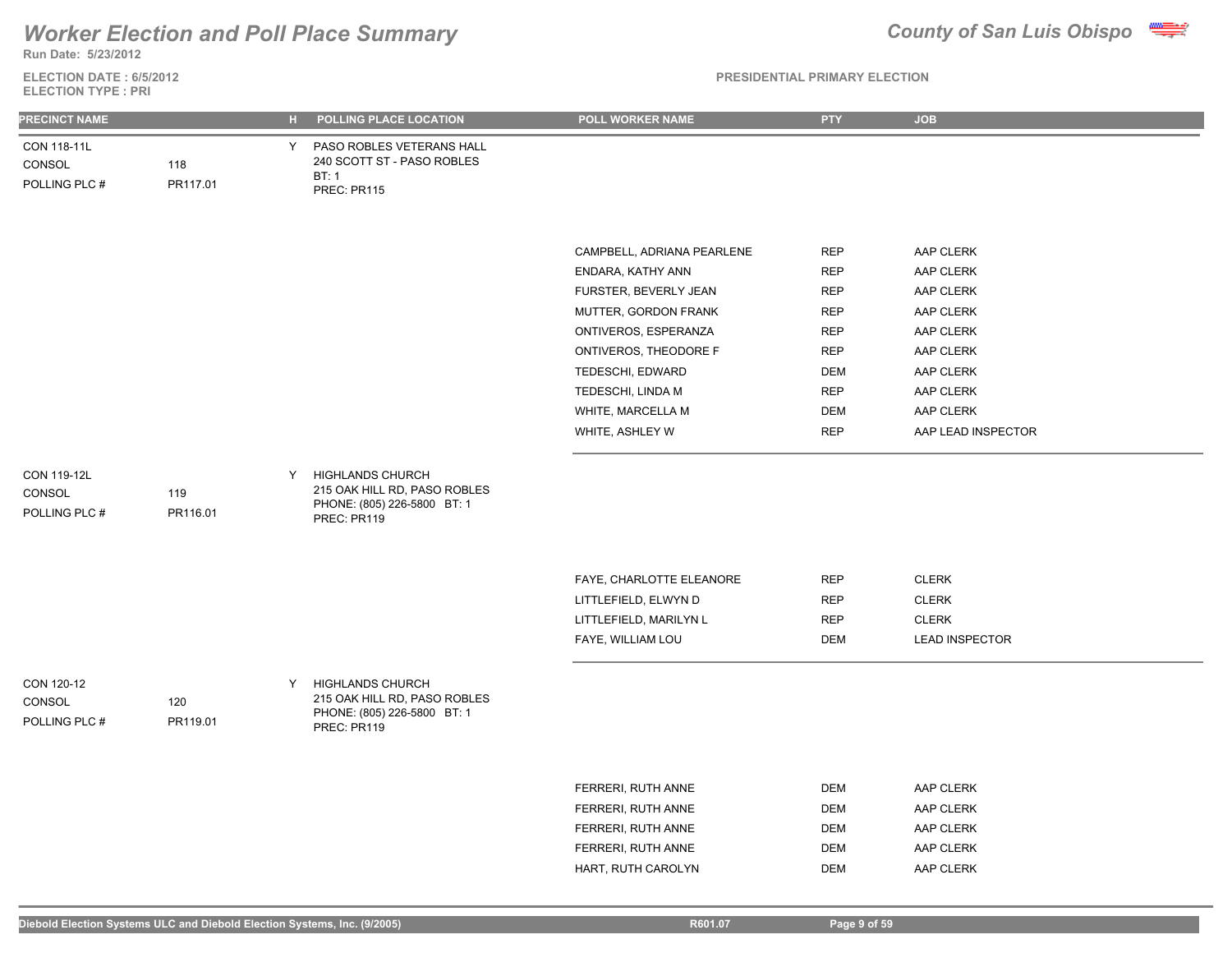## **Run Date: 5/23/2012** *Worker Election and Poll Place Summary County of San Luis Obispo*

**ELECTION DATE : 6/5/2012 ELECTION TYPE : PRI**

| <b>PRECINCT NAME</b>                   |                 | н. | POLLING PLACE LOCATION                                                                                | POLL WORKER NAME           | <b>PTY</b> | <b>JOB</b>            |
|----------------------------------------|-----------------|----|-------------------------------------------------------------------------------------------------------|----------------------------|------------|-----------------------|
| CON 118-11L<br>CONSOL<br>POLLING PLC # | 118<br>PR117.01 | Y. | PASO ROBLES VETERANS HALL<br>240 SCOTT ST - PASO ROBLES<br>BT:1<br>PREC: PR115                        |                            |            |                       |
|                                        |                 |    |                                                                                                       |                            |            |                       |
|                                        |                 |    |                                                                                                       | CAMPBELL, ADRIANA PEARLENE | <b>REP</b> | AAP CLERK             |
|                                        |                 |    |                                                                                                       | ENDARA, KATHY ANN          | <b>REP</b> | AAP CLERK             |
|                                        |                 |    |                                                                                                       | FURSTER, BEVERLY JEAN      | <b>REP</b> | AAP CLERK             |
|                                        |                 |    |                                                                                                       | MUTTER, GORDON FRANK       | <b>REP</b> | AAP CLERK             |
|                                        |                 |    |                                                                                                       | ONTIVEROS, ESPERANZA       | <b>REP</b> | AAP CLERK             |
|                                        |                 |    |                                                                                                       | ONTIVEROS, THEODORE F      | <b>REP</b> | AAP CLERK             |
|                                        |                 |    |                                                                                                       | TEDESCHI, EDWARD           | <b>DEM</b> | AAP CLERK             |
|                                        |                 |    |                                                                                                       | TEDESCHI, LINDA M          | <b>REP</b> | AAP CLERK             |
|                                        |                 |    |                                                                                                       | WHITE, MARCELLA M          | <b>DEM</b> | AAP CLERK             |
|                                        |                 |    |                                                                                                       | WHITE, ASHLEY W            | <b>REP</b> | AAP LEAD INSPECTOR    |
| CON 119-12L<br>CONSOL<br>POLLING PLC # | 119<br>PR116.01 | Y  | <b>HIGHLANDS CHURCH</b><br>215 OAK HILL RD, PASO ROBLES<br>PHONE: (805) 226-5800 BT: 1<br>PREC: PR119 |                            |            |                       |
|                                        |                 |    |                                                                                                       | FAYE, CHARLOTTE ELEANORE   | <b>REP</b> | <b>CLERK</b>          |
|                                        |                 |    |                                                                                                       | LITTLEFIELD, ELWYN D       | <b>REP</b> | <b>CLERK</b>          |
|                                        |                 |    |                                                                                                       | LITTLEFIELD, MARILYN L     | <b>REP</b> | <b>CLERK</b>          |
|                                        |                 |    |                                                                                                       | FAYE, WILLIAM LOU          | <b>DEM</b> | <b>LEAD INSPECTOR</b> |
| CON 120-12<br>CONSOL<br>POLLING PLC #  | 120<br>PR119.01 | Y. | <b>HIGHLANDS CHURCH</b><br>215 OAK HILL RD, PASO ROBLES<br>PHONE: (805) 226-5800 BT: 1<br>PREC: PR119 |                            |            |                       |
|                                        |                 |    |                                                                                                       |                            |            |                       |
|                                        |                 |    |                                                                                                       | FERRERI, RUTH ANNE         | <b>DEM</b> | AAP CLERK             |
|                                        |                 |    |                                                                                                       | FERRERI, RUTH ANNE         | <b>DEM</b> | AAP CLERK             |
|                                        |                 |    |                                                                                                       | FERRERI, RUTH ANNE         | <b>DEM</b> | AAP CLERK             |
|                                        |                 |    |                                                                                                       | FERRERI, RUTH ANNE         | <b>DEM</b> | AAP CLERK             |
|                                        |                 |    |                                                                                                       | HART, RUTH CAROLYN         | <b>DEM</b> | AAP CLERK             |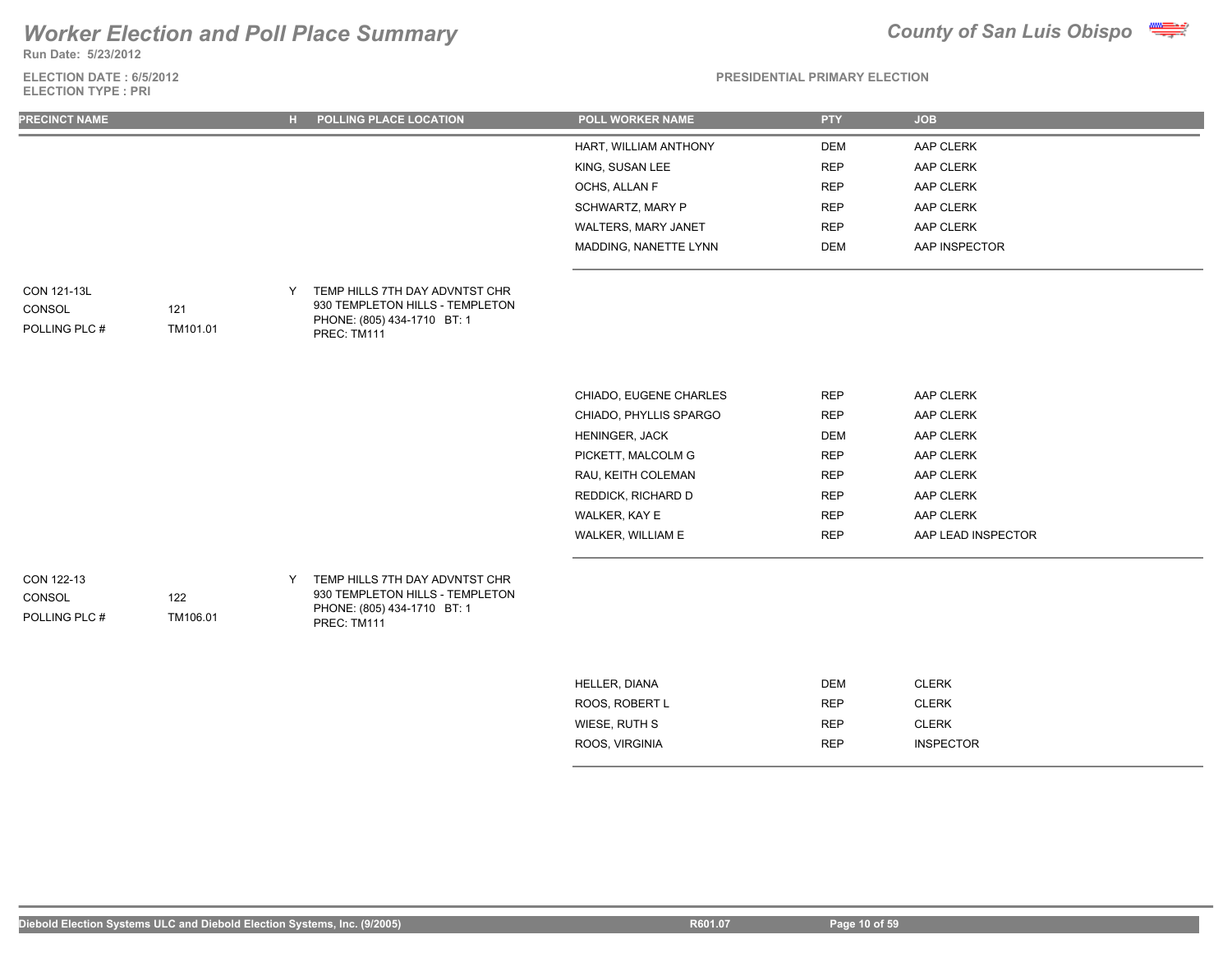**Run Date: 5/23/2012**

**ELECTION DATE : 6/5/2012 ELECTION TYPE : PRI**



| <b>PRECINCT NAME</b>                   |                 | H  | POLLING PLACE LOCATION                                                                                          | <b>POLL WORKER NAME</b> | <b>PTY</b> | <b>JOB</b>         |
|----------------------------------------|-----------------|----|-----------------------------------------------------------------------------------------------------------------|-------------------------|------------|--------------------|
|                                        |                 |    |                                                                                                                 | HART, WILLIAM ANTHONY   | <b>DEM</b> | AAP CLERK          |
|                                        |                 |    |                                                                                                                 | KING, SUSAN LEE         | <b>REP</b> | AAP CLERK          |
|                                        |                 |    |                                                                                                                 | OCHS, ALLAN F           | <b>REP</b> | AAP CLERK          |
|                                        |                 |    |                                                                                                                 | SCHWARTZ, MARY P        | <b>REP</b> | AAP CLERK          |
|                                        |                 |    |                                                                                                                 | WALTERS, MARY JANET     | <b>REP</b> | AAP CLERK          |
|                                        |                 |    |                                                                                                                 | MADDING, NANETTE LYNN   | <b>DEM</b> | AAP INSPECTOR      |
| CON 121-13L<br>CONSOL<br>POLLING PLC # | 121<br>TM101.01 | Y. | TEMP HILLS 7TH DAY ADVNTST CHR<br>930 TEMPLETON HILLS - TEMPLETON<br>PHONE: (805) 434-1710 BT: 1<br>PREC: TM111 |                         |            |                    |
|                                        |                 |    |                                                                                                                 | CHIADO, EUGENE CHARLES  | <b>REP</b> | AAP CLERK          |
|                                        |                 |    |                                                                                                                 | CHIADO, PHYLLIS SPARGO  | <b>REP</b> | AAP CLERK          |
|                                        |                 |    |                                                                                                                 | HENINGER, JACK          | <b>DEM</b> | AAP CLERK          |
|                                        |                 |    |                                                                                                                 | PICKETT, MALCOLM G      | <b>REP</b> | AAP CLERK          |
|                                        |                 |    |                                                                                                                 | RAU, KEITH COLEMAN      | <b>REP</b> | AAP CLERK          |
|                                        |                 |    |                                                                                                                 | REDDICK, RICHARD D      | <b>REP</b> | AAP CLERK          |
|                                        |                 |    |                                                                                                                 | WALKER, KAY E           | <b>REP</b> | AAP CLERK          |
|                                        |                 |    |                                                                                                                 | WALKER, WILLIAM E       | <b>REP</b> | AAP LEAD INSPECTOR |
| CON 122-13<br>CONSOL<br>POLLING PLC #  | 122<br>TM106.01 | Y  | TEMP HILLS 7TH DAY ADVNTST CHR<br>930 TEMPLETON HILLS - TEMPLETON<br>PHONE: (805) 434-1710 BT: 1<br>PREC: TM111 |                         |            |                    |
|                                        |                 |    |                                                                                                                 | HELLER, DIANA           | DEM        | <b>CLERK</b>       |
|                                        |                 |    |                                                                                                                 | ROOS, ROBERT L          | <b>REP</b> | <b>CLERK</b>       |
|                                        |                 |    |                                                                                                                 | WIESE, RUTH S           | <b>REP</b> | <b>CLERK</b>       |
|                                        |                 |    |                                                                                                                 | ROOS, VIRGINIA          | <b>REP</b> | <b>INSPECTOR</b>   |
|                                        |                 |    |                                                                                                                 |                         |            |                    |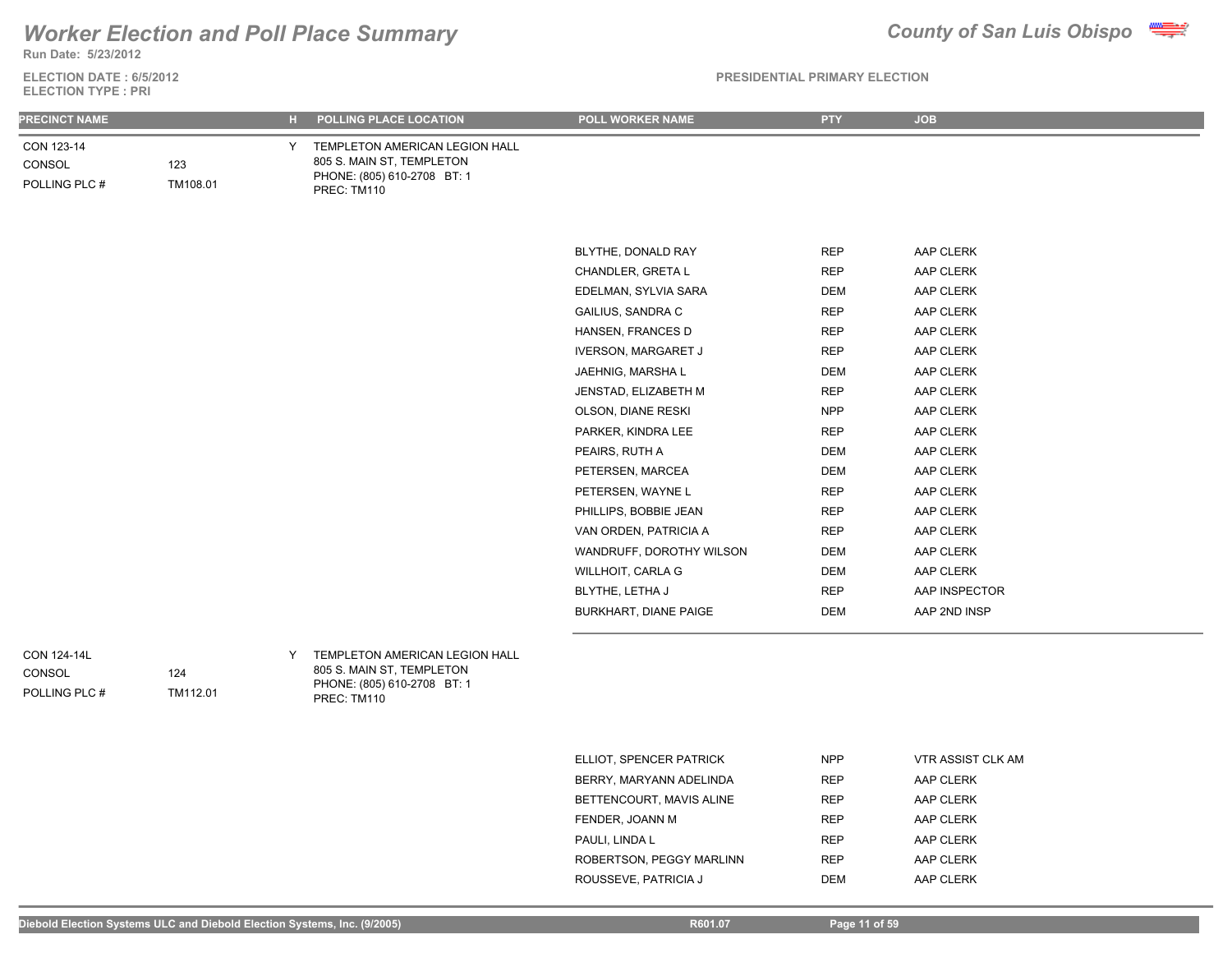**Run Date: 5/23/2012**

**ELECTION DATE : 6/5/2012 ELECTION TYPE : PRI**

### **PRESIDENTIAL PRIMARY ELECTION**

| <b>PRECINCT NAME</b>                  |                 | н. | POLLING PLACE LOCATION                                                                                    | POLL WORKER NAME           | <b>PTY</b> | <b>JOB</b>    |
|---------------------------------------|-----------------|----|-----------------------------------------------------------------------------------------------------------|----------------------------|------------|---------------|
| CON 123-14<br>CONSOL<br>POLLING PLC # | 123<br>TM108.01 | Y  | TEMPLETON AMERICAN LEGION HALL<br>805 S. MAIN ST, TEMPLETON<br>PHONE: (805) 610-2708 BT: 1<br>PREC: TM110 |                            |            |               |
|                                       |                 |    |                                                                                                           |                            |            |               |
|                                       |                 |    |                                                                                                           | BLYTHE, DONALD RAY         | <b>REP</b> | AAP CLERK     |
|                                       |                 |    |                                                                                                           | CHANDLER, GRETA L          | <b>REP</b> | AAP CLERK     |
|                                       |                 |    |                                                                                                           | EDELMAN, SYLVIA SARA       | <b>DEM</b> | AAP CLERK     |
|                                       |                 |    |                                                                                                           | <b>GAILIUS, SANDRA C</b>   | <b>REP</b> | AAP CLERK     |
|                                       |                 |    |                                                                                                           | HANSEN, FRANCES D          | <b>REP</b> | AAP CLERK     |
|                                       |                 |    |                                                                                                           | <b>IVERSON, MARGARET J</b> | <b>REP</b> | AAP CLERK     |
|                                       |                 |    |                                                                                                           | JAEHNIG, MARSHA L          | <b>DEM</b> | AAP CLERK     |
|                                       |                 |    |                                                                                                           | JENSTAD, ELIZABETH M       | <b>REP</b> | AAP CLERK     |
|                                       |                 |    |                                                                                                           | OLSON, DIANE RESKI         | <b>NPP</b> | AAP CLERK     |
|                                       |                 |    |                                                                                                           | PARKER, KINDRA LEE         | <b>REP</b> | AAP CLERK     |
|                                       |                 |    |                                                                                                           | PEAIRS, RUTH A             | DEM        | AAP CLERK     |
|                                       |                 |    |                                                                                                           | PETERSEN, MARCEA           | DEM        | AAP CLERK     |
|                                       |                 |    |                                                                                                           | PETERSEN, WAYNE L          | <b>REP</b> | AAP CLERK     |
|                                       |                 |    |                                                                                                           | PHILLIPS, BOBBIE JEAN      | <b>REP</b> | AAP CLERK     |
|                                       |                 |    |                                                                                                           | VAN ORDEN, PATRICIA A      | <b>REP</b> | AAP CLERK     |
|                                       |                 |    |                                                                                                           | WANDRUFF, DOROTHY WILSON   | <b>DEM</b> | AAP CLERK     |
|                                       |                 |    |                                                                                                           | WILLHOIT, CARLA G          | <b>DEM</b> | AAP CLERK     |
|                                       |                 |    |                                                                                                           | BLYTHE, LETHA J            | <b>REP</b> | AAP INSPECTOR |
|                                       |                 |    |                                                                                                           | BURKHART, DIANE PAIGE      | <b>DEM</b> | AAP 2ND INSP  |
|                                       |                 |    |                                                                                                           |                            |            |               |
| CON 124-14L                           |                 | Y  | TEMPLETON AMERICAN LEGION HALL                                                                            |                            |            |               |

CONSOL

POLLING PLC #

TEMPLETON AMERICAN LEGION HALL 805 S. MAIN ST, TEMPLETON PHONE: (805) 610-2708 BT: 1 PREC: TM110

| ELLIOT, SPENCER PATRICK  | <b>NPP</b> | <b>VTR ASSIST CLK AM</b> |
|--------------------------|------------|--------------------------|
| BERRY, MARYANN ADELINDA  | <b>REP</b> | AAP CLERK                |
| BETTENCOURT, MAVIS ALINE | <b>REP</b> | AAP CLERK                |
| FENDER, JOANN M          | <b>REP</b> | AAP CLERK                |
| PAULI, LINDA L           | <b>REP</b> | AAP CLERK                |
| ROBERTSON, PEGGY MARLINN | <b>REP</b> | AAP CLERK                |
| ROUSSEVE, PATRICIA J     | DEM        | AAP CLERK                |



124

TM112.01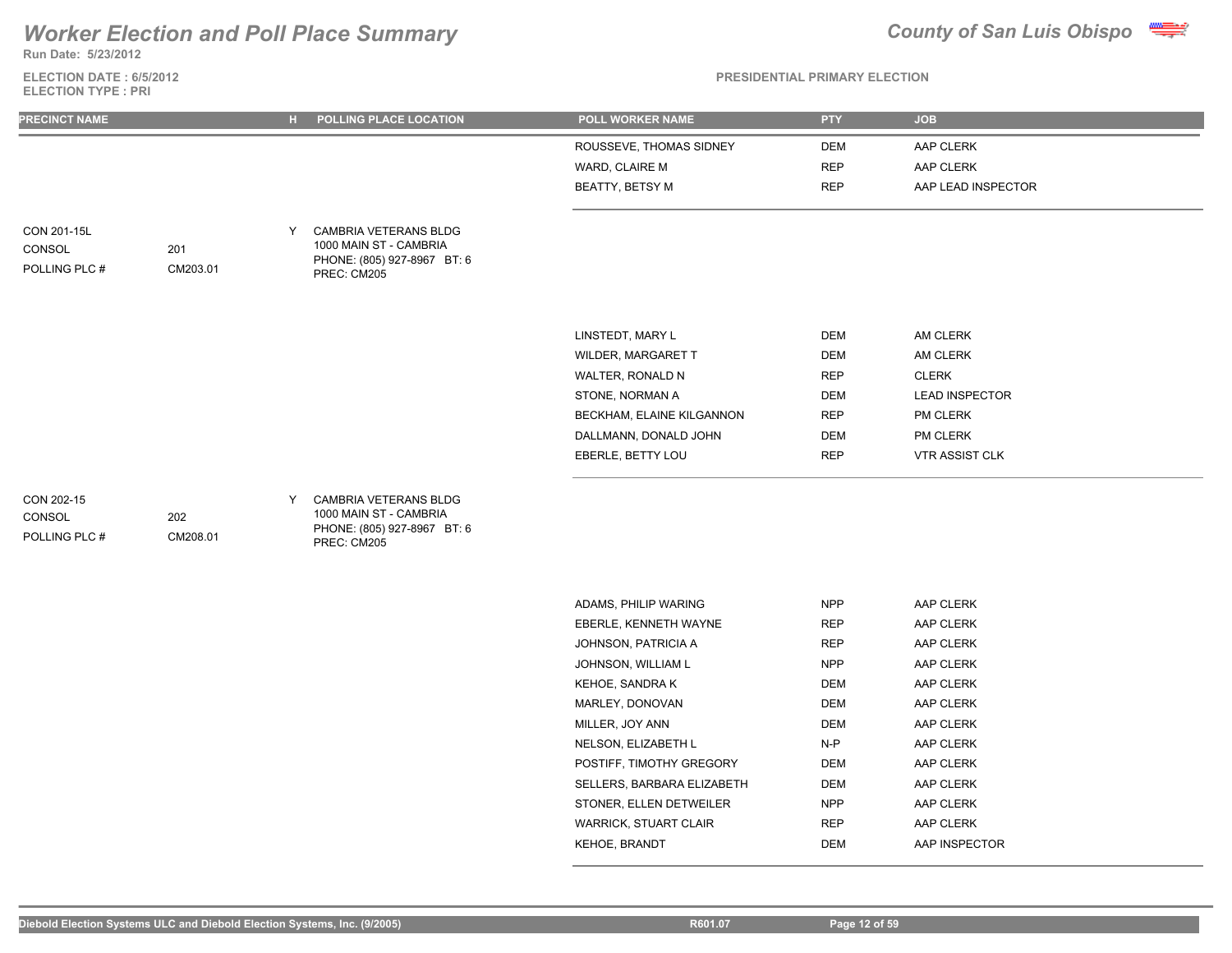## *Worker Election and Poll Place Summary* **County of San Luis Obispo County of San Luis Obispo**

**Run Date: 5/23/2012**

**ELECTION DATE : 6/5/2012 ELECTION TYPE : PRI**



**PRESIDENTIAL PRIMARY ELECTION**

| <b>PRECINCT NAME</b>                   |                 | н. | POLLING PLACE LOCATION                                                                               | POLL WORKER NAME                                             | <b>PTY</b>                      | <b>JOB</b>                                   |  |
|----------------------------------------|-----------------|----|------------------------------------------------------------------------------------------------------|--------------------------------------------------------------|---------------------------------|----------------------------------------------|--|
|                                        |                 |    |                                                                                                      | ROUSSEVE, THOMAS SIDNEY<br>WARD, CLAIRE M<br>BEATTY, BETSY M | DEM<br><b>REP</b><br><b>REP</b> | AAP CLERK<br>AAP CLERK<br>AAP LEAD INSPECTOR |  |
| CON 201-15L<br>CONSOL<br>POLLING PLC # | 201<br>CM203.01 | Y  | <b>CAMBRIA VETERANS BLDG</b><br>1000 MAIN ST - CAMBRIA<br>PHONE: (805) 927-8967 BT: 6<br>PREC: CM205 |                                                              |                                 |                                              |  |
|                                        |                 |    |                                                                                                      | LINSTEDT, MARY L                                             | DEM                             | AM CLERK                                     |  |
|                                        |                 |    |                                                                                                      | WILDER, MARGARET T                                           | DEM                             | AM CLERK                                     |  |
|                                        |                 |    |                                                                                                      | WALTER, RONALD N                                             | <b>REP</b>                      | <b>CLERK</b>                                 |  |
|                                        |                 |    |                                                                                                      | STONE, NORMAN A                                              | DEM                             | <b>LEAD INSPECTOR</b>                        |  |
|                                        |                 |    |                                                                                                      | BECKHAM, ELAINE KILGANNON                                    | <b>REP</b>                      | <b>PM CLERK</b>                              |  |
|                                        |                 |    |                                                                                                      | DALLMANN, DONALD JOHN                                        | DEM                             | PM CLERK                                     |  |
|                                        |                 |    |                                                                                                      | EBERLE, BETTY LOU                                            | <b>REP</b>                      | <b>VTR ASSIST CLK</b>                        |  |
|                                        |                 |    |                                                                                                      |                                                              |                                 |                                              |  |

| CON 202-15    |          |  |
|---------------|----------|--|
| CONSOL        | 202      |  |
| POLLING PLC # | CM208.01 |  |

Y CAMBRIA VETERANS BLDG 1000 MAIN ST - CAMBRIA PHONE: (805) 927-8967 BT: 6 PREC: CM205

| ADAMS, PHILIP WARING       | <b>NPP</b> | AAP CLERK        |
|----------------------------|------------|------------------|
| EBERLE, KENNETH WAYNE      | <b>REP</b> | AAP CLERK        |
| JOHNSON, PATRICIA A        | <b>REP</b> | AAP CLERK        |
| JOHNSON. WILLIAM L         | <b>NPP</b> | AAP CLERK        |
| KEHOE, SANDRA K            | DEM        | AAP CLERK        |
| MARLEY, DONOVAN            | DEM        | AAP CLERK        |
| MILLER, JOY ANN            | DEM        | AAP CLERK        |
| NELSON. ELIZABETH L        | $N-P$      | AAP CLERK        |
| POSTIFF. TIMOTHY GREGORY   | DEM        | <b>AAP CLERK</b> |
| SELLERS, BARBARA ELIZABETH | DEM        | AAP CLERK        |
| STONER, ELLEN DETWEILER    | <b>NPP</b> | AAP CLERK        |
| WARRICK, STUART CLAIR      | <b>REP</b> | AAP CLERK        |
| <b>KEHOE, BRANDT</b>       | DEM        | AAP INSPECTOR    |
|                            |            |                  |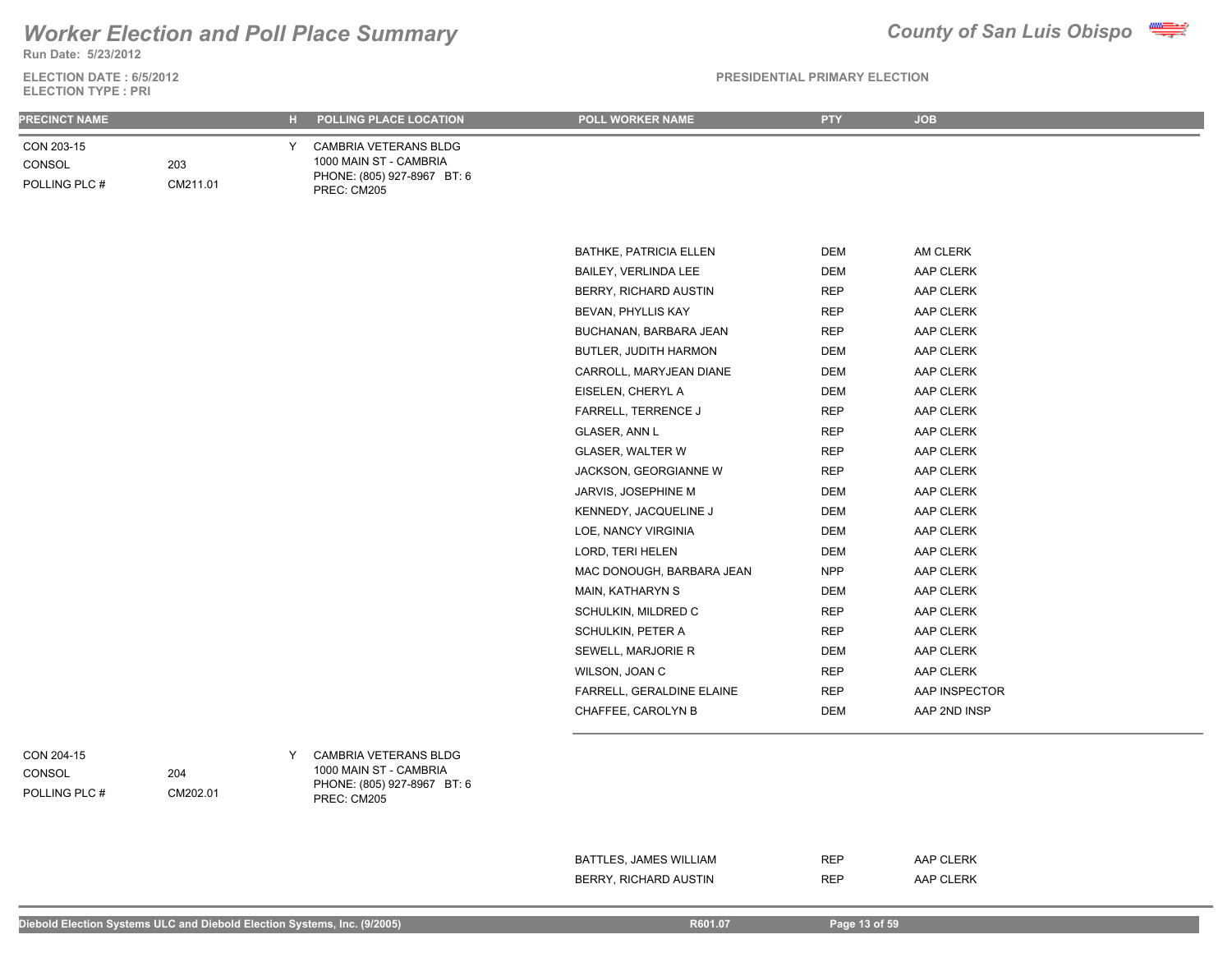**Run Date: 5/23/2012**

**ELECTION DATE : 6/5/2012 ELECTION TYPE : PRI**

### **PRESIDENTIAL PRIMARY ELECTION**

|                                       |                 | н.                                                                                                 | POLL WORKER NAME          |            | <b>JOB</b>    |
|---------------------------------------|-----------------|----------------------------------------------------------------------------------------------------|---------------------------|------------|---------------|
| <b>PRECINCT NAME</b>                  |                 | POLLING PLACE LOCATION                                                                             |                           | <b>PTY</b> |               |
| CON 203-15<br>CONSOL<br>POLLING PLC # | 203<br>CM211.01 | CAMBRIA VETERANS BLDG<br>Y<br>1000 MAIN ST - CAMBRIA<br>PHONE: (805) 927-8967 BT: 6<br>PREC: CM205 |                           |            |               |
|                                       |                 |                                                                                                    |                           |            |               |
|                                       |                 |                                                                                                    |                           |            |               |
|                                       |                 |                                                                                                    | BATHKE, PATRICIA ELLEN    | DEM        | AM CLERK      |
|                                       |                 |                                                                                                    | BAILEY, VERLINDA LEE      | DEM        | AAP CLERK     |
|                                       |                 |                                                                                                    | BERRY, RICHARD AUSTIN     | <b>REP</b> | AAP CLERK     |
|                                       |                 |                                                                                                    | BEVAN, PHYLLIS KAY        | REP        | AAP CLERK     |
|                                       |                 |                                                                                                    | BUCHANAN, BARBARA JEAN    | <b>REP</b> | AAP CLERK     |
|                                       |                 |                                                                                                    | BUTLER, JUDITH HARMON     | DEM        | AAP CLERK     |
|                                       |                 |                                                                                                    | CARROLL, MARYJEAN DIANE   | <b>DEM</b> | AAP CLERK     |
|                                       |                 |                                                                                                    | EISELEN, CHERYL A         | <b>DEM</b> | AAP CLERK     |
|                                       |                 |                                                                                                    | FARRELL, TERRENCE J       | <b>REP</b> | AAP CLERK     |
|                                       |                 |                                                                                                    | GLASER, ANN L             | REP        | AAP CLERK     |
|                                       |                 |                                                                                                    | <b>GLASER, WALTER W</b>   | <b>REP</b> | AAP CLERK     |
|                                       |                 |                                                                                                    | JACKSON, GEORGIANNE W     | <b>REP</b> | AAP CLERK     |
|                                       |                 |                                                                                                    | JARVIS, JOSEPHINE M       | <b>DEM</b> | AAP CLERK     |
|                                       |                 |                                                                                                    | KENNEDY, JACQUELINE J     | DEM        | AAP CLERK     |
|                                       |                 |                                                                                                    | LOE, NANCY VIRGINIA       | DEM        | AAP CLERK     |
|                                       |                 |                                                                                                    | LORD, TERI HELEN          | DEM        | AAP CLERK     |
|                                       |                 |                                                                                                    | MAC DONOUGH, BARBARA JEAN | <b>NPP</b> | AAP CLERK     |
|                                       |                 |                                                                                                    | MAIN, KATHARYN S          | DEM        | AAP CLERK     |
|                                       |                 |                                                                                                    | SCHULKIN, MILDRED C       | <b>REP</b> | AAP CLERK     |
|                                       |                 |                                                                                                    | SCHULKIN, PETER A         | <b>REP</b> | AAP CLERK     |
|                                       |                 |                                                                                                    | SEWELL, MARJORIE R        | DEM        | AAP CLERK     |
|                                       |                 |                                                                                                    | WILSON, JOAN C            | <b>REP</b> | AAP CLERK     |
|                                       |                 |                                                                                                    | FARRELL, GERALDINE ELAINE | <b>REP</b> | AAP INSPECTOR |
|                                       |                 |                                                                                                    | CHAFFEE, CAROLYN B        | <b>DEM</b> | AAP 2ND INSP  |
|                                       |                 |                                                                                                    |                           |            |               |
| CON 204-15<br>CONSOL<br>POLLING PLC # | 204<br>CM202.01 | CAMBRIA VETERANS BLDG<br>Y<br>1000 MAIN ST - CAMBRIA<br>PHONE: (805) 927-8967 BT: 6<br>PREC: CM205 |                           |            |               |
|                                       |                 |                                                                                                    |                           |            |               |

BATTLES, JAMES WILLIAM REP AAP CLERK BERRY, RICHARD AUSTIN REP AAP CLERK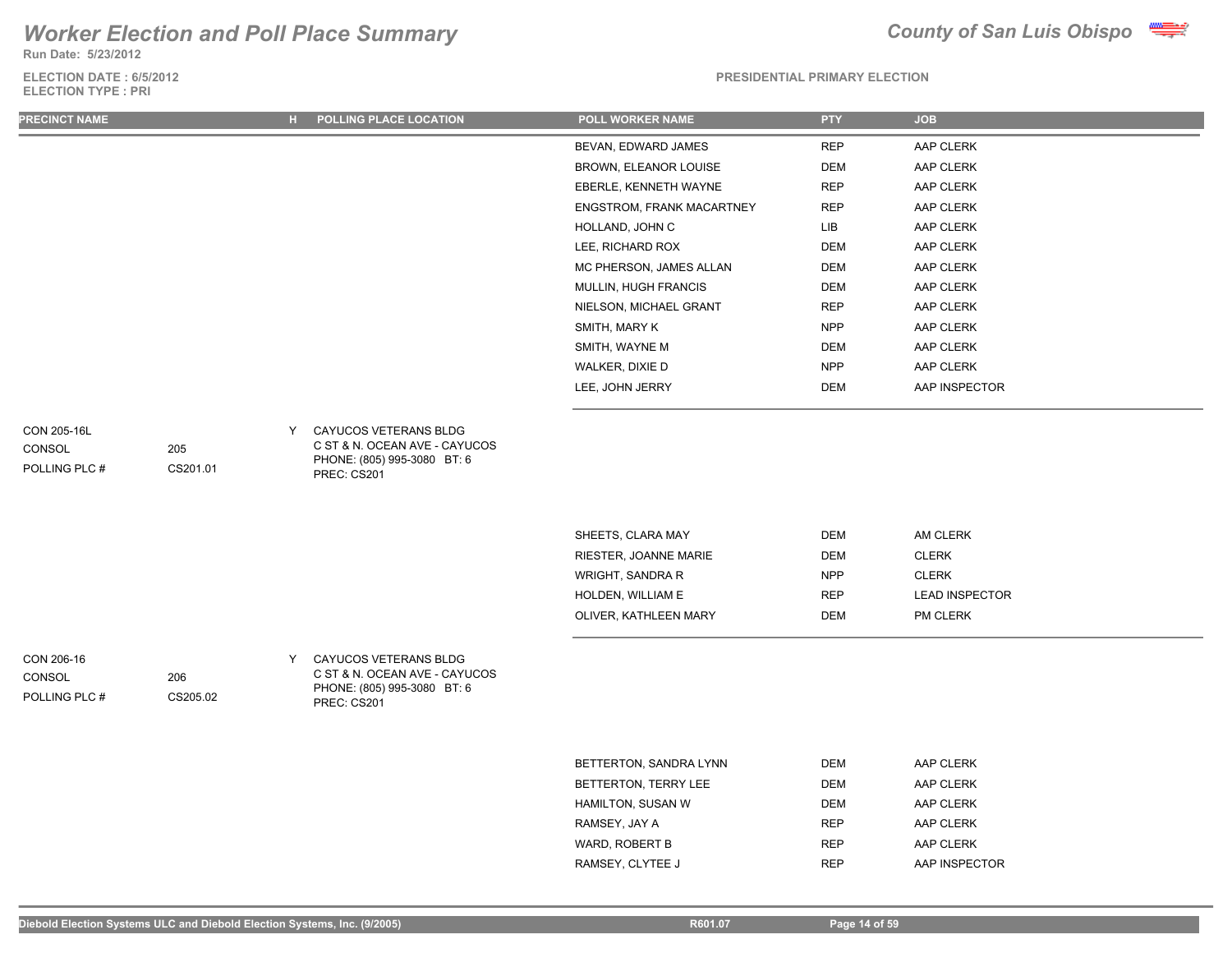**Run Date: 5/23/2012**

### **ELECTION DATE : 6/5/2012 ELECTION TYPE : PRI**



| PRECINCT NAME                          |                 | $H$ .             | POLLING PLACE LOCATION                                                                | POLL WORKER NAME          | <b>PTY</b>  | <b>JOB</b>            |
|----------------------------------------|-----------------|-------------------|---------------------------------------------------------------------------------------|---------------------------|-------------|-----------------------|
|                                        |                 |                   |                                                                                       | BEVAN, EDWARD JAMES       | <b>REP</b>  | AAP CLERK             |
|                                        |                 |                   |                                                                                       | BROWN, ELEANOR LOUISE     | <b>DEM</b>  | AAP CLERK             |
|                                        |                 |                   |                                                                                       | EBERLE, KENNETH WAYNE     | <b>REP</b>  | AAP CLERK             |
|                                        |                 |                   |                                                                                       | ENGSTROM, FRANK MACARTNEY | <b>REP</b>  | AAP CLERK             |
|                                        |                 |                   |                                                                                       | HOLLAND, JOHN C           | ${\sf LIB}$ | AAP CLERK             |
|                                        |                 |                   |                                                                                       | LEE, RICHARD ROX          | <b>DEM</b>  | AAP CLERK             |
|                                        |                 |                   |                                                                                       | MC PHERSON, JAMES ALLAN   | DEM         | AAP CLERK             |
|                                        |                 |                   |                                                                                       | MULLIN, HUGH FRANCIS      | <b>DEM</b>  | AAP CLERK             |
|                                        |                 |                   |                                                                                       | NIELSON, MICHAEL GRANT    | <b>REP</b>  | AAP CLERK             |
|                                        |                 |                   |                                                                                       | SMITH, MARY K             | <b>NPP</b>  | AAP CLERK             |
|                                        |                 |                   |                                                                                       | SMITH, WAYNE M            | <b>DEM</b>  | AAP CLERK             |
|                                        |                 |                   |                                                                                       | WALKER, DIXIE D           | <b>NPP</b>  | AAP CLERK             |
|                                        |                 |                   |                                                                                       | LEE, JOHN JERRY           | <b>DEM</b>  | AAP INSPECTOR         |
| CON 205-16L<br>CONSOL<br>POLLING PLC # | 205<br>CS201.01 | Y.<br>PREC: CS201 | CAYUCOS VETERANS BLDG<br>C ST & N. OCEAN AVE - CAYUCOS<br>PHONE: (805) 995-3080 BT: 6 |                           |             |                       |
|                                        |                 |                   |                                                                                       | SHEETS, CLARA MAY         | <b>DEM</b>  | AM CLERK              |
|                                        |                 |                   |                                                                                       | RIESTER, JOANNE MARIE     | <b>DEM</b>  | CLERK                 |
|                                        |                 |                   |                                                                                       | WRIGHT, SANDRA R          | <b>NPP</b>  | <b>CLERK</b>          |
|                                        |                 |                   |                                                                                       | HOLDEN, WILLIAM E         | <b>REP</b>  | <b>LEAD INSPECTOR</b> |
|                                        |                 |                   |                                                                                       | OLIVER, KATHLEEN MARY     | <b>DEM</b>  | PM CLERK              |
| CON 206-16<br>CONSOL<br>POLLING PLC #  | 206<br>CS205.02 | Y<br>PREC: CS201  | CAYUCOS VETERANS BLDG<br>C ST & N. OCEAN AVE - CAYUCOS<br>PHONE: (805) 995-3080 BT: 6 |                           |             |                       |
|                                        |                 |                   |                                                                                       | BETTERTON, SANDRA LYNN    | <b>DEM</b>  | AAP CLERK             |
|                                        |                 |                   |                                                                                       | BETTERTON, TERRY LEE      | <b>DEM</b>  | AAP CLERK             |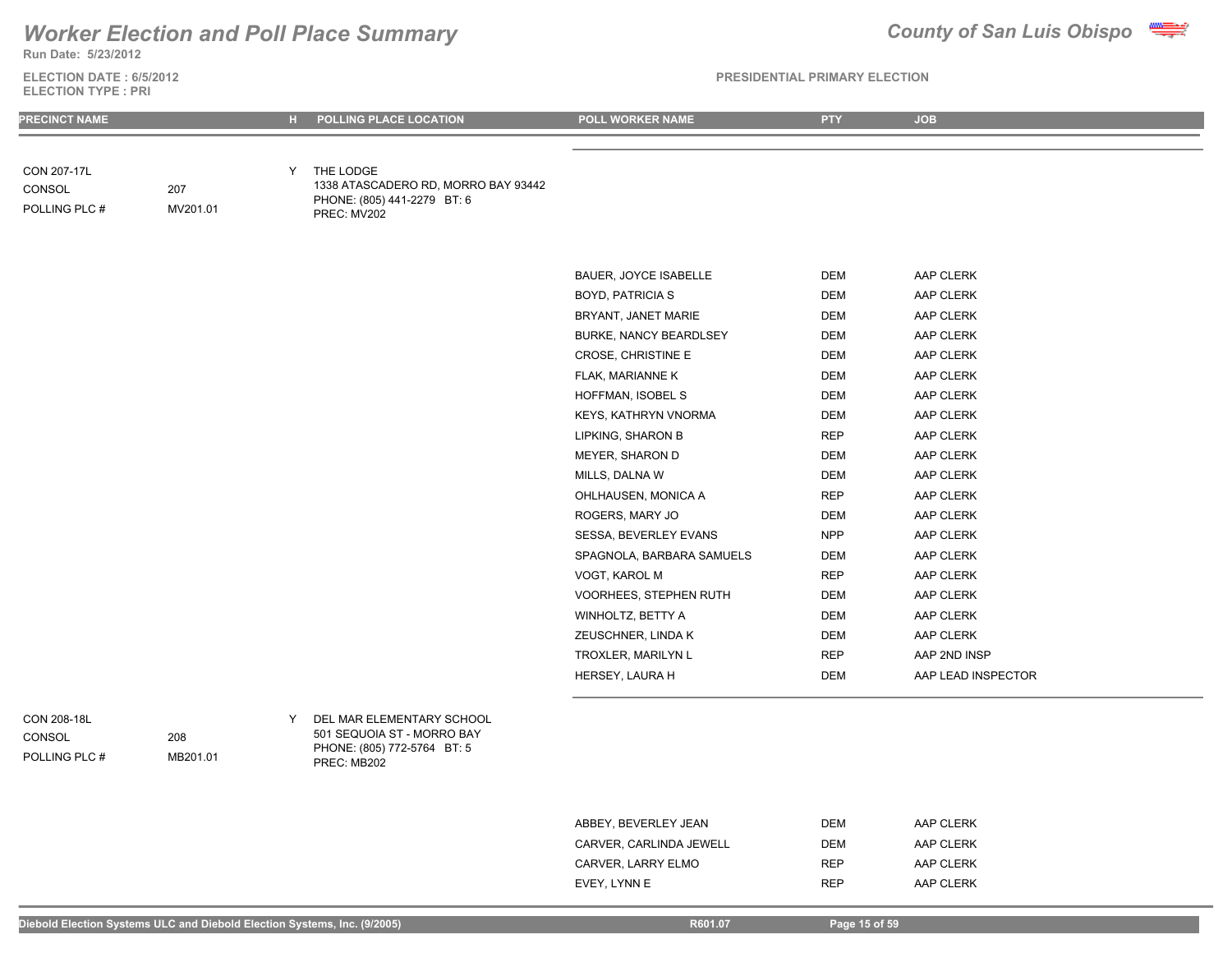## **Run Date: 5/23/2012** *Worker Election and Poll Place Summary County of San Luis Obispo*



**PRESIDENTIAL PRIMARY ELECTION**

| <b>ELECTION DATE : 6/5/2012</b> |  |
|---------------------------------|--|
| ELECTION TYPE : PRI             |  |

| <b>PRECINCT NAME</b>                   |                 | н. | <b>POLLING PLACE LOCATION</b>                                                                        | POLL WORKER NAME          | <b>PTY</b> | <b>JOB</b>         |
|----------------------------------------|-----------------|----|------------------------------------------------------------------------------------------------------|---------------------------|------------|--------------------|
|                                        |                 |    |                                                                                                      |                           |            |                    |
| CON 207-17L<br>CONSOL<br>POLLING PLC # | 207<br>MV201.01 | Y. | THE LODGE<br>1338 ATASCADERO RD, MORRO BAY 93442<br>PHONE: (805) 441-2279 BT: 6<br>PREC: MV202       |                           |            |                    |
|                                        |                 |    |                                                                                                      | BAUER, JOYCE ISABELLE     | <b>DEM</b> | AAP CLERK          |
|                                        |                 |    |                                                                                                      | <b>BOYD, PATRICIA S</b>   | <b>DEM</b> | AAP CLERK          |
|                                        |                 |    |                                                                                                      | BRYANT, JANET MARIE       | <b>DEM</b> | AAP CLERK          |
|                                        |                 |    |                                                                                                      | BURKE, NANCY BEARDLSEY    | DEM        | AAP CLERK          |
|                                        |                 |    |                                                                                                      | CROSE, CHRISTINE E        | <b>DEM</b> | AAP CLERK          |
|                                        |                 |    |                                                                                                      | FLAK, MARIANNE K          | <b>DEM</b> | AAP CLERK          |
|                                        |                 |    |                                                                                                      | HOFFMAN, ISOBEL S         | <b>DEM</b> | AAP CLERK          |
|                                        |                 |    |                                                                                                      | KEYS, KATHRYN VNORMA      | DEM        | AAP CLERK          |
|                                        |                 |    |                                                                                                      | LIPKING, SHARON B         | <b>REP</b> | AAP CLERK          |
|                                        |                 |    |                                                                                                      | MEYER, SHARON D           | <b>DEM</b> | AAP CLERK          |
|                                        |                 |    |                                                                                                      | MILLS, DALNA W            | DEM        | AAP CLERK          |
|                                        |                 |    |                                                                                                      | OHLHAUSEN, MONICA A       | <b>REP</b> | AAP CLERK          |
|                                        |                 |    |                                                                                                      | ROGERS, MARY JO           | DEM        | AAP CLERK          |
|                                        |                 |    |                                                                                                      | SESSA, BEVERLEY EVANS     | <b>NPP</b> | AAP CLERK          |
|                                        |                 |    |                                                                                                      | SPAGNOLA, BARBARA SAMUELS | <b>DEM</b> | AAP CLERK          |
|                                        |                 |    |                                                                                                      | VOGT, KAROL M             | <b>REP</b> | AAP CLERK          |
|                                        |                 |    |                                                                                                      | VOORHEES, STEPHEN RUTH    | <b>DEM</b> | AAP CLERK          |
|                                        |                 |    |                                                                                                      | WINHOLTZ, BETTY A         | <b>DEM</b> | AAP CLERK          |
|                                        |                 |    |                                                                                                      | ZEUSCHNER, LINDA K        | DEM        | AAP CLERK          |
|                                        |                 |    |                                                                                                      | TROXLER, MARILYN L        | <b>REP</b> | AAP 2ND INSP       |
|                                        |                 |    |                                                                                                      | HERSEY, LAURA H           | DEM        | AAP LEAD INSPECTOR |
| CON 208-18L<br>CONSOL<br>POLLING PLC # | 208<br>MB201.01 | Y  | DEL MAR ELEMENTARY SCHOOL<br>501 SEQUOIA ST - MORRO BAY<br>PHONE: (805) 772-5764 BT: 5<br>DDCC. MDOO |                           |            |                    |

PHONE: (805) 772-5764 BT: 5 PREC: MB202

| ABBEY, BEVERLEY JEAN    | <b>DEM</b> | AAP CLERK |
|-------------------------|------------|-----------|
| CARVER, CARLINDA JEWELL | <b>DEM</b> | AAP CLERK |
| CARVER, LARRY ELMO      | <b>RFP</b> | AAP CLERK |
| EVEY. LYNN E            | <b>RFP</b> | AAP CLERK |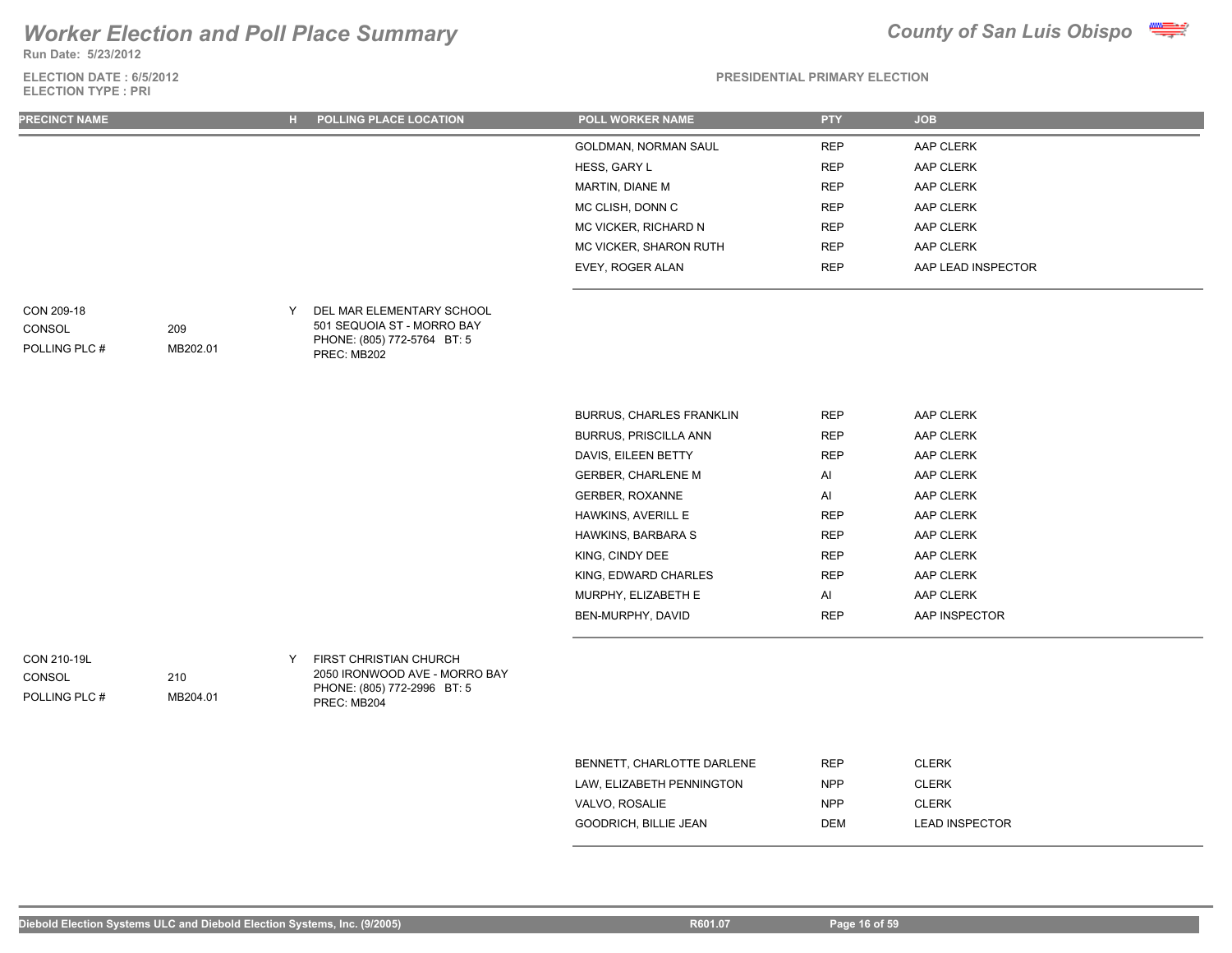**Run Date: 5/23/2012**

### **ELECTION DATE : 6/5/2012 ELECTION TYPE : PRI**



### **PRESIDENTIAL PRIMARY ELECTION**

| <b>PRECINCT NAME</b> | ы | <b>POLLING PLACE LOCATION</b> | <b>POLL WORKER NAME</b> | <b>PTY</b> | <b>JOB</b>         |
|----------------------|---|-------------------------------|-------------------------|------------|--------------------|
|                      |   |                               | GOLDMAN, NORMAN SAUL    | <b>REP</b> | AAP CLERK          |
|                      |   |                               | HESS, GARY L            | <b>REP</b> | AAP CLERK          |
|                      |   |                               | MARTIN, DIANE M         | <b>REP</b> | AAP CLERK          |
|                      |   |                               | MC CLISH, DONN C        | <b>REP</b> | AAP CLERK          |
|                      |   |                               | MC VICKER, RICHARD N    | <b>REP</b> | AAP CLERK          |
|                      |   |                               | MC VICKER, SHARON RUTH  | <b>REP</b> | AAP CLERK          |
|                      |   |                               | EVEY, ROGER ALAN        | <b>REP</b> | AAP LEAD INSPECTOR |
|                      |   |                               |                         |            |                    |

| CON 209-18    |          | DEL MAR ELEMENTARY SCHOOL                  |
|---------------|----------|--------------------------------------------|
| CONSOL        | 209      | 501 SEQUOIA ST - MORRO BAY                 |
| POLLING PLC # | MB202.01 | PHONE: (805) 772-5764 BT: 5<br>PREC: MB202 |

| <b>BURRUS, CHARLES FRANKLIN</b> | <b>REP</b> | <b>AAP CLERK</b> |
|---------------------------------|------------|------------------|
| <b>BURRUS, PRISCILLA ANN</b>    | <b>REP</b> | AAP CLERK        |
| DAVIS. EILEEN BETTY             | <b>REP</b> | AAP CLERK        |
| <b>GERBER, CHARLENE M</b>       | AI         | AAP CLERK        |
| <b>GERBER, ROXANNE</b>          | AI         | AAP CLERK        |
| HAWKINS, AVERILL E              | <b>REP</b> | AAP CLERK        |
| <b>HAWKINS, BARBARA S</b>       | <b>REP</b> | AAP CLERK        |
| KING, CINDY DEE                 | <b>REP</b> | <b>AAP CLERK</b> |
| KING. EDWARD CHARLES            | <b>REP</b> | AAP CLERK        |
| MURPHY, ELIZABETH E             | AI         | AAP CLERK        |
| BEN-MURPHY, DAVID               | <b>REP</b> | AAP INSPECTOR    |

CON 210-19L POLLING PLC # CONSOL

Y FIRST CHRISTIAN CHURCH 2050 IRONWOOD AVE - MORRO BAY PHONE: (805) 772-2996 BT: 5 PREC: MB204

| BENNETT, CHARLOTTE DARLENE   | <b>RFP</b> | <b>CLERK</b>          |
|------------------------------|------------|-----------------------|
| LAW. ELIZABETH PENNINGTON    | <b>NPP</b> | <b>CLERK</b>          |
| VALVO, ROSALIE               | <b>NPP</b> | <b>CLERK</b>          |
| <b>GOODRICH, BILLIE JEAN</b> | <b>DEM</b> | <b>LEAD INSPECTOR</b> |

210

MB204.01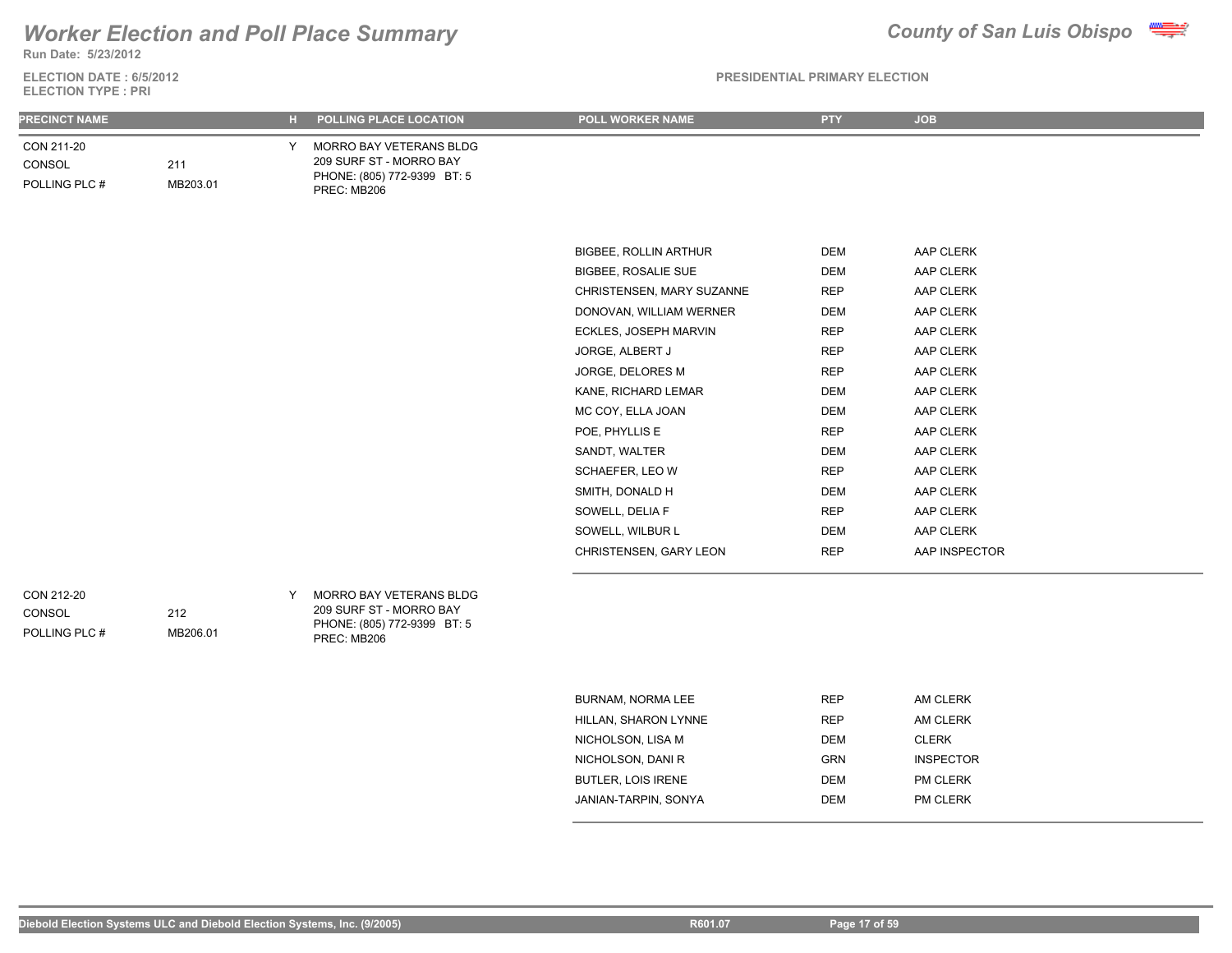**Run Date: 5/23/2012**

### **ELECTION DATE : 6/5/2012 ELECTION TYPE : PRI**

| <b>PRECINCT NAME</b>                  |                 | н. | POLLING PLACE LOCATION                                                                           | <b>POLL WORKER NAME</b>      | <b>PTY</b> | <b>JOB</b>       |
|---------------------------------------|-----------------|----|--------------------------------------------------------------------------------------------------|------------------------------|------------|------------------|
| CON 211-20<br>CONSOL<br>POLLING PLC # | 211<br>MB203.01 | Y  | MORRO BAY VETERANS BLDG<br>209 SURF ST - MORRO BAY<br>PHONE: (805) 772-9399 BT: 5<br>PREC: MB206 |                              |            |                  |
|                                       |                 |    |                                                                                                  |                              |            |                  |
|                                       |                 |    |                                                                                                  | <b>BIGBEE, ROLLIN ARTHUR</b> | DEM        | AAP CLERK        |
|                                       |                 |    |                                                                                                  | <b>BIGBEE, ROSALIE SUE</b>   | DEM        | AAP CLERK        |
|                                       |                 |    |                                                                                                  | CHRISTENSEN, MARY SUZANNE    | <b>REP</b> | AAP CLERK        |
|                                       |                 |    |                                                                                                  | DONOVAN, WILLIAM WERNER      | <b>DEM</b> | AAP CLERK        |
|                                       |                 |    |                                                                                                  | ECKLES, JOSEPH MARVIN        | <b>REP</b> | AAP CLERK        |
|                                       |                 |    |                                                                                                  | JORGE, ALBERT J              | <b>REP</b> | AAP CLERK        |
|                                       |                 |    |                                                                                                  | JORGE, DELORES M             | <b>REP</b> | AAP CLERK        |
|                                       |                 |    |                                                                                                  | KANE, RICHARD LEMAR          | <b>DEM</b> | AAP CLERK        |
|                                       |                 |    |                                                                                                  | MC COY, ELLA JOAN            | <b>DEM</b> | AAP CLERK        |
|                                       |                 |    |                                                                                                  | POE, PHYLLIS E               | <b>REP</b> | AAP CLERK        |
|                                       |                 |    |                                                                                                  | SANDT, WALTER                | <b>DEM</b> | AAP CLERK        |
|                                       |                 |    |                                                                                                  | SCHAEFER, LEO W              | <b>REP</b> | AAP CLERK        |
|                                       |                 |    |                                                                                                  | SMITH, DONALD H              | DEM        | AAP CLERK        |
|                                       |                 |    |                                                                                                  | SOWELL, DELIA F              | <b>REP</b> | AAP CLERK        |
|                                       |                 |    |                                                                                                  | SOWELL, WILBUR L             | <b>DEM</b> | AAP CLERK        |
|                                       |                 |    |                                                                                                  | CHRISTENSEN, GARY LEON       | <b>REP</b> | AAP INSPECTOR    |
| CON 212-20<br>CONSOL<br>POLLING PLC # | 212<br>MB206.01 | Y  | MORRO BAY VETERANS BLDG<br>209 SURF ST - MORRO BAY<br>PHONE: (805) 772-9399 BT: 5<br>PREC: MB206 |                              |            |                  |
|                                       |                 |    |                                                                                                  |                              |            |                  |
|                                       |                 |    |                                                                                                  | <b>BURNAM, NORMA LEE</b>     | <b>REP</b> | AM CLERK         |
|                                       |                 |    |                                                                                                  | HILLAN, SHARON LYNNE         | <b>REP</b> | AM CLERK         |
|                                       |                 |    |                                                                                                  | NICHOLSON, LISA M            | <b>DEM</b> | <b>CLERK</b>     |
|                                       |                 |    |                                                                                                  | NICHOLSON, DANI R            | GRN        | <b>INSPECTOR</b> |
|                                       |                 |    |                                                                                                  | <b>BUTLER, LOIS IRENE</b>    | <b>DEM</b> | PM CLERK         |
|                                       |                 |    |                                                                                                  | JANIAN-TARPIN, SONYA         | <b>DEM</b> | PM CLERK         |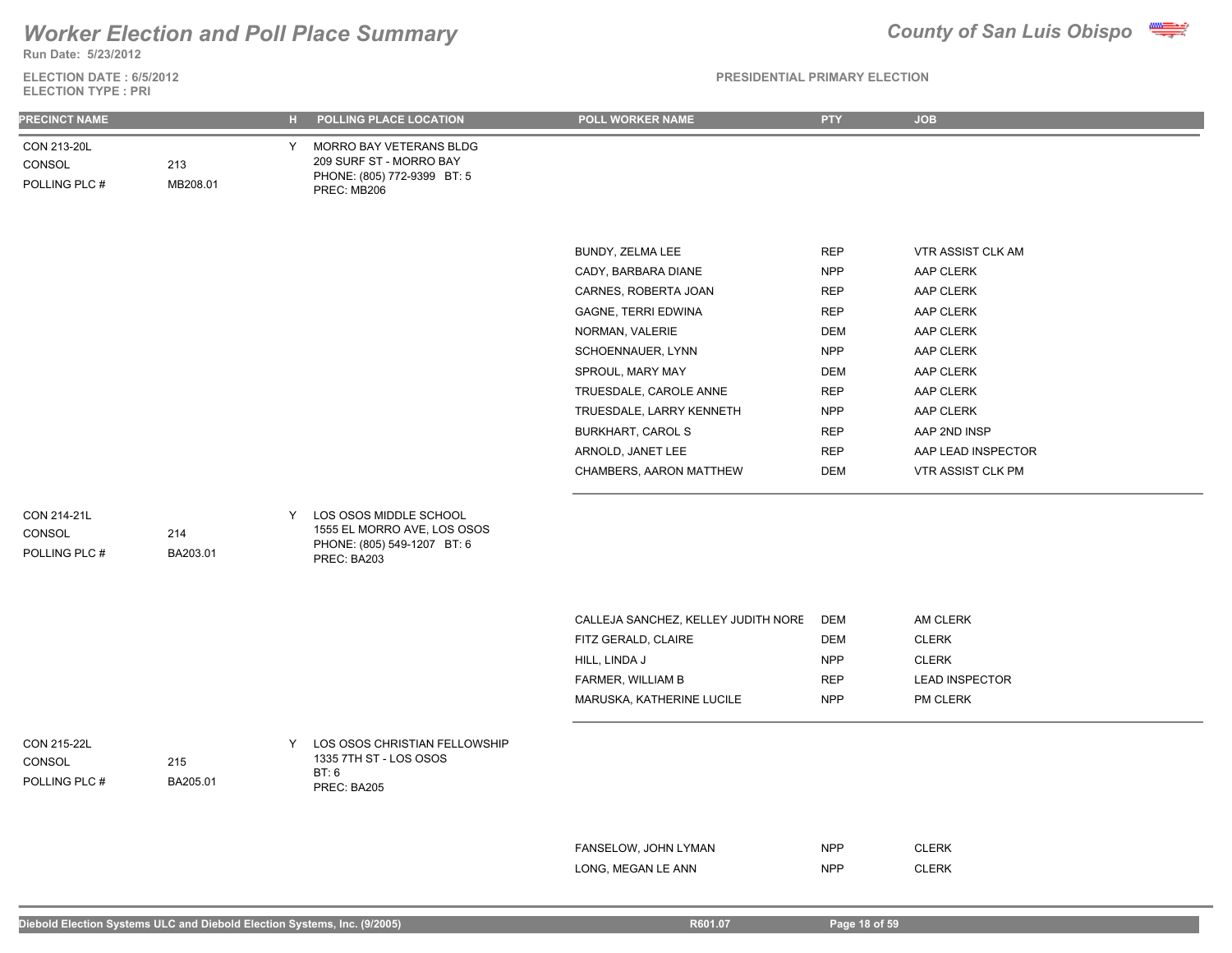## **Run Date: 5/23/2012** *Worker Election and Poll Place Summary County of San Luis Obispo*

**ELECTION DATE : 6/5/2012**

# **ELECTION TYPE : PRI**

| <b>PRECINCT NAME</b>                   |                 |   | H POLLING PLACE LOCATION                                                                            | <b>POLL WORKER NAME</b>             | PTY        | <b>JOB</b>            |
|----------------------------------------|-----------------|---|-----------------------------------------------------------------------------------------------------|-------------------------------------|------------|-----------------------|
| CON 213-20L<br>CONSOL<br>POLLING PLC # | 213<br>MB208.01 | Y | MORRO BAY VETERANS BLDG<br>209 SURF ST - MORRO BAY<br>PHONE: (805) 772-9399 BT: 5<br>PREC: MB206    |                                     |            |                       |
|                                        |                 |   |                                                                                                     |                                     |            |                       |
|                                        |                 |   |                                                                                                     |                                     |            |                       |
|                                        |                 |   |                                                                                                     | BUNDY, ZELMA LEE                    | <b>REP</b> | VTR ASSIST CLK AM     |
|                                        |                 |   |                                                                                                     | CADY, BARBARA DIANE                 | <b>NPP</b> | AAP CLERK             |
|                                        |                 |   |                                                                                                     | CARNES, ROBERTA JOAN                | <b>REP</b> | AAP CLERK             |
|                                        |                 |   |                                                                                                     | <b>GAGNE, TERRI EDWINA</b>          | <b>REP</b> | AAP CLERK             |
|                                        |                 |   |                                                                                                     | NORMAN, VALERIE                     | <b>DEM</b> | AAP CLERK             |
|                                        |                 |   |                                                                                                     | SCHOENNAUER, LYNN                   | <b>NPP</b> | AAP CLERK             |
|                                        |                 |   |                                                                                                     | SPROUL, MARY MAY                    | <b>DEM</b> | AAP CLERK             |
|                                        |                 |   |                                                                                                     | TRUESDALE, CAROLE ANNE              | <b>REP</b> | AAP CLERK             |
|                                        |                 |   |                                                                                                     | TRUESDALE, LARRY KENNETH            | <b>NPP</b> | AAP CLERK             |
|                                        |                 |   |                                                                                                     | <b>BURKHART, CAROL S</b>            | <b>REP</b> | AAP 2ND INSP          |
|                                        |                 |   |                                                                                                     | ARNOLD, JANET LEE                   | <b>REP</b> | AAP LEAD INSPECTOR    |
|                                        |                 |   |                                                                                                     | CHAMBERS, AARON MATTHEW             | <b>DEM</b> | VTR ASSIST CLK PM     |
|                                        |                 |   |                                                                                                     |                                     |            |                       |
| CON 214-21L<br>CONSOL<br>POLLING PLC # | 214<br>BA203.01 | Y | LOS OSOS MIDDLE SCHOOL<br>1555 EL MORRO AVE, LOS OSOS<br>PHONE: (805) 549-1207 BT: 6<br>PREC: BA203 |                                     |            |                       |
|                                        |                 |   |                                                                                                     |                                     |            |                       |
|                                        |                 |   |                                                                                                     | CALLEJA SANCHEZ, KELLEY JUDITH NORE | DEM        | AM CLERK              |
|                                        |                 |   |                                                                                                     | FITZ GERALD, CLAIRE                 | <b>DEM</b> | <b>CLERK</b>          |
|                                        |                 |   |                                                                                                     | HILL, LINDA J                       | <b>NPP</b> | <b>CLERK</b>          |
|                                        |                 |   |                                                                                                     | FARMER, WILLIAM B                   | <b>REP</b> | <b>LEAD INSPECTOR</b> |
|                                        |                 |   |                                                                                                     | MARUSKA, KATHERINE LUCILE           | <b>NPP</b> | PM CLERK              |
|                                        |                 |   |                                                                                                     |                                     |            |                       |
| CON 215-22L<br>CONSOL                  | 215             | Y | LOS OSOS CHRISTIAN FELLOWSHIP<br>1335 7TH ST - LOS OSOS                                             |                                     |            |                       |
| POLLING PLC #                          | BA205.01        |   | BT: 6                                                                                               |                                     |            |                       |
|                                        |                 |   | PREC: BA205                                                                                         |                                     |            |                       |
|                                        |                 |   |                                                                                                     |                                     |            |                       |
|                                        |                 |   |                                                                                                     | FANSELOW, JOHN LYMAN                | <b>NPP</b> | <b>CLERK</b>          |
|                                        |                 |   |                                                                                                     | LONG, MEGAN LE ANN                  | <b>NPP</b> | <b>CLERK</b>          |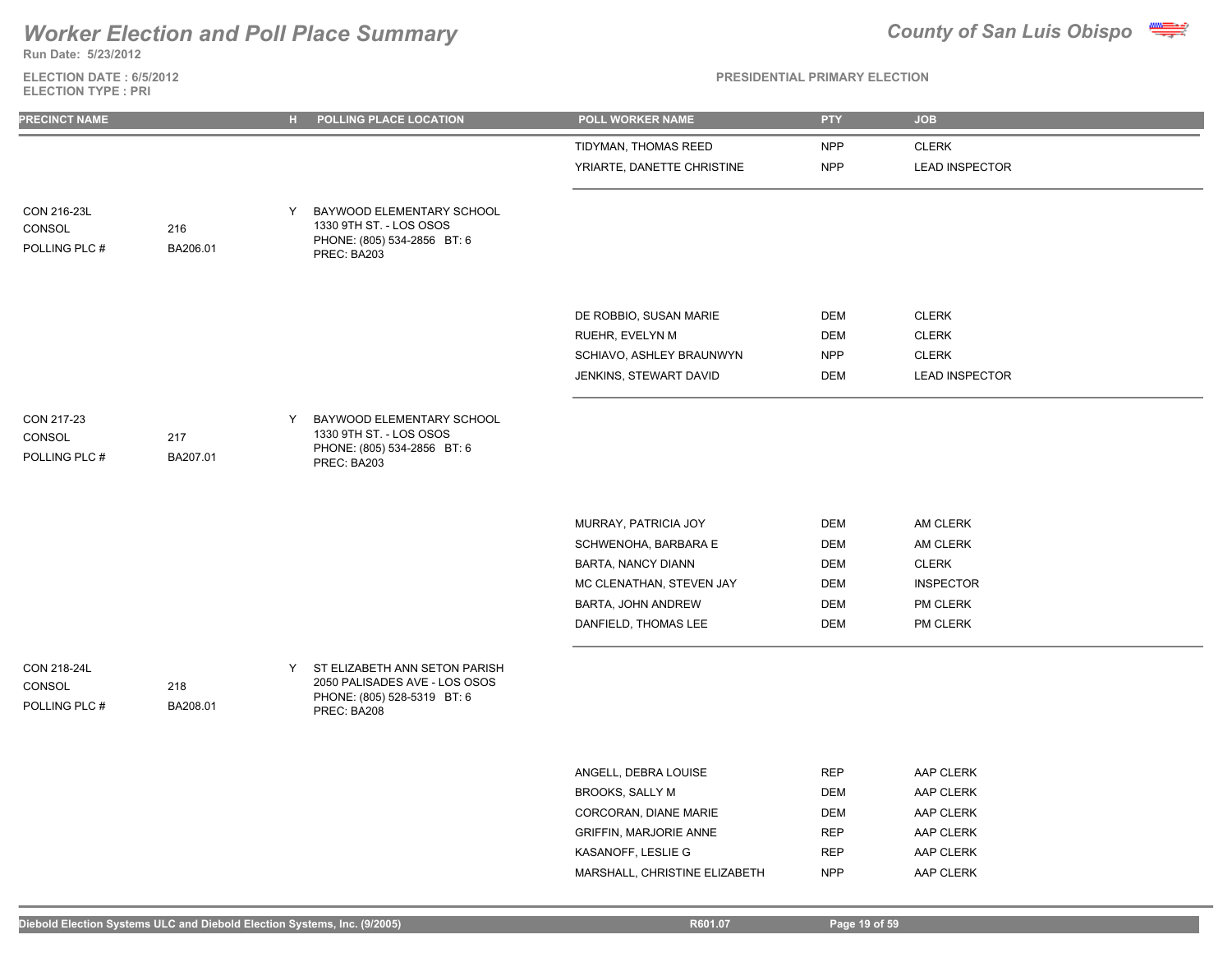

**Run Date: 5/23/2012**

### **ELECTION DATE : 6/5/2012 ELECTION TYPE : PRI**

### **PRESIDENTIAL PRIMARY ELECTION**

| PRECINCT NAME                          |                 | $\mathbf{H}$ . | POLLING PLACE LOCATION                                                                                       | POLL WORKER NAME           | <b>PTY</b> | <b>JOB</b>            |
|----------------------------------------|-----------------|----------------|--------------------------------------------------------------------------------------------------------------|----------------------------|------------|-----------------------|
|                                        |                 |                |                                                                                                              | TIDYMAN, THOMAS REED       | <b>NPP</b> | <b>CLERK</b>          |
|                                        |                 |                |                                                                                                              | YRIARTE, DANETTE CHRISTINE | <b>NPP</b> | <b>LEAD INSPECTOR</b> |
| CON 216-23L<br>CONSOL<br>POLLING PLC # | 216<br>BA206.01 | Y              | BAYWOOD ELEMENTARY SCHOOL<br>1330 9TH ST. - LOS OSOS<br>PHONE: (805) 534-2856 BT: 6<br>PREC: BA203           |                            |            |                       |
|                                        |                 |                |                                                                                                              | DE ROBBIO, SUSAN MARIE     | <b>DEM</b> | <b>CLERK</b>          |
|                                        |                 |                |                                                                                                              | RUEHR, EVELYN M            | <b>DEM</b> | <b>CLERK</b>          |
|                                        |                 |                |                                                                                                              | SCHIAVO, ASHLEY BRAUNWYN   | <b>NPP</b> | <b>CLERK</b>          |
|                                        |                 |                |                                                                                                              | JENKINS, STEWART DAVID     | <b>DEM</b> | <b>LEAD INSPECTOR</b> |
| CON 217-23<br>CONSOL<br>POLLING PLC #  | 217<br>BA207.01 | Y              | BAYWOOD ELEMENTARY SCHOOL<br>1330 9TH ST. - LOS OSOS<br>PHONE: (805) 534-2856 BT: 6<br>PREC: BA203           |                            |            |                       |
|                                        |                 |                |                                                                                                              | MURRAY, PATRICIA JOY       | DEM        | AM CLERK              |
|                                        |                 |                |                                                                                                              | SCHWENOHA, BARBARA E       | <b>DEM</b> | AM CLERK              |
|                                        |                 |                |                                                                                                              | <b>BARTA, NANCY DIANN</b>  | <b>DEM</b> | <b>CLERK</b>          |
|                                        |                 |                |                                                                                                              | MC CLENATHAN, STEVEN JAY   | <b>DEM</b> | <b>INSPECTOR</b>      |
|                                        |                 |                |                                                                                                              | BARTA, JOHN ANDREW         | DEM        | PM CLERK              |
|                                        |                 |                |                                                                                                              | DANFIELD, THOMAS LEE       | <b>DEM</b> | PM CLERK              |
| CON 218-24L<br>CONSOL<br>POLLING PLC # | 218<br>BA208.01 | Y.             | ST ELIZABETH ANN SETON PARISH<br>2050 PALISADES AVE - LOS OSOS<br>PHONE: (805) 528-5319 BT: 6<br>PREC: BA208 |                            |            |                       |
|                                        |                 |                |                                                                                                              | ANGELL, DEBRA LOUISE       | <b>REP</b> | AAP CLERK             |
|                                        |                 |                |                                                                                                              | <b>BROOKS, SALLY M</b>     | <b>DEM</b> | AAP CLERK             |
|                                        |                 |                |                                                                                                              | CORCORAN, DIANE MARIE      | <b>DEM</b> | AAP CLERK             |

GRIFFIN, MARJORIE ANNE REP AAP CLERK KASANOFF, LESLIE G REP AAP CLERK MARSHALL, CHRISTINE ELIZABETH NPP AAP CLERK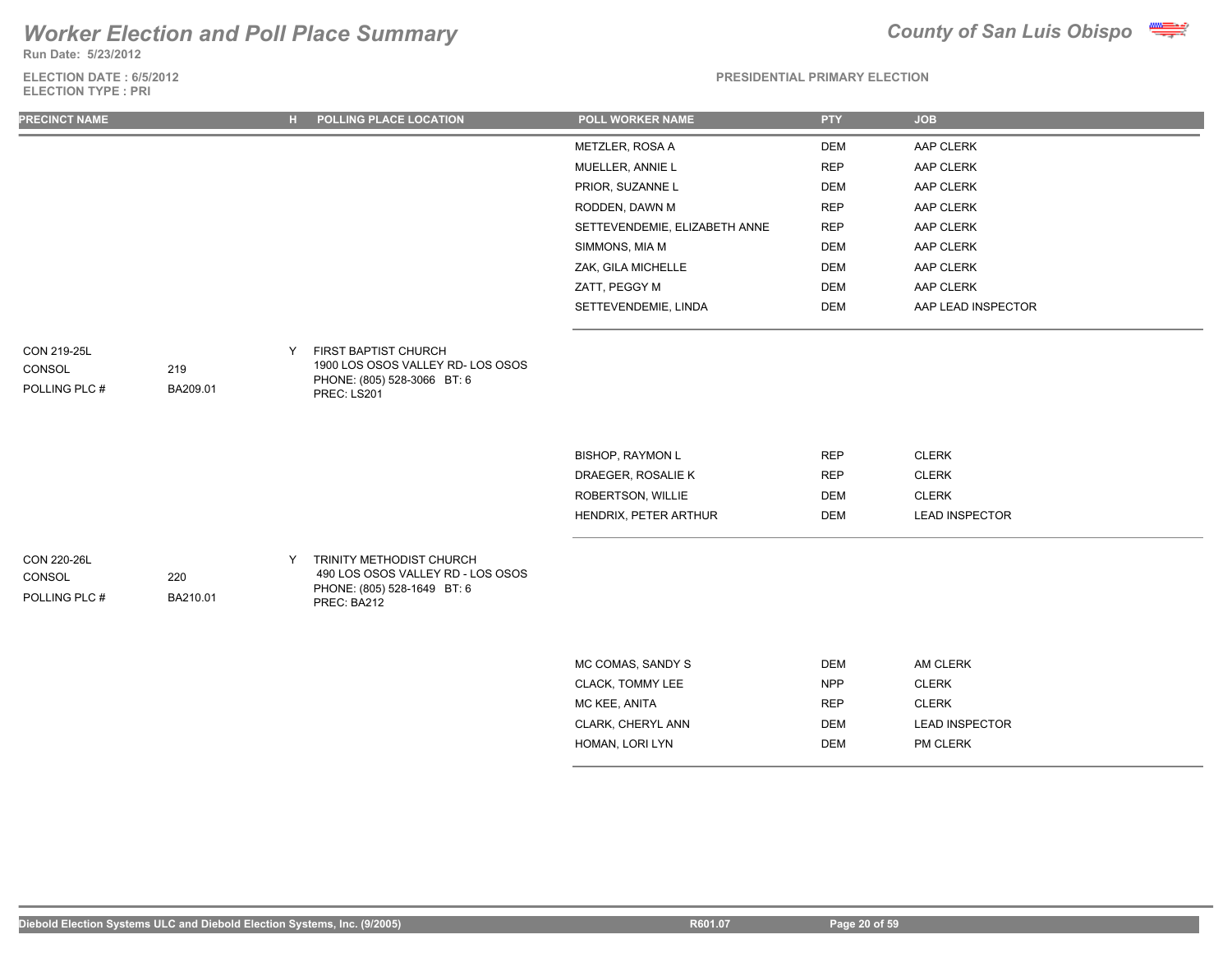**Run Date: 5/23/2012**

### **ELECTION DATE : 6/5/2012 ELECTION TYPE : PRI**



### **PRESIDENTIAL PRIMARY ELECTION**

| <b>PRECINCT NAME</b>                          |                 | POLLING PLACE LOCATION<br>н.                                                                                     | <b>POLL WORKER NAME</b>       | <b>PTY</b> | <b>JOB</b>            |  |
|-----------------------------------------------|-----------------|------------------------------------------------------------------------------------------------------------------|-------------------------------|------------|-----------------------|--|
|                                               |                 |                                                                                                                  | METZLER, ROSA A               | <b>DEM</b> | AAP CLERK             |  |
|                                               |                 |                                                                                                                  | MUELLER, ANNIE L              | <b>REP</b> | AAP CLERK             |  |
|                                               |                 |                                                                                                                  | PRIOR, SUZANNE L              | <b>DEM</b> | AAP CLERK             |  |
|                                               |                 |                                                                                                                  | RODDEN, DAWN M                | <b>REP</b> | AAP CLERK             |  |
|                                               |                 |                                                                                                                  | SETTEVENDEMIE, ELIZABETH ANNE | <b>REP</b> | AAP CLERK             |  |
|                                               |                 |                                                                                                                  | SIMMONS, MIA M                | DEM        | AAP CLERK             |  |
|                                               |                 |                                                                                                                  | ZAK, GILA MICHELLE            | DEM        | AAP CLERK             |  |
|                                               |                 |                                                                                                                  | ZATT, PEGGY M                 | DEM        | AAP CLERK             |  |
|                                               |                 |                                                                                                                  | SETTEVENDEMIE, LINDA          | DEM        | AAP LEAD INSPECTOR    |  |
| CON 219-25L<br>CONSOL<br>POLLING PLC #        | 219<br>BA209.01 | FIRST BAPTIST CHURCH<br>1900 LOS OSOS VALLEY RD- LOS OSOS<br>PHONE: (805) 528-3066 BT: 6<br>PREC: LS201          |                               |            |                       |  |
|                                               |                 |                                                                                                                  | <b>BISHOP, RAYMON L</b>       | <b>REP</b> | <b>CLERK</b>          |  |
|                                               |                 |                                                                                                                  | DRAEGER, ROSALIE K            | <b>REP</b> | <b>CLERK</b>          |  |
|                                               |                 |                                                                                                                  | ROBERTSON, WILLIE             | <b>DEM</b> | <b>CLERK</b>          |  |
|                                               |                 |                                                                                                                  | HENDRIX, PETER ARTHUR         | DEM        | <b>LEAD INSPECTOR</b> |  |
| <b>CON 220-26L</b><br>CONSOL<br>POLLING PLC # | 220<br>BA210.01 | TRINITY METHODIST CHURCH<br>Y<br>490 LOS OSOS VALLEY RD - LOS OSOS<br>PHONE: (805) 528-1649 BT: 6<br>DDCC, DAOAO |                               |            |                       |  |

| MC COMAS, SANDY S | DEM        | AM CLERK              |
|-------------------|------------|-----------------------|
| CLACK, TOMMY LEE  | <b>NPP</b> | <b>CLERK</b>          |
| MC KEE. ANITA     | <b>REP</b> | <b>CLERK</b>          |
| CLARK, CHERYL ANN | DEM        | <b>LEAD INSPECTOR</b> |
| HOMAN. LORI LYN   | DEM        | <b>PM CLERK</b>       |
|                   |            |                       |

PREC: BA212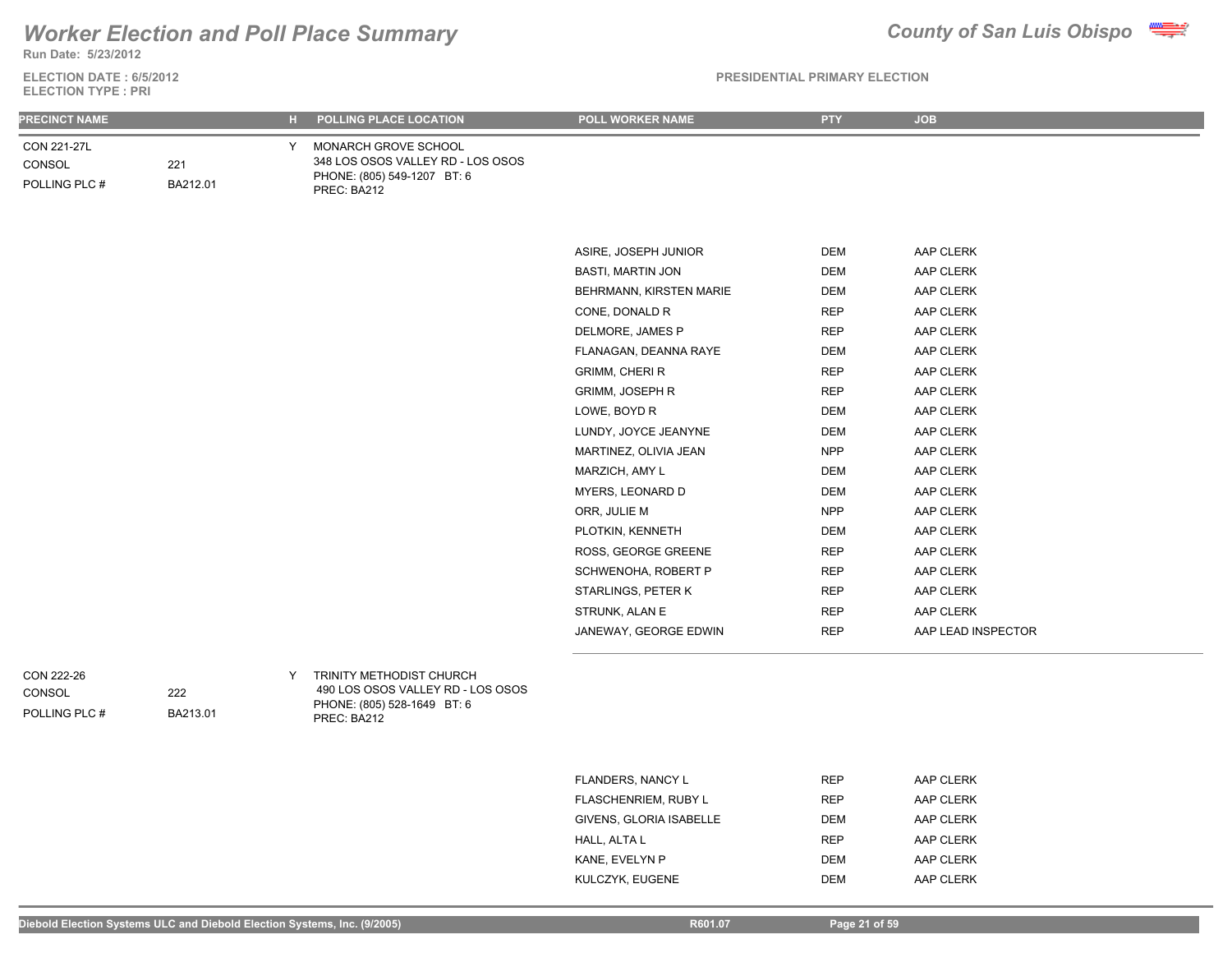**Run Date: 5/23/2012**

### **ELECTION DATE : 6/5/2012 ELECTION TYPE : PRI**

| <b>PRECINCT NAME</b>                   |                 | <b>POLLING PLACE LOCATION</b><br>н.                                                                               | <b>POLL WORKER NAME</b>  | <b>PTY</b> | <b>JOB</b>         |
|----------------------------------------|-----------------|-------------------------------------------------------------------------------------------------------------------|--------------------------|------------|--------------------|
| CON 221-27L<br>CONSOL<br>POLLING PLC # | 221<br>BA212.01 | Y MONARCH GROVE SCHOOL<br>348 LOS OSOS VALLEY RD - LOS OSOS<br>PHONE: (805) 549-1207 BT: 6<br>PREC: BA212         |                          |            |                    |
|                                        |                 |                                                                                                                   |                          |            |                    |
|                                        |                 |                                                                                                                   | ASIRE, JOSEPH JUNIOR     | <b>DEM</b> | AAP CLERK          |
|                                        |                 |                                                                                                                   | <b>BASTI, MARTIN JON</b> | <b>DEM</b> | AAP CLERK          |
|                                        |                 |                                                                                                                   | BEHRMANN, KIRSTEN MARIE  | <b>DEM</b> | AAP CLERK          |
|                                        |                 |                                                                                                                   | CONE, DONALD R           | <b>REP</b> | AAP CLERK          |
|                                        |                 |                                                                                                                   | DELMORE, JAMES P         | <b>REP</b> | AAP CLERK          |
|                                        |                 |                                                                                                                   | FLANAGAN, DEANNA RAYE    | <b>DEM</b> | AAP CLERK          |
|                                        |                 |                                                                                                                   | <b>GRIMM, CHERI R</b>    | <b>REP</b> | AAP CLERK          |
|                                        |                 |                                                                                                                   | <b>GRIMM, JOSEPH R</b>   | <b>REP</b> | AAP CLERK          |
|                                        |                 |                                                                                                                   | LOWE, BOYD R             | <b>DEM</b> | AAP CLERK          |
|                                        |                 |                                                                                                                   | LUNDY, JOYCE JEANYNE     | <b>DEM</b> | AAP CLERK          |
|                                        |                 |                                                                                                                   | MARTINEZ, OLIVIA JEAN    | <b>NPP</b> | AAP CLERK          |
|                                        |                 |                                                                                                                   | MARZICH, AMY L           | <b>DEM</b> | AAP CLERK          |
|                                        |                 |                                                                                                                   | MYERS, LEONARD D         | <b>DEM</b> | AAP CLERK          |
|                                        |                 |                                                                                                                   | ORR, JULIE M             | <b>NPP</b> | AAP CLERK          |
|                                        |                 |                                                                                                                   | PLOTKIN, KENNETH         | <b>DEM</b> | AAP CLERK          |
|                                        |                 |                                                                                                                   | ROSS, GEORGE GREENE      | <b>REP</b> | AAP CLERK          |
|                                        |                 |                                                                                                                   | SCHWENOHA, ROBERT P      | <b>REP</b> | AAP CLERK          |
|                                        |                 |                                                                                                                   | STARLINGS, PETER K       | <b>REP</b> | AAP CLERK          |
|                                        |                 |                                                                                                                   | STRUNK, ALAN E           | <b>REP</b> | AAP CLERK          |
|                                        |                 |                                                                                                                   | JANEWAY, GEORGE EDWIN    | <b>REP</b> | AAP LEAD INSPECTOR |
| CON 222-26<br>CONSOL<br>POLLING PLC #  | 222<br>BA213.01 | TRINITY METHODIST CHURCH<br>Y.<br>490 LOS OSOS VALLEY RD - LOS OSOS<br>PHONE: (805) 528-1649 BT: 6<br>PREC: BA212 |                          |            |                    |

| <b>FLANDERS, NANCY L</b>    | <b>REP</b> | AAP CLERK |
|-----------------------------|------------|-----------|
| <b>FLASCHENRIEM, RUBY L</b> | <b>REP</b> | AAP CLERK |
| GIVENS, GLORIA ISABELLE     | <b>DEM</b> | AAP CLERK |
| HALL, ALTA L                | <b>REP</b> | AAP CLERK |
| KANE, EVELYN P              | <b>DEM</b> | AAP CLERK |
| KULCZYK, EUGENE             | <b>DEM</b> | AAP CLERK |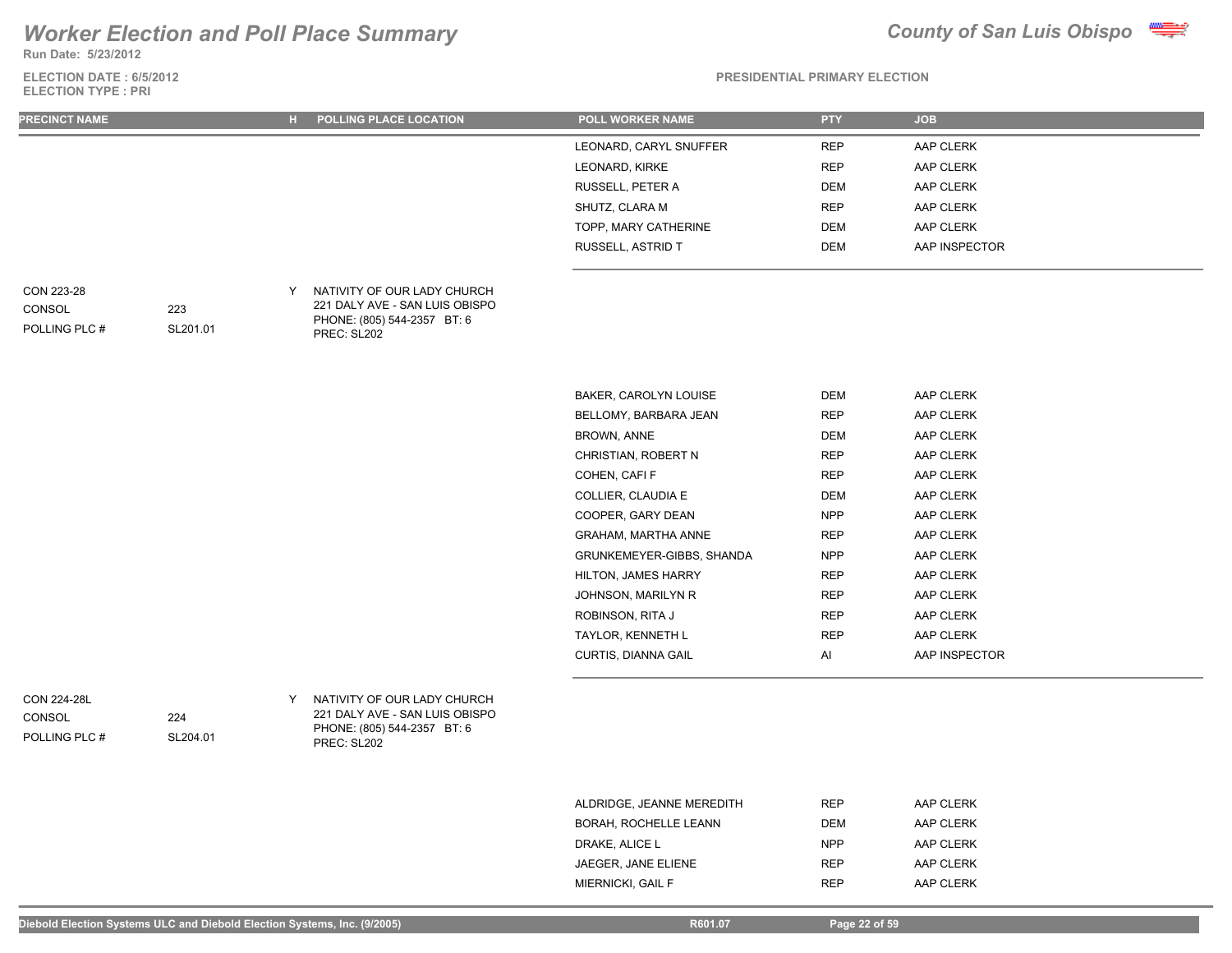**Run Date: 5/23/2012**

### **ELECTION DATE : 6/5/2012 ELECTION TYPE : PRI**



**PRESIDENTIAL PRIMARY ELECTION**

| <b>PRECINCT NAME</b>                          |                 | H POLLING PLACE LOCATION                                                                                      | <b>POLL WORKER NAME</b>   | <b>PTY</b> | <b>JOB</b>    |
|-----------------------------------------------|-----------------|---------------------------------------------------------------------------------------------------------------|---------------------------|------------|---------------|
|                                               |                 |                                                                                                               | LEONARD, CARYL SNUFFER    | <b>REP</b> | AAP CLERK     |
|                                               |                 |                                                                                                               | LEONARD, KIRKE            | <b>REP</b> | AAP CLERK     |
|                                               |                 |                                                                                                               | RUSSELL, PETER A          | DEM        | AAP CLERK     |
|                                               |                 |                                                                                                               | SHUTZ, CLARA M            | <b>REP</b> | AAP CLERK     |
|                                               |                 |                                                                                                               | TOPP, MARY CATHERINE      | DEM        | AAP CLERK     |
|                                               |                 |                                                                                                               | RUSSELL, ASTRID T         | DEM        | AAP INSPECTOR |
| CON 223-28<br>CONSOL<br>POLLING PLC #         | 223<br>SL201.01 | Y NATIVITY OF OUR LADY CHURCH<br>221 DALY AVE - SAN LUIS OBISPO<br>PHONE: (805) 544-2357 BT: 6<br>PREC: SL202 |                           |            |               |
|                                               |                 |                                                                                                               | BAKER, CAROLYN LOUISE     | <b>DEM</b> | AAP CLERK     |
|                                               |                 |                                                                                                               | BELLOMY, BARBARA JEAN     | <b>REP</b> | AAP CLERK     |
|                                               |                 |                                                                                                               | BROWN, ANNE               | DEM        | AAP CLERK     |
|                                               |                 |                                                                                                               | CHRISTIAN, ROBERT N       | <b>REP</b> | AAP CLERK     |
|                                               |                 |                                                                                                               | COHEN, CAFI F             | <b>REP</b> | AAP CLERK     |
|                                               |                 |                                                                                                               | COLLIER, CLAUDIA E        | DEM        | AAP CLERK     |
|                                               |                 |                                                                                                               | COOPER, GARY DEAN         | <b>NPP</b> | AAP CLERK     |
|                                               |                 |                                                                                                               | GRAHAM, MARTHA ANNE       | <b>REP</b> | AAP CLERK     |
|                                               |                 |                                                                                                               | GRUNKEMEYER-GIBBS, SHANDA | <b>NPP</b> | AAP CLERK     |
|                                               |                 |                                                                                                               | HILTON, JAMES HARRY       | REP        | AAP CLERK     |
|                                               |                 |                                                                                                               | JOHNSON, MARILYN R        | <b>REP</b> | AAP CLERK     |
|                                               |                 |                                                                                                               | ROBINSON, RITA J          | <b>REP</b> | AAP CLERK     |
|                                               |                 |                                                                                                               | TAYLOR, KENNETH L         | <b>REP</b> | AAP CLERK     |
|                                               |                 |                                                                                                               | CURTIS, DIANNA GAIL       | Al         | AAP INSPECTOR |
| <b>CON 224-28L</b><br>CONSOL<br>POLLING PLC # | 224<br>SL204.01 | Y NATIVITY OF OUR LADY CHURCH<br>221 DALY AVE - SAN LUIS OBISPO<br>PHONE: (805) 544-2357 BT: 6<br>PREC: SL202 |                           |            |               |
|                                               |                 |                                                                                                               | ALDRIDGE, JEANNE MEREDITH | <b>REP</b> | AAP CLERK     |

BORAH, ROCHELLE LEANN DEM DEM AAP CLERK DRAKE, ALICE L NPP AAP CLERK JAEGER, JANE ELIENE **REP** AAP CLERK MIERNICKI, GAIL F **REP** AAP CLERK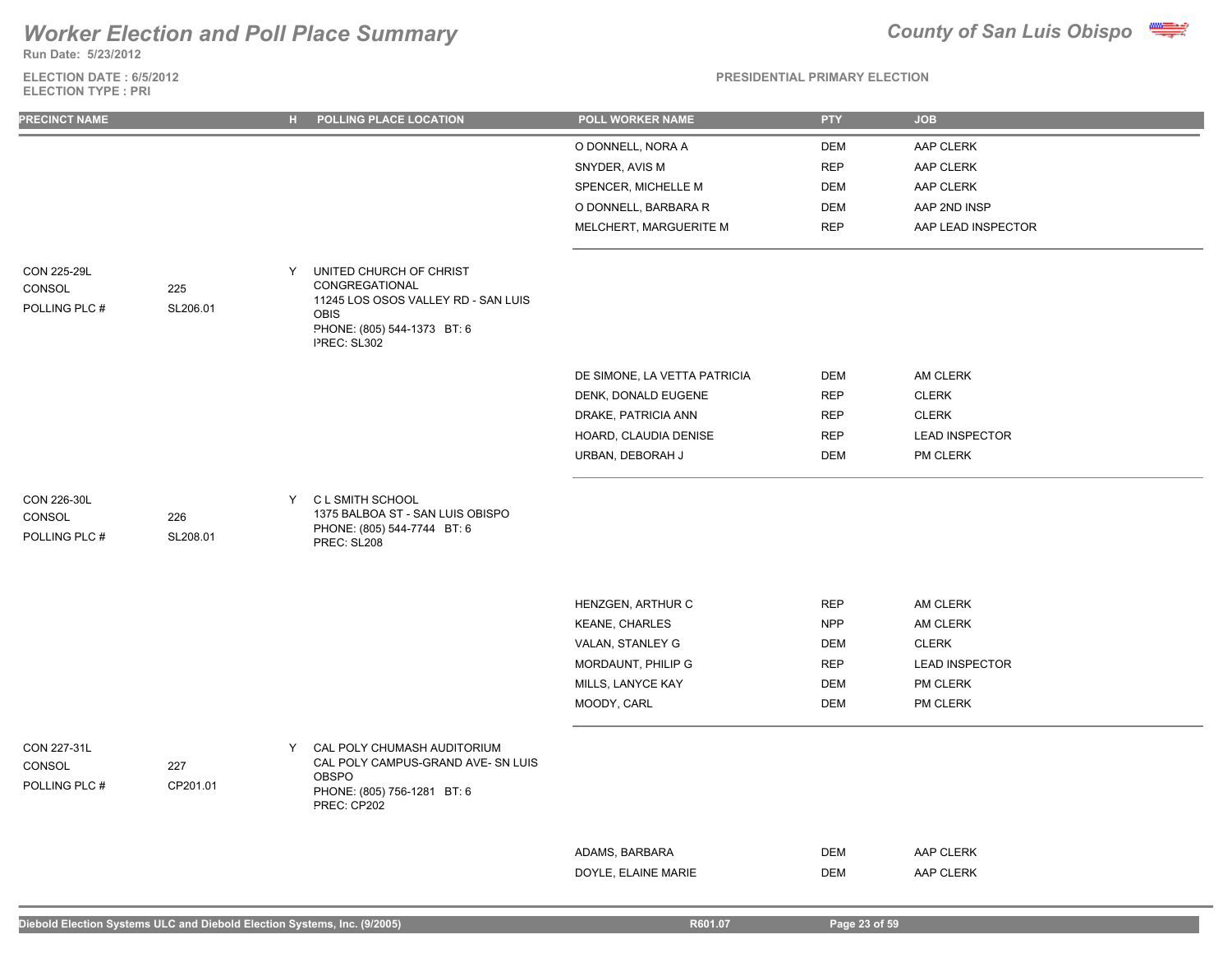**Run Date: 5/23/2012**

### **ELECTION DATE : 6/5/2012 ELECTION TYPE : PRI**

|  |  |  | <b>DOCAINFLITILI DOILLADVEL CATION</b> |  |
|--|--|--|----------------------------------------|--|

| <b>PRECINCT NAME</b>                          |                 | н. | POLLING PLACE LOCATION                                                                                                                        | POLL WORKER NAME                      | <b>PTY</b>        | <b>JOB</b>             |
|-----------------------------------------------|-----------------|----|-----------------------------------------------------------------------------------------------------------------------------------------------|---------------------------------------|-------------------|------------------------|
|                                               |                 |    |                                                                                                                                               | O DONNELL, NORA A                     | <b>DEM</b>        | AAP CLERK              |
|                                               |                 |    |                                                                                                                                               | SNYDER, AVIS M                        | <b>REP</b>        | AAP CLERK              |
|                                               |                 |    |                                                                                                                                               | SPENCER, MICHELLE M                   | <b>DEM</b>        | AAP CLERK              |
|                                               |                 |    |                                                                                                                                               | O DONNELL, BARBARA R                  | <b>DEM</b>        | AAP 2ND INSP           |
|                                               |                 |    |                                                                                                                                               | MELCHERT, MARGUERITE M                | <b>REP</b>        | AAP LEAD INSPECTOR     |
| <b>CON 225-29L</b><br>CONSOL<br>POLLING PLC # | 225<br>SL206.01 | Y  | UNITED CHURCH OF CHRIST<br>CONGREGATIONAL<br>11245 LOS OSOS VALLEY RD - SAN LUIS<br><b>OBIS</b><br>PHONE: (805) 544-1373 BT: 6<br>PREC: SL302 |                                       |                   |                        |
|                                               |                 |    |                                                                                                                                               | DE SIMONE, LA VETTA PATRICIA          | DEM               | AM CLERK               |
|                                               |                 |    |                                                                                                                                               | DENK, DONALD EUGENE                   | <b>REP</b>        | <b>CLERK</b>           |
|                                               |                 |    |                                                                                                                                               | DRAKE, PATRICIA ANN                   | <b>REP</b>        | <b>CLERK</b>           |
|                                               |                 |    |                                                                                                                                               | HOARD, CLAUDIA DENISE                 | <b>REP</b>        | <b>LEAD INSPECTOR</b>  |
|                                               |                 |    |                                                                                                                                               | URBAN, DEBORAH J                      | <b>DEM</b>        | PM CLERK               |
| CON 226-30L<br>CONSOL<br>POLLING PLC #        | 226<br>SL208.01 |    | Y CL SMITH SCHOOL<br>1375 BALBOA ST - SAN LUIS OBISPO<br>PHONE: (805) 544-7744 BT: 6<br>PREC: SL208                                           |                                       |                   |                        |
|                                               |                 |    |                                                                                                                                               | HENZGEN, ARTHUR C                     | <b>REP</b>        | AM CLERK               |
|                                               |                 |    |                                                                                                                                               | <b>KEANE, CHARLES</b>                 | <b>NPP</b>        | AM CLERK               |
|                                               |                 |    |                                                                                                                                               | VALAN, STANLEY G                      | <b>DEM</b>        | <b>CLERK</b>           |
|                                               |                 |    |                                                                                                                                               | MORDAUNT, PHILIP G                    | <b>REP</b>        | <b>LEAD INSPECTOR</b>  |
|                                               |                 |    |                                                                                                                                               | MILLS, LANYCE KAY                     | <b>DEM</b>        | PM CLERK               |
|                                               |                 |    |                                                                                                                                               | MOODY, CARL                           | <b>DEM</b>        | PM CLERK               |
| CON 227-31L<br>CONSOL<br>POLLING PLC #        | 227<br>CP201.01 | Y  | CAL POLY CHUMASH AUDITORIUM<br>CAL POLY CAMPUS-GRAND AVE- SN LUIS<br><b>OBSPO</b><br>PHONE: (805) 756-1281 BT: 6<br>PREC: CP202               |                                       |                   |                        |
|                                               |                 |    |                                                                                                                                               |                                       |                   |                        |
|                                               |                 |    |                                                                                                                                               | ADAMS, BARBARA<br>DOYLE, ELAINE MARIE | DEM<br><b>DEM</b> | AAP CLERK<br>AAP CLERK |
|                                               |                 |    |                                                                                                                                               |                                       |                   |                        |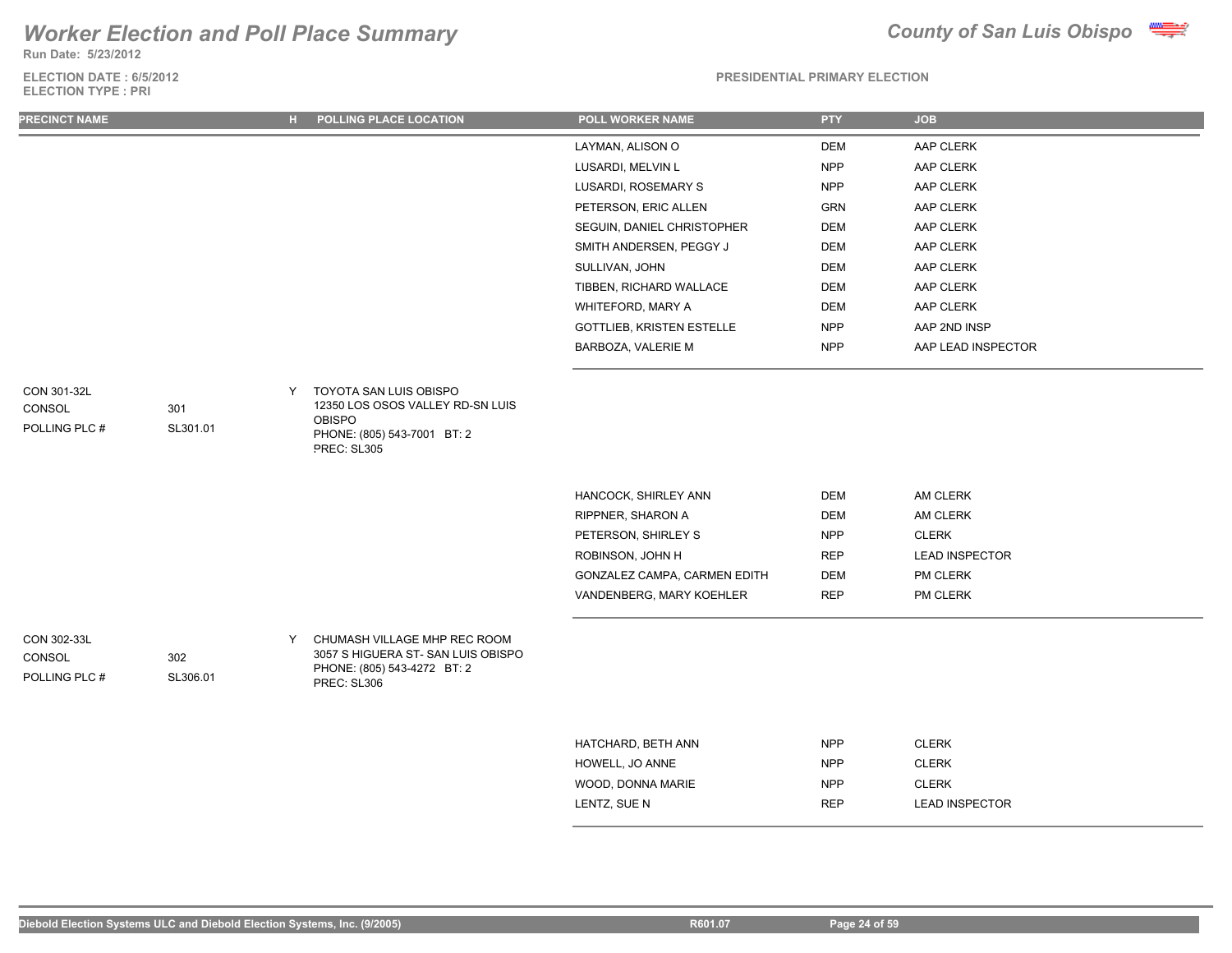**Run Date: 5/23/2012**

### **ELECTION DATE : 6/5/2012 ELECTION TYPE : PRI**



### **PRESIDENTIAL PRIMARY ELECTION**

| <b>PRECINCT NAME</b>                   |                 | н. | POLLING PLACE LOCATION                                                                                                    | <b>POLL WORKER NAME</b>      | <b>PTY</b> | <b>JOB</b>            |
|----------------------------------------|-----------------|----|---------------------------------------------------------------------------------------------------------------------------|------------------------------|------------|-----------------------|
|                                        |                 |    |                                                                                                                           | LAYMAN, ALISON O             | <b>DEM</b> | AAP CLERK             |
|                                        |                 |    |                                                                                                                           | LUSARDI, MELVIN L            | <b>NPP</b> | AAP CLERK             |
|                                        |                 |    |                                                                                                                           | LUSARDI, ROSEMARY S          | <b>NPP</b> | AAP CLERK             |
|                                        |                 |    |                                                                                                                           | PETERSON, ERIC ALLEN         | <b>GRN</b> | AAP CLERK             |
|                                        |                 |    |                                                                                                                           | SEGUIN, DANIEL CHRISTOPHER   | <b>DEM</b> | AAP CLERK             |
|                                        |                 |    |                                                                                                                           | SMITH ANDERSEN, PEGGY J      | <b>DEM</b> | AAP CLERK             |
|                                        |                 |    |                                                                                                                           | SULLIVAN, JOHN               | <b>DEM</b> | AAP CLERK             |
|                                        |                 |    |                                                                                                                           | TIBBEN, RICHARD WALLACE      | <b>DEM</b> | AAP CLERK             |
|                                        |                 |    |                                                                                                                           | WHITEFORD, MARY A            | <b>DEM</b> | AAP CLERK             |
|                                        |                 |    |                                                                                                                           | GOTTLIEB, KRISTEN ESTELLE    | <b>NPP</b> | AAP 2ND INSP          |
|                                        |                 |    |                                                                                                                           | BARBOZA, VALERIE M           | <b>NPP</b> | AAP LEAD INSPECTOR    |
| CON 301-32L<br>CONSOL<br>POLLING PLC # | 301<br>SL301.01 | Y  | TOYOTA SAN LUIS OBISPO<br>12350 LOS OSOS VALLEY RD-SN LUIS<br><b>OBISPO</b><br>PHONE: (805) 543-7001 BT: 2<br>PREC: SL305 |                              |            |                       |
|                                        |                 |    |                                                                                                                           | HANCOCK, SHIRLEY ANN         | <b>DEM</b> | AM CLERK              |
|                                        |                 |    |                                                                                                                           | RIPPNER, SHARON A            | <b>DEM</b> | AM CLERK              |
|                                        |                 |    |                                                                                                                           | PETERSON, SHIRLEY S          | <b>NPP</b> | <b>CLERK</b>          |
|                                        |                 |    |                                                                                                                           | ROBINSON, JOHN H             | <b>REP</b> | <b>LEAD INSPECTOR</b> |
|                                        |                 |    |                                                                                                                           | GONZALEZ CAMPA, CARMEN EDITH | <b>DEM</b> | PM CLERK              |
|                                        |                 |    |                                                                                                                           | VANDENBERG, MARY KOEHLER     | <b>REP</b> | PM CLERK              |
| CON 302-33L<br>CONSOL<br>POLLING PLC # | 302<br>SL306.01 | Y  | CHUMASH VILLAGE MHP REC ROOM<br>3057 S HIGUERA ST- SAN LUIS OBISPO<br>PHONE: (805) 543-4272 BT: 2<br>PREC: SL306          |                              |            |                       |
|                                        |                 |    |                                                                                                                           | HATCHARD, BETH ANN           | <b>NPP</b> | <b>CLERK</b>          |
|                                        |                 |    |                                                                                                                           | HOWELL, JO ANNE              | <b>NPP</b> | <b>CLERK</b>          |

WOOD, DONNA MARIE NPP NPP CLERK

LENTZ, SUE N REP LEAD INSPECTOR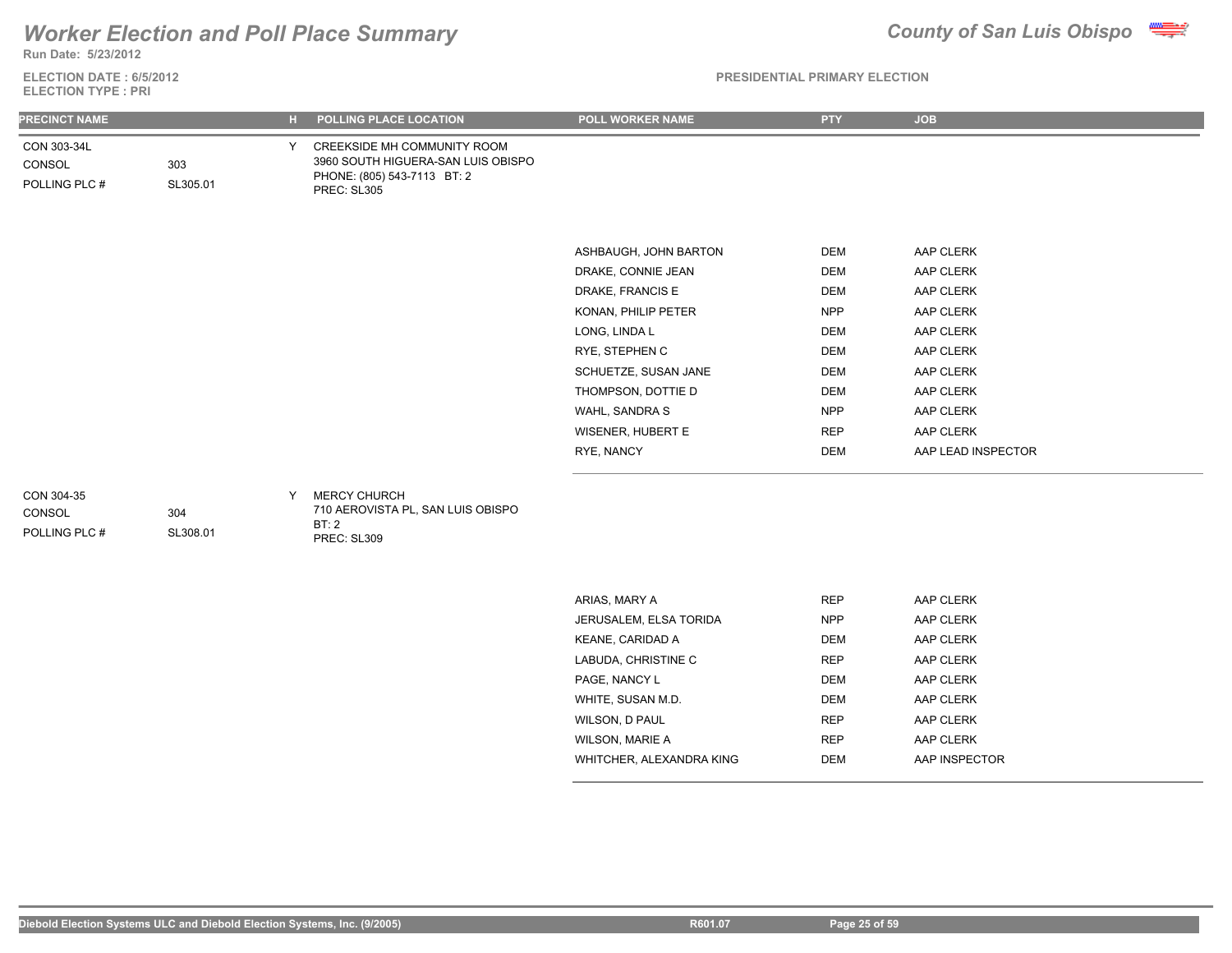

**Run Date: 5/23/2012**

**ELECTION DATE : 6/5/2012 ELECTION TYPE : PRI**

| <b>PRECINCT NAME</b>                   |                 | $H$ . | POLLING PLACE LOCATION                                                                                                 | <b>POLL WORKER NAME</b> | <b>PTY</b> | <b>JOB</b>         |
|----------------------------------------|-----------------|-------|------------------------------------------------------------------------------------------------------------------------|-------------------------|------------|--------------------|
| CON 303-34L<br>CONSOL<br>POLLING PLC # | 303<br>SL305.01 | Y.    | CREEKSIDE MH COMMUNITY ROOM<br>3960 SOUTH HIGUERA-SAN LUIS OBISPO<br>PHONE: (805) 543-7113 BT: 2<br><b>PREC: SL305</b> |                         |            |                    |
|                                        |                 |       |                                                                                                                        | ASHBAUGH, JOHN BARTON   | DEM        | AAP CLERK          |
|                                        |                 |       |                                                                                                                        | DRAKE, CONNIE JEAN      | <b>DEM</b> | AAP CLERK          |
|                                        |                 |       |                                                                                                                        | DRAKE, FRANCIS E        | <b>DEM</b> | AAP CLERK          |
|                                        |                 |       |                                                                                                                        | KONAN, PHILIP PETER     | <b>NPP</b> | AAP CLERK          |
|                                        |                 |       |                                                                                                                        | LONG, LINDA L           | DEM        | AAP CLERK          |
|                                        |                 |       |                                                                                                                        | RYE, STEPHEN C          | <b>DEM</b> | AAP CLERK          |
|                                        |                 |       |                                                                                                                        | SCHUETZE, SUSAN JANE    | <b>DEM</b> | AAP CLERK          |
|                                        |                 |       |                                                                                                                        | THOMPSON, DOTTIE D      | <b>DEM</b> | AAP CLERK          |
|                                        |                 |       |                                                                                                                        | WAHL, SANDRA S          | <b>NPP</b> | AAP CLERK          |
|                                        |                 |       |                                                                                                                        | WISENER, HUBERT E       | <b>REP</b> | AAP CLERK          |
|                                        |                 |       |                                                                                                                        | RYE, NANCY              | <b>DEM</b> | AAP LEAD INSPECTOR |
| CON 304-35<br>CONSOL<br>POLLING PLC #  | 304<br>SL308.01 | Y     | <b>MERCY CHURCH</b><br>710 AEROVISTA PL, SAN LUIS OBISPO<br>BT:2<br>PREC: SL309                                        |                         |            |                    |

| ARIAS, MARY A            | <b>REP</b> | AAP CLERK     |  |
|--------------------------|------------|---------------|--|
| JERUSALEM, ELSA TORIDA   | <b>NPP</b> | AAP CLERK     |  |
| KEANE, CARIDAD A         | DEM        | AAP CLERK     |  |
| LABUDA, CHRISTINE C      | <b>REP</b> | AAP CLERK     |  |
| PAGE, NANCY L            | DEM        | AAP CLERK     |  |
| WHITE, SUSAN M.D.        | DEM        | AAP CLERK     |  |
| WILSON, D PAUL           | <b>REP</b> | AAP CLERK     |  |
| WILSON, MARIE A          | <b>REP</b> | AAP CLERK     |  |
| WHITCHER, ALEXANDRA KING | DEM        | AAP INSPECTOR |  |
|                          |            |               |  |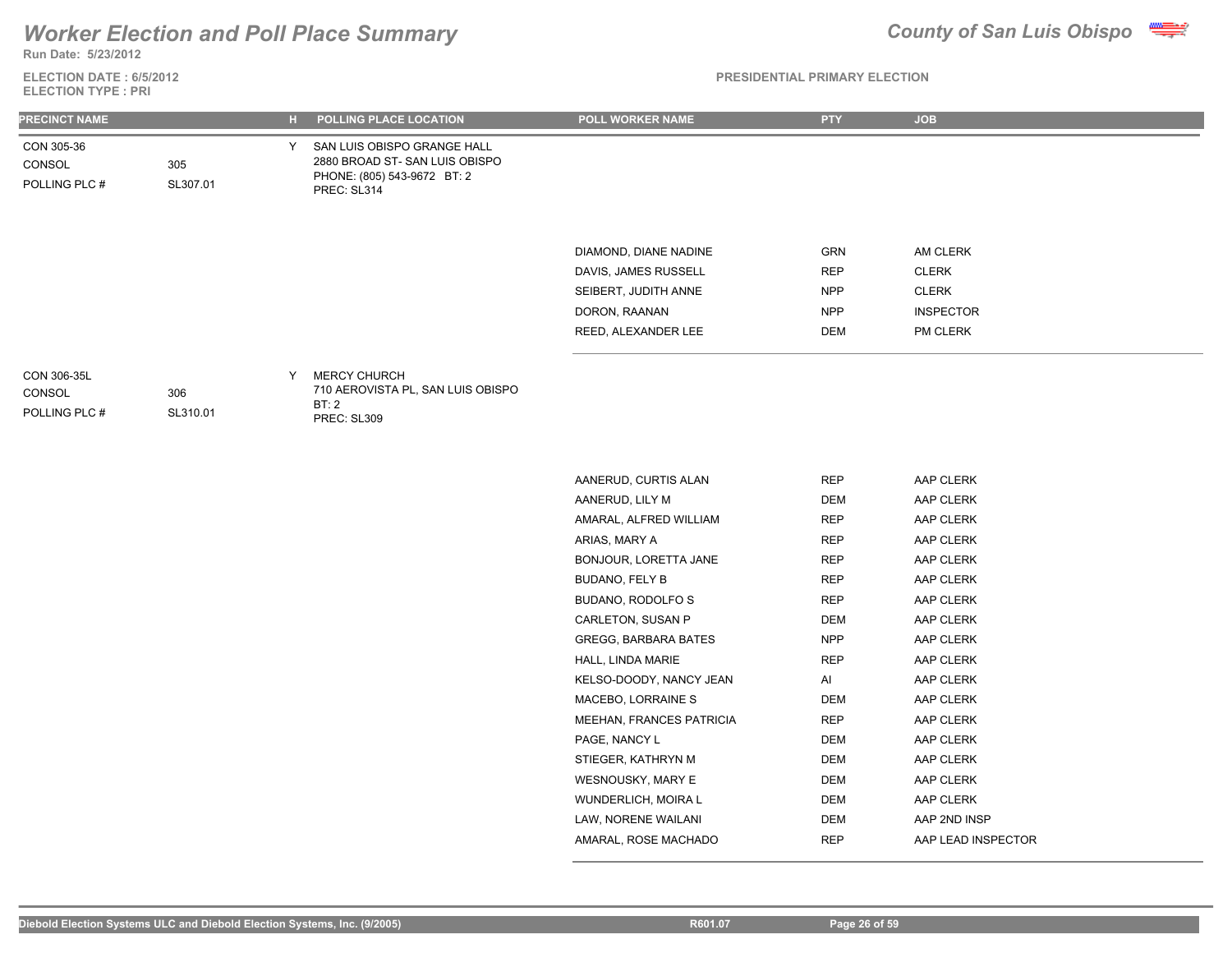**Run Date: 5/23/2012**

### **ELECTION DATE : 6/5/2012 ELECTION TYPE : PRI**

| <b>PRECINCT NAME</b>                   |                 | н. | POLLING PLACE LOCATION                                                                                     | <b>POLL WORKER NAME</b>                                                                                       | <b>PTY</b>                                           | <b>JOB</b>                                                               |
|----------------------------------------|-----------------|----|------------------------------------------------------------------------------------------------------------|---------------------------------------------------------------------------------------------------------------|------------------------------------------------------|--------------------------------------------------------------------------|
| CON 305-36<br>CONSOL<br>POLLING PLC #  | 305<br>SL307.01 | ∨  | SAN LUIS OBISPO GRANGE HALL<br>2880 BROAD ST-SAN LUIS OBISPO<br>PHONE: (805) 543-9672 BT: 2<br>PREC: SL314 |                                                                                                               |                                                      |                                                                          |
|                                        |                 |    |                                                                                                            | DIAMOND, DIANE NADINE<br>DAVIS, JAMES RUSSELL<br>SEIBERT, JUDITH ANNE<br>DORON, RAANAN<br>REED, ALEXANDER LEE | GRN<br><b>REP</b><br><b>NPP</b><br><b>NPP</b><br>DEM | AM CLERK<br><b>CLERK</b><br><b>CLERK</b><br><b>INSPECTOR</b><br>PM CLERK |
| CON 306-35L<br>CONSOL<br>POLLING PLC # | 306<br>SL310.01 | ٧  | <b>MERCY CHURCH</b><br>710 AEROVISTA PL, SAN LUIS OBISPO<br>BT:2<br>PREC: SL309                            |                                                                                                               |                                                      |                                                                          |

| AANERUD, CURTIS ALAN     | REP        | AAP CLERK          |
|--------------------------|------------|--------------------|
| AANERUD, LILY M          | DEM        | AAP CLERK          |
| AMARAL, ALFRED WILLIAM   | REP        | AAP CLERK          |
| ARIAS, MARY A            | <b>REP</b> | AAP CLERK          |
| BONJOUR, LORETTA JANE    | <b>REP</b> | AAP CLERK          |
| BUDANO, FELY B           | <b>REP</b> | AAP CLERK          |
| BUDANO, RODOLFO S        | <b>REP</b> | AAP CLERK          |
| CARLETON, SUSAN P        | <b>DEM</b> | AAP CLERK          |
| GREGG, BARBARA BATES     | NPP.       | AAP CLERK          |
| HALL, LINDA MARIE        | <b>REP</b> | AAP CLERK          |
| KELSO-DOODY, NANCY JEAN  | AI         | AAP CLERK          |
| MACEBO, LORRAINE S       | DEM        | AAP CLERK          |
| MEEHAN, FRANCES PATRICIA | <b>REP</b> | AAP CLERK          |
| PAGE, NANCY L            | <b>DEM</b> | AAP CLERK          |
| STIEGER, KATHRYN M       | <b>DEM</b> | AAP CLERK          |
| WESNOUSKY, MARY E        | <b>DEM</b> | AAP CLERK          |
| WUNDERLICH, MOIRA L      | <b>DEM</b> | AAP CLERK          |
| LAW, NORENE WAILANI      | DEM        | AAP 2ND INSP       |
| AMARAL, ROSE MACHADO     | <b>REP</b> | AAP LEAD INSPECTOR |
|                          |            |                    |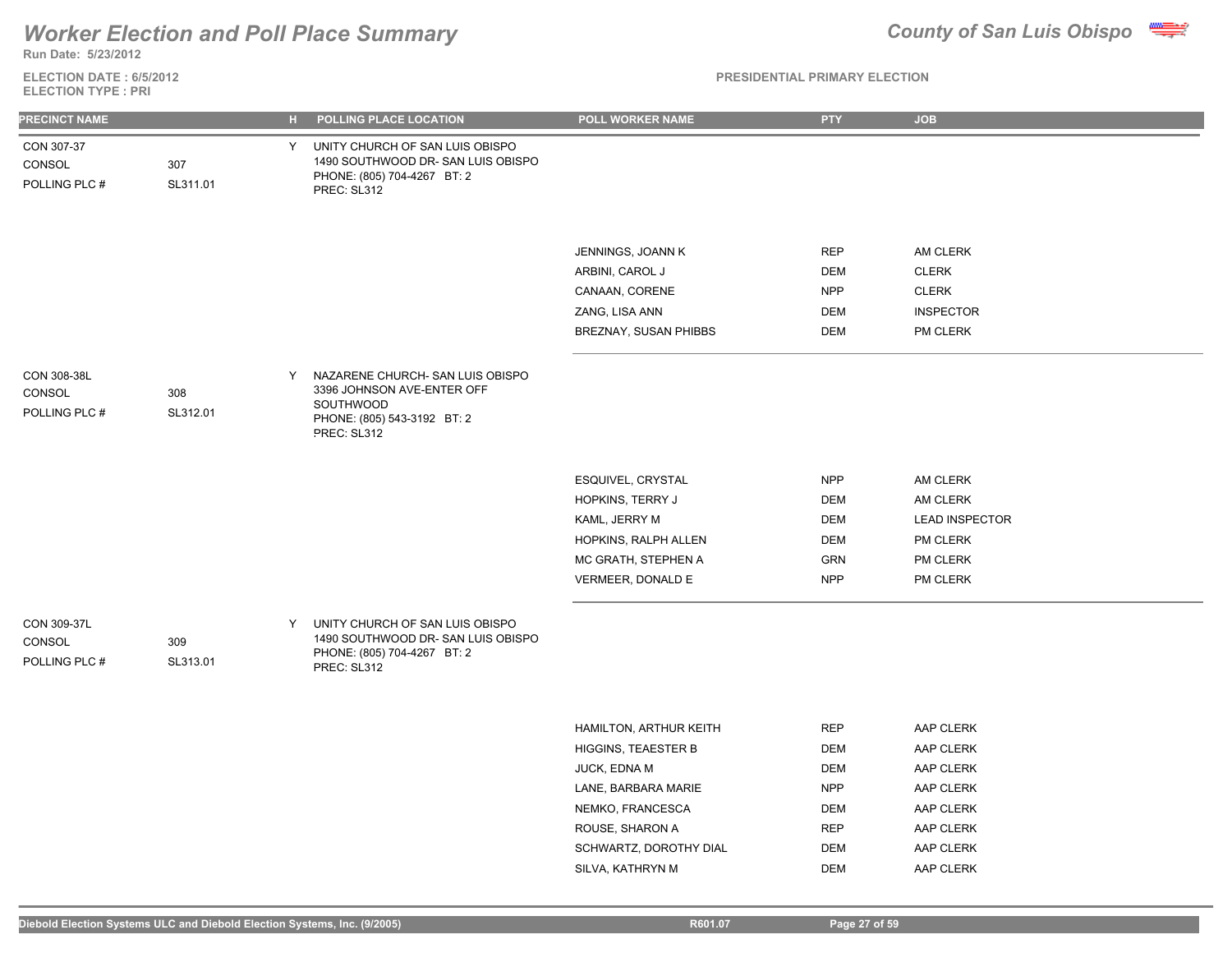

**Run Date: 5/23/2012**

**ELECTION DATE : 6/5/2012 ELECTION TYPE : PRI**

| <b>PRECINCT NAME</b>                   |                 | $H$ . | POLLING PLACE LOCATION                                                                                                    | POLL WORKER NAME                                                                                                                                             | <b>PTY</b>                                                                                            | <b>JOB</b>                                                                                           |
|----------------------------------------|-----------------|-------|---------------------------------------------------------------------------------------------------------------------------|--------------------------------------------------------------------------------------------------------------------------------------------------------------|-------------------------------------------------------------------------------------------------------|------------------------------------------------------------------------------------------------------|
| CON 307-37<br>CONSOL<br>POLLING PLC #  | 307<br>SL311.01 | Y     | UNITY CHURCH OF SAN LUIS OBISPO<br>1490 SOUTHWOOD DR- SAN LUIS OBISPO<br>PHONE: (805) 704-4267 BT: 2<br>PREC: SL312       |                                                                                                                                                              |                                                                                                       |                                                                                                      |
|                                        |                 |       |                                                                                                                           | JENNINGS, JOANN K<br>ARBINI, CAROL J<br>CANAAN, CORENE<br>ZANG, LISA ANN<br>BREZNAY, SUSAN PHIBBS                                                            | <b>REP</b><br><b>DEM</b><br><b>NPP</b><br><b>DEM</b><br><b>DEM</b>                                    | AM CLERK<br><b>CLERK</b><br><b>CLERK</b><br><b>INSPECTOR</b><br><b>PM CLERK</b>                      |
| CON 308-38L<br>CONSOL<br>POLLING PLC # | 308<br>SL312.01 | Y     | NAZARENE CHURCH- SAN LUIS OBISPO<br>3396 JOHNSON AVE-ENTER OFF<br>SOUTHWOOD<br>PHONE: (805) 543-3192 BT: 2<br>PREC: SL312 |                                                                                                                                                              |                                                                                                       |                                                                                                      |
|                                        |                 |       |                                                                                                                           | ESQUIVEL, CRYSTAL<br>HOPKINS, TERRY J<br>KAML, JERRY M<br>HOPKINS, RALPH ALLEN<br>MC GRATH, STEPHEN A<br>VERMEER, DONALD E                                   | <b>NPP</b><br><b>DEM</b><br><b>DEM</b><br><b>DEM</b><br><b>GRN</b><br><b>NPP</b>                      | AM CLERK<br>AM CLERK<br><b>LEAD INSPECTOR</b><br>PM CLERK<br>PM CLERK<br>PM CLERK                    |
| CON 309-37L<br>CONSOL<br>POLLING PLC # | 309<br>SL313.01 | Y     | UNITY CHURCH OF SAN LUIS OBISPO<br>1490 SOUTHWOOD DR-SAN LUIS OBISPO<br>PHONE: (805) 704-4267 BT: 2<br>PREC: SL312        |                                                                                                                                                              |                                                                                                       |                                                                                                      |
|                                        |                 |       |                                                                                                                           | HAMILTON, ARTHUR KEITH<br><b>HIGGINS, TEAESTER B</b><br>JUCK, EDNA M<br>LANE, BARBARA MARIE<br>NEMKO, FRANCESCA<br>ROUSE, SHARON A<br>SCHWARTZ, DOROTHY DIAL | <b>REP</b><br><b>DEM</b><br><b>DEM</b><br><b>NPP</b><br><b>DEM</b><br>REP<br><b>DEM</b><br><b>DEM</b> | AAP CLERK<br>AAP CLERK<br>AAP CLERK<br>AAP CLERK<br>AAP CLERK<br>AAP CLERK<br>AAP CLERK<br>AAP CLERK |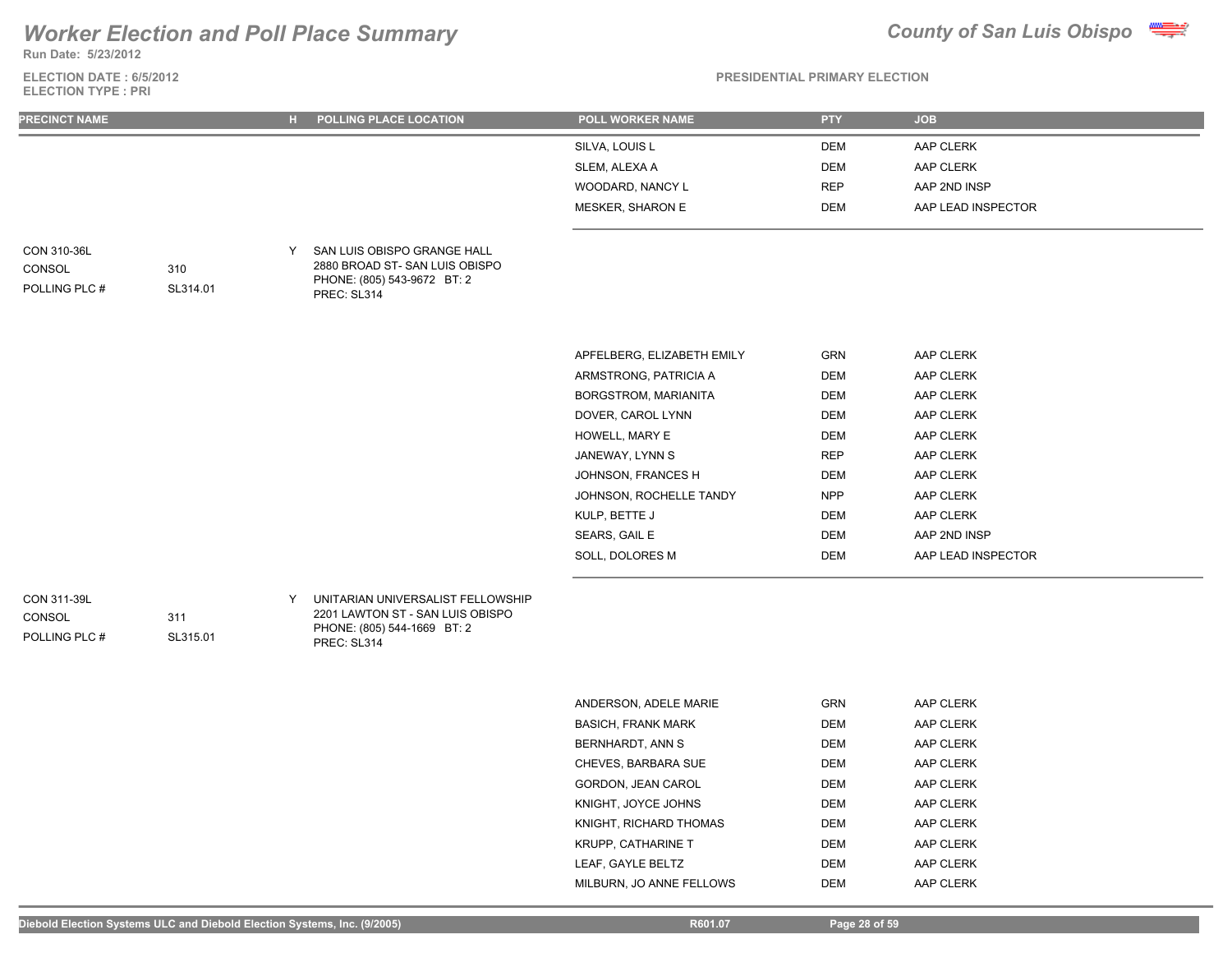**Run Date: 5/23/2012**

**ELECTION DATE : 6/5/2012 ELECTION TYPE : PRI**



### **PRESIDENTIAL PRIMARY ELECTION**

| <b>PRECINCT NAME</b>                   |                 | $\mathbf{H}$ . | POLLING PLACE LOCATION                                                                                              | POLL WORKER NAME           | <b>PTY</b> | <b>JOB</b>         |
|----------------------------------------|-----------------|----------------|---------------------------------------------------------------------------------------------------------------------|----------------------------|------------|--------------------|
|                                        |                 |                |                                                                                                                     | SILVA, LOUIS L             | <b>DEM</b> | AAP CLERK          |
|                                        |                 |                |                                                                                                                     | SLEM, ALEXA A              | <b>DEM</b> | AAP CLERK          |
|                                        |                 |                |                                                                                                                     | WOODARD, NANCY L           | <b>REP</b> | AAP 2ND INSP       |
|                                        |                 |                |                                                                                                                     | MESKER, SHARON E           | <b>DEM</b> | AAP LEAD INSPECTOR |
| CON 310-36L<br>CONSOL<br>POLLING PLC # | 310<br>SL314.01 | Y              | SAN LUIS OBISPO GRANGE HALL<br>2880 BROAD ST-SAN LUIS OBISPO<br>PHONE: (805) 543-9672 BT: 2<br>PREC: SL314          |                            |            |                    |
|                                        |                 |                |                                                                                                                     | APFELBERG, ELIZABETH EMILY | GRN        | AAP CLERK          |
|                                        |                 |                |                                                                                                                     | ARMSTRONG, PATRICIA A      | <b>DEM</b> | AAP CLERK          |
|                                        |                 |                |                                                                                                                     | BORGSTROM, MARIANITA       | <b>DEM</b> | AAP CLERK          |
|                                        |                 |                |                                                                                                                     | DOVER, CAROL LYNN          | <b>DEM</b> | AAP CLERK          |
|                                        |                 |                |                                                                                                                     | HOWELL, MARY E             | <b>DEM</b> | AAP CLERK          |
|                                        |                 |                |                                                                                                                     | JANEWAY, LYNN S            | <b>REP</b> | AAP CLERK          |
|                                        |                 |                |                                                                                                                     | JOHNSON, FRANCES H         | <b>DEM</b> | AAP CLERK          |
|                                        |                 |                |                                                                                                                     | JOHNSON, ROCHELLE TANDY    | <b>NPP</b> | AAP CLERK          |
|                                        |                 |                |                                                                                                                     | KULP, BETTE J              | <b>DEM</b> | AAP CLERK          |
|                                        |                 |                |                                                                                                                     | SEARS, GAIL E              | DEM        | AAP 2ND INSP       |
|                                        |                 |                |                                                                                                                     | SOLL, DOLORES M            | <b>DEM</b> | AAP LEAD INSPECTOR |
| CON 311-39L<br>CONSOL<br>POLLING PLC # | 311<br>SL315.01 | Y              | UNITARIAN UNIVERSALIST FELLOWSHIP<br>2201 LAWTON ST - SAN LUIS OBISPO<br>PHONE: (805) 544-1669 BT: 2<br>PREC: SL314 |                            |            |                    |
|                                        |                 |                |                                                                                                                     | ANDERSON, ADELE MARIE      | <b>GRN</b> | AAP CLERK          |
|                                        |                 |                |                                                                                                                     | <b>BASICH, FRANK MARK</b>  | <b>DEM</b> | AAP CLERK          |
|                                        |                 |                |                                                                                                                     | BERNHARDT, ANN S           | <b>DEM</b> | AAP CLERK          |
|                                        |                 |                |                                                                                                                     | CHEVES, BARBARA SUE        | <b>DEM</b> | AAP CLERK          |
|                                        |                 |                |                                                                                                                     | GORDON, JEAN CAROL         | <b>DEM</b> | AAP CLERK          |
|                                        |                 |                |                                                                                                                     | KNIGHT, JOYCE JOHNS        | <b>DEM</b> | AAP CLERK          |

KNIGHT, RICHARD THOMAS DEM DEM AAP CLERK KRUPP, CATHARINE T DEM DEM AAP CLERK LEAF, GAYLE BELTZ DEM DEM AAP CLERK MILBURN, JO ANNE FELLOWS DEM DEM AAP CLERK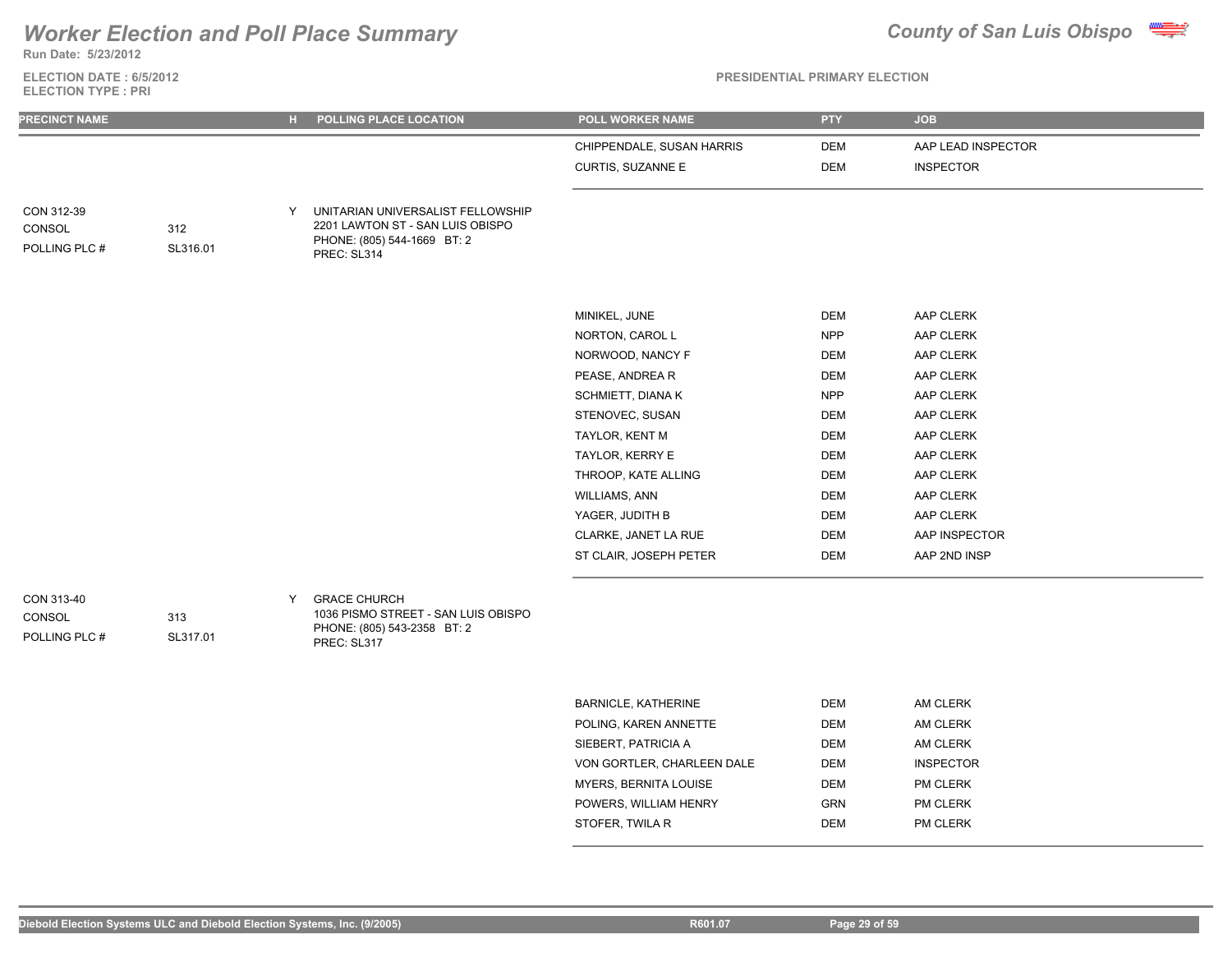**Run Date: 5/23/2012**

### **ELECTION DATE : 6/5/2012 ELECTION TYPE : PRI**



| <b>PRECINCT NAME</b>                  |                 | н. | POLLING PLACE LOCATION                                                                                              | <b>POLL WORKER NAME</b>   | <b>PTY</b> | <b>JOB</b>         |
|---------------------------------------|-----------------|----|---------------------------------------------------------------------------------------------------------------------|---------------------------|------------|--------------------|
|                                       |                 |    |                                                                                                                     | CHIPPENDALE, SUSAN HARRIS | <b>DEM</b> | AAP LEAD INSPECTOR |
|                                       |                 |    |                                                                                                                     | CURTIS, SUZANNE E         | <b>DEM</b> | <b>INSPECTOR</b>   |
| CON 312-39<br>CONSOL<br>POLLING PLC # | 312<br>SL316.01 | Y  | UNITARIAN UNIVERSALIST FELLOWSHIP<br>2201 LAWTON ST - SAN LUIS OBISPO<br>PHONE: (805) 544-1669 BT: 2<br>PREC: SL314 |                           |            |                    |
|                                       |                 |    |                                                                                                                     | MINIKEL, JUNE             | <b>DEM</b> | AAP CLERK          |
|                                       |                 |    |                                                                                                                     | NORTON, CAROL L           | <b>NPP</b> | AAP CLERK          |
|                                       |                 |    |                                                                                                                     | NORWOOD, NANCY F          | <b>DEM</b> | AAP CLERK          |
|                                       |                 |    |                                                                                                                     | PEASE, ANDREA R           | <b>DEM</b> | AAP CLERK          |
|                                       |                 |    |                                                                                                                     | <b>SCHMIETT, DIANA K</b>  | <b>NPP</b> | AAP CLERK          |
|                                       |                 |    |                                                                                                                     | STENOVEC, SUSAN           | <b>DEM</b> | AAP CLERK          |
|                                       |                 |    |                                                                                                                     | TAYLOR, KENT M            | <b>DEM</b> | AAP CLERK          |
|                                       |                 |    |                                                                                                                     | TAYLOR, KERRY E           | <b>DEM</b> | AAP CLERK          |
|                                       |                 |    |                                                                                                                     | THROOP, KATE ALLING       | <b>DEM</b> | AAP CLERK          |
|                                       |                 |    |                                                                                                                     | <b>WILLIAMS, ANN</b>      | <b>DEM</b> | AAP CLERK          |
|                                       |                 |    |                                                                                                                     | YAGER, JUDITH B           | <b>DEM</b> | AAP CLERK          |
|                                       |                 |    |                                                                                                                     | CLARKE, JANET LA RUE      | <b>DEM</b> | AAP INSPECTOR      |
|                                       |                 |    |                                                                                                                     | ST CLAIR, JOSEPH PETER    | <b>DEM</b> | AAP 2ND INSP       |
| CON 313-40<br>CONSOL<br>POLLING PLC # | 313<br>SL317.01 | Y  | <b>GRACE CHURCH</b><br>1036 PISMO STREET - SAN LUIS OBISPO<br>PHONE: (805) 543-2358 BT: 2<br>PREC: SL317            |                           |            |                    |

| <b>BARNICLE, KATHERINE</b>   | DEM        | AM CLERK         |
|------------------------------|------------|------------------|
| POLING. KAREN ANNETTE        | <b>DEM</b> | AM CLERK         |
| SIEBERT, PATRICIA A          | <b>DEM</b> | AM CLERK         |
| VON GORTLER, CHARLEEN DALE   | <b>DEM</b> | <b>INSPECTOR</b> |
| <b>MYERS, BERNITA LOUISE</b> | <b>DEM</b> | <b>PM CLERK</b>  |
| POWERS. WILLIAM HENRY        | <b>GRN</b> | <b>PM CLERK</b>  |
| STOFER. TWILA R              | DEM        | <b>PM CLERK</b>  |
|                              |            |                  |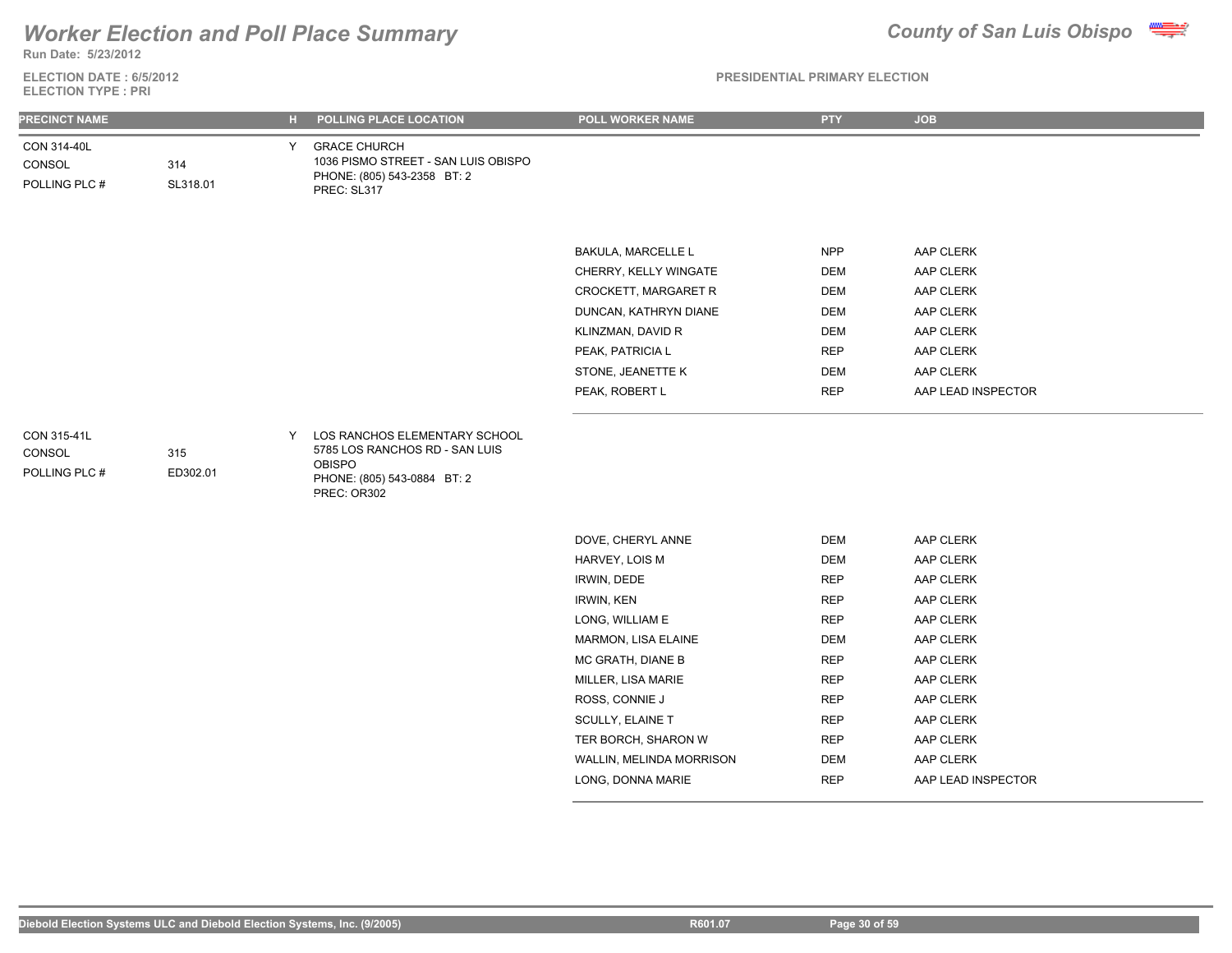

**Run Date: 5/23/2012**

**ELECTION DATE : 6/5/2012 ELECTION TYPE : PRI**

| <b>PRECINCT NAME</b>                   |                 | н. | POLLING PLACE LOCATION                                                                                                         | POLL WORKER NAME         | <b>PTY</b> | <b>JOB</b>         |
|----------------------------------------|-----------------|----|--------------------------------------------------------------------------------------------------------------------------------|--------------------------|------------|--------------------|
| CON 314-40L<br>CONSOL<br>POLLING PLC # | 314<br>SL318.01 | Y  | <b>GRACE CHURCH</b><br>1036 PISMO STREET - SAN LUIS OBISPO<br>PHONE: (805) 543-2358 BT: 2<br>PREC: SL317                       |                          |            |                    |
|                                        |                 |    |                                                                                                                                |                          |            |                    |
|                                        |                 |    |                                                                                                                                | BAKULA, MARCELLE L       | <b>NPP</b> | AAP CLERK          |
|                                        |                 |    |                                                                                                                                | CHERRY, KELLY WINGATE    | <b>DEM</b> | AAP CLERK          |
|                                        |                 |    |                                                                                                                                | CROCKETT, MARGARET R     | <b>DEM</b> | AAP CLERK          |
|                                        |                 |    |                                                                                                                                | DUNCAN, KATHRYN DIANE    | <b>DEM</b> | AAP CLERK          |
|                                        |                 |    |                                                                                                                                | KLINZMAN, DAVID R        | <b>DEM</b> | AAP CLERK          |
|                                        |                 |    |                                                                                                                                | PEAK, PATRICIA L         | <b>REP</b> | AAP CLERK          |
|                                        |                 |    |                                                                                                                                | STONE, JEANETTE K        | <b>DEM</b> | AAP CLERK          |
|                                        |                 |    |                                                                                                                                | PEAK, ROBERT L           | <b>REP</b> | AAP LEAD INSPECTOR |
| CON 315-41L<br>CONSOL<br>POLLING PLC # | 315<br>ED302.01 | Y  | LOS RANCHOS ELEMENTARY SCHOOL<br>5785 LOS RANCHOS RD - SAN LUIS<br><b>OBISPO</b><br>PHONE: (805) 543-0884 BT: 2<br>PREC: OR302 |                          |            |                    |
|                                        |                 |    |                                                                                                                                | DOVE, CHERYL ANNE        | <b>DEM</b> | AAP CLERK          |
|                                        |                 |    |                                                                                                                                | HARVEY, LOIS M           | <b>DEM</b> | AAP CLERK          |
|                                        |                 |    |                                                                                                                                | IRWIN, DEDE              | <b>REP</b> | AAP CLERK          |
|                                        |                 |    |                                                                                                                                | <b>IRWIN, KEN</b>        | <b>REP</b> | AAP CLERK          |
|                                        |                 |    |                                                                                                                                | LONG, WILLIAM E          | <b>REP</b> | AAP CLERK          |
|                                        |                 |    |                                                                                                                                | MARMON, LISA ELAINE      | DEM        | AAP CLERK          |
|                                        |                 |    |                                                                                                                                | MC GRATH, DIANE B        | <b>REP</b> | AAP CLERK          |
|                                        |                 |    |                                                                                                                                | MILLER, LISA MARIE       | <b>REP</b> | AAP CLERK          |
|                                        |                 |    |                                                                                                                                | ROSS, CONNIE J           | <b>REP</b> | AAP CLERK          |
|                                        |                 |    |                                                                                                                                | SCULLY, ELAINE T         | <b>REP</b> | AAP CLERK          |
|                                        |                 |    |                                                                                                                                | TER BORCH, SHARON W      | <b>REP</b> | AAP CLERK          |
|                                        |                 |    |                                                                                                                                | WALLIN, MELINDA MORRISON | DEM        | AAP CLERK          |
|                                        |                 |    |                                                                                                                                | LONG, DONNA MARIE        | <b>REP</b> | AAP LEAD INSPECTOR |
|                                        |                 |    |                                                                                                                                |                          |            |                    |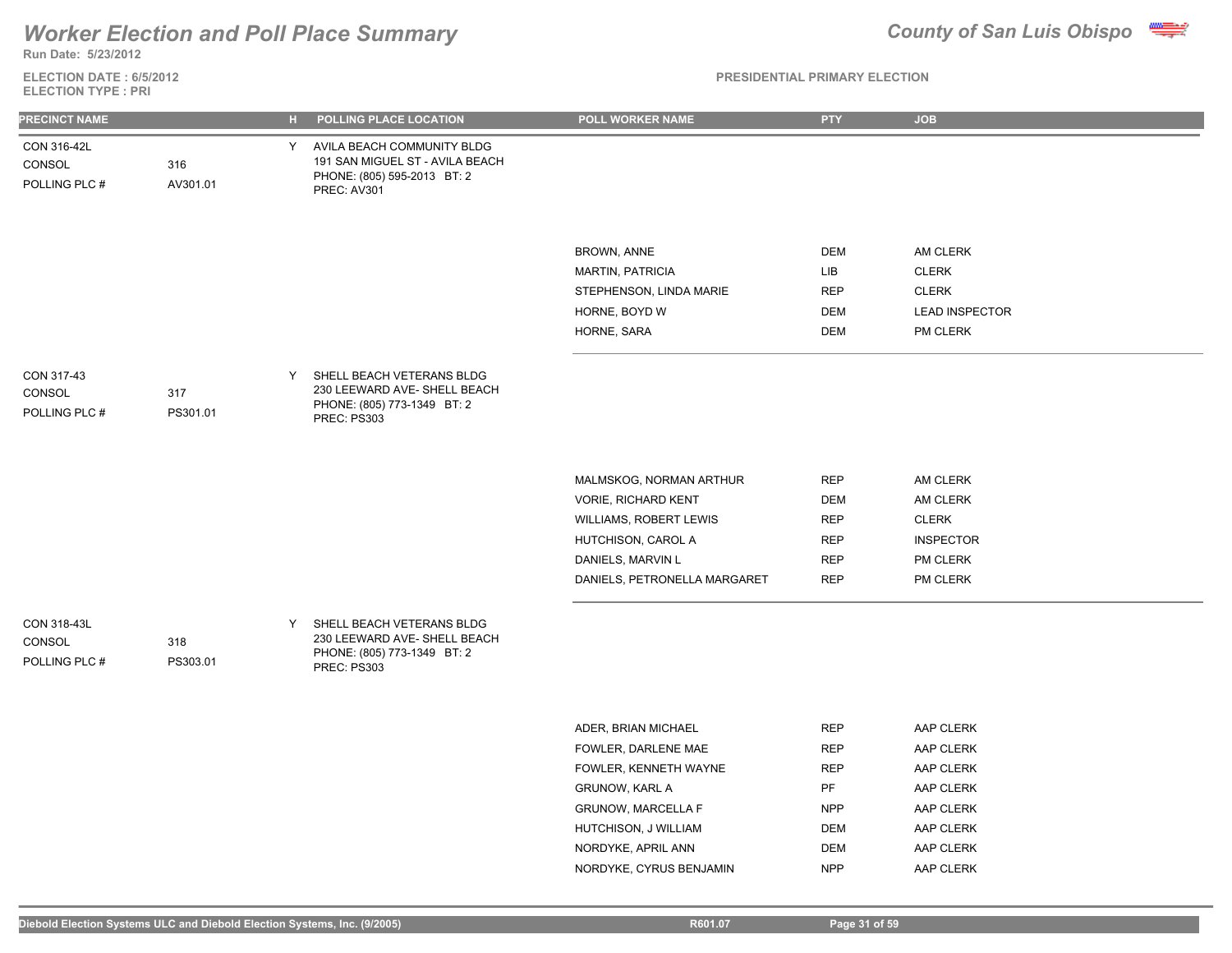

**Run Date: 5/23/2012**

**ELECTION DATE : 6/5/2012 ELECTION TYPE : PRI**

### **PRESIDENTIAL PRIMARY ELECTION**

| <b>PRECINCT NAME</b>                   |                 | н. | POLLING PLACE LOCATION                                                                                        | POLL WORKER NAME                                                                                                                                                        | <b>PTY</b>                                                                       | <b>JOB</b>                                                                              |
|----------------------------------------|-----------------|----|---------------------------------------------------------------------------------------------------------------|-------------------------------------------------------------------------------------------------------------------------------------------------------------------------|----------------------------------------------------------------------------------|-----------------------------------------------------------------------------------------|
| CON 316-42L<br>CONSOL<br>POLLING PLC # | 316<br>AV301.01 |    | Y AVILA BEACH COMMUNITY BLDG<br>191 SAN MIGUEL ST - AVILA BEACH<br>PHONE: (805) 595-2013 BT: 2<br>PREC: AV301 |                                                                                                                                                                         |                                                                                  |                                                                                         |
|                                        |                 |    |                                                                                                               | <b>BROWN, ANNE</b><br><b>MARTIN, PATRICIA</b><br>STEPHENSON, LINDA MARIE<br>HORNE, BOYD W<br>HORNE, SARA                                                                | <b>DEM</b><br>LIB<br><b>REP</b><br><b>DEM</b><br>DEM                             | AM CLERK<br><b>CLERK</b><br><b>CLERK</b><br><b>LEAD INSPECTOR</b><br>PM CLERK           |
| CON 317-43<br>CONSOL<br>POLLING PLC #  | 317<br>PS301.01 | Y  | SHELL BEACH VETERANS BLDG<br>230 LEEWARD AVE- SHELL BEACH<br>PHONE: (805) 773-1349 BT: 2<br>PREC: PS303       |                                                                                                                                                                         |                                                                                  |                                                                                         |
|                                        |                 |    |                                                                                                               | MALMSKOG, NORMAN ARTHUR<br><b>VORIE, RICHARD KENT</b><br>WILLIAMS, ROBERT LEWIS<br>HUTCHISON, CAROL A<br>DANIELS, MARVIN L<br>DANIELS, PETRONELLA MARGARET              | <b>REP</b><br><b>DEM</b><br><b>REP</b><br><b>REP</b><br><b>REP</b><br><b>REP</b> | AM CLERK<br>AM CLERK<br><b>CLERK</b><br><b>INSPECTOR</b><br>PM CLERK<br>PM CLERK        |
| CON 318-43L<br>CONSOL<br>POLLING PLC # | 318<br>PS303.01 | Y  | SHELL BEACH VETERANS BLDG<br>230 LEEWARD AVE- SHELL BEACH<br>PHONE: (805) 773-1349 BT: 2<br>PREC: PS303       |                                                                                                                                                                         |                                                                                  |                                                                                         |
|                                        |                 |    |                                                                                                               | ADER, BRIAN MICHAEL<br>FOWLER, DARLENE MAE<br>FOWLER, KENNETH WAYNE<br><b>GRUNOW, KARL A</b><br><b>GRUNOW, MARCELLA F</b><br>HUTCHISON, J WILLIAM<br>NORDYKE, APRIL ANN | <b>REP</b><br><b>REP</b><br><b>REP</b><br>PF<br><b>NPP</b><br>DEM<br><b>DEM</b>  | AAP CLERK<br>AAP CLERK<br>AAP CLERK<br>AAP CLERK<br>AAP CLERK<br>AAP CLERK<br>AAP CLERK |

NORDYKE, CYRUS BENJAMIN NPP AAP CLERK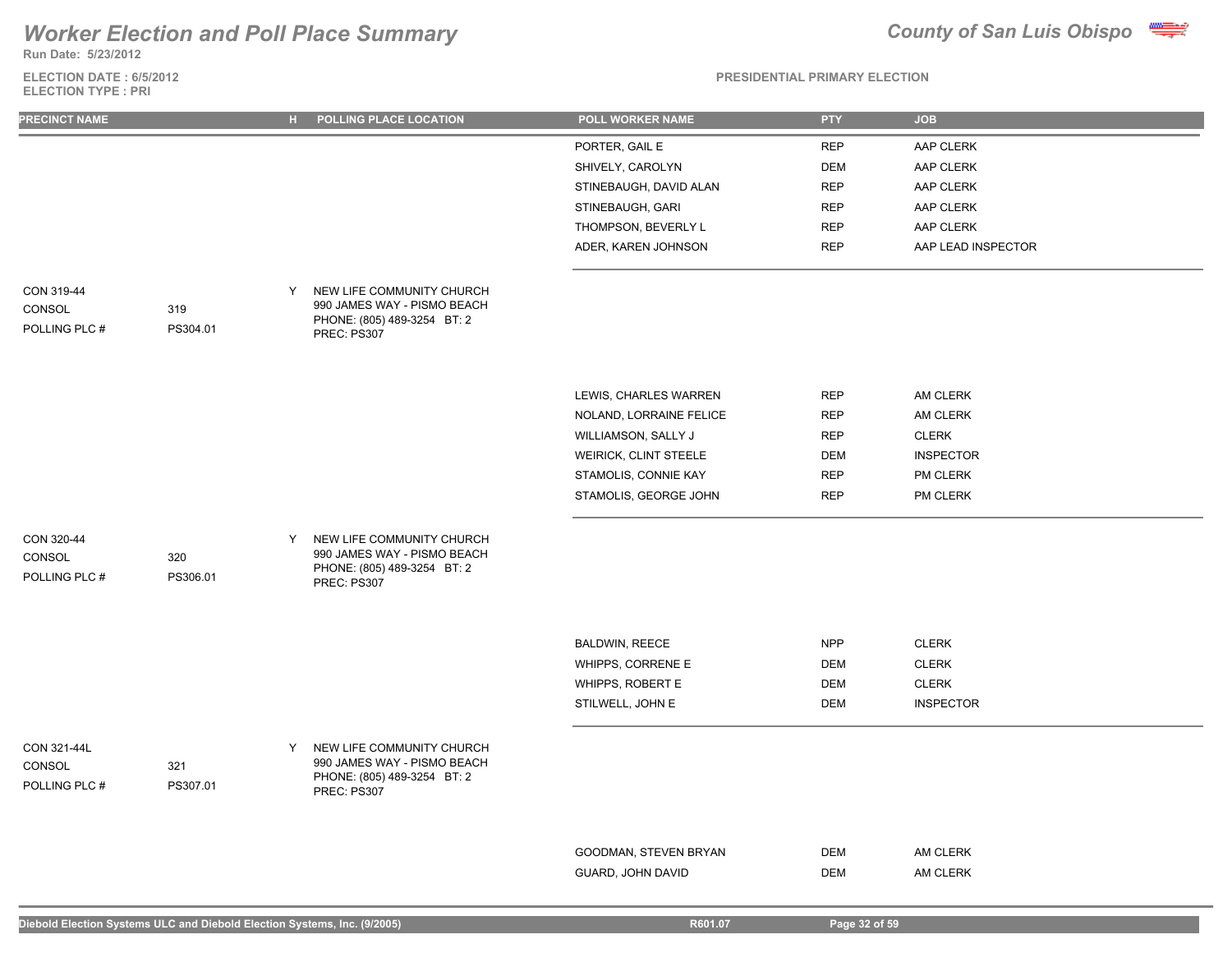**Run Date: 5/23/2012**

**ELECTION DATE : 6/5/2012 ELECTION TYPE : PRI**



| <b>PRECINCT NAME</b>                   |                 |   | H POLLING PLACE LOCATION                                                                               | POLL WORKER NAME                           | <b>PTY</b> | <b>JOB</b>         |
|----------------------------------------|-----------------|---|--------------------------------------------------------------------------------------------------------|--------------------------------------------|------------|--------------------|
|                                        |                 |   |                                                                                                        | PORTER, GAIL E                             | <b>REP</b> | AAP CLERK          |
|                                        |                 |   |                                                                                                        | SHIVELY, CAROLYN                           | <b>DEM</b> | AAP CLERK          |
|                                        |                 |   |                                                                                                        | STINEBAUGH, DAVID ALAN                     | <b>REP</b> | AAP CLERK          |
|                                        |                 |   |                                                                                                        | STINEBAUGH, GARI                           | <b>REP</b> | AAP CLERK          |
|                                        |                 |   |                                                                                                        | THOMPSON, BEVERLY L                        | <b>REP</b> | AAP CLERK          |
|                                        |                 |   |                                                                                                        | ADER, KAREN JOHNSON                        | <b>REP</b> | AAP LEAD INSPECTOR |
| CON 319-44<br>CONSOL<br>POLLING PLC #  | 319<br>PS304.01 | Y | NEW LIFE COMMUNITY CHURCH<br>990 JAMES WAY - PISMO BEACH<br>PHONE: (805) 489-3254 BT: 2<br>PREC: PS307 |                                            |            |                    |
|                                        |                 |   |                                                                                                        |                                            |            |                    |
|                                        |                 |   |                                                                                                        | LEWIS, CHARLES WARREN                      | <b>REP</b> | AM CLERK           |
|                                        |                 |   |                                                                                                        | NOLAND, LORRAINE FELICE                    | <b>REP</b> | AM CLERK           |
|                                        |                 |   |                                                                                                        | WILLIAMSON, SALLY J                        | <b>REP</b> | <b>CLERK</b>       |
|                                        |                 |   |                                                                                                        | WEIRICK, CLINT STEELE                      | <b>DEM</b> | <b>INSPECTOR</b>   |
|                                        |                 |   |                                                                                                        | STAMOLIS, CONNIE KAY                       | <b>REP</b> | PM CLERK           |
|                                        |                 |   |                                                                                                        | STAMOLIS, GEORGE JOHN                      | <b>REP</b> | PM CLERK           |
| CON 320-44<br>CONSOL<br>POLLING PLC #  | 320<br>PS306.01 | Y | NEW LIFE COMMUNITY CHURCH<br>990 JAMES WAY - PISMO BEACH<br>PHONE: (805) 489-3254 BT: 2<br>PREC: PS307 |                                            |            |                    |
|                                        |                 |   |                                                                                                        |                                            |            |                    |
|                                        |                 |   |                                                                                                        | <b>BALDWIN, REECE</b>                      | <b>NPP</b> | <b>CLERK</b>       |
|                                        |                 |   |                                                                                                        | WHIPPS, CORRENE E                          | <b>DEM</b> | <b>CLERK</b>       |
|                                        |                 |   |                                                                                                        | WHIPPS, ROBERT E                           | DEM        | <b>CLERK</b>       |
|                                        |                 |   |                                                                                                        | STILWELL, JOHN E                           | <b>DEM</b> | <b>INSPECTOR</b>   |
| CON 321-44L<br>CONSOL<br>POLLING PLC # | 321<br>PS307.01 | Y | NEW LIFE COMMUNITY CHURCH<br>990 JAMES WAY - PISMO BEACH<br>PHONE: (805) 489-3254 BT: 2<br>PREC: PS307 |                                            |            |                    |
|                                        |                 |   |                                                                                                        |                                            | <b>DEM</b> | AM CLERK           |
|                                        |                 |   |                                                                                                        | GOODMAN, STEVEN BRYAN<br>GUARD, JOHN DAVID | <b>DEM</b> | AM CLERK           |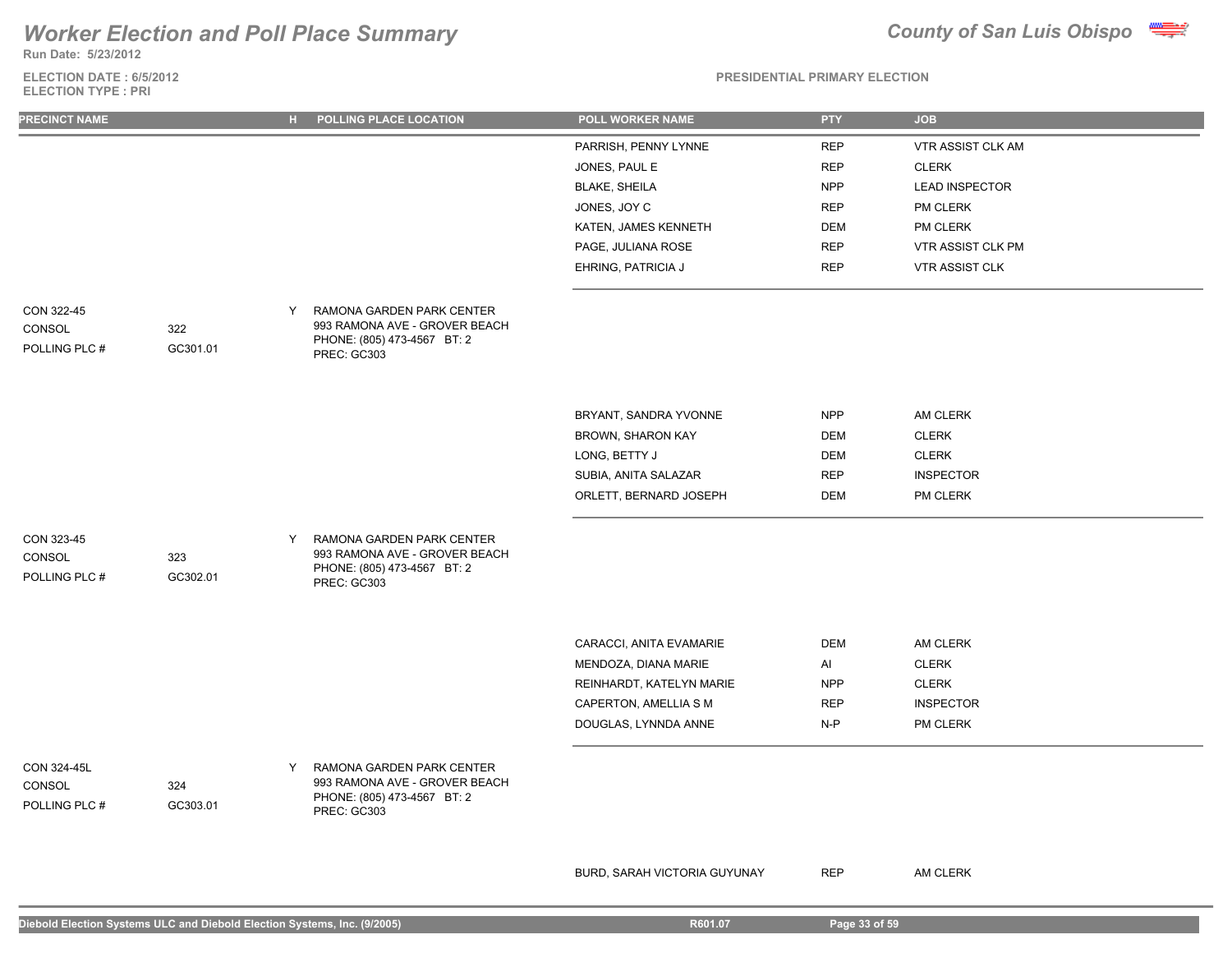**Run Date: 5/23/2012**

### **ELECTION DATE : 6/5/2012 ELECTION TYPE : PRI**



**PRESIDENTIAL PRIMARY ELECTION**

| <b>PRECINCT NAME</b>                   |                 | н. | POLLING PLACE LOCATION                                                                                   | POLL WORKER NAME         | <b>PTY</b> | <b>JOB</b>               |
|----------------------------------------|-----------------|----|----------------------------------------------------------------------------------------------------------|--------------------------|------------|--------------------------|
|                                        |                 |    |                                                                                                          | PARRISH, PENNY LYNNE     | <b>REP</b> | <b>VTR ASSIST CLK AM</b> |
|                                        |                 |    |                                                                                                          | JONES, PAUL E            | <b>REP</b> | <b>CLERK</b>             |
|                                        |                 |    |                                                                                                          | <b>BLAKE, SHEILA</b>     | <b>NPP</b> | <b>LEAD INSPECTOR</b>    |
|                                        |                 |    |                                                                                                          | JONES, JOY C             | <b>REP</b> | PM CLERK                 |
|                                        |                 |    |                                                                                                          | KATEN, JAMES KENNETH     | <b>DEM</b> | PM CLERK                 |
|                                        |                 |    |                                                                                                          | PAGE, JULIANA ROSE       | <b>REP</b> | VTR ASSIST CLK PM        |
|                                        |                 |    |                                                                                                          | EHRING, PATRICIA J       | <b>REP</b> | <b>VTR ASSIST CLK</b>    |
| CON 322-45<br>CONSOL<br>POLLING PLC #  | 322<br>GC301.01 | Y  | RAMONA GARDEN PARK CENTER<br>993 RAMONA AVE - GROVER BEACH<br>PHONE: (805) 473-4567 BT: 2<br>PREC: GC303 |                          |            |                          |
|                                        |                 |    |                                                                                                          | BRYANT, SANDRA YVONNE    | <b>NPP</b> | AM CLERK                 |
|                                        |                 |    |                                                                                                          | BROWN, SHARON KAY        | <b>DEM</b> | <b>CLERK</b>             |
|                                        |                 |    |                                                                                                          | LONG, BETTY J            | <b>DEM</b> | <b>CLERK</b>             |
|                                        |                 |    |                                                                                                          | SUBIA, ANITA SALAZAR     | <b>REP</b> | <b>INSPECTOR</b>         |
|                                        |                 |    |                                                                                                          | ORLETT, BERNARD JOSEPH   | <b>DEM</b> | PM CLERK                 |
|                                        |                 |    |                                                                                                          |                          |            |                          |
| CON 323-45<br>CONSOL<br>POLLING PLC #  | 323<br>GC302.01 | Y  | RAMONA GARDEN PARK CENTER<br>993 RAMONA AVE - GROVER BEACH<br>PHONE: (805) 473-4567 BT: 2<br>PREC: GC303 |                          |            |                          |
|                                        |                 |    |                                                                                                          | CARACCI, ANITA EVAMARIE  | <b>DEM</b> | AM CLERK                 |
|                                        |                 |    |                                                                                                          | MENDOZA, DIANA MARIE     | Al         | <b>CLERK</b>             |
|                                        |                 |    |                                                                                                          | REINHARDT, KATELYN MARIE | <b>NPP</b> | <b>CLERK</b>             |
|                                        |                 |    |                                                                                                          | CAPERTON, AMELLIA S M    | <b>REP</b> | <b>INSPECTOR</b>         |
|                                        |                 |    |                                                                                                          | DOUGLAS, LYNNDA ANNE     | $N-P$      | PM CLERK                 |
| CON 324-45L<br>CONSOL<br>POLLING PLC # | 324<br>GC303.01 | Y  | RAMONA GARDEN PARK CENTER<br>993 RAMONA AVE - GROVER BEACH<br>PHONE: (805) 473-4567 BT: 2<br>PREC: GC303 |                          |            |                          |

BURD, SARAH VICTORIA GUYUNAY REP AM CLERK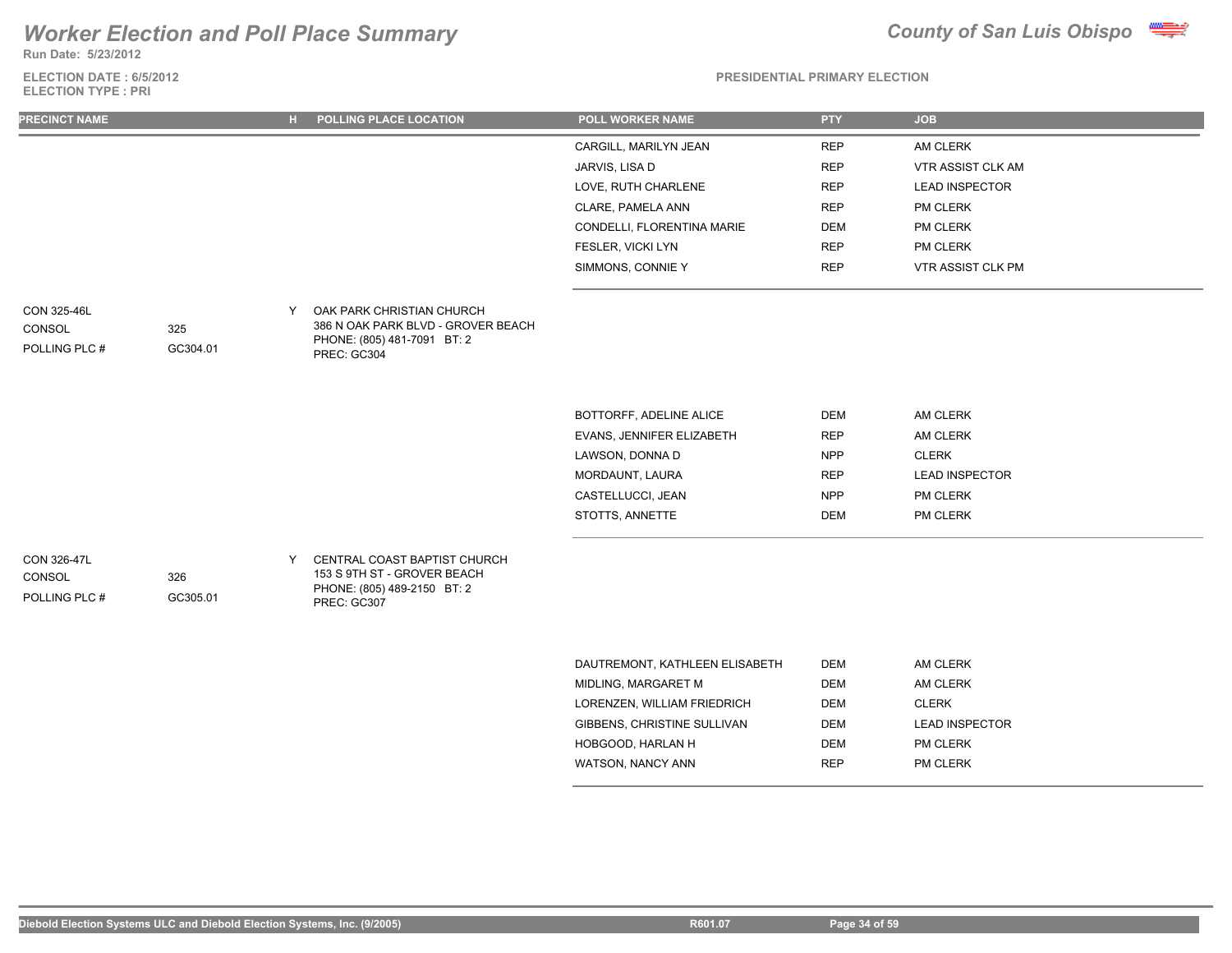**Run Date: 5/23/2012**

**ELECTION DATE : 6/5/2012 ELECTION TYPE : PRI**



| <b>PRECINCT NAME</b>                   |                 | н. | POLLING PLACE LOCATION                                                                                        | <b>POLL WORKER NAME</b>        | <b>PTY</b> | <b>JOB</b>            |
|----------------------------------------|-----------------|----|---------------------------------------------------------------------------------------------------------------|--------------------------------|------------|-----------------------|
|                                        |                 |    |                                                                                                               | CARGILL, MARILYN JEAN          | <b>REP</b> | AM CLERK              |
|                                        |                 |    |                                                                                                               | JARVIS, LISA D                 | <b>REP</b> | VTR ASSIST CLK AM     |
|                                        |                 |    |                                                                                                               | LOVE, RUTH CHARLENE            | <b>REP</b> | <b>LEAD INSPECTOR</b> |
|                                        |                 |    |                                                                                                               | CLARE, PAMELA ANN              | <b>REP</b> | PM CLERK              |
|                                        |                 |    |                                                                                                               | CONDELLI, FLORENTINA MARIE     | <b>DEM</b> | PM CLERK              |
|                                        |                 |    |                                                                                                               | FESLER, VICKI LYN              | <b>REP</b> | PM CLERK              |
|                                        |                 |    |                                                                                                               | SIMMONS, CONNIE Y              | <b>REP</b> | VTR ASSIST CLK PM     |
| CON 325-46L<br>CONSOL<br>POLLING PLC # | 325<br>GC304.01 | Y  | OAK PARK CHRISTIAN CHURCH<br>386 N OAK PARK BLVD - GROVER BEACH<br>PHONE: (805) 481-7091 BT: 2<br>PREC: GC304 |                                |            |                       |
|                                        |                 |    |                                                                                                               |                                |            |                       |
|                                        |                 |    |                                                                                                               | BOTTORFF, ADELINE ALICE        | <b>DEM</b> | AM CLERK              |
|                                        |                 |    |                                                                                                               | EVANS, JENNIFER ELIZABETH      | <b>REP</b> | AM CLERK              |
|                                        |                 |    |                                                                                                               | LAWSON, DONNA D                | <b>NPP</b> | <b>CLERK</b>          |
|                                        |                 |    |                                                                                                               | MORDAUNT, LAURA                | <b>REP</b> | <b>LEAD INSPECTOR</b> |
|                                        |                 |    |                                                                                                               | CASTELLUCCI, JEAN              | <b>NPP</b> | PM CLERK              |
|                                        |                 |    |                                                                                                               | STOTTS, ANNETTE                | <b>DEM</b> | PM CLERK              |
| CON 326-47L<br>CONSOL<br>POLLING PLC # | 326<br>GC305.01 | Y  | CENTRAL COAST BAPTIST CHURCH<br>153 S 9TH ST - GROVER BEACH<br>PHONE: (805) 489-2150 BT: 2<br>PREC: GC307     |                                |            |                       |
|                                        |                 |    |                                                                                                               | DAUTREMONT, KATHLEEN ELISABETH | <b>DEM</b> | AM CLERK              |
|                                        |                 |    |                                                                                                               | MIDLING MARGARET M             | <b>DEM</b> | AM CLERK              |

| <u>DAUTINEMUNT. IVAITIEEEN EEIUADETTI</u> | ◡          | AIN ULLIVI            |
|-------------------------------------------|------------|-----------------------|
| MIDLING, MARGARET M                       | DEM        | AM CLERK              |
| LORENZEN, WILLIAM FRIEDRICH               | DEM        | <b>CLERK</b>          |
| GIBBENS, CHRISTINE SULLIVAN               | DEM        | <b>LEAD INSPECTOR</b> |
| HOBGOOD, HARLAN H                         | DEM        | <b>PM CLERK</b>       |
| WATSON, NANCY ANN                         | <b>REP</b> | <b>PM CLERK</b>       |
|                                           |            |                       |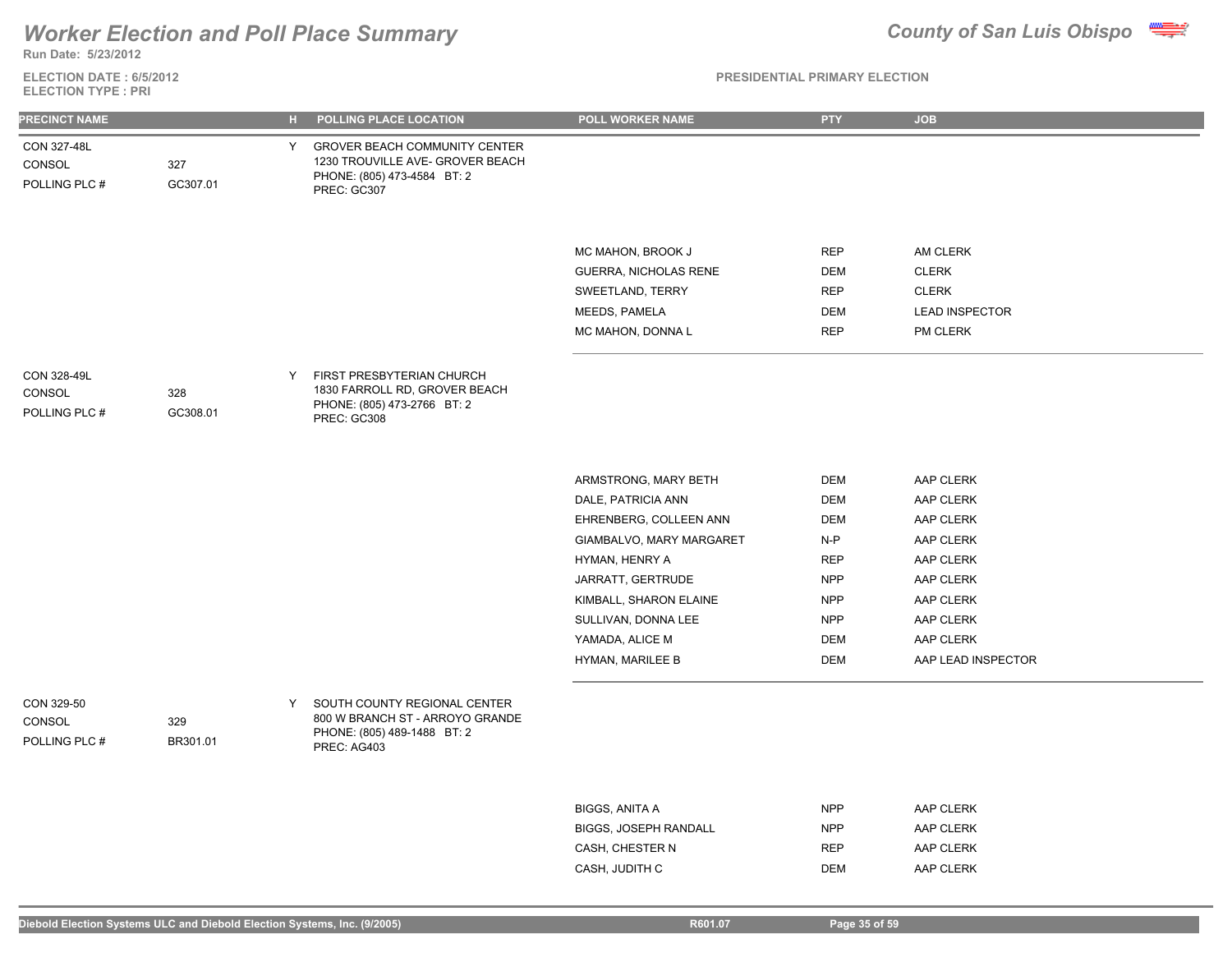

**Run Date: 5/23/2012**

**ELECTION DATE : 6/5/2012 ELECTION TYPE : PRI**

| <b>PRECINCT NAME</b>                   |                 | $\mathbf{H}$ . | POLLING PLACE LOCATION                                                                                                 | POLL WORKER NAME                                                                                                                                                                                                                | <b>PTY</b>                                                                                                                   | <b>JOB</b>                                                                                                                              |
|----------------------------------------|-----------------|----------------|------------------------------------------------------------------------------------------------------------------------|---------------------------------------------------------------------------------------------------------------------------------------------------------------------------------------------------------------------------------|------------------------------------------------------------------------------------------------------------------------------|-----------------------------------------------------------------------------------------------------------------------------------------|
| CON 327-48L<br>CONSOL<br>POLLING PLC # | 327<br>GC307.01 | Y              | <b>GROVER BEACH COMMUNITY CENTER</b><br>1230 TROUVILLE AVE- GROVER BEACH<br>PHONE: (805) 473-4584 BT: 2<br>PREC: GC307 |                                                                                                                                                                                                                                 |                                                                                                                              |                                                                                                                                         |
|                                        |                 |                |                                                                                                                        | MC MAHON, BROOK J<br>GUERRA, NICHOLAS RENE<br>SWEETLAND, TERRY<br>MEEDS, PAMELA<br>MC MAHON, DONNA L                                                                                                                            | <b>REP</b><br><b>DEM</b><br><b>REP</b><br><b>DEM</b><br><b>REP</b>                                                           | AM CLERK<br><b>CLERK</b><br><b>CLERK</b><br><b>LEAD INSPECTOR</b><br>PM CLERK                                                           |
| CON 328-49L<br>CONSOL<br>POLLING PLC # | 328<br>GC308.01 | Y              | FIRST PRESBYTERIAN CHURCH<br>1830 FARROLL RD, GROVER BEACH<br>PHONE: (805) 473-2766 BT: 2<br>PREC: GC308               |                                                                                                                                                                                                                                 |                                                                                                                              |                                                                                                                                         |
|                                        |                 |                |                                                                                                                        | ARMSTRONG, MARY BETH<br>DALE, PATRICIA ANN<br>EHRENBERG, COLLEEN ANN<br>GIAMBALVO, MARY MARGARET<br>HYMAN, HENRY A<br>JARRATT, GERTRUDE<br>KIMBALL, SHARON ELAINE<br>SULLIVAN, DONNA LEE<br>YAMADA, ALICE M<br>HYMAN, MARILEE B | <b>DEM</b><br><b>DEM</b><br><b>DEM</b><br>$N-P$<br><b>REP</b><br><b>NPP</b><br>NPP<br><b>NPP</b><br><b>DEM</b><br><b>DEM</b> | AAP CLERK<br>AAP CLERK<br>AAP CLERK<br>AAP CLERK<br>AAP CLERK<br>AAP CLERK<br>AAP CLERK<br>AAP CLERK<br>AAP CLERK<br>AAP LEAD INSPECTOR |
| CON 329-50<br>CONSOL<br>POLLING PLC #  | 329<br>BR301.01 | Y              | SOUTH COUNTY REGIONAL CENTER<br>800 W BRANCH ST - ARROYO GRANDE<br>PHONE: (805) 489-1488 BT: 2<br>PREC: AG403          |                                                                                                                                                                                                                                 |                                                                                                                              |                                                                                                                                         |
|                                        |                 |                |                                                                                                                        | <b>BIGGS, ANITA A</b><br>BIGGS, JOSEPH RANDALL<br>CASH, CHESTER N<br>CASH, JUDITH C                                                                                                                                             | <b>NPP</b><br><b>NPP</b><br><b>REP</b><br><b>DEM</b>                                                                         | AAP CLERK<br>AAP CLERK<br>AAP CLERK<br>AAP CLERK                                                                                        |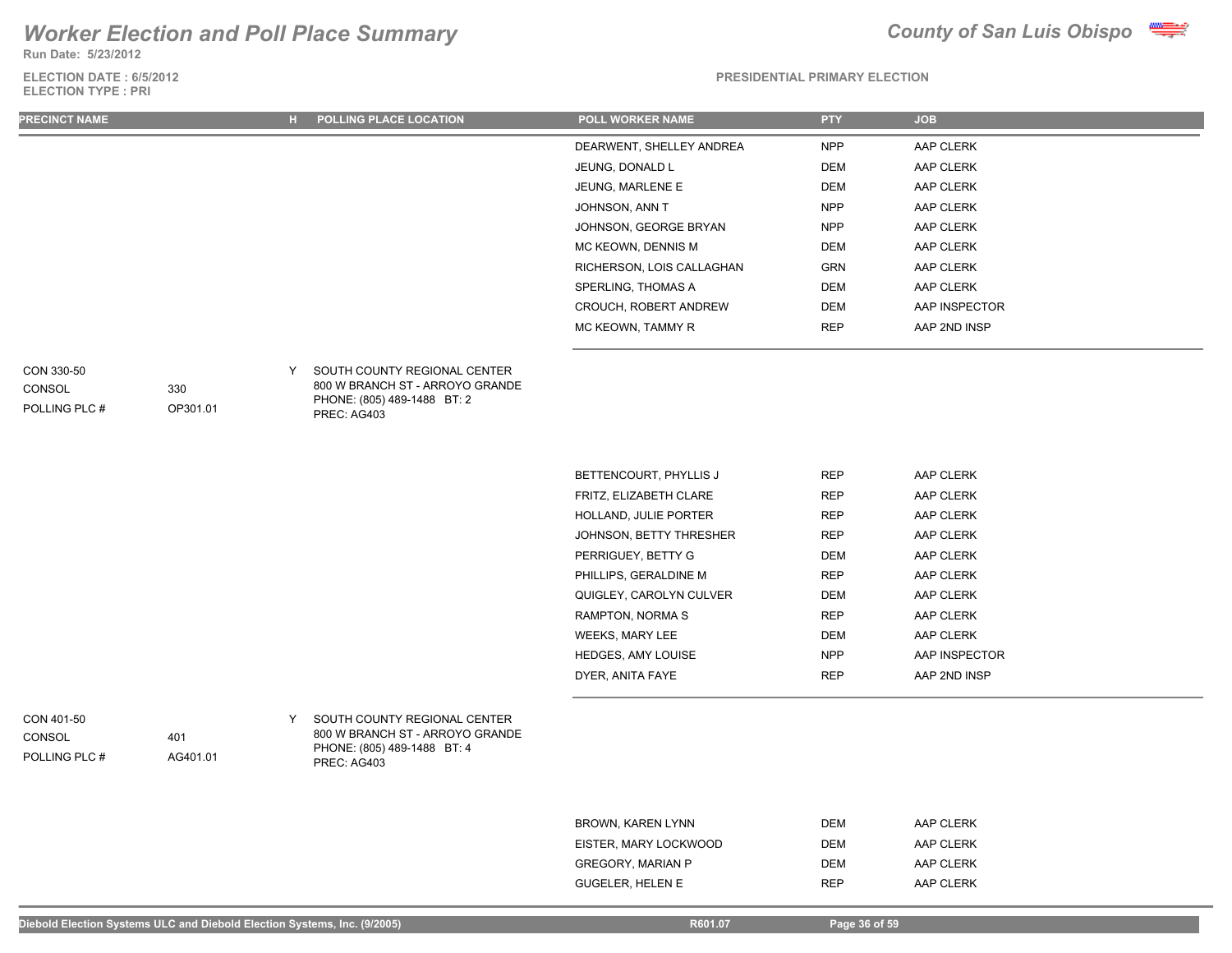## *Worker Election and Poll Place Summary* **County of San Luis Obispo County of San Luis Obispo**

OP301.01

401

AG401.01

**Run Date: 5/23/2012**

### **ELECTION DATE : 6/5/2012 ELECTION TYPE : PRI**



### **PRESIDENTIAL PRIMARY ELECTION**

| <b>PRECINCT NAME</b>        | н. | <b>POLLING PLACE LOCATION</b>                                   | <b>POLL WORKER NAME</b>      | <b>PTY</b> | <b>JOB</b>    |
|-----------------------------|----|-----------------------------------------------------------------|------------------------------|------------|---------------|
|                             |    |                                                                 | DEARWENT, SHELLEY ANDREA     | <b>NPP</b> | AAP CLERK     |
|                             |    |                                                                 | JEUNG, DONALD L              | DEM        | AAP CLERK     |
|                             |    |                                                                 | JEUNG, MARLENE E             | DEM        | AAP CLERK     |
|                             |    |                                                                 | JOHNSON, ANN T               | <b>NPP</b> | AAP CLERK     |
|                             |    |                                                                 | JOHNSON, GEORGE BRYAN        | <b>NPP</b> | AAP CLERK     |
|                             |    |                                                                 | MC KEOWN, DENNIS M           | DEM        | AAP CLERK     |
|                             |    |                                                                 | RICHERSON, LOIS CALLAGHAN    | GRN        | AAP CLERK     |
|                             |    |                                                                 | SPERLING, THOMAS A           | DEM        | AAP CLERK     |
|                             |    |                                                                 | <b>CROUCH, ROBERT ANDREW</b> | DEM        | AAP INSPECTOR |
|                             |    |                                                                 | MC KEOWN, TAMMY R            | <b>REP</b> | AAP 2ND INSP  |
|                             |    |                                                                 |                              |            |               |
| CON 330-50<br>330<br>CONSOL |    | SOUTH COUNTY REGIONAL CENTER<br>800 W BRANCH ST - ARROYO GRANDE |                              |            |               |

POLLING PLC #

| Y | SOUTH COUNTY REGIONAL CENTER    |
|---|---------------------------------|
|   | 800 W BRANCH ST - ARROYO GRANDE |
|   | PHONE: (805) 489-1488 BT: 2     |
|   | PREC: AG403                     |

| BETTENCOURT, PHYLLIS J         | <b>REP</b> | AAP CLERK     |
|--------------------------------|------------|---------------|
| FRITZ. ELIZABETH CLARE         | <b>REP</b> | AAP CLERK     |
| <b>HOLLAND, JULIE PORTER</b>   | <b>REP</b> | AAP CLERK     |
| <b>JOHNSON, BETTY THRESHER</b> | <b>REP</b> | AAP CLERK     |
| PERRIGUEY, BETTY G             | <b>DEM</b> | AAP CLERK     |
| PHILLIPS. GERALDINE M          | <b>REP</b> | AAP CLERK     |
| QUIGLEY, CAROLYN CULVER        | <b>DEM</b> | AAP CLERK     |
| RAMPTON, NORMA S               | <b>REP</b> | AAP CLERK     |
| <b>WEEKS, MARY LEE</b>         | <b>DEM</b> | AAP CLERK     |
| <b>HEDGES, AMY LOUISE</b>      | <b>NPP</b> | AAP INSPECTOR |
| DYER. ANITA FAYE               | <b>REP</b> | AAP 2ND INSP  |

CON 401-50 **CONSOL** 

POLLING PLC #

Y SOUTH COUNTY REGIONAL CENTER 800 W BRANCH ST - ARROYO GRANDE PHONE: (805) 489-1488 BT: 4 PREC: AG403

> BROWN, KAREN LYNN DEM DEM AAP CLERK EISTER, MARY LOCKWOOD DEM DEM AAP CLERK GREGORY, MARIAN P DEM DEM AAP CLERK GUGELER, HELEN E REP AAP CLERK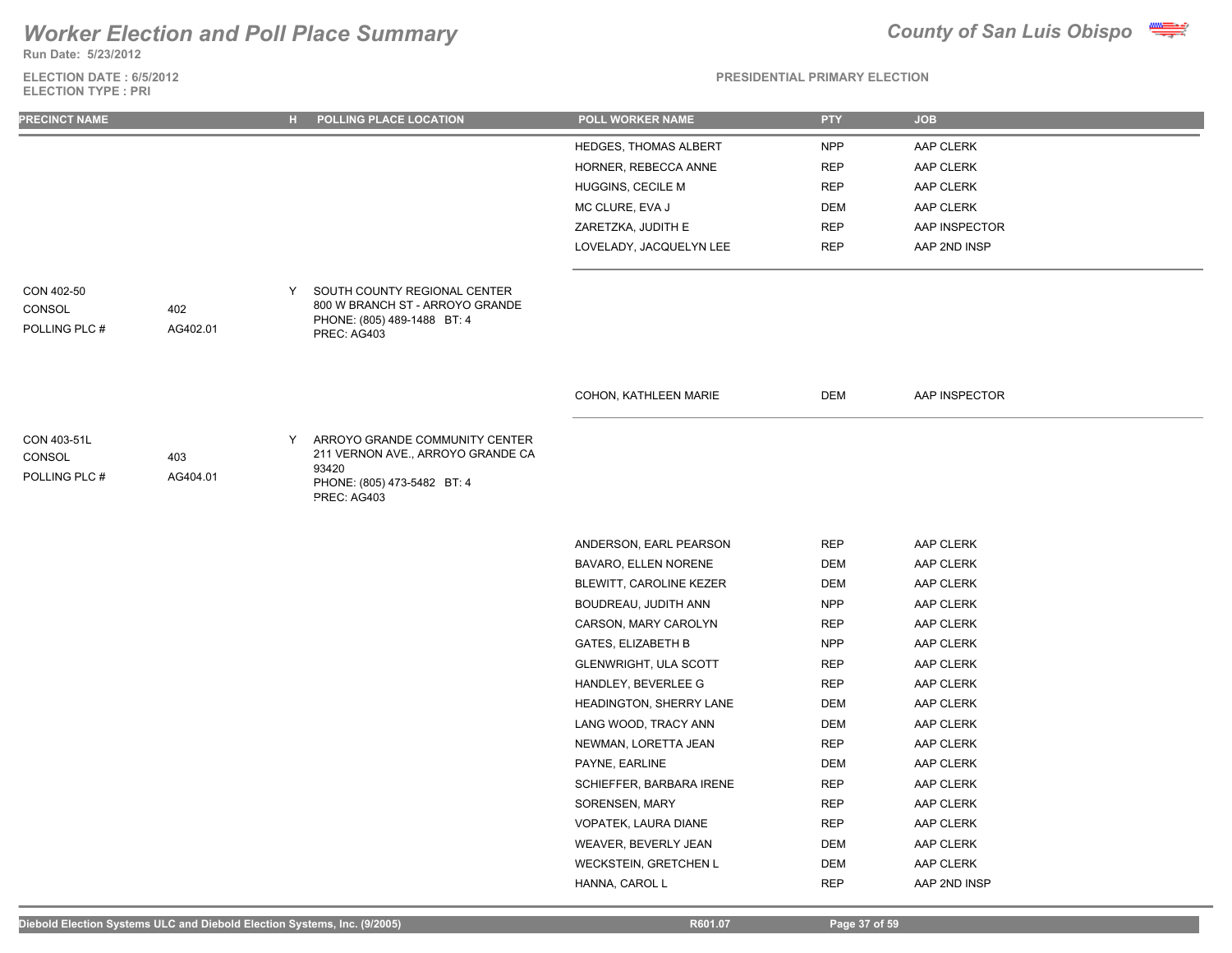**Run Date: 5/23/2012**

**ELECTION DATE : 6/5/2012 ELECTION TYPE : PRI**



| <b>PRECINCT NAME</b>                   |                 | н. | POLLING PLACE LOCATION                                                                                                     | POLL WORKER NAME          | <b>PTY</b> | <b>JOB</b>    |
|----------------------------------------|-----------------|----|----------------------------------------------------------------------------------------------------------------------------|---------------------------|------------|---------------|
|                                        |                 |    |                                                                                                                            | HEDGES, THOMAS ALBERT     | <b>NPP</b> | AAP CLERK     |
|                                        |                 |    |                                                                                                                            | HORNER, REBECCA ANNE      | <b>REP</b> | AAP CLERK     |
|                                        |                 |    |                                                                                                                            | HUGGINS, CECILE M         | <b>REP</b> | AAP CLERK     |
|                                        |                 |    |                                                                                                                            | MC CLURE, EVA J           | <b>DEM</b> | AAP CLERK     |
|                                        |                 |    |                                                                                                                            | ZARETZKA, JUDITH E        | <b>REP</b> | AAP INSPECTOR |
|                                        |                 |    |                                                                                                                            | LOVELADY, JACQUELYN LEE   | <b>REP</b> | AAP 2ND INSP  |
|                                        |                 |    |                                                                                                                            |                           |            |               |
| CON 402-50                             |                 | Y  | SOUTH COUNTY REGIONAL CENTER                                                                                               |                           |            |               |
| CONSOL<br>POLLING PLC #                | 402<br>AG402.01 |    | 800 W BRANCH ST - ARROYO GRANDE<br>PHONE: (805) 489-1488 BT: 4<br>PREC: AG403                                              |                           |            |               |
|                                        |                 |    |                                                                                                                            |                           |            |               |
|                                        |                 |    |                                                                                                                            | COHON, KATHLEEN MARIE     | DEM        | AAP INSPECTOR |
| CON 403-51L<br>CONSOL<br>POLLING PLC # | 403<br>AG404.01 | Y  | ARROYO GRANDE COMMUNITY CENTER<br>211 VERNON AVE., ARROYO GRANDE CA<br>93420<br>PHONE: (805) 473-5482 BT: 4<br>PREC: AG403 |                           |            |               |
|                                        |                 |    |                                                                                                                            |                           |            |               |
|                                        |                 |    |                                                                                                                            | ANDERSON, EARL PEARSON    | <b>REP</b> | AAP CLERK     |
|                                        |                 |    |                                                                                                                            | BAVARO, ELLEN NORENE      | <b>DEM</b> | AAP CLERK     |
|                                        |                 |    |                                                                                                                            | BLEWITT, CAROLINE KEZER   | <b>DEM</b> | AAP CLERK     |
|                                        |                 |    |                                                                                                                            | BOUDREAU, JUDITH ANN      | <b>NPP</b> | AAP CLERK     |
|                                        |                 |    |                                                                                                                            | CARSON, MARY CAROLYN      | <b>REP</b> | AAP CLERK     |
|                                        |                 |    |                                                                                                                            | <b>GATES, ELIZABETH B</b> | <b>NPP</b> | AAP CLERK     |
|                                        |                 |    |                                                                                                                            | GLENWRIGHT, ULA SCOTT     | <b>REP</b> | AAP CLERK     |
|                                        |                 |    |                                                                                                                            | HANDLEY, BEVERLEE G       | <b>REP</b> | AAP CLERK     |
|                                        |                 |    |                                                                                                                            | HEADINGTON, SHERRY LANE   | <b>DEM</b> | AAP CLERK     |
|                                        |                 |    |                                                                                                                            | LANG WOOD, TRACY ANN      | <b>DEM</b> | AAP CLERK     |
|                                        |                 |    |                                                                                                                            | NEWMAN, LORETTA JEAN      | <b>REP</b> | AAP CLERK     |
|                                        |                 |    |                                                                                                                            | PAYNE, EARLINE            | <b>DEM</b> | AAP CLERK     |
|                                        |                 |    |                                                                                                                            | SCHIEFFER, BARBARA IRENE  | <b>REP</b> | AAP CLERK     |
|                                        |                 |    |                                                                                                                            | SORENSEN, MARY            | <b>REP</b> | AAP CLERK     |
|                                        |                 |    |                                                                                                                            | VOPATEK, LAURA DIANE      | <b>REP</b> | AAP CLERK     |
|                                        |                 |    |                                                                                                                            | WEAVER, BEVERLY JEAN      | <b>DEM</b> | AAP CLERK     |
|                                        |                 |    |                                                                                                                            | WECKSTEIN, GRETCHEN L     | <b>DEM</b> | AAP CLERK     |
|                                        |                 |    |                                                                                                                            | HANNA, CAROL L            | <b>REP</b> | AAP 2ND INSP  |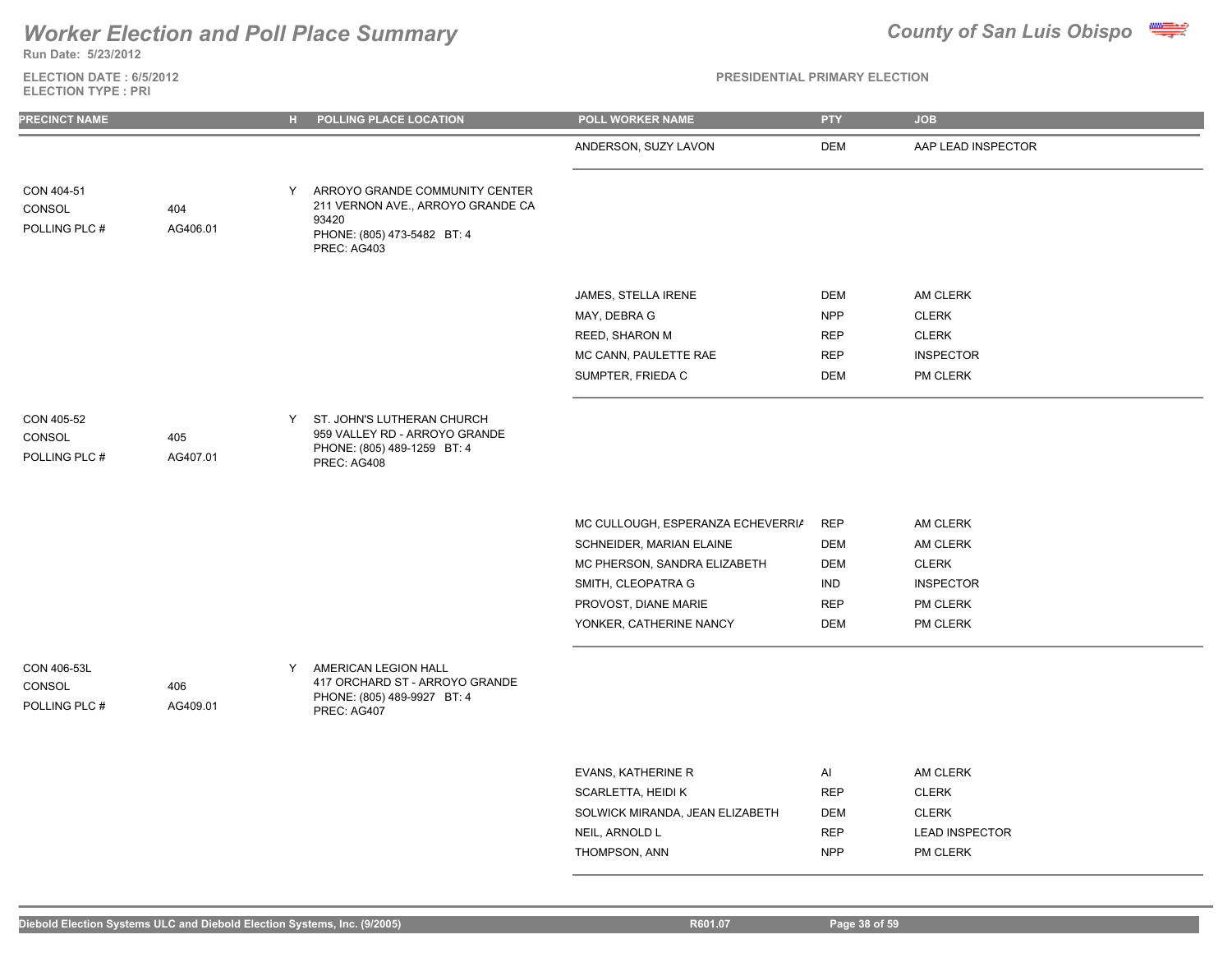**Run Date: 5/23/2012**

### **ELECTION DATE : 6/5/2012 ELECTION TYPE : PRI**



| <b>PRECINCT NAME</b>                   |                 | н. | POLLING PLACE LOCATION                                                                                                     | POLL WORKER NAME                                                                                                                                                       | <b>PTY</b>                                                                       | <b>JOB</b>                                                                       |
|----------------------------------------|-----------------|----|----------------------------------------------------------------------------------------------------------------------------|------------------------------------------------------------------------------------------------------------------------------------------------------------------------|----------------------------------------------------------------------------------|----------------------------------------------------------------------------------|
|                                        |                 |    |                                                                                                                            | ANDERSON, SUZY LAVON                                                                                                                                                   | <b>DEM</b>                                                                       | AAP LEAD INSPECTOR                                                               |
| CON 404-51<br>CONSOL<br>POLLING PLC #  | 404<br>AG406.01 | Y  | ARROYO GRANDE COMMUNITY CENTER<br>211 VERNON AVE., ARROYO GRANDE CA<br>93420<br>PHONE: (805) 473-5482 BT: 4<br>PREC: AG403 |                                                                                                                                                                        |                                                                                  |                                                                                  |
|                                        |                 |    |                                                                                                                            | JAMES, STELLA IRENE<br>MAY, DEBRA G<br>REED, SHARON M<br>MC CANN, PAULETTE RAE<br>SUMPTER, FRIEDA C                                                                    | DEM<br><b>NPP</b><br><b>REP</b><br><b>REP</b><br><b>DEM</b>                      | AM CLERK<br><b>CLERK</b><br><b>CLERK</b><br><b>INSPECTOR</b><br>PM CLERK         |
| CON 405-52<br>CONSOL<br>POLLING PLC #  | 405<br>AG407.01 | Y  | ST. JOHN'S LUTHERAN CHURCH<br>959 VALLEY RD - ARROYO GRANDE<br>PHONE: (805) 489-1259 BT: 4<br>PREC: AG408                  |                                                                                                                                                                        |                                                                                  |                                                                                  |
|                                        |                 |    |                                                                                                                            | MC CULLOUGH, ESPERANZA ECHEVERRIA<br>SCHNEIDER, MARIAN ELAINE<br>MC PHERSON, SANDRA ELIZABETH<br>SMITH, CLEOPATRA G<br>PROVOST, DIANE MARIE<br>YONKER, CATHERINE NANCY | <b>REP</b><br><b>DEM</b><br><b>DEM</b><br><b>IND</b><br><b>REP</b><br><b>DEM</b> | AM CLERK<br>AM CLERK<br><b>CLERK</b><br><b>INSPECTOR</b><br>PM CLERK<br>PM CLERK |
| CON 406-53L<br>CONSOL<br>POLLING PLC # | 406<br>AG409.01 | Y  | AMERICAN LEGION HALL<br>417 ORCHARD ST - ARROYO GRANDE<br>PHONE: (805) 489-9927 BT: 4<br>PREC: AG407                       |                                                                                                                                                                        |                                                                                  |                                                                                  |

| EVANS, KATHERINE R              | Al         | AM CLERK              |
|---------------------------------|------------|-----------------------|
| SCARLETTA, HEIDI K              | <b>RFP</b> | <b>CLERK</b>          |
| SOLWICK MIRANDA. JEAN ELIZABETH | DEM        | <b>CLERK</b>          |
| NEIL. ARNOLD L                  | <b>RFP</b> | <b>LEAD INSPECTOR</b> |
| THOMPSON, ANN                   | <b>NPP</b> | <b>PM CLERK</b>       |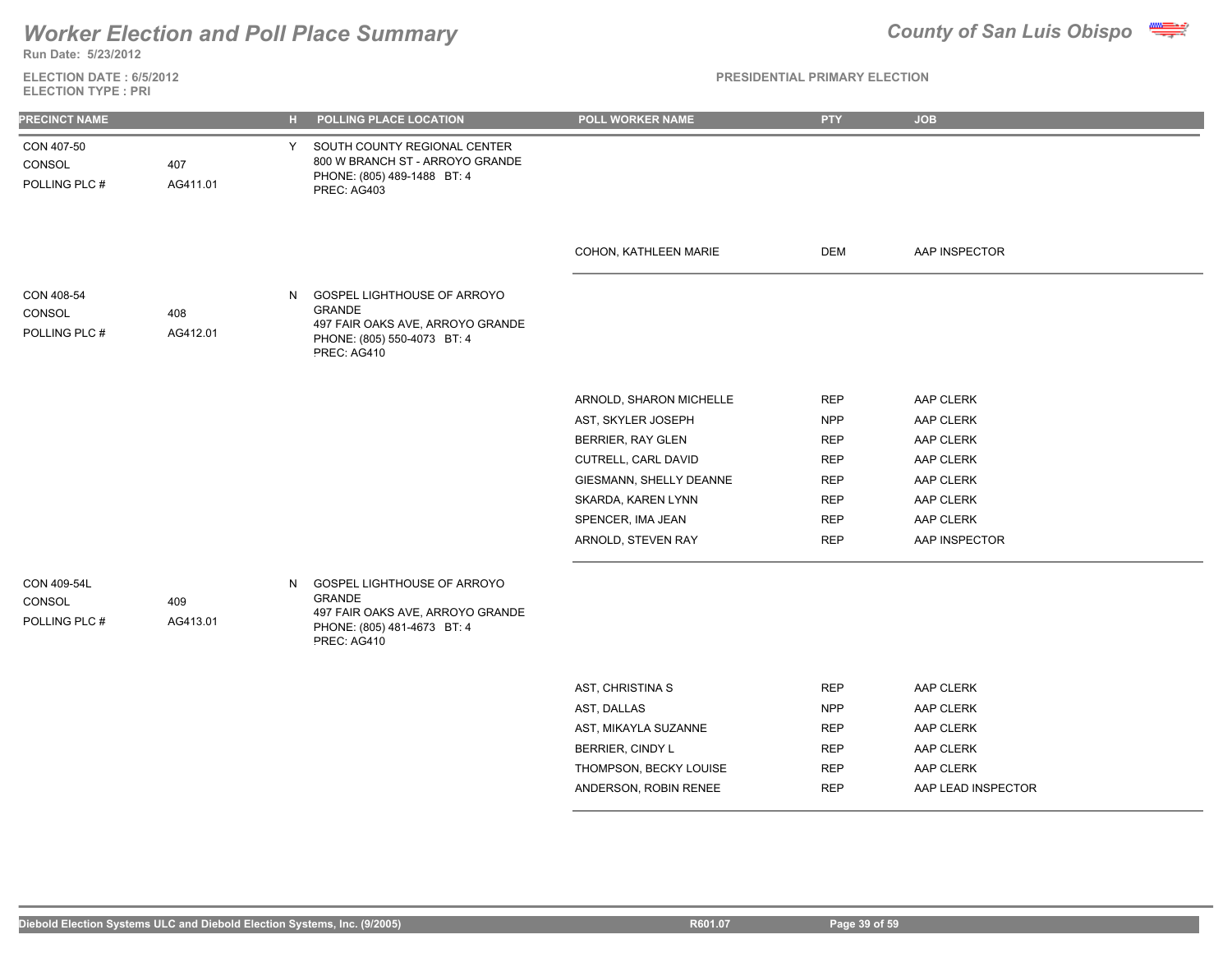## *Worker Election and Poll Place Summary* **County of San Luis Obispo County of San Luis Obispo**

407

AG411.01



**Run Date: 5/23/2012**

CON 407-50

CON 408-54

POLLING PLC # CONSOL

CON 409-54L

POLLING PLC # **CONSOL** 

POLLING PLC # **CONSOL** 

**ELECTION DATE : 6/5/2012 ELECTION TYPE : PRI**

### **PRESIDENTIAL PRIMARY ELECTION**

|                 |    | <b>PREU: AU403</b>                                                                                                             |                         |            |               |
|-----------------|----|--------------------------------------------------------------------------------------------------------------------------------|-------------------------|------------|---------------|
|                 |    |                                                                                                                                | COHON, KATHLEEN MARIE   | <b>DEM</b> | AAP INSPECTOR |
| 408<br>AG412.01 | N. | GOSPEL LIGHTHOUSE OF ARROYO<br><b>GRANDE</b><br>497 FAIR OAKS AVE, ARROYO GRANDE<br>PHONE: (805) 550-4073 BT: 4<br>PREC: AG410 |                         |            |               |
|                 |    |                                                                                                                                | ARNOLD, SHARON MICHELLE | <b>REP</b> | AAP CLERK     |
|                 |    |                                                                                                                                | AST, SKYLER JOSEPH      | <b>NPP</b> | AAP CLERK     |
|                 |    |                                                                                                                                | BERRIER, RAY GLEN       | <b>REP</b> | AAP CLERK     |
|                 |    |                                                                                                                                | CUTRELL, CARL DAVID     | <b>REP</b> | AAP CLERK     |
|                 |    |                                                                                                                                | GIESMANN, SHELLY DEANNE | <b>REP</b> | AAP CLERK     |
|                 |    |                                                                                                                                | SKARDA, KAREN LYNN      | <b>REP</b> | AAP CLERK     |

**PRECINCT NAME H POLLING PLACE LOCATION POLL WORKER NAME PTY JOB**

Y SOUTH COUNTY REGIONAL CENTER 800 W BRANCH ST - ARROYO GRANDE PHONE: (805) 489-1488 BT: 4

PREC: AG403

GOSPEL LIGHTHOUSE OF ARROYO GRANDE 497 FAIR OAKS AVE, ARROYO GRANDE PHONE: (805) 481-4673 BT: 4 PREC: AG410 409 AG413.01

| <b>REP</b> | AAP CLERK          |
|------------|--------------------|
| <b>NPP</b> | AAP CLERK          |
| <b>REP</b> | AAP CLERK          |
| <b>RFP</b> | AAP CLERK          |
| <b>REP</b> | AAP CLERK          |
| <b>RFP</b> | AAP LEAD INSPECTOR |
|            |                    |

SPENCER, IMA JEAN REP AAP CLERK ARNOLD, STEVEN RAY REP AAP INSPECTOR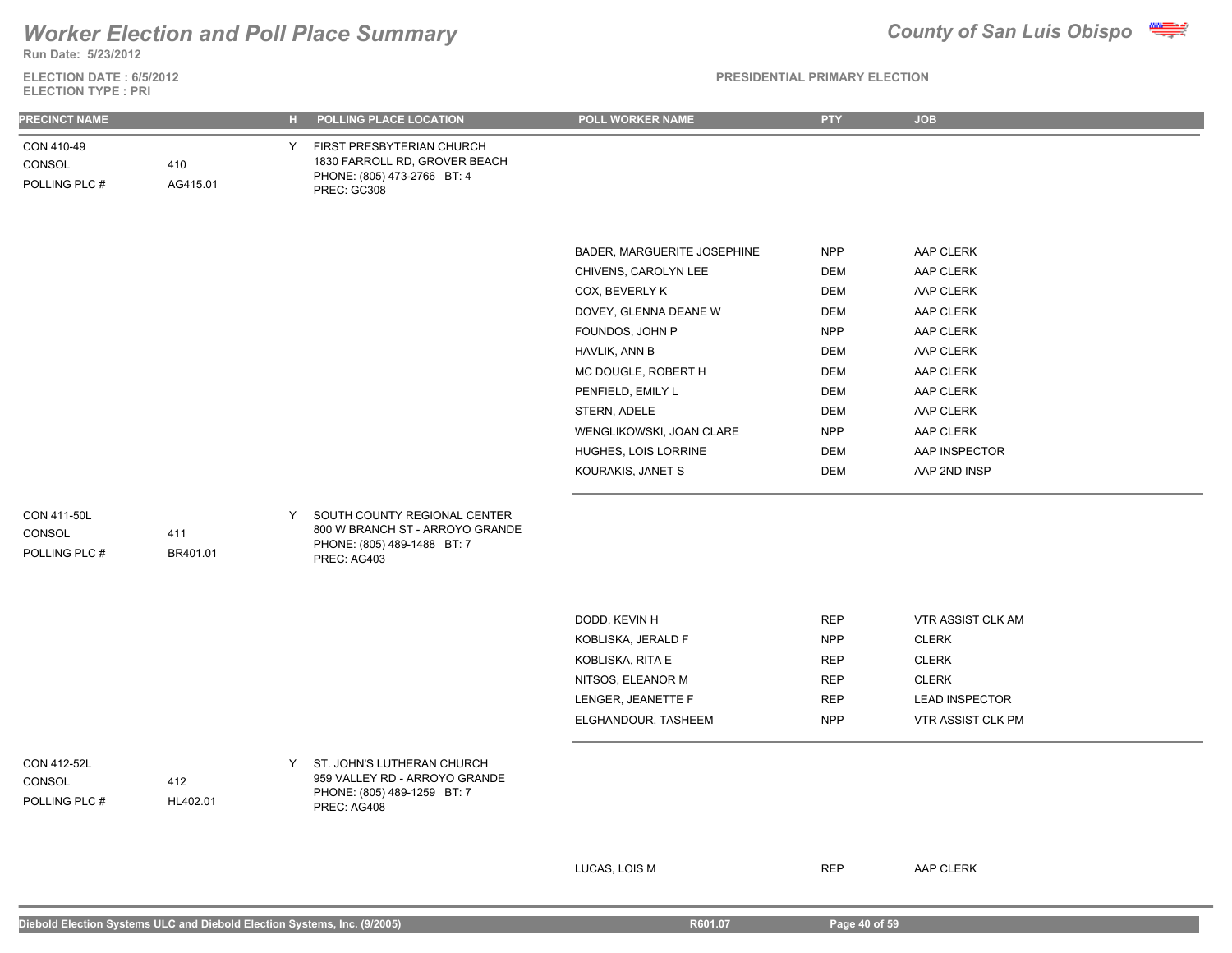**Run Date: 5/23/2012**

### **ELECTION DATE : 6/5/2012 ELECTION TYPE : PRI**

### **PRESIDENTIAL PRIMARY ELECTION**

| <b>PRECINCT NAME</b>                          |                 | н. | POLLING PLACE LOCATION                                                                                        | POLL WORKER NAME                                                                                                                                                                                                                                                        | PTY                                                                                                                                                           | <b>JOB</b>                                                                                                                                                      |
|-----------------------------------------------|-----------------|----|---------------------------------------------------------------------------------------------------------------|-------------------------------------------------------------------------------------------------------------------------------------------------------------------------------------------------------------------------------------------------------------------------|---------------------------------------------------------------------------------------------------------------------------------------------------------------|-----------------------------------------------------------------------------------------------------------------------------------------------------------------|
| CON 410-49<br>CONSOL<br>POLLING PLC #         | 410<br>AG415.01 | Y  | FIRST PRESBYTERIAN CHURCH<br>1830 FARROLL RD, GROVER BEACH<br>PHONE: (805) 473-2766 BT: 4<br>PREC: GC308      |                                                                                                                                                                                                                                                                         |                                                                                                                                                               |                                                                                                                                                                 |
|                                               |                 |    |                                                                                                               | BADER, MARGUERITE JOSEPHINE<br>CHIVENS, CAROLYN LEE<br>COX, BEVERLY K<br>DOVEY, GLENNA DEANE W<br>FOUNDOS, JOHN P<br>HAVLIK, ANN B<br>MC DOUGLE, ROBERT H<br>PENFIELD, EMILY L<br>STERN, ADELE<br>WENGLIKOWSKI, JOAN CLARE<br>HUGHES, LOIS LORRINE<br>KOURAKIS, JANET S | <b>NPP</b><br><b>DEM</b><br><b>DEM</b><br><b>DEM</b><br><b>NPP</b><br><b>DEM</b><br><b>DEM</b><br><b>DEM</b><br><b>DEM</b><br><b>NPP</b><br><b>DEM</b><br>DEM | AAP CLERK<br>AAP CLERK<br>AAP CLERK<br>AAP CLERK<br>AAP CLERK<br>AAP CLERK<br>AAP CLERK<br>AAP CLERK<br>AAP CLERK<br>AAP CLERK<br>AAP INSPECTOR<br>AAP 2ND INSP |
| <b>CON 411-50L</b><br>CONSOL<br>POLLING PLC # | 411<br>BR401.01 | Y. | SOUTH COUNTY REGIONAL CENTER<br>800 W BRANCH ST - ARROYO GRANDE<br>PHONE: (805) 489-1488 BT: 7<br>PREC: AG403 |                                                                                                                                                                                                                                                                         |                                                                                                                                                               |                                                                                                                                                                 |
|                                               |                 |    |                                                                                                               | DODD, KEVIN H<br>KOBLISKA, JERALD F<br>KOBLISKA, RITA E<br>NITSOS, ELEANOR M<br>LENGER, JEANETTE F<br>ELGHANDOUR, TASHEEM                                                                                                                                               | REP<br><b>NPP</b><br><b>REP</b><br><b>REP</b><br><b>REP</b><br><b>NPP</b>                                                                                     | VTR ASSIST CLK AM<br><b>CLERK</b><br><b>CLERK</b><br><b>CLERK</b><br><b>LEAD INSPECTOR</b><br>VTR ASSIST CLK PM                                                 |
| CON 412-52L<br>CONSOL<br>POLLING PLC #        | 412<br>HL402.01 | Y  | ST. JOHN'S LUTHERAN CHURCH<br>959 VALLEY RD - ARROYO GRANDE<br>PHONE: (805) 489-1259 BT: 7<br>PREC: AG408     |                                                                                                                                                                                                                                                                         |                                                                                                                                                               |                                                                                                                                                                 |

LUCAS, LOIS M REP AAP CLERK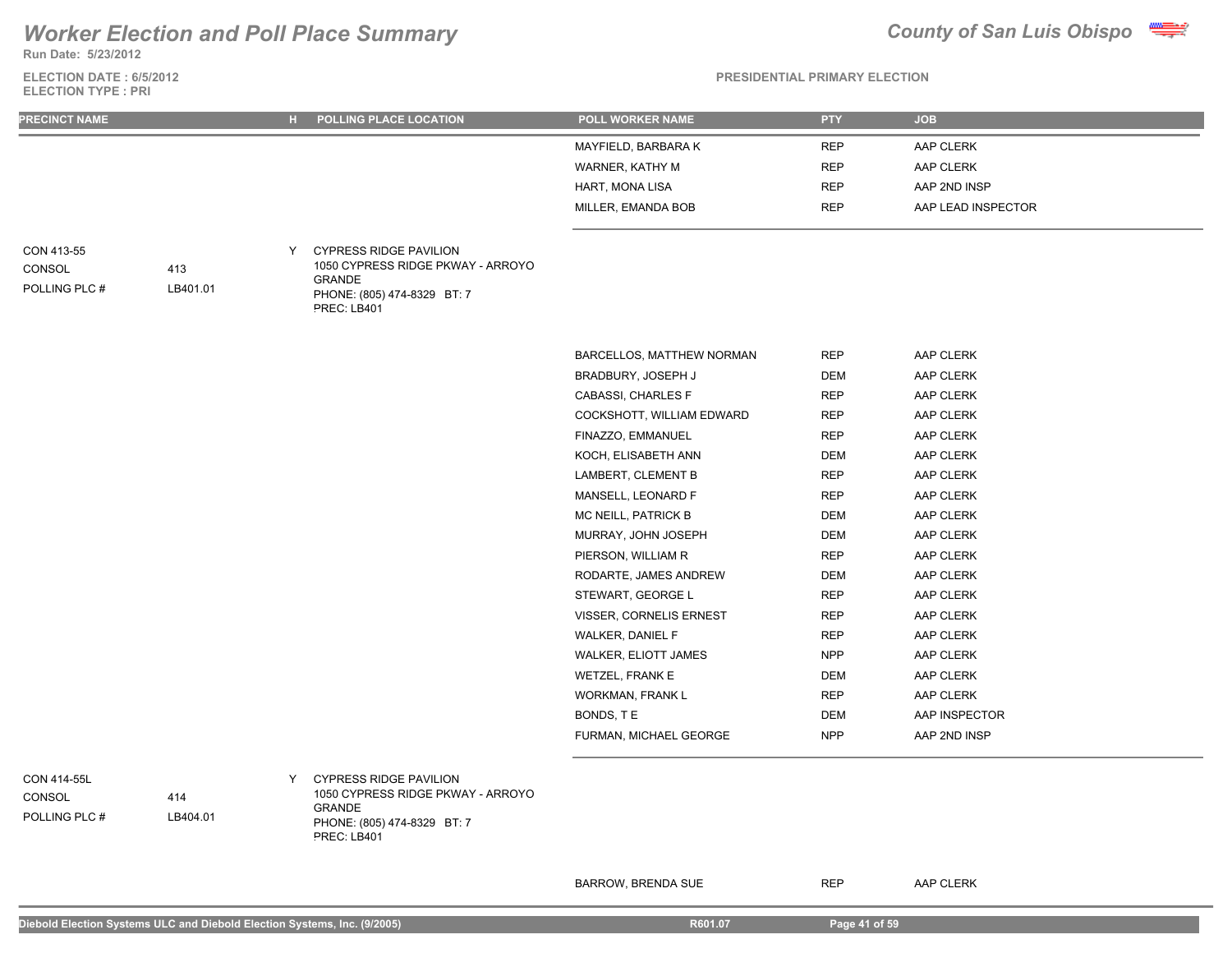**Run Date: 5/23/2012**

### **ELECTION DATE : 6/5/2012 ELECTION TYPE : PRI**



**PRESIDENTIAL PRIMARY ELECTION**

| <b>PRECINCT NAME</b>                   |                 | H POLLING PLACE LOCATION                                                                                                               | <b>POLL WORKER NAME</b>   | <b>PTY</b> | <b>JOB</b>         |
|----------------------------------------|-----------------|----------------------------------------------------------------------------------------------------------------------------------------|---------------------------|------------|--------------------|
|                                        |                 |                                                                                                                                        | MAYFIELD, BARBARA K       | <b>REP</b> | AAP CLERK          |
|                                        |                 |                                                                                                                                        | WARNER, KATHY M           | <b>REP</b> | AAP CLERK          |
|                                        |                 |                                                                                                                                        | HART, MONA LISA           | <b>REP</b> | AAP 2ND INSP       |
|                                        |                 |                                                                                                                                        | MILLER, EMANDA BOB        | <b>REP</b> | AAP LEAD INSPECTOR |
| CON 413-55<br>CONSOL<br>POLLING PLC #  | 413<br>LB401.01 | <b>CYPRESS RIDGE PAVILION</b><br>Y<br>1050 CYPRESS RIDGE PKWAY - ARROYO<br><b>GRANDE</b><br>PHONE: (805) 474-8329 BT: 7<br>PREC: LB401 |                           |            |                    |
|                                        |                 |                                                                                                                                        | BARCELLOS, MATTHEW NORMAN | <b>REP</b> | AAP CLERK          |
|                                        |                 |                                                                                                                                        | BRADBURY, JOSEPH J        | DEM        | AAP CLERK          |
|                                        |                 |                                                                                                                                        | CABASSI, CHARLES F        | <b>REP</b> | AAP CLERK          |
|                                        |                 |                                                                                                                                        | COCKSHOTT, WILLIAM EDWARD | <b>REP</b> | AAP CLERK          |
|                                        |                 |                                                                                                                                        | FINAZZO, EMMANUEL         | <b>REP</b> | AAP CLERK          |
|                                        |                 |                                                                                                                                        | KOCH, ELISABETH ANN       | DEM        | AAP CLERK          |
|                                        |                 |                                                                                                                                        | LAMBERT, CLEMENT B        | <b>REP</b> | AAP CLERK          |
|                                        |                 |                                                                                                                                        | MANSELL, LEONARD F        | <b>REP</b> | AAP CLERK          |
|                                        |                 |                                                                                                                                        | MC NEILL, PATRICK B       | DEM        | AAP CLERK          |
|                                        |                 |                                                                                                                                        | MURRAY, JOHN JOSEPH       | DEM        | AAP CLERK          |
|                                        |                 |                                                                                                                                        | PIERSON, WILLIAM R        | <b>REP</b> | AAP CLERK          |
|                                        |                 |                                                                                                                                        | RODARTE, JAMES ANDREW     | <b>DEM</b> | AAP CLERK          |
|                                        |                 |                                                                                                                                        | STEWART, GEORGE L         | <b>REP</b> | AAP CLERK          |
|                                        |                 |                                                                                                                                        | VISSER, CORNELIS ERNEST   | <b>REP</b> | AAP CLERK          |
|                                        |                 |                                                                                                                                        | WALKER, DANIEL F          | <b>REP</b> | AAP CLERK          |
|                                        |                 |                                                                                                                                        | WALKER, ELIOTT JAMES      | <b>NPP</b> | AAP CLERK          |
|                                        |                 |                                                                                                                                        | WETZEL, FRANK E           | DEM        | AAP CLERK          |
|                                        |                 |                                                                                                                                        | <b>WORKMAN, FRANK L</b>   | <b>REP</b> | AAP CLERK          |
|                                        |                 |                                                                                                                                        | BONDS, TE                 | DEM        | AAP INSPECTOR      |
|                                        |                 |                                                                                                                                        | FURMAN, MICHAEL GEORGE    | <b>NPP</b> | AAP 2ND INSP       |
| CON 414-55L<br>CONSOL<br>POLLING PLC # | 414<br>LB404.01 | <b>CYPRESS RIDGE PAVILION</b><br>Y<br>1050 CYPRESS RIDGE PKWAY - ARROYO<br><b>GRANDE</b><br>PHONE: (805) 474-8329 BT: 7<br>PREC: LB401 |                           |            |                    |

BARROW, BRENDA SUE REP AAP CLERK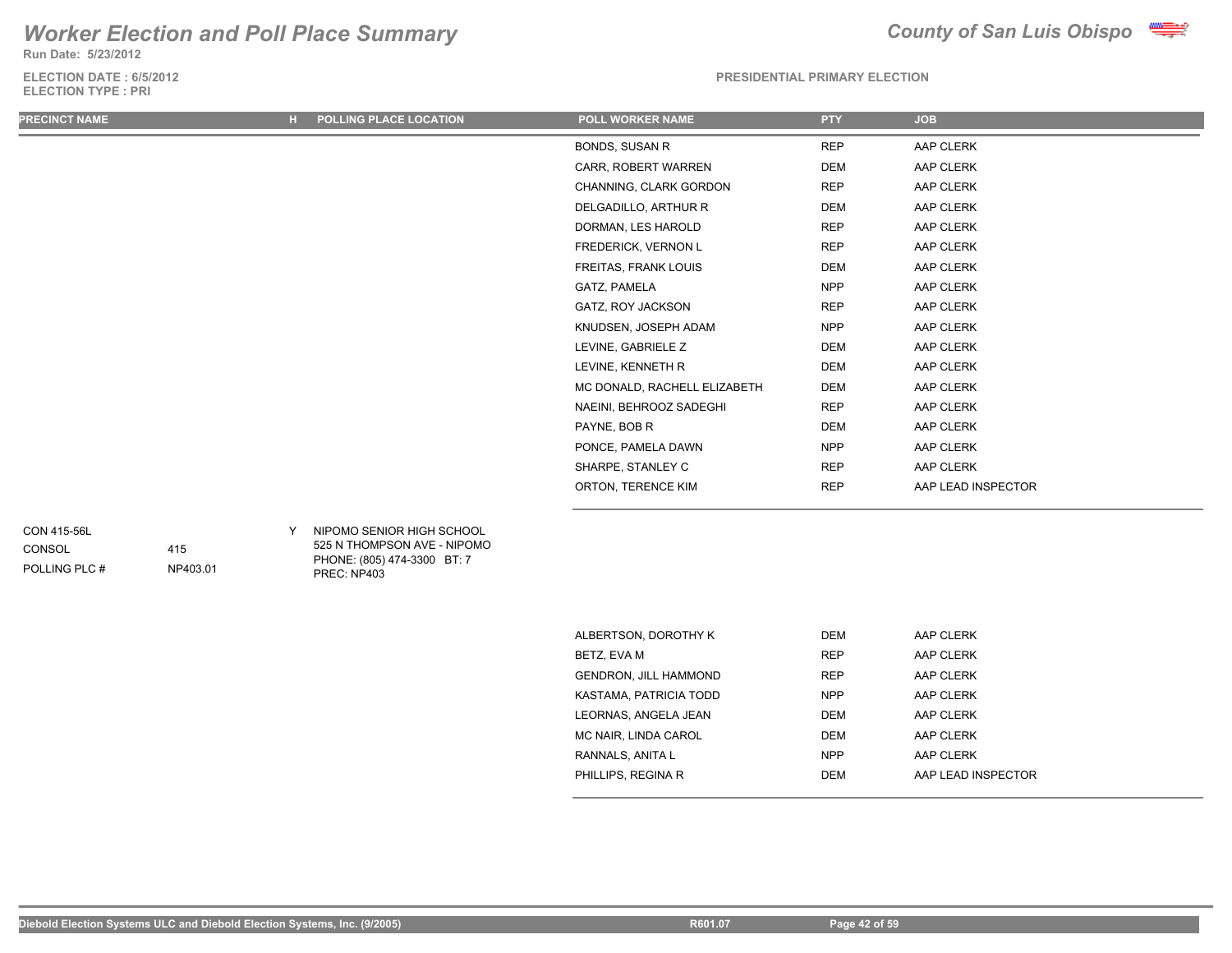**Run Date: 5/23/2012**

**ELECTION DATE : 6/5/2012 ELECTION TYPE : PRI**



### **PRESIDENTIAL PRIMARY ELECTION**

| <b>PRECINCT NAME</b> | POLLING PLACE LOCATION<br>н. | POLL WORKER NAME             | <b>PTY</b> | <b>JOB</b>         |
|----------------------|------------------------------|------------------------------|------------|--------------------|
|                      |                              | BONDS, SUSAN R               | <b>REP</b> | AAP CLERK          |
|                      |                              | CARR, ROBERT WARREN          | DEM        | AAP CLERK          |
|                      |                              | CHANNING, CLARK GORDON       | <b>REP</b> | AAP CLERK          |
|                      |                              | DELGADILLO, ARTHUR R         | DEM        | AAP CLERK          |
|                      |                              | DORMAN, LES HAROLD           | REP        | AAP CLERK          |
|                      |                              | FREDERICK, VERNON L          | <b>REP</b> | AAP CLERK          |
|                      |                              | FREITAS, FRANK LOUIS         | <b>DEM</b> | AAP CLERK          |
|                      |                              | GATZ, PAMELA                 | <b>NPP</b> | AAP CLERK          |
|                      |                              | GATZ, ROY JACKSON            | <b>REP</b> | AAP CLERK          |
|                      |                              | KNUDSEN, JOSEPH ADAM         | <b>NPP</b> | AAP CLERK          |
|                      |                              | LEVINE, GABRIELE Z           | DEM        | AAP CLERK          |
|                      |                              | LEVINE, KENNETH R            | DEM        | AAP CLERK          |
|                      |                              | MC DONALD, RACHELL ELIZABETH | DEM        | AAP CLERK          |
|                      |                              | NAEINI, BEHROOZ SADEGHI      | <b>REP</b> | AAP CLERK          |
|                      |                              | PAYNE, BOB R                 | DEM        | AAP CLERK          |
|                      |                              | PONCE, PAMELA DAWN           | <b>NPP</b> | AAP CLERK          |
|                      |                              | SHARPE, STANLEY C            | <b>REP</b> | AAP CLERK          |
|                      |                              | ORTON, TERENCE KIM           | <b>REP</b> | AAP LEAD INSPECTOR |
|                      |                              |                              |            |                    |

## CON 415-56L

POLLING PLC # CONSOL

415

NP403.01

Y NIPOMO SENIOR HIGH SCHOOL 525 N THOMPSON AVE - NIPOMO PHONE: (805) 474-3300 BT: 7 PREC: NP403

| ALBERTSON, DOROTHY K         | <b>DEM</b> | AAP CLERK          |
|------------------------------|------------|--------------------|
| BETZ, EVA M                  | <b>REP</b> | AAP CLERK          |
| <b>GENDRON, JILL HAMMOND</b> | <b>RFP</b> | AAP CLERK          |
| KASTAMA, PATRICIA TODD       | NPP        | AAP CLERK          |
| LEORNAS, ANGELA JEAN         | <b>DEM</b> | AAP CLERK          |
| MC NAIR, LINDA CAROL         | <b>DEM</b> | AAP CLERK          |
| RANNALS, ANITA L             | <b>NPP</b> | AAP CLERK          |
| PHILLIPS, REGINA R           | <b>DEM</b> | AAP LEAD INSPECTOR |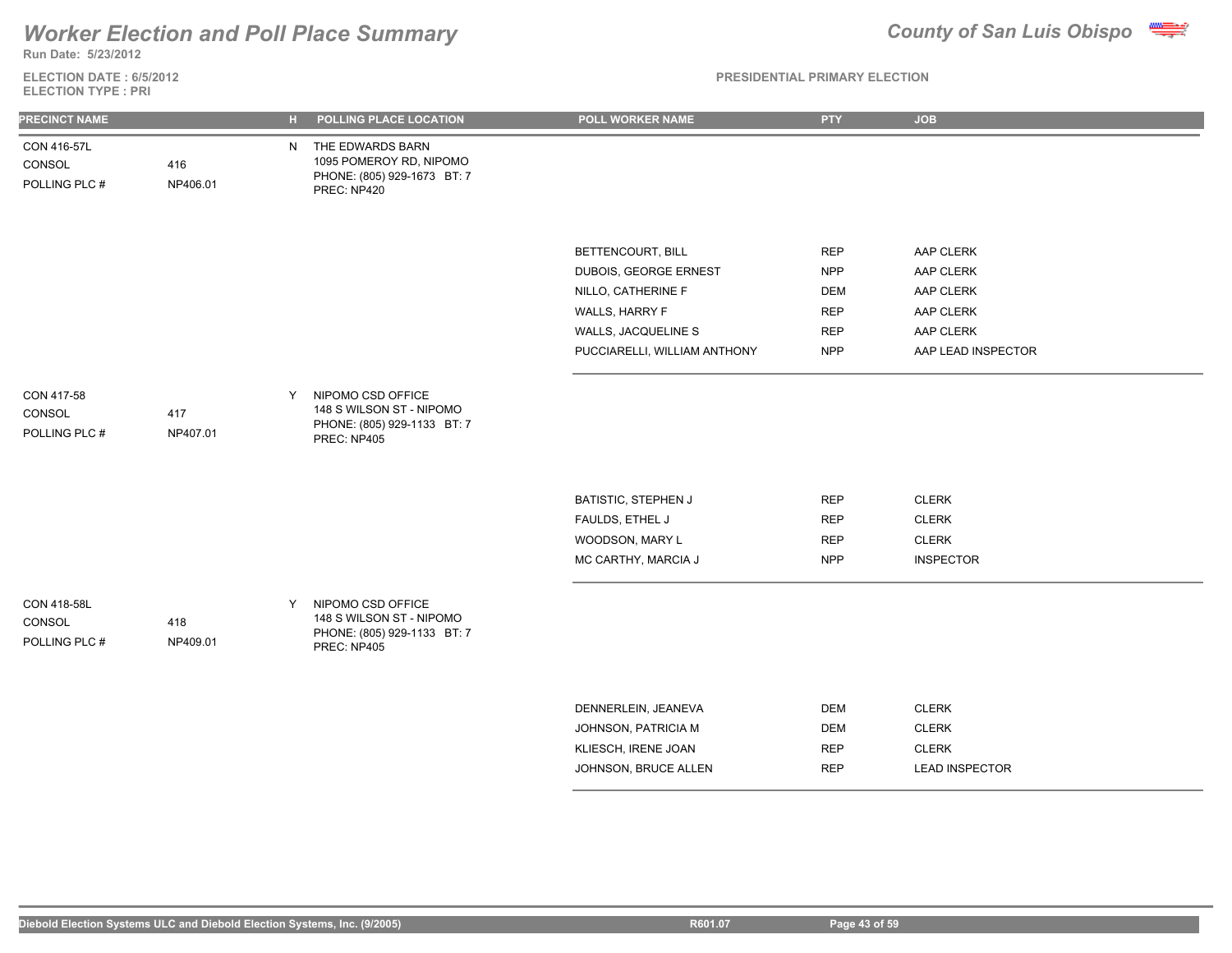

**Run Date: 5/23/2012**

**ELECTION DATE : 6/5/2012 ELECTION TYPE : PRI**

| <b>PRECINCT NAME</b>                   |                 | $H_{\rm{eff}}$ | POLLING PLACE LOCATION                                                                      | POLL WORKER NAME             | <b>PTY</b> | <b>JOB</b>            |
|----------------------------------------|-----------------|----------------|---------------------------------------------------------------------------------------------|------------------------------|------------|-----------------------|
| CON 416-57L<br>CONSOL<br>POLLING PLC # | 416<br>NP406.01 | N.             | THE EDWARDS BARN<br>1095 POMEROY RD, NIPOMO<br>PHONE: (805) 929-1673 BT: 7<br>PREC: NP420   |                              |            |                       |
|                                        |                 |                |                                                                                             |                              |            |                       |
|                                        |                 |                |                                                                                             | BETTENCOURT, BILL            | <b>REP</b> | AAP CLERK             |
|                                        |                 |                |                                                                                             | DUBOIS, GEORGE ERNEST        | <b>NPP</b> | AAP CLERK             |
|                                        |                 |                |                                                                                             | NILLO, CATHERINE F           | <b>DEM</b> | AAP CLERK             |
|                                        |                 |                |                                                                                             | WALLS, HARRY F               | <b>REP</b> | AAP CLERK             |
|                                        |                 |                |                                                                                             | WALLS, JACQUELINE S          | <b>REP</b> | AAP CLERK             |
|                                        |                 |                |                                                                                             | PUCCIARELLI, WILLIAM ANTHONY | <b>NPP</b> | AAP LEAD INSPECTOR    |
| CON 417-58<br>CONSOL<br>POLLING PLC #  | 417<br>NP407.01 | Y              | NIPOMO CSD OFFICE<br>148 S WILSON ST - NIPOMO<br>PHONE: (805) 929-1133 BT: 7<br>PREC: NP405 |                              |            |                       |
|                                        |                 |                |                                                                                             | BATISTIC, STEPHEN J          | <b>REP</b> | <b>CLERK</b>          |
|                                        |                 |                |                                                                                             | FAULDS, ETHEL J              | <b>REP</b> | <b>CLERK</b>          |
|                                        |                 |                |                                                                                             | WOODSON, MARY L              | <b>REP</b> | <b>CLERK</b>          |
|                                        |                 |                |                                                                                             | MC CARTHY, MARCIA J          | <b>NPP</b> | <b>INSPECTOR</b>      |
| CON 418-58L<br>CONSOL<br>POLLING PLC # | 418<br>NP409.01 | Y              | NIPOMO CSD OFFICE<br>148 S WILSON ST - NIPOMO<br>PHONE: (805) 929-1133 BT: 7<br>PREC: NP405 |                              |            |                       |
|                                        |                 |                |                                                                                             |                              |            |                       |
|                                        |                 |                |                                                                                             | DENNERLEIN, JEANEVA          | <b>DEM</b> | <b>CLERK</b>          |
|                                        |                 |                |                                                                                             | JOHNSON, PATRICIA M          | <b>DEM</b> | <b>CLERK</b>          |
|                                        |                 |                |                                                                                             | KLIESCH, IRENE JOAN          | <b>REP</b> | <b>CLERK</b>          |
|                                        |                 |                |                                                                                             | JOHNSON, BRUCE ALLEN         | <b>REP</b> | <b>LEAD INSPECTOR</b> |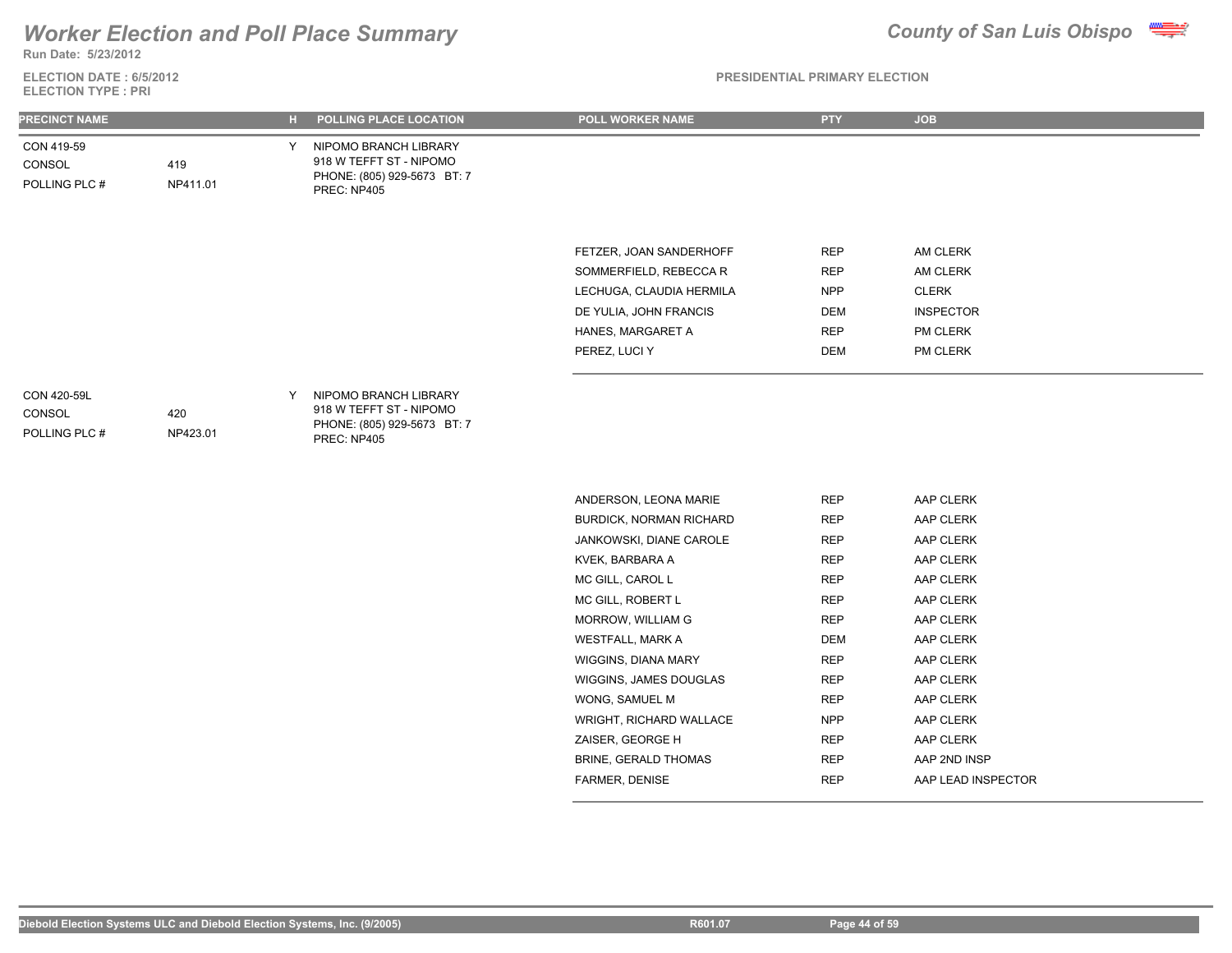## *Worker Election and Poll Place Summary* **County of San Luis Obispo County of San Luis Obispo**

**ELECTION DATE : 6/5/2012 Run Date: 5/23/2012**

**ELECTION TYPE : PRI**

### **PRESIDENTIAL PRIMARY ELECTION**

| <b>PRECINCT NAME</b>                          |                 | н. | POLLING PLACE LOCATION                                                                         | POLL WORKER NAME         | <b>PTY</b> | <b>JOB</b>       |
|-----------------------------------------------|-----------------|----|------------------------------------------------------------------------------------------------|--------------------------|------------|------------------|
| CON 419-59<br>CONSOL<br>POLLING PLC #         | 419<br>NP411.01 | Y  | NIPOMO BRANCH LIBRARY<br>918 W TEFFT ST - NIPOMO<br>PHONE: (805) 929-5673 BT: 7<br>PREC: NP405 |                          |            |                  |
|                                               |                 |    |                                                                                                | FETZER, JOAN SANDERHOFF  | <b>REP</b> | AM CLERK         |
|                                               |                 |    |                                                                                                | SOMMERFIELD, REBECCA R   | <b>REP</b> | AM CLERK         |
|                                               |                 |    |                                                                                                | LECHUGA, CLAUDIA HERMILA | <b>NPP</b> | <b>CLERK</b>     |
|                                               |                 |    |                                                                                                | DE YULIA, JOHN FRANCIS   | DEM        | <b>INSPECTOR</b> |
|                                               |                 |    |                                                                                                | HANES, MARGARET A        | <b>REP</b> | PM CLERK         |
|                                               |                 |    |                                                                                                | PEREZ, LUCI Y            | DEM        | PM CLERK         |
| CON 420-59L<br><b>CONSOL</b><br>POLLING PLC # | 420<br>NP423.01 | Y  | NIPOMO BRANCH LIBRARY<br>918 W TEFFT ST - NIPOMO<br>PHONE: (805) 929-5673 BT: 7<br>PREC: NP405 |                          |            |                  |
|                                               |                 |    |                                                                                                | ANDERSON, LEONA MARIE    | <b>REP</b> | AAP CLERK        |
|                                               |                 |    |                                                                                                | BURDICK, NORMAN RICHARD  | <b>REP</b> | AAP CLERK        |
|                                               |                 |    |                                                                                                | JANKOWSKI, DIANE CAROLE  | <b>REP</b> | AAP CLERK        |
|                                               |                 |    |                                                                                                | KVEK, BARBARA A          | <b>REP</b> | AAP CLERK        |
|                                               |                 |    |                                                                                                | MC GILL, CAROL L         | <b>REP</b> | AAP CLERK        |
|                                               |                 |    |                                                                                                | MC GILL, ROBERT L        | <b>REP</b> | AAP CLERK        |
|                                               |                 |    |                                                                                                | MORROW, WILLIAM G        | <b>REP</b> | AAP CLERK        |
|                                               |                 |    |                                                                                                | <b>WESTFALL, MARK A</b>  | <b>DEM</b> | AAP CLERK        |

WIGGINS, DIANA MARY REP AAP CLERK WIGGINS, JAMES DOUGLAS REP AAP CLERK WONG, SAMUEL M REP AAP CLERK WRIGHT, RICHARD WALLACE NPP AAP CLERK ZAISER, GEORGE H REP AAP CLERK BRINE, GERALD THOMAS REP AAP 2ND INSP FARMER, DENISE **REP AAP LEAD INSPECTOR**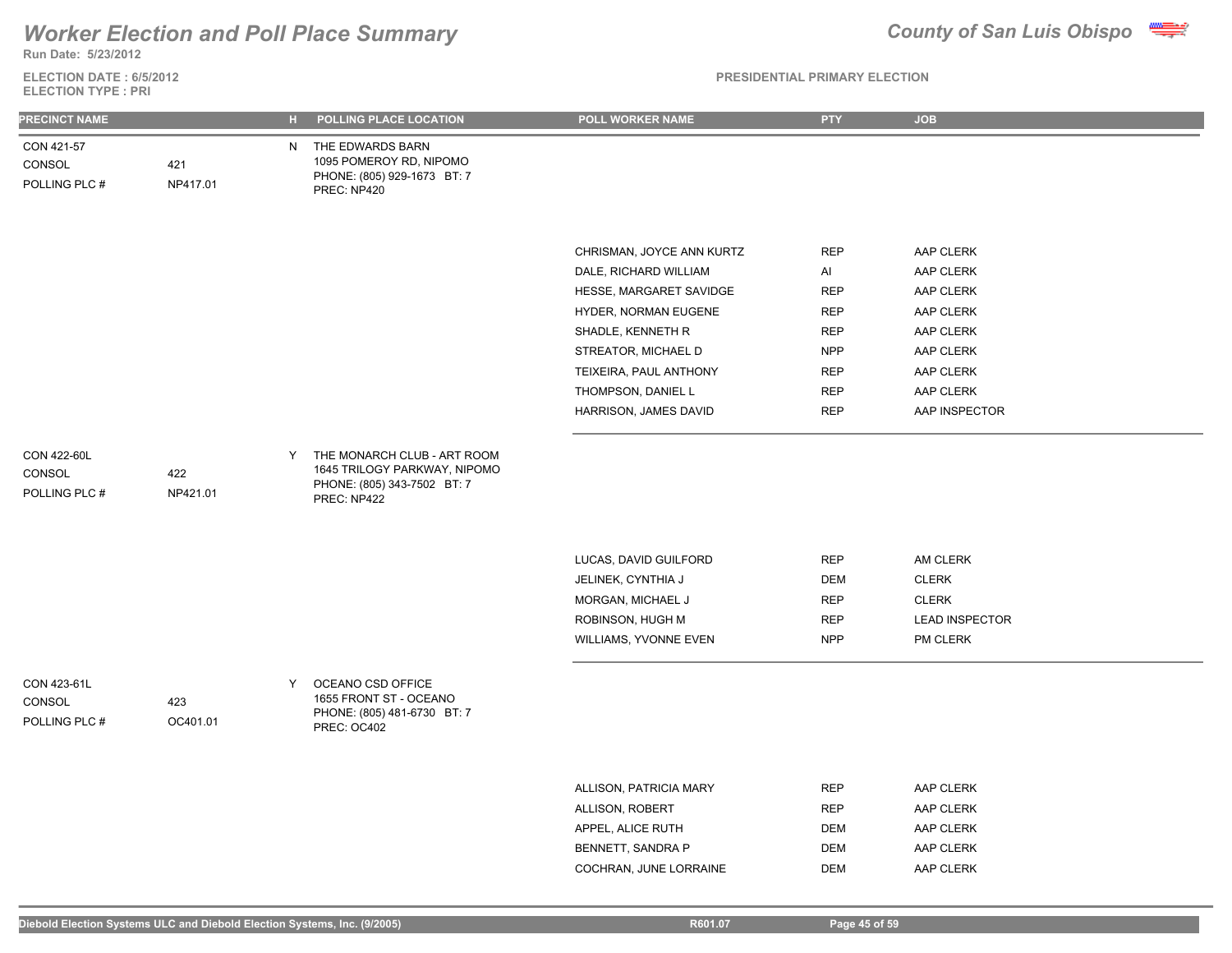**Run Date: 5/23/2012**

### **ELECTION DATE : 6/5/2012 ELECTION TYPE : PRI**

| <b>PRECINCT NAME</b>                   |                 | н. | POLLING PLACE LOCATION                                                                                    | POLL WORKER NAME          | <b>PTY</b> | <b>JOB</b>            |
|----------------------------------------|-----------------|----|-----------------------------------------------------------------------------------------------------------|---------------------------|------------|-----------------------|
| CON 421-57<br>CONSOL<br>POLLING PLC #  | 421<br>NP417.01 |    | N THE EDWARDS BARN<br>1095 POMEROY RD, NIPOMO<br>PHONE: (805) 929-1673 BT: 7<br>PREC: NP420               |                           |            |                       |
|                                        |                 |    |                                                                                                           |                           |            |                       |
|                                        |                 |    |                                                                                                           | CHRISMAN, JOYCE ANN KURTZ | <b>REP</b> | AAP CLERK             |
|                                        |                 |    |                                                                                                           | DALE, RICHARD WILLIAM     | Al         | AAP CLERK             |
|                                        |                 |    |                                                                                                           | HESSE, MARGARET SAVIDGE   | <b>REP</b> | AAP CLERK             |
|                                        |                 |    |                                                                                                           | HYDER, NORMAN EUGENE      | <b>REP</b> | AAP CLERK             |
|                                        |                 |    |                                                                                                           | SHADLE, KENNETH R         | <b>REP</b> | AAP CLERK             |
|                                        |                 |    |                                                                                                           | STREATOR, MICHAEL D       | <b>NPP</b> | AAP CLERK             |
|                                        |                 |    |                                                                                                           | TEIXEIRA, PAUL ANTHONY    | <b>REP</b> | AAP CLERK             |
|                                        |                 |    |                                                                                                           | THOMPSON, DANIEL L        | <b>REP</b> | AAP CLERK             |
|                                        |                 |    |                                                                                                           | HARRISON, JAMES DAVID     | <b>REP</b> | AAP INSPECTOR         |
| CON 422-60L<br>CONSOL<br>POLLING PLC # | 422<br>NP421.01 | Y  | THE MONARCH CLUB - ART ROOM<br>1645 TRILOGY PARKWAY, NIPOMO<br>PHONE: (805) 343-7502 BT: 7<br>PREC: NP422 |                           |            |                       |
|                                        |                 |    |                                                                                                           | LUCAS, DAVID GUILFORD     | <b>REP</b> | AM CLERK              |
|                                        |                 |    |                                                                                                           | JELINEK, CYNTHIA J        | <b>DEM</b> | <b>CLERK</b>          |
|                                        |                 |    |                                                                                                           | MORGAN, MICHAEL J         | <b>REP</b> | <b>CLERK</b>          |
|                                        |                 |    |                                                                                                           | ROBINSON, HUGH M          | <b>REP</b> | <b>LEAD INSPECTOR</b> |
|                                        |                 |    |                                                                                                           | WILLIAMS, YVONNE EVEN     | <b>NPP</b> | PM CLERK              |
| CON 423-61L<br>CONSOL<br>POLLING PLC # | 423<br>OC401.01 | Y  | OCEANO CSD OFFICE<br>1655 FRONT ST - OCEANO<br>PHONE: (805) 481-6730 BT: 7<br>PREC: OC402                 |                           |            |                       |
|                                        |                 |    |                                                                                                           |                           |            |                       |
|                                        |                 |    |                                                                                                           | ALLISON, PATRICIA MARY    | <b>REP</b> | AAP CLERK             |
|                                        |                 |    |                                                                                                           | ALLISON, ROBERT           | <b>REP</b> | AAP CLERK             |
|                                        |                 |    |                                                                                                           | APPEL, ALICE RUTH         | DEM        | AAP CLERK             |
|                                        |                 |    |                                                                                                           | BENNETT, SANDRA P         | <b>DEM</b> | AAP CLERK             |
|                                        |                 |    |                                                                                                           | COCHRAN, JUNE LORRAINE    | <b>DEM</b> | AAP CLERK             |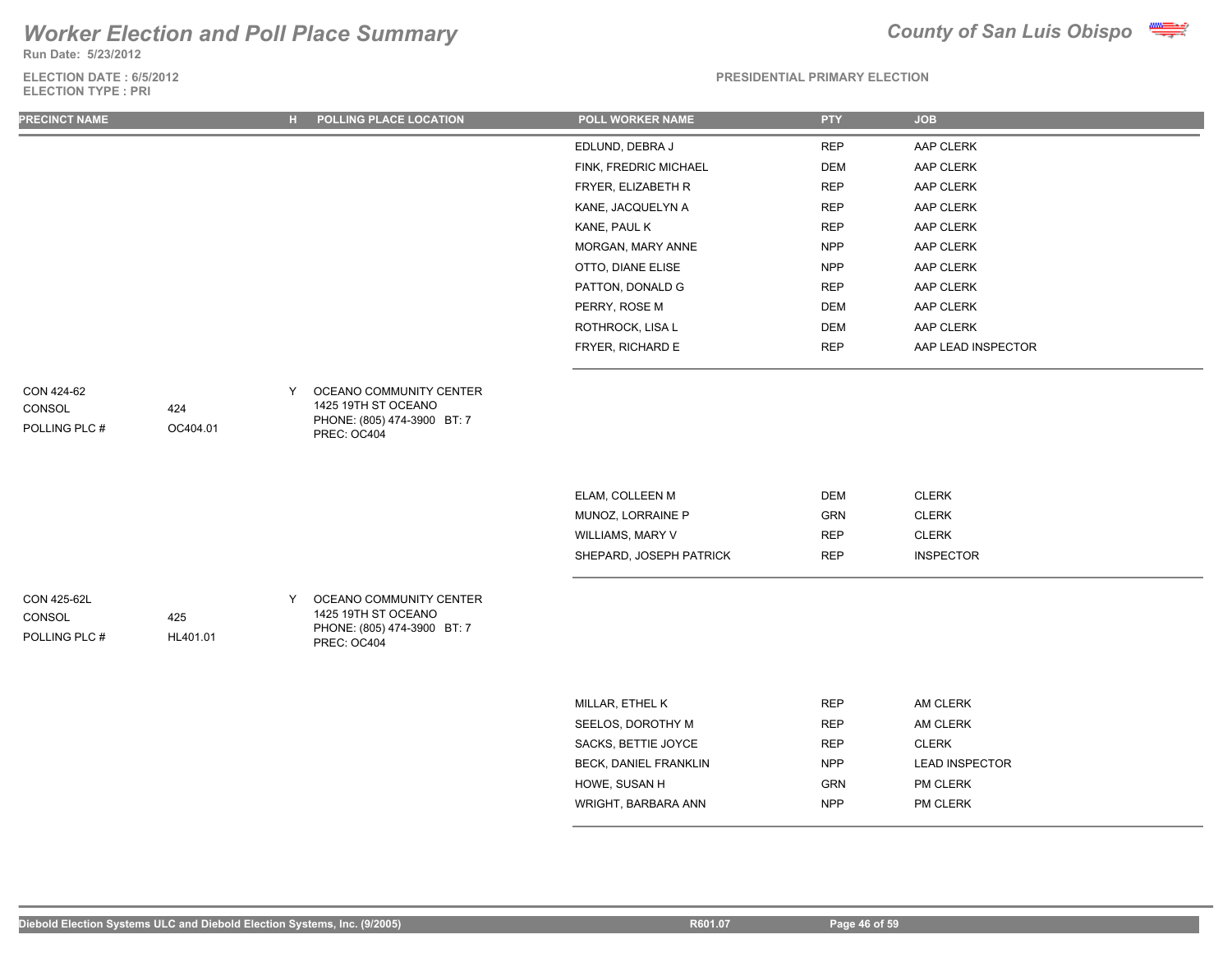**Run Date: 5/23/2012**

### **ELECTION DATE : 6/5/2012 ELECTION TYPE : PRI**



| <b>PRECINCT NAME</b>                   |                 |   | H POLLING PLACE LOCATION                                                                     | POLL WORKER NAME                                                                    | <b>PTY</b>                                           | <b>JOB</b>                                         |
|----------------------------------------|-----------------|---|----------------------------------------------------------------------------------------------|-------------------------------------------------------------------------------------|------------------------------------------------------|----------------------------------------------------|
|                                        |                 |   |                                                                                              | EDLUND, DEBRA J                                                                     | <b>REP</b>                                           | AAP CLERK                                          |
|                                        |                 |   |                                                                                              | FINK, FREDRIC MICHAEL                                                               | <b>DEM</b>                                           | AAP CLERK                                          |
|                                        |                 |   |                                                                                              | FRYER, ELIZABETH R                                                                  | <b>REP</b>                                           | AAP CLERK                                          |
|                                        |                 |   |                                                                                              | KANE, JACQUELYN A                                                                   | <b>REP</b>                                           | AAP CLERK                                          |
|                                        |                 |   |                                                                                              | KANE, PAUL K                                                                        | <b>REP</b>                                           | AAP CLERK                                          |
|                                        |                 |   |                                                                                              | MORGAN, MARY ANNE                                                                   | <b>NPP</b>                                           | AAP CLERK                                          |
|                                        |                 |   |                                                                                              | OTTO, DIANE ELISE                                                                   | <b>NPP</b>                                           | AAP CLERK                                          |
|                                        |                 |   |                                                                                              | PATTON, DONALD G                                                                    | <b>REP</b>                                           | AAP CLERK                                          |
|                                        |                 |   |                                                                                              | PERRY, ROSE M                                                                       | <b>DEM</b>                                           | AAP CLERK                                          |
|                                        |                 |   |                                                                                              | ROTHROCK, LISA L                                                                    | <b>DEM</b>                                           | AAP CLERK                                          |
|                                        |                 |   |                                                                                              | FRYER, RICHARD E                                                                    | <b>REP</b>                                           | AAP LEAD INSPECTOR                                 |
| CON 424-62<br>CONSOL<br>POLLING PLC #  | 424<br>OC404.01 | Y | OCEANO COMMUNITY CENTER<br>1425 19TH ST OCEANO<br>PHONE: (805) 474-3900 BT: 7<br>PREC: OC404 |                                                                                     |                                                      |                                                    |
|                                        |                 |   |                                                                                              | ELAM, COLLEEN M<br>MUNOZ, LORRAINE P<br>WILLIAMS, MARY V<br>SHEPARD, JOSEPH PATRICK | <b>DEM</b><br><b>GRN</b><br><b>REP</b><br><b>REP</b> | CLERK<br>CLERK<br><b>CLERK</b><br><b>INSPECTOR</b> |
| CON 425-62L<br>CONSOL<br>POLLING PLC # | 425<br>HL401.01 | Y | OCEANO COMMUNITY CENTER<br>1425 19TH ST OCEANO<br>PHONE: (805) 474-3900 BT: 7<br>PREC: OC404 |                                                                                     |                                                      |                                                    |
|                                        |                 |   |                                                                                              | MILLAR, ETHEL K                                                                     | <b>REP</b>                                           | AM CLERK                                           |
|                                        |                 |   |                                                                                              | SEELOS, DOROTHY M                                                                   | <b>REP</b>                                           | AM CLERK                                           |
|                                        |                 |   |                                                                                              | SACKS, BETTIE JOYCE                                                                 | REP                                                  | <b>CLERK</b>                                       |
|                                        |                 |   |                                                                                              | BECK, DANIEL FRANKLIN                                                               | <b>NPP</b>                                           | <b>LEAD INSPECTOR</b>                              |
|                                        |                 |   |                                                                                              | HOWE, SUSAN H                                                                       | <b>GRN</b>                                           | PM CLERK                                           |
|                                        |                 |   |                                                                                              | WRIGHT, BARBARA ANN                                                                 | <b>NPP</b>                                           | PM CLERK                                           |
|                                        |                 |   |                                                                                              |                                                                                     |                                                      |                                                    |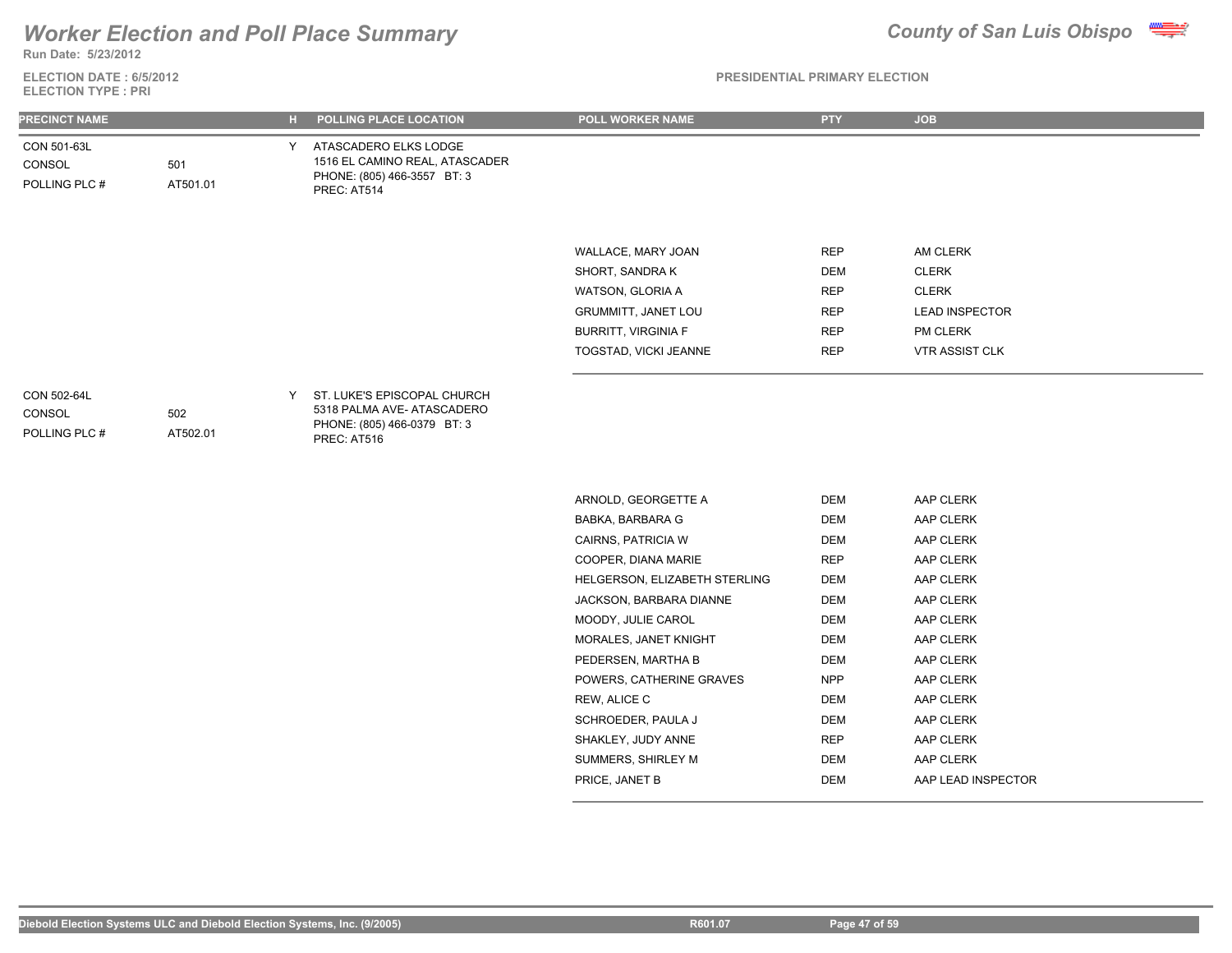

**Run Date: 5/23/2012**

**ELECTION DATE : 6/5/2012 ELECTION TYPE : PRI**

| <b>PRECINCT NAME</b>                   |                 | н. | POLLING PLACE LOCATION                                                                                 | POLL WORKER NAME              | <b>PTY</b> | <b>JOB</b>            |
|----------------------------------------|-----------------|----|--------------------------------------------------------------------------------------------------------|-------------------------------|------------|-----------------------|
| CON 501-63L<br>CONSOL<br>POLLING PLC # | 501<br>AT501.01 | Y. | ATASCADERO ELKS LODGE<br>1516 EL CAMINO REAL, ATASCADER<br>PHONE: (805) 466-3557 BT: 3<br>PREC: AT514  |                               |            |                       |
|                                        |                 |    |                                                                                                        |                               |            |                       |
|                                        |                 |    |                                                                                                        | WALLACE, MARY JOAN            | <b>REP</b> | AM CLERK              |
|                                        |                 |    |                                                                                                        | SHORT, SANDRA K               | <b>DEM</b> | <b>CLERK</b>          |
|                                        |                 |    |                                                                                                        | WATSON, GLORIA A              | <b>REP</b> | <b>CLERK</b>          |
|                                        |                 |    |                                                                                                        | GRUMMITT, JANET LOU           | <b>REP</b> | <b>LEAD INSPECTOR</b> |
|                                        |                 |    |                                                                                                        | <b>BURRITT, VIRGINIA F</b>    | <b>REP</b> | PM CLERK              |
|                                        |                 |    |                                                                                                        | TOGSTAD, VICKI JEANNE         | <b>REP</b> | VTR ASSIST CLK        |
| CON 502-64L<br>CONSOL<br>POLLING PLC # | 502<br>AT502.01 | Y  | ST. LUKE'S EPISCOPAL CHURCH<br>5318 PALMA AVE-ATASCADERO<br>PHONE: (805) 466-0379 BT: 3<br>PREC: AT516 |                               |            |                       |
|                                        |                 |    |                                                                                                        |                               |            |                       |
|                                        |                 |    |                                                                                                        | ARNOLD, GEORGETTE A           | <b>DEM</b> | AAP CLERK             |
|                                        |                 |    |                                                                                                        | BABKA, BARBARA G              | <b>DEM</b> | AAP CLERK             |
|                                        |                 |    |                                                                                                        | CAIRNS, PATRICIA W            | <b>DEM</b> | AAP CLERK             |
|                                        |                 |    |                                                                                                        | COOPER, DIANA MARIE           | <b>REP</b> | AAP CLERK             |
|                                        |                 |    |                                                                                                        | HELGERSON, ELIZABETH STERLING | <b>DEM</b> | AAP CLERK             |
|                                        |                 |    |                                                                                                        | JACKSON, BARBARA DIANNE       | <b>DEM</b> | AAP CLERK             |
|                                        |                 |    |                                                                                                        | MOODY, JULIE CAROL            | <b>DEM</b> | AAP CLERK             |
|                                        |                 |    |                                                                                                        | MORALES, JANET KNIGHT         | <b>DEM</b> | AAP CLERK             |
|                                        |                 |    |                                                                                                        | PEDERSEN, MARTHA B            | <b>DEM</b> | AAP CLERK             |
|                                        |                 |    |                                                                                                        | POWERS, CATHERINE GRAVES      | <b>NPP</b> | AAP CLERK             |
|                                        |                 |    |                                                                                                        | REW, ALICE C                  | <b>DEM</b> | AAP CLERK             |
|                                        |                 |    |                                                                                                        | SCHROEDER, PAULA J            | <b>DEM</b> | AAP CLERK             |
|                                        |                 |    |                                                                                                        | SHAKLEY, JUDY ANNE            | <b>REP</b> | AAP CLERK             |
|                                        |                 |    |                                                                                                        | SUMMERS, SHIRLEY M            | <b>DEM</b> | AAP CLERK             |
|                                        |                 |    |                                                                                                        | PRICE, JANET B                | <b>DEM</b> | AAP LEAD INSPECTOR    |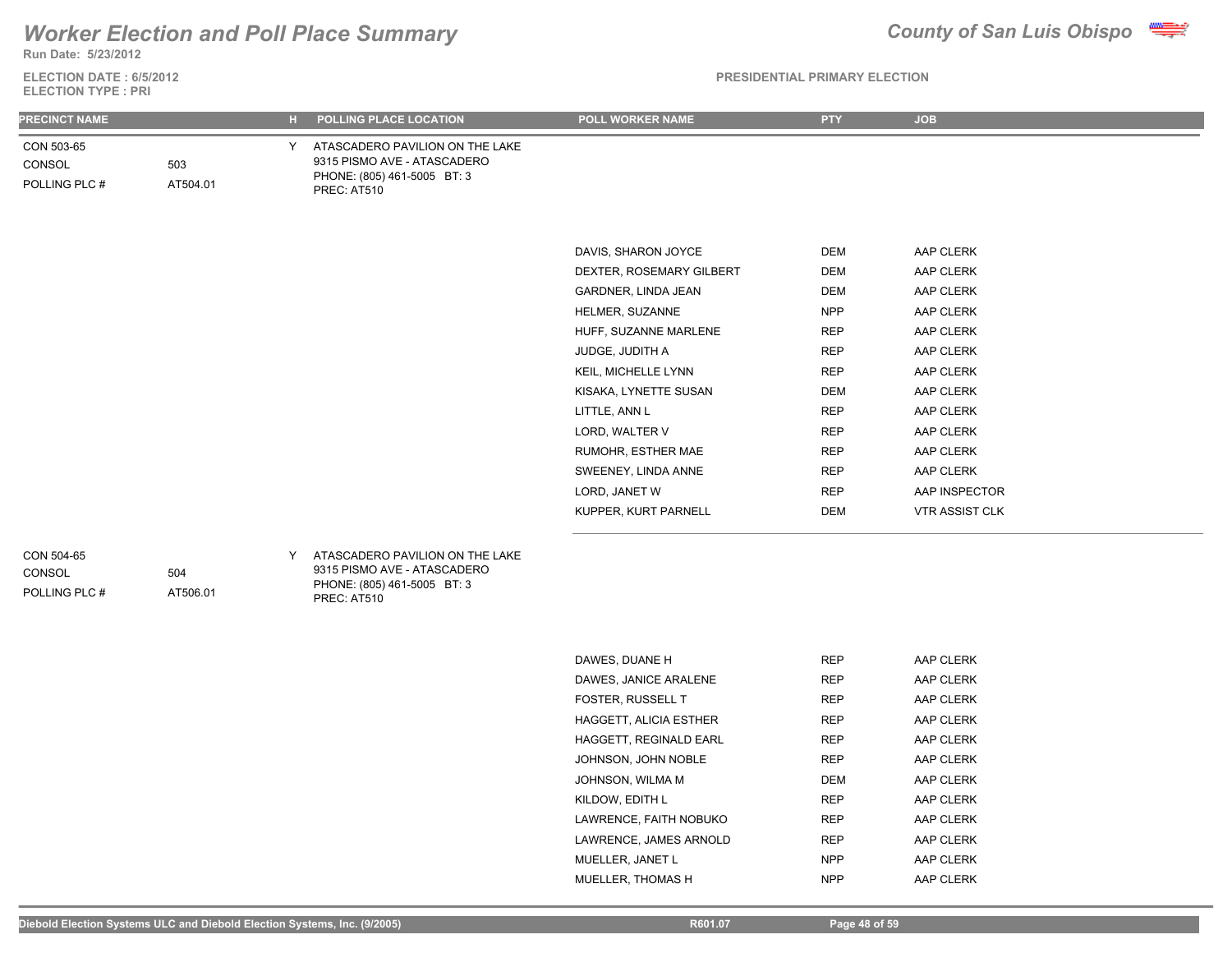## **Run Date: 5/23/2012** *Worker Election and Poll Place Summary County of San Luis Obispo*

**ELECTION DATE : 6/5/2012**



| <b>ELECTION TYPE : PRI</b>            |                 |    |                                                                                                              |                          |            |                       |  |  |
|---------------------------------------|-----------------|----|--------------------------------------------------------------------------------------------------------------|--------------------------|------------|-----------------------|--|--|
| <b>PRECINCT NAME</b>                  |                 | н. | POLLING PLACE LOCATION                                                                                       | POLL WORKER NAME         | <b>PTY</b> | <b>JOB</b>            |  |  |
| CON 503-65<br>CONSOL<br>POLLING PLC # | 503<br>AT504.01 | Y  | ATASCADERO PAVILION ON THE LAKE<br>9315 PISMO AVE - ATASCADERO<br>PHONE: (805) 461-5005 BT: 3<br>PREC: AT510 |                          |            |                       |  |  |
|                                       |                 |    |                                                                                                              |                          |            |                       |  |  |
|                                       |                 |    |                                                                                                              | DAVIS, SHARON JOYCE      | DEM        | AAP CLERK             |  |  |
|                                       |                 |    |                                                                                                              | DEXTER, ROSEMARY GILBERT | <b>DEM</b> | AAP CLERK             |  |  |
|                                       |                 |    |                                                                                                              | GARDNER, LINDA JEAN      | <b>DEM</b> | AAP CLERK             |  |  |
|                                       |                 |    |                                                                                                              | HELMER, SUZANNE          | <b>NPP</b> | AAP CLERK             |  |  |
|                                       |                 |    |                                                                                                              | HUFF, SUZANNE MARLENE    | <b>REP</b> | AAP CLERK             |  |  |
|                                       |                 |    |                                                                                                              | JUDGE, JUDITH A          | <b>REP</b> | AAP CLERK             |  |  |
|                                       |                 |    |                                                                                                              | KEIL, MICHELLE LYNN      | <b>REP</b> | AAP CLERK             |  |  |
|                                       |                 |    |                                                                                                              | KISAKA, LYNETTE SUSAN    | <b>DEM</b> | AAP CLERK             |  |  |
|                                       |                 |    |                                                                                                              | LITTLE, ANN L            | <b>REP</b> | AAP CLERK             |  |  |
|                                       |                 |    |                                                                                                              | LORD, WALTER V           | <b>REP</b> | AAP CLERK             |  |  |
|                                       |                 |    |                                                                                                              | RUMOHR, ESTHER MAE       | <b>REP</b> | AAP CLERK             |  |  |
|                                       |                 |    |                                                                                                              | SWEENEY, LINDA ANNE      | <b>REP</b> | AAP CLERK             |  |  |
|                                       |                 |    |                                                                                                              | LORD, JANET W            | <b>REP</b> | AAP INSPECTOR         |  |  |
|                                       |                 |    |                                                                                                              | KUPPER, KURT PARNELL     | <b>DEM</b> | <b>VTR ASSIST CLK</b> |  |  |
| CON 504-65<br>CONSOL<br>POLLING PLC # | 504<br>AT506.01 | Y  | ATASCADERO PAVILION ON THE LAKE<br>9315 PISMO AVE - ATASCADERO<br>PHONE: (805) 461-5005 BT: 3<br>PREC: AT510 |                          |            |                       |  |  |
|                                       |                 |    |                                                                                                              | DAWES, DUANE H           | <b>REP</b> | AAP CLERK             |  |  |
|                                       |                 |    |                                                                                                              | DAWES, JANICE ARALENE    | <b>REP</b> | AAP CLERK             |  |  |
|                                       |                 |    |                                                                                                              | FOSTER, RUSSELL T        | <b>REP</b> | AAP CLERK             |  |  |
|                                       |                 |    |                                                                                                              | HAGGETT, ALICIA ESTHER   | <b>REP</b> | AAP CLERK             |  |  |
|                                       |                 |    |                                                                                                              | HAGGETT, REGINALD EARL   | <b>REP</b> | AAP CLERK             |  |  |
|                                       |                 |    |                                                                                                              | JOHNSON, JOHN NOBLE      | <b>REP</b> | AAP CLERK             |  |  |
|                                       |                 |    |                                                                                                              | JOHNSON, WILMA M         | <b>DEM</b> | AAP CLERK             |  |  |
|                                       |                 |    |                                                                                                              | KILDOW, EDITH L          | <b>REP</b> | AAP CLERK             |  |  |
|                                       |                 |    |                                                                                                              | LAWRENCE, FAITH NOBUKO   | <b>REP</b> | AAP CLERK             |  |  |
|                                       |                 |    |                                                                                                              | LAWRENCE, JAMES ARNOLD   | <b>REP</b> | AAP CLERK             |  |  |
|                                       |                 |    |                                                                                                              | MUELLER, JANET L         | <b>NPP</b> | AAP CLERK             |  |  |
|                                       |                 |    |                                                                                                              | MUELLER. THOMAS H        | <b>NPP</b> | AAP CLERK             |  |  |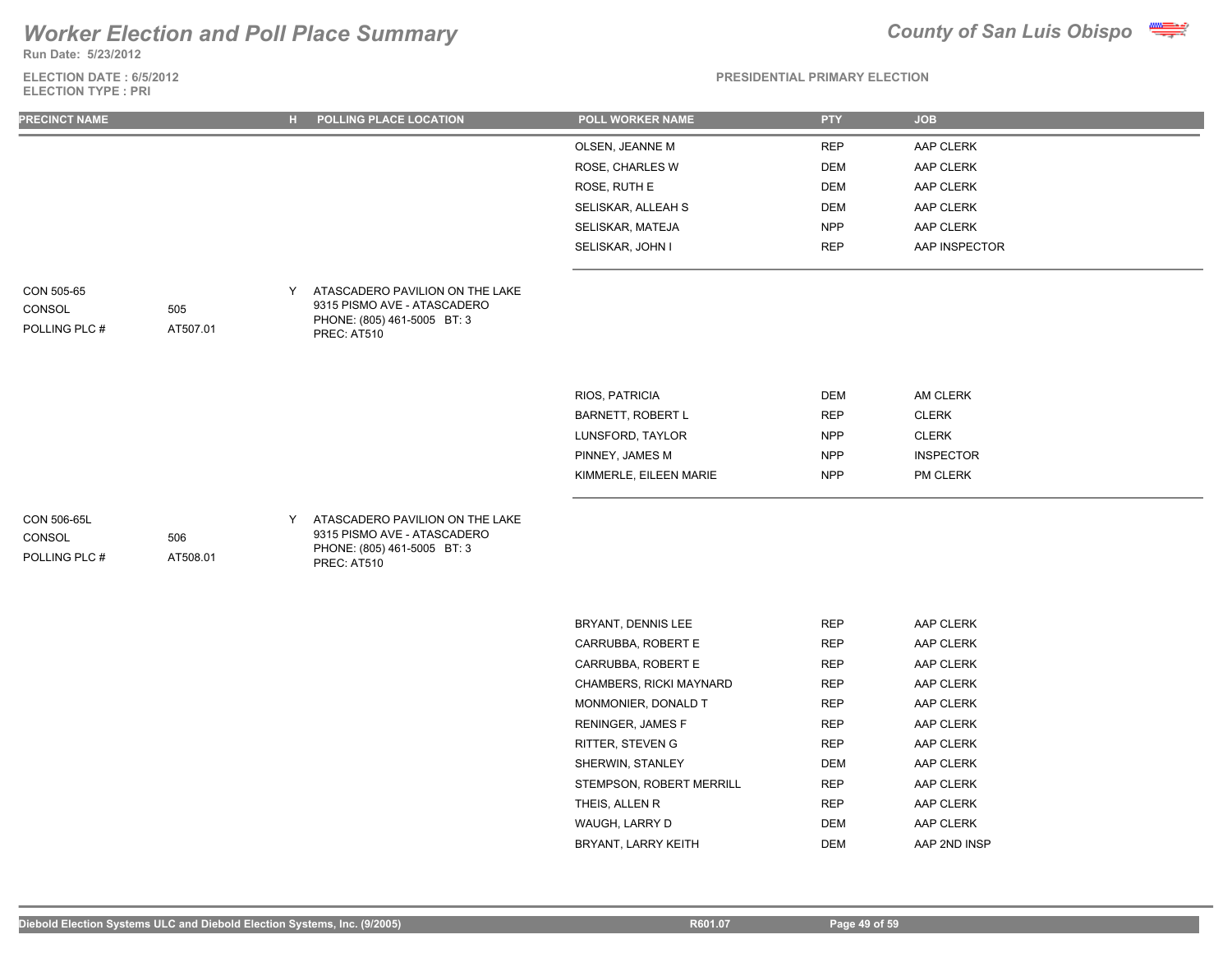**Run Date: 5/23/2012**

### **ELECTION DATE : 6/5/2012 ELECTION TYPE : PRI**



### **PRESIDENTIAL PRIMARY ELECTION**

| <b>PRECINCT NAME</b>                   |                 | н. | POLLING PLACE LOCATION                                                                                       | POLL WORKER NAME       | <b>PTY</b> | <b>JOB</b>       |  |
|----------------------------------------|-----------------|----|--------------------------------------------------------------------------------------------------------------|------------------------|------------|------------------|--|
|                                        |                 |    |                                                                                                              | OLSEN, JEANNE M        | <b>REP</b> | AAP CLERK        |  |
|                                        |                 |    |                                                                                                              | ROSE, CHARLES W        | <b>DEM</b> | AAP CLERK        |  |
|                                        |                 |    |                                                                                                              | ROSE, RUTH E           | <b>DEM</b> | AAP CLERK        |  |
|                                        |                 |    |                                                                                                              | SELISKAR, ALLEAH S     | DEM        | AAP CLERK        |  |
|                                        |                 |    |                                                                                                              | SELISKAR, MATEJA       | <b>NPP</b> | AAP CLERK        |  |
|                                        |                 |    |                                                                                                              | SELISKAR, JOHN I       | <b>REP</b> | AAP INSPECTOR    |  |
| CON 505-65<br>CONSOL<br>POLLING PLC#   | 505<br>AT507.01 | Y  | ATASCADERO PAVILION ON THE LAKE<br>9315 PISMO AVE - ATASCADERO<br>PHONE: (805) 461-5005 BT: 3<br>PREC: AT510 |                        |            |                  |  |
|                                        |                 |    |                                                                                                              | RIOS, PATRICIA         | <b>DEM</b> | <b>AM CLERK</b>  |  |
|                                        |                 |    |                                                                                                              | BARNETT, ROBERT L      | <b>REP</b> | <b>CLERK</b>     |  |
|                                        |                 |    |                                                                                                              | LUNSFORD, TAYLOR       | <b>NPP</b> | <b>CLERK</b>     |  |
|                                        |                 |    |                                                                                                              | PINNEY, JAMES M        | <b>NPP</b> | <b>INSPECTOR</b> |  |
|                                        |                 |    |                                                                                                              | KIMMERLE, EILEEN MARIE | <b>NPP</b> | PM CLERK         |  |
| CON 506-65L<br>CONSOL<br>POLLING PLC # | 506<br>AT508.01 | Y  | ATASCADERO PAVILION ON THE LAKE<br>9315 PISMO AVE - ATASCADERO<br>PHONE: (805) 461-5005 BT: 3<br>DDCC. ATE4C |                        |            |                  |  |

PREC: AT510

| <b>BRYANT, DENNIS LEE</b>      | <b>REP</b> | AAP CLERK        |
|--------------------------------|------------|------------------|
| CARRUBBA, ROBERT E             | <b>REP</b> | AAP CLERK        |
| CARRUBBA, ROBERT E             | <b>REP</b> | <b>AAP CLERK</b> |
| <b>CHAMBERS, RICKI MAYNARD</b> | <b>REP</b> | AAP CLERK        |
| MONMONIER, DONALD T            | <b>REP</b> | AAP CLERK        |
| <b>RENINGER, JAMES F</b>       | <b>REP</b> | AAP CLERK        |
| <b>RITTER, STEVEN G</b>        | <b>REP</b> | <b>AAP CLERK</b> |
| SHERWIN, STANLEY               | DEM        | AAP CLERK        |
| STEMPSON, ROBERT MERRILL       | <b>REP</b> | <b>AAP CLERK</b> |
| THEIS, ALLEN R                 | <b>REP</b> | <b>AAP CLERK</b> |
| WAUGH, LARRY D                 | <b>DEM</b> | AAP CLERK        |
| BRYANT, LARRY KEITH            | DEM        | AAP 2ND INSP     |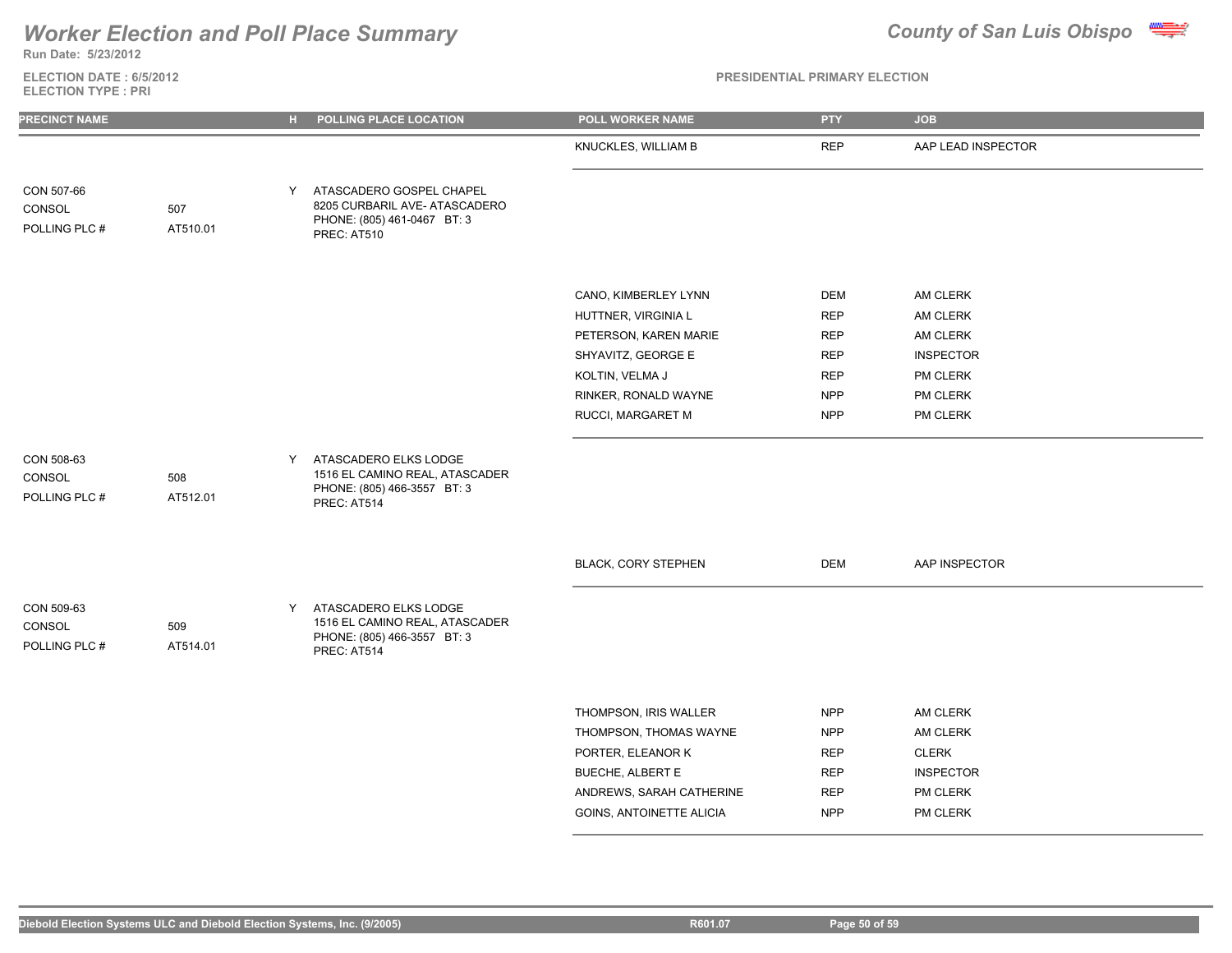

**Run Date: 5/23/2012**

### **ELECTION DATE : 6/5/2012 ELECTION TYPE : PRI**

| <b>PRECINCT NAME</b>                  |                 | $H$ . | POLLING PLACE LOCATION                                                                                  | <b>POLL WORKER NAME</b>                                                                                              | <b>PTY</b>                                                         | <b>JOB</b>                                                           |
|---------------------------------------|-----------------|-------|---------------------------------------------------------------------------------------------------------|----------------------------------------------------------------------------------------------------------------------|--------------------------------------------------------------------|----------------------------------------------------------------------|
|                                       |                 |       |                                                                                                         | KNUCKLES, WILLIAM B                                                                                                  | <b>REP</b>                                                         | AAP LEAD INSPECTOR                                                   |
| CON 507-66<br>CONSOL<br>POLLING PLC # | 507<br>AT510.01 | Y.    | ATASCADERO GOSPEL CHAPEL<br>8205 CURBARIL AVE- ATASCADERO<br>PHONE: (805) 461-0467 BT: 3<br>PREC: AT510 |                                                                                                                      |                                                                    |                                                                      |
|                                       |                 |       |                                                                                                         | CANO, KIMBERLEY LYNN<br>HUTTNER, VIRGINIA L<br>PETERSON, KAREN MARIE<br>SHYAVITZ, GEORGE E                           | <b>DEM</b><br><b>REP</b><br><b>REP</b><br><b>REP</b>               | AM CLERK<br>AM CLERK<br>AM CLERK<br><b>INSPECTOR</b>                 |
|                                       |                 |       |                                                                                                         | KOLTIN, VELMA J<br>RINKER, RONALD WAYNE<br>RUCCI, MARGARET M                                                         | <b>REP</b><br><b>NPP</b><br><b>NPP</b>                             | PM CLERK<br>PM CLERK<br>PM CLERK                                     |
| CON 508-63<br>CONSOL<br>POLLING PLC # | 508<br>AT512.01 | Y     | ATASCADERO ELKS LODGE<br>1516 EL CAMINO REAL, ATASCADER<br>PHONE: (805) 466-3557 BT: 3<br>PREC: AT514   |                                                                                                                      |                                                                    |                                                                      |
|                                       |                 |       |                                                                                                         | <b>BLACK, CORY STEPHEN</b>                                                                                           | DEM                                                                | AAP INSPECTOR                                                        |
| CON 509-63<br>CONSOL<br>POLLING PLC # | 509<br>AT514.01 | Y     | ATASCADERO ELKS LODGE<br>1516 EL CAMINO REAL, ATASCADER<br>PHONE: (805) 466-3557 BT: 3<br>PREC: AT514   |                                                                                                                      |                                                                    |                                                                      |
|                                       |                 |       |                                                                                                         | THOMPSON, IRIS WALLER<br>THOMPSON, THOMAS WAYNE<br>PORTER, ELEANOR K<br>BUECHE, ALBERT E<br>ANDREWS, SARAH CATHERINE | <b>NPP</b><br><b>NPP</b><br><b>REP</b><br><b>REP</b><br><b>REP</b> | AM CLERK<br>AM CLERK<br><b>CLERK</b><br><b>INSPECTOR</b><br>PM CLERK |
|                                       |                 |       |                                                                                                         | GOINS, ANTOINETTE ALICIA                                                                                             | <b>NPP</b>                                                         | PM CLERK                                                             |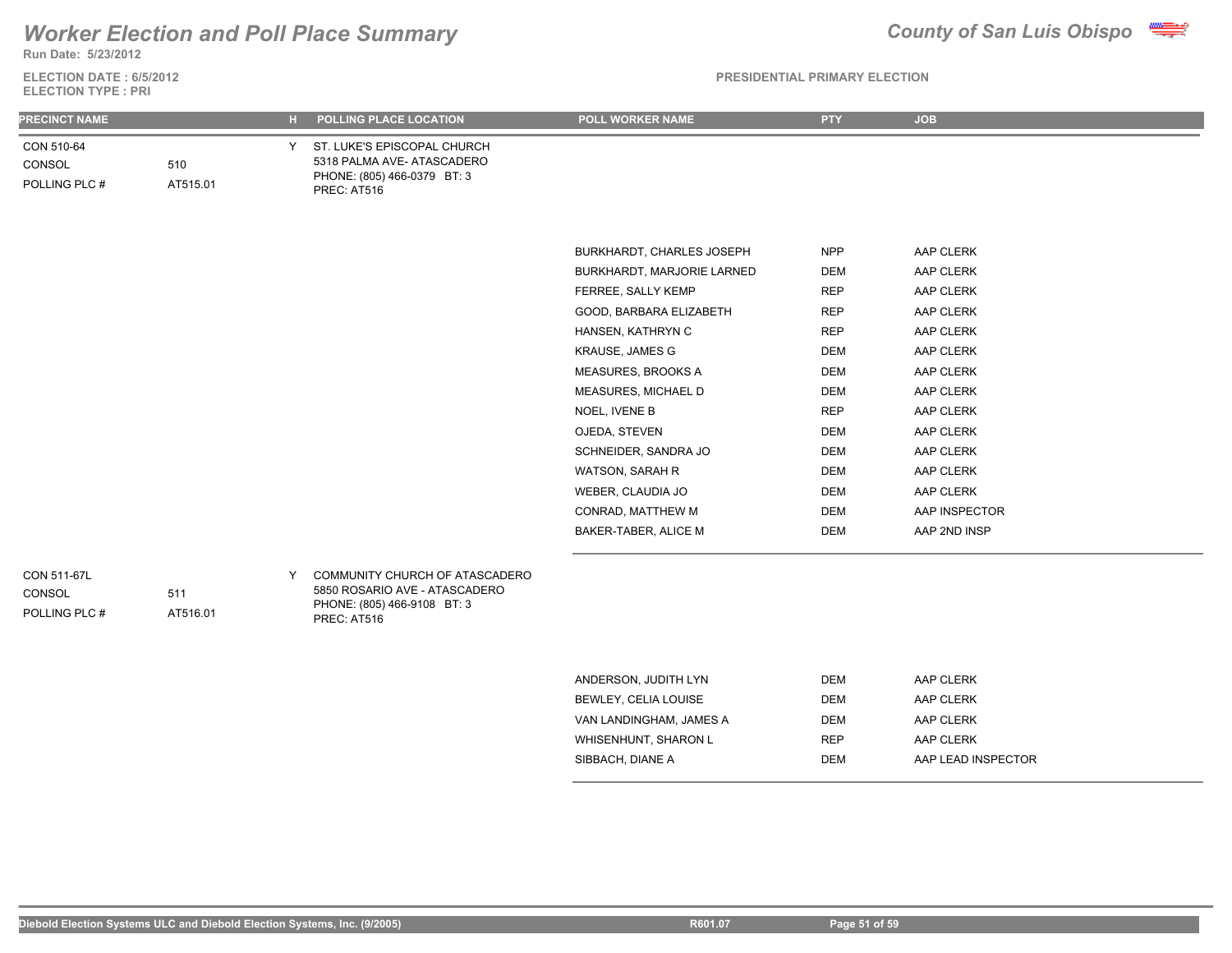**Run Date: 5/23/2012**

**ELECTION DATE : 6/5/2012 ELECTION TYPE : PRI**

### **PRESIDENTIAL PRIMARY ELECTION**

| <b>PRECINCT NAME</b>                   |                 | н. | POLLING PLACE LOCATION                                                                                        | POLL WORKER NAME           | <b>PTY</b> | <b>JOB</b>    |
|----------------------------------------|-----------------|----|---------------------------------------------------------------------------------------------------------------|----------------------------|------------|---------------|
| CON 510-64<br>CONSOL<br>POLLING PLC #  | 510<br>AT515.01 | Y  | ST. LUKE'S EPISCOPAL CHURCH<br>5318 PALMA AVE- ATASCADERO<br>PHONE: (805) 466-0379 BT: 3<br>PREC: AT516       |                            |            |               |
|                                        |                 |    |                                                                                                               |                            |            |               |
|                                        |                 |    |                                                                                                               | BURKHARDT, CHARLES JOSEPH  | <b>NPP</b> | AAP CLERK     |
|                                        |                 |    |                                                                                                               | BURKHARDT, MARJORIE LARNED | <b>DEM</b> | AAP CLERK     |
|                                        |                 |    |                                                                                                               | FERREE, SALLY KEMP         | <b>REP</b> | AAP CLERK     |
|                                        |                 |    |                                                                                                               | GOOD, BARBARA ELIZABETH    | <b>REP</b> | AAP CLERK     |
|                                        |                 |    |                                                                                                               | HANSEN, KATHRYN C          | <b>REP</b> | AAP CLERK     |
|                                        |                 |    |                                                                                                               | KRAUSE, JAMES G            | <b>DEM</b> | AAP CLERK     |
|                                        |                 |    |                                                                                                               | MEASURES, BROOKS A         | <b>DEM</b> | AAP CLERK     |
|                                        |                 |    |                                                                                                               | MEASURES, MICHAEL D        | <b>DEM</b> | AAP CLERK     |
|                                        |                 |    |                                                                                                               | NOEL, IVENE B              | <b>REP</b> | AAP CLERK     |
|                                        |                 |    |                                                                                                               | OJEDA, STEVEN              | <b>DEM</b> | AAP CLERK     |
|                                        |                 |    |                                                                                                               | SCHNEIDER, SANDRA JO       | <b>DEM</b> | AAP CLERK     |
|                                        |                 |    |                                                                                                               | WATSON, SARAH R            | <b>DEM</b> | AAP CLERK     |
|                                        |                 |    |                                                                                                               | WEBER, CLAUDIA JO          | <b>DEM</b> | AAP CLERK     |
|                                        |                 |    |                                                                                                               | CONRAD, MATTHEW M          | <b>DEM</b> | AAP INSPECTOR |
|                                        |                 |    |                                                                                                               | BAKER-TABER, ALICE M       | <b>DEM</b> | AAP 2ND INSP  |
| CON 511-67L<br>CONSOL<br>POLLING PLC # | 511<br>AT516.01 | Y  | COMMUNITY CHURCH OF ATASCADERO<br>5850 ROSARIO AVE - ATASCADERO<br>PHONE: (805) 466-9108 BT: 3<br>PREC: AT516 |                            |            |               |
|                                        |                 |    |                                                                                                               |                            |            |               |
|                                        |                 |    |                                                                                                               | ANDERSON, JUDITH LYN       | <b>DEM</b> | AAP CLERK     |
|                                        |                 |    |                                                                                                               | BEWLEY, CELIA LOUISE       | <b>DEM</b> | AAP CLERK     |
|                                        |                 |    |                                                                                                               | VAN LANDINGHAM, JAMES A    | <b>DEM</b> | AAP CLERK     |
|                                        |                 |    |                                                                                                               | WHISENHUNT, SHARON L       | <b>REP</b> | AAP CLERK     |

SIBBACH, DIANE A DEM DEM AAP LEAD INSPECTOR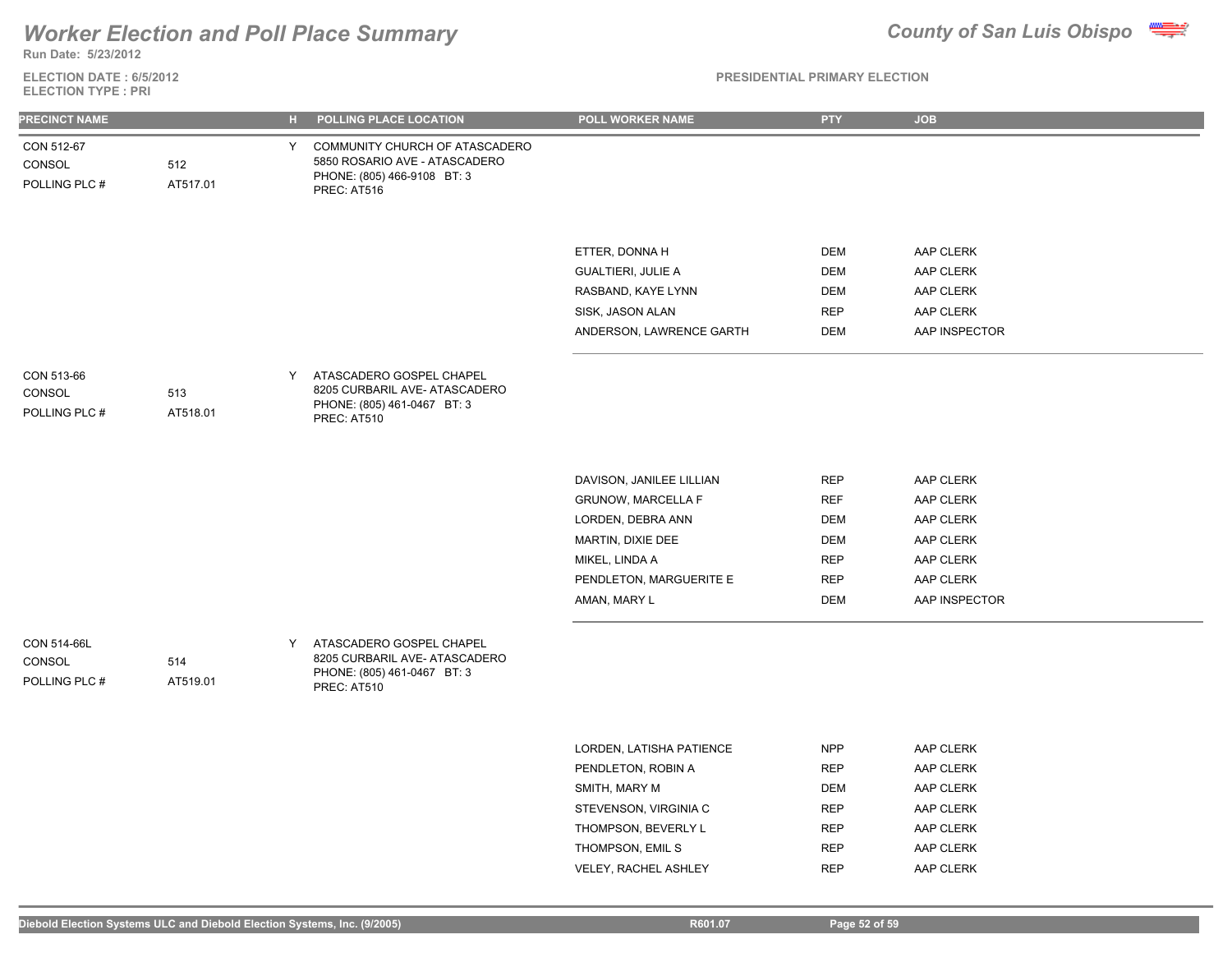## *Worker Election and Poll Place Summary* **County of San Luis Obispo County of San Luis Obispo**



**Run Date: 5/23/2012**

**ELECTION DATE : 6/5/2012 ELECTION TYPE : PRI**

### **PRESIDENTIAL PRIMARY ELECTION**

| <b>PRECINCT NAME</b>                   |                 | H | POLLING PLACE LOCATION                                                                                        | POLL WORKER NAME                        | <b>PTY</b>               | <b>JOB</b>                 |
|----------------------------------------|-----------------|---|---------------------------------------------------------------------------------------------------------------|-----------------------------------------|--------------------------|----------------------------|
| CON 512-67<br>CONSOL<br>POLLING PLC #  | 512<br>AT517.01 | Y | COMMUNITY CHURCH OF ATASCADERO<br>5850 ROSARIO AVE - ATASCADERO<br>PHONE: (805) 466-9108 BT: 3<br>PREC: AT516 |                                         |                          |                            |
|                                        |                 |   |                                                                                                               | ETTER, DONNA H                          | <b>DEM</b>               | AAP CLERK                  |
|                                        |                 |   |                                                                                                               | <b>GUALTIERI, JULIE A</b>               | <b>DEM</b>               | AAP CLERK                  |
|                                        |                 |   |                                                                                                               | RASBAND, KAYE LYNN                      | DEM                      | AAP CLERK                  |
|                                        |                 |   |                                                                                                               | SISK, JASON ALAN                        | <b>REP</b>               | AAP CLERK                  |
|                                        |                 |   |                                                                                                               | ANDERSON, LAWRENCE GARTH                | DEM                      | AAP INSPECTOR              |
| CON 513-66<br>CONSOL<br>POLLING PLC #  | 513<br>AT518.01 | Y | ATASCADERO GOSPEL CHAPEL<br>8205 CURBARIL AVE- ATASCADERO<br>PHONE: (805) 461-0467 BT: 3<br>PREC: AT510       |                                         |                          |                            |
|                                        |                 |   |                                                                                                               |                                         |                          |                            |
|                                        |                 |   |                                                                                                               | DAVISON, JANILEE LILLIAN                | <b>REP</b>               | AAP CLERK                  |
|                                        |                 |   |                                                                                                               | <b>GRUNOW, MARCELLA F</b>               | <b>REF</b>               | AAP CLERK                  |
|                                        |                 |   |                                                                                                               | LORDEN, DEBRA ANN                       | DEM                      | AAP CLERK                  |
|                                        |                 |   |                                                                                                               | MARTIN, DIXIE DEE                       | DEM                      | AAP CLERK                  |
|                                        |                 |   |                                                                                                               | MIKEL, LINDA A                          | <b>REP</b>               | AAP CLERK                  |
|                                        |                 |   |                                                                                                               | PENDLETON, MARGUERITE E<br>AMAN, MARY L | <b>REP</b><br><b>DEM</b> | AAP CLERK<br>AAP INSPECTOR |
|                                        |                 |   |                                                                                                               |                                         |                          |                            |
| CON 514-66L<br>CONSOL<br>POLLING PLC # | 514<br>AT519.01 | Y | ATASCADERO GOSPEL CHAPEL<br>8205 CURBARIL AVE- ATASCADERO<br>PHONE: (805) 461-0467 BT: 3<br>PREC: AT510       |                                         |                          |                            |
|                                        |                 |   |                                                                                                               |                                         |                          |                            |
|                                        |                 |   |                                                                                                               | LORDEN, LATISHA PATIENCE                | <b>NPP</b>               | AAP CLERK                  |
|                                        |                 |   |                                                                                                               | PENDLETON, ROBIN A                      | <b>REP</b>               | AAP CLERK                  |
|                                        |                 |   |                                                                                                               | SMITH, MARY M                           | <b>DEM</b>               | AAP CLERK                  |
|                                        |                 |   |                                                                                                               | STEVENSON, VIRGINIA C                   | <b>REP</b>               | AAP CLERK                  |
|                                        |                 |   |                                                                                                               | THOMPSON, BEVERLY L                     | <b>REP</b>               | AAP CLERK                  |

THOMPSON, EMIL S
BEP
AAP CLERK
THOMPSON, EMIL S VELEY, RACHEL ASHLEY **REP** AAP CLERK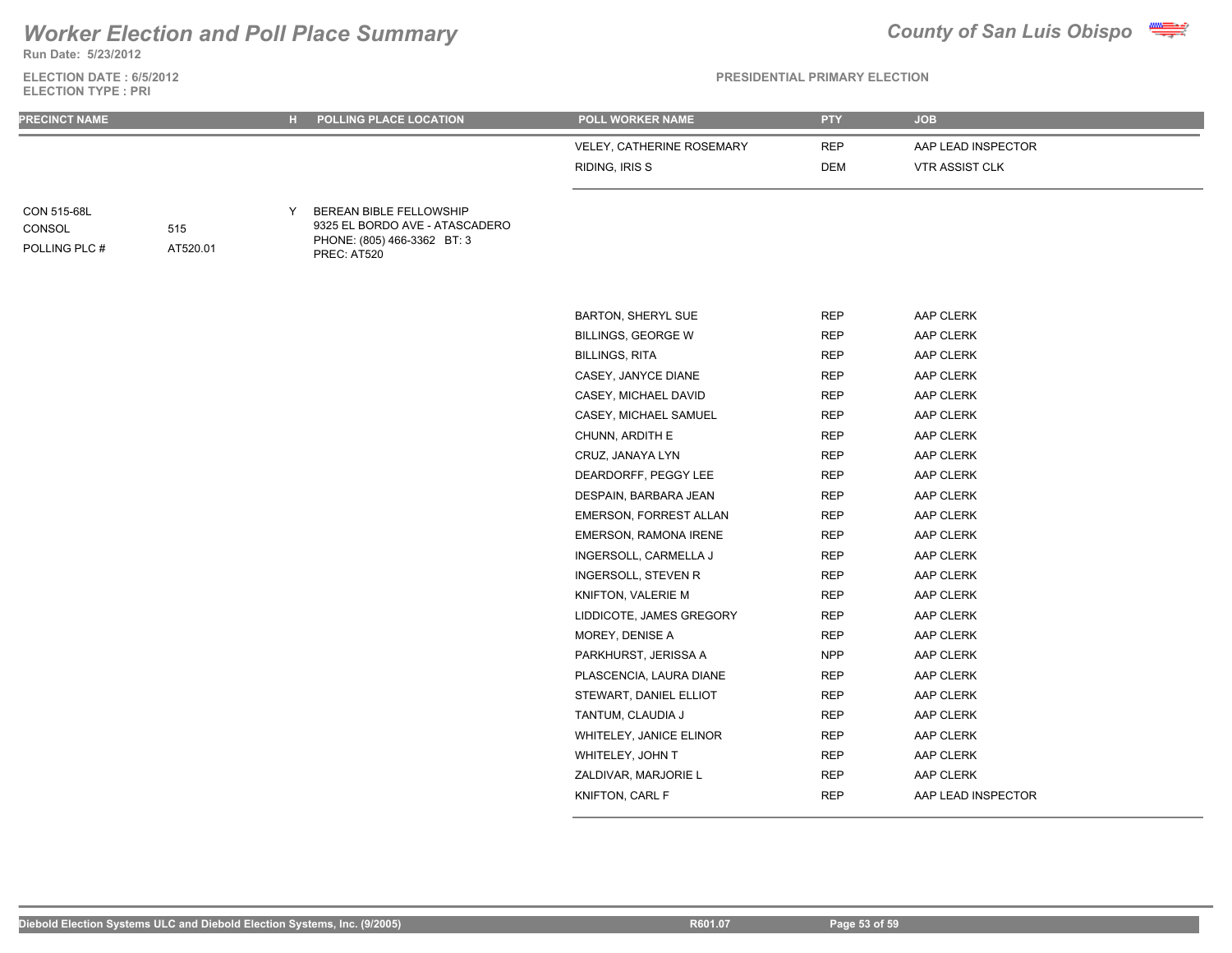**Run Date: 5/23/2012**

**ELECTION DATE : 6/5/2012 ELECTION TYPE : PRI**

| <b>PRECINCT NAME</b>                   |                 | н. | POLLING PLACE LOCATION                                                                                  | POLL WORKER NAME              | <b>PTY</b> | <b>JOB</b>            |
|----------------------------------------|-----------------|----|---------------------------------------------------------------------------------------------------------|-------------------------------|------------|-----------------------|
|                                        |                 |    |                                                                                                         | VELEY, CATHERINE ROSEMARY     | <b>REP</b> | AAP LEAD INSPECTOR    |
|                                        |                 |    |                                                                                                         | RIDING, IRIS S                | <b>DEM</b> | <b>VTR ASSIST CLK</b> |
| CON 515-68L<br>CONSOL<br>POLLING PLC # | 515<br>AT520.01 | Y  | BEREAN BIBLE FELLOWSHIP<br>9325 EL BORDO AVE - ATASCADERO<br>PHONE: (805) 466-3362 BT: 3<br>PREC: AT520 |                               |            |                       |
|                                        |                 |    |                                                                                                         | <b>BARTON, SHERYL SUE</b>     | <b>REP</b> | AAP CLERK             |
|                                        |                 |    |                                                                                                         | <b>BILLINGS, GEORGE W</b>     | <b>REP</b> | AAP CLERK             |
|                                        |                 |    |                                                                                                         | <b>BILLINGS, RITA</b>         | <b>REP</b> | AAP CLERK             |
|                                        |                 |    |                                                                                                         | CASEY, JANYCE DIANE           | <b>REP</b> | AAP CLERK             |
|                                        |                 |    |                                                                                                         | CASEY, MICHAEL DAVID          | <b>REP</b> | AAP CLERK             |
|                                        |                 |    |                                                                                                         | CASEY, MICHAEL SAMUEL         | <b>REP</b> | AAP CLERK             |
|                                        |                 |    |                                                                                                         | CHUNN, ARDITH E               | <b>REP</b> | AAP CLERK             |
|                                        |                 |    |                                                                                                         | CRUZ, JANAYA LYN              | <b>REP</b> | AAP CLERK             |
|                                        |                 |    |                                                                                                         | DEARDORFF, PEGGY LEE          | <b>REP</b> | AAP CLERK             |
|                                        |                 |    |                                                                                                         | DESPAIN, BARBARA JEAN         | <b>REP</b> | AAP CLERK             |
|                                        |                 |    |                                                                                                         | <b>EMERSON, FORREST ALLAN</b> | <b>REP</b> | AAP CLERK             |
|                                        |                 |    |                                                                                                         | EMERSON, RAMONA IRENE         | <b>REP</b> | AAP CLERK             |
|                                        |                 |    |                                                                                                         | INGERSOLL, CARMELLA J         | <b>REP</b> | AAP CLERK             |
|                                        |                 |    |                                                                                                         | <b>INGERSOLL, STEVEN R</b>    | <b>REP</b> | AAP CLERK             |
|                                        |                 |    |                                                                                                         | KNIFTON, VALERIE M            | <b>REP</b> | AAP CLERK             |
|                                        |                 |    |                                                                                                         | LIDDICOTE, JAMES GREGORY      | <b>REP</b> | AAP CLERK             |
|                                        |                 |    |                                                                                                         | MOREY, DENISE A               | <b>REP</b> | AAP CLERK             |
|                                        |                 |    |                                                                                                         | PARKHURST, JERISSA A          | <b>NPP</b> | AAP CLERK             |
|                                        |                 |    |                                                                                                         | PLASCENCIA, LAURA DIANE       | <b>REP</b> | AAP CLERK             |
|                                        |                 |    |                                                                                                         | STEWART, DANIEL ELLIOT        | <b>REP</b> | AAP CLERK             |
|                                        |                 |    |                                                                                                         | TANTUM, CLAUDIA J             | <b>REP</b> | AAP CLERK             |
|                                        |                 |    |                                                                                                         | WHITELEY, JANICE ELINOR       | <b>REP</b> | AAP CLERK             |
|                                        |                 |    |                                                                                                         | WHITELEY, JOHN T              | <b>REP</b> | AAP CLERK             |
|                                        |                 |    |                                                                                                         | ZALDIVAR, MARJORIE L          | <b>REP</b> | AAP CLERK             |
|                                        |                 |    |                                                                                                         | KNIFTON, CARL F               | <b>REP</b> | AAP LEAD INSPECTOR    |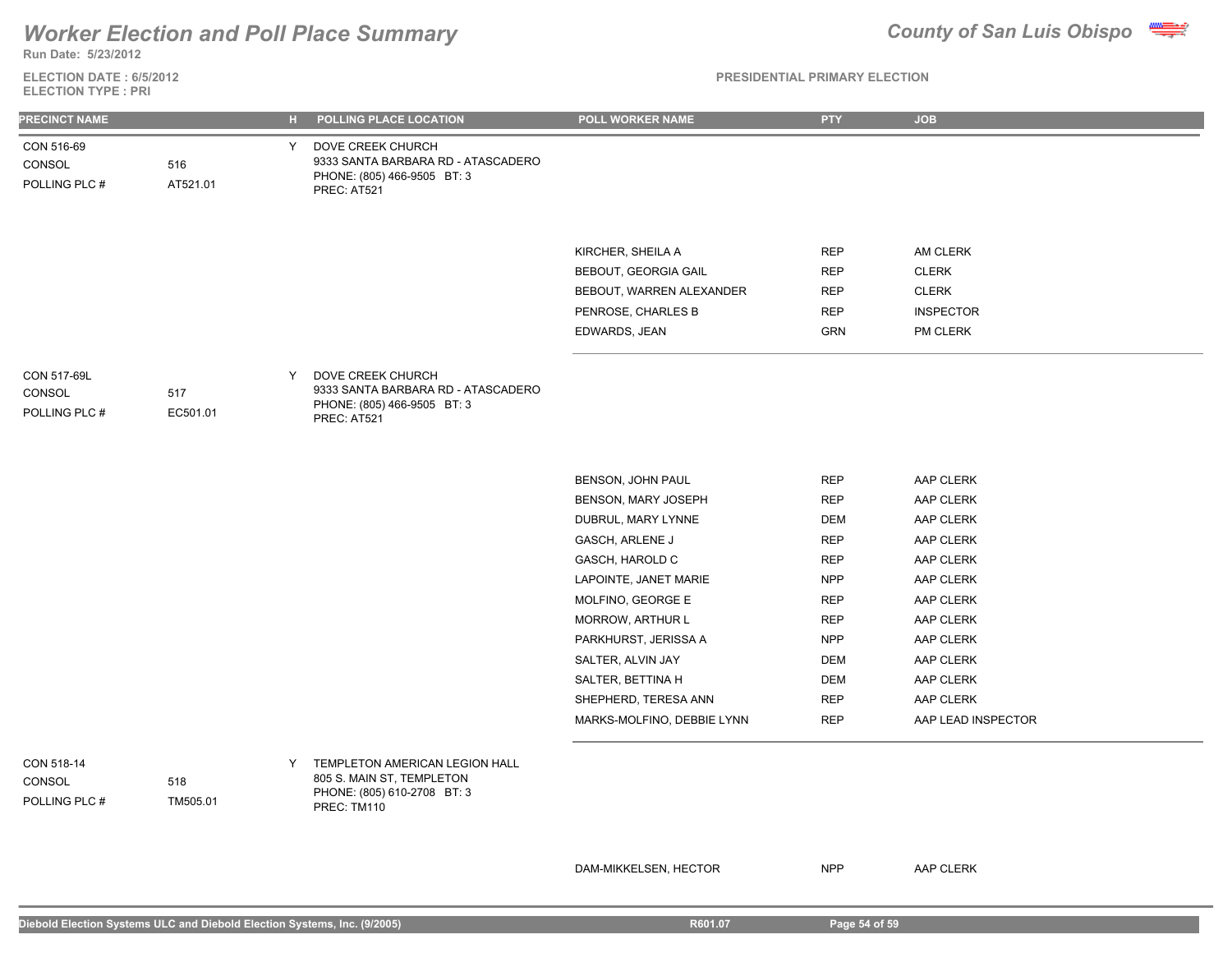**ELECTION DATE : 6/5/2012 Run Date: 5/23/2012**

## **ELECTION TYPE : PRI**

### **PRESIDENTIAL PRIMARY ELECTION**

| PRECINCT NAME                         |                 | н. | POLLING PLACE LOCATION                                                                                | POLL WORKER NAME           | <b>PTY</b> | <b>JOB</b>         |
|---------------------------------------|-----------------|----|-------------------------------------------------------------------------------------------------------|----------------------------|------------|--------------------|
| CON 516-69<br>CONSOL<br>POLLING PLC # | 516<br>AT521.01 | Y. | DOVE CREEK CHURCH<br>9333 SANTA BARBARA RD - ATASCADERO<br>PHONE: (805) 466-9505 BT: 3<br>PREC: AT521 |                            |            |                    |
|                                       |                 |    |                                                                                                       |                            |            |                    |
|                                       |                 |    |                                                                                                       | KIRCHER, SHEILA A          | <b>REP</b> | AM CLERK           |
|                                       |                 |    |                                                                                                       | BEBOUT, GEORGIA GAIL       | <b>REP</b> | <b>CLERK</b>       |
|                                       |                 |    |                                                                                                       | BEBOUT, WARREN ALEXANDER   | REP        | <b>CLERK</b>       |
|                                       |                 |    |                                                                                                       | PENROSE, CHARLES B         | <b>REP</b> | <b>INSPECTOR</b>   |
|                                       |                 |    |                                                                                                       | EDWARDS, JEAN              | <b>GRN</b> | PM CLERK           |
| CON 517-69L                           |                 | Y  | DOVE CREEK CHURCH                                                                                     |                            |            |                    |
| CONSOL<br>POLLING PLC #               | 517<br>EC501.01 |    | 9333 SANTA BARBARA RD - ATASCADERO<br>PHONE: (805) 466-9505 BT: 3<br>PREC: AT521                      |                            |            |                    |
|                                       |                 |    |                                                                                                       |                            |            |                    |
|                                       |                 |    |                                                                                                       | BENSON, JOHN PAUL          | <b>REP</b> | AAP CLERK          |
|                                       |                 |    |                                                                                                       | BENSON, MARY JOSEPH        | <b>REP</b> | AAP CLERK          |
|                                       |                 |    |                                                                                                       | DUBRUL, MARY LYNNE         | <b>DEM</b> | AAP CLERK          |
|                                       |                 |    |                                                                                                       | GASCH, ARLENE J            | <b>REP</b> | AAP CLERK          |
|                                       |                 |    |                                                                                                       | GASCH, HAROLD C            | <b>REP</b> | AAP CLERK          |
|                                       |                 |    |                                                                                                       | LAPOINTE, JANET MARIE      | <b>NPP</b> | AAP CLERK          |
|                                       |                 |    |                                                                                                       | MOLFINO, GEORGE E          | <b>REP</b> | AAP CLERK          |
|                                       |                 |    |                                                                                                       | <b>MORROW, ARTHUR L</b>    | <b>REP</b> | AAP CLERK          |
|                                       |                 |    |                                                                                                       | PARKHURST, JERISSA A       | <b>NPP</b> | AAP CLERK          |
|                                       |                 |    |                                                                                                       | SALTER, ALVIN JAY          | <b>DEM</b> | AAP CLERK          |
|                                       |                 |    |                                                                                                       | SALTER, BETTINA H          | DEM        | AAP CLERK          |
|                                       |                 |    |                                                                                                       | SHEPHERD, TERESA ANN       | <b>REP</b> | AAP CLERK          |
|                                       |                 |    |                                                                                                       | MARKS-MOLFINO, DEBBIE LYNN | <b>REP</b> | AAP LEAD INSPECTOR |

POLLING PLC # CONSOL

TEMPLETON AMERICAN LEGION HALL 805 S. MAIN ST, TEMPLETON PHONE: (805) 610-2708 BT: 3 PREC: TM110

DAM-MIKKELSEN, HECTOR NPP AAP CLERK

518

TM505.01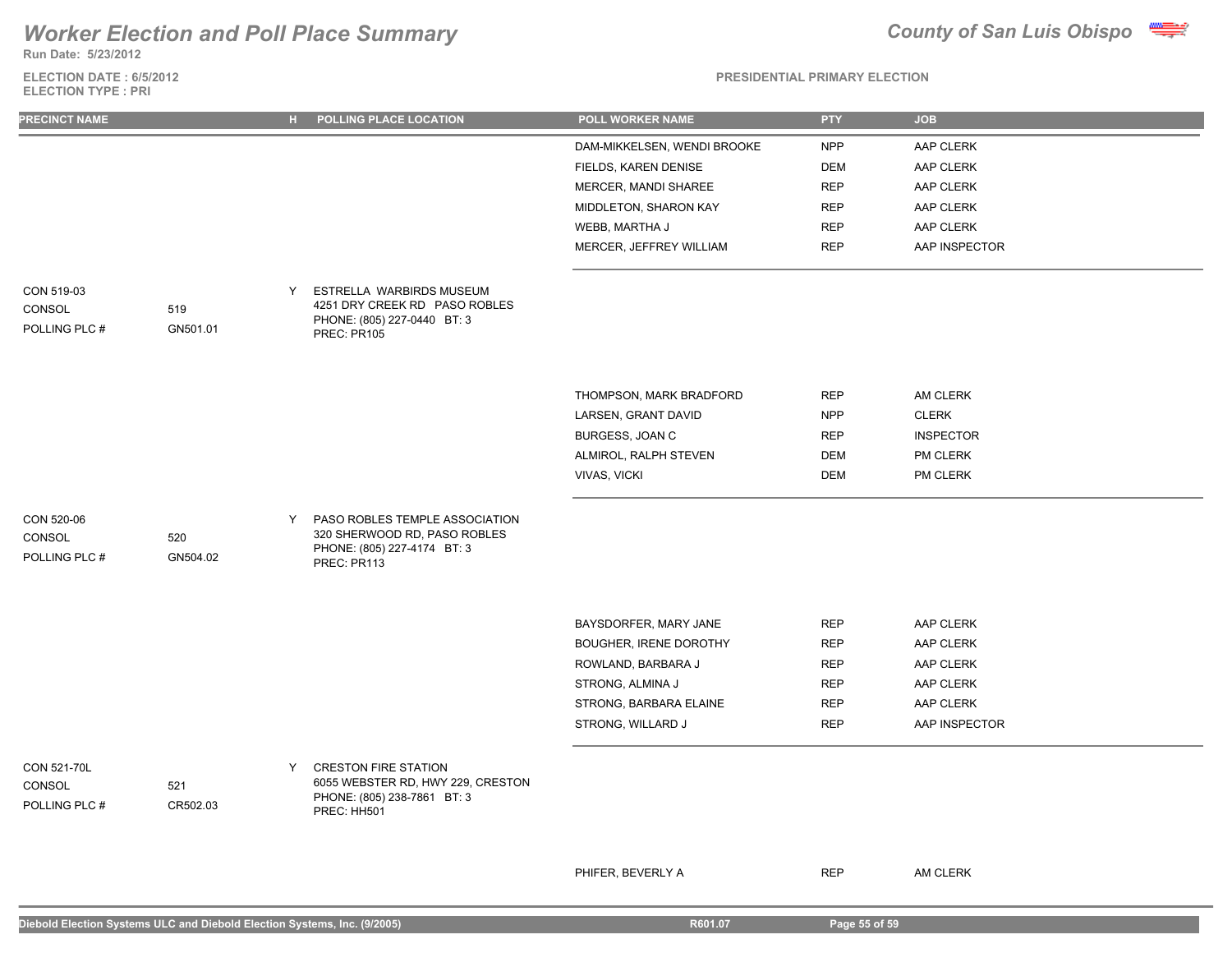## **Run Date: 5/23/2012**

**ELECTION DATE : 6/5/2012 ELECTION TYPE : PRI**



**PRESIDENTIAL PRIMARY ELECTION**

| PRECINCT NAME                                 |                 | POLLING PLACE LOCATION<br>$H$ .                                                                                     | POLL WORKER NAME                                | <b>PTY</b>               | <b>JOB</b>             |
|-----------------------------------------------|-----------------|---------------------------------------------------------------------------------------------------------------------|-------------------------------------------------|--------------------------|------------------------|
|                                               |                 |                                                                                                                     | DAM-MIKKELSEN, WENDI BROOKE                     | <b>NPP</b>               | AAP CLERK              |
|                                               |                 |                                                                                                                     | FIELDS, KAREN DENISE                            | <b>DEM</b>               | AAP CLERK              |
|                                               |                 |                                                                                                                     | MERCER, MANDI SHAREE                            | <b>REP</b>               | AAP CLERK              |
|                                               |                 |                                                                                                                     | MIDDLETON, SHARON KAY                           | <b>REP</b>               | AAP CLERK              |
|                                               |                 |                                                                                                                     | WEBB, MARTHA J                                  | <b>REP</b>               | AAP CLERK              |
|                                               |                 |                                                                                                                     | MERCER, JEFFREY WILLIAM                         | <b>REP</b>               | AAP INSPECTOR          |
| CON 519-03<br>CONSOL<br>POLLING PLC #         | 519<br>GN501.01 | Y<br>ESTRELLA WARBIRDS MUSEUM<br>4251 DRY CREEK RD PASO ROBLES<br>PHONE: (805) 227-0440 BT: 3<br>PREC: PR105        |                                                 |                          |                        |
|                                               |                 |                                                                                                                     | THOMPSON, MARK BRADFORD                         | <b>REP</b>               | AM CLERK               |
|                                               |                 |                                                                                                                     | LARSEN, GRANT DAVID                             | <b>NPP</b>               | <b>CLERK</b>           |
|                                               |                 |                                                                                                                     | BURGESS, JOAN C                                 | <b>REP</b>               | <b>INSPECTOR</b>       |
|                                               |                 |                                                                                                                     | ALMIROL, RALPH STEVEN                           | <b>DEM</b>               | PM CLERK               |
|                                               |                 |                                                                                                                     | <b>VIVAS, VICKI</b>                             | <b>DEM</b>               | PM CLERK               |
| CON 520-06<br>CONSOL<br>POLLING PLC #         | 520<br>GN504.02 | PASO ROBLES TEMPLE ASSOCIATION<br>Y<br>320 SHERWOOD RD, PASO ROBLES<br>PHONE: (805) 227-4174 BT: 3<br>PREC: PR113   |                                                 |                          |                        |
|                                               |                 |                                                                                                                     |                                                 |                          |                        |
|                                               |                 |                                                                                                                     | BAYSDORFER, MARY JANE<br>BOUGHER, IRENE DOROTHY | <b>REP</b><br><b>REP</b> | AAP CLERK<br>AAP CLERK |
|                                               |                 |                                                                                                                     | ROWLAND, BARBARA J                              | <b>REP</b>               | AAP CLERK              |
|                                               |                 |                                                                                                                     | STRONG, ALMINA J                                | <b>REP</b>               | AAP CLERK              |
|                                               |                 |                                                                                                                     | STRONG, BARBARA ELAINE                          | <b>REP</b>               | AAP CLERK              |
|                                               |                 |                                                                                                                     | STRONG, WILLARD J                               | <b>REP</b>               | AAP INSPECTOR          |
| <b>CON 521-70L</b><br>CONSOL<br>POLLING PLC # | 521<br>CR502.03 | Y<br><b>CRESTON FIRE STATION</b><br>6055 WEBSTER RD, HWY 229, CRESTON<br>PHONE: (805) 238-7861 BT: 3<br>PREC: HH501 |                                                 |                          |                        |

PHIFER, BEVERLY A REP AM CLERK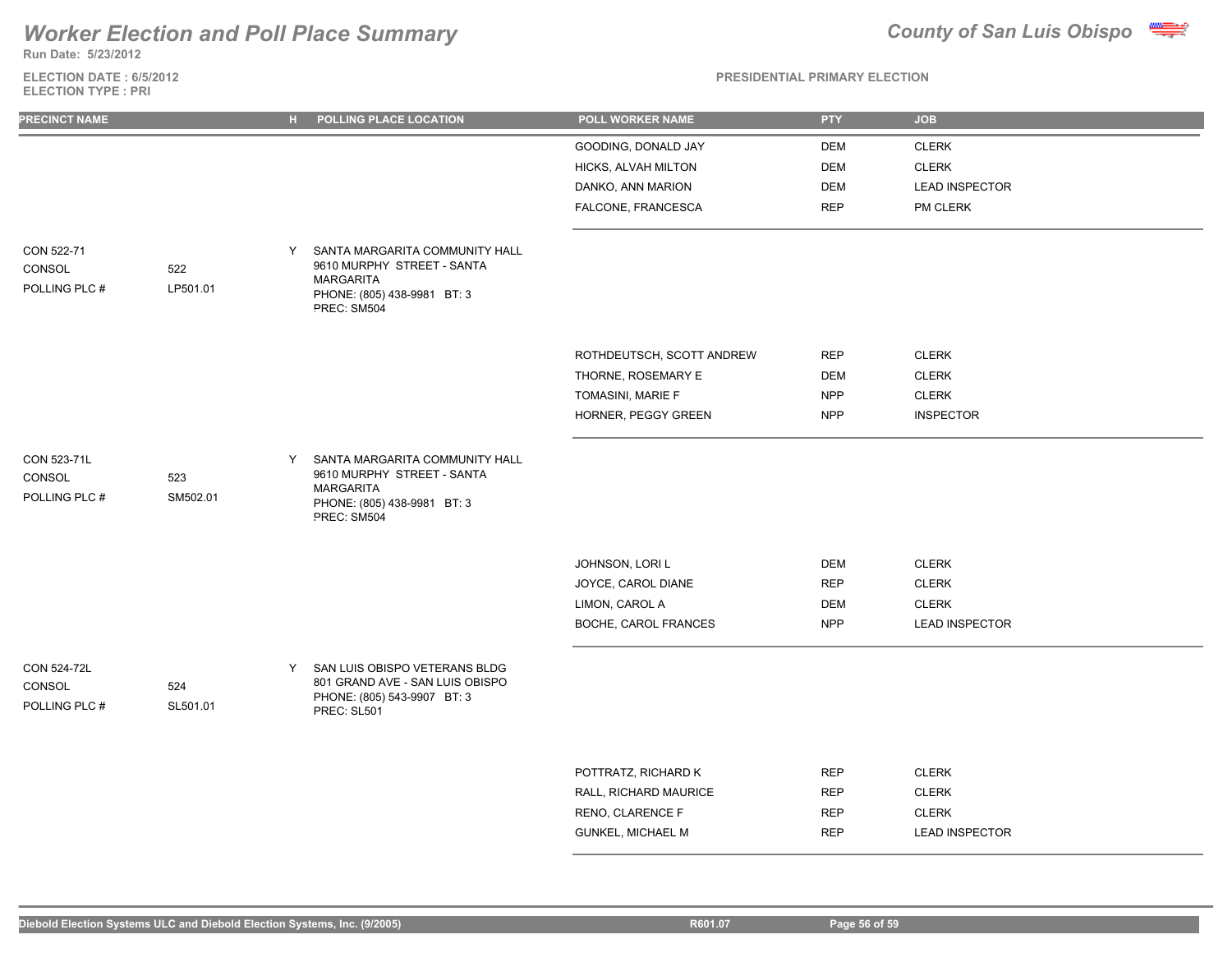## **Worker Election and Poll Place Summary**

**Run Date: 5/23/2012**

# **ELECTION DATE : 6/5/2012**

### **PRESIDENTIAL PRIMARY ELECTION**

|  |  | <b>County of San Luis Obispo</b> |  |
|--|--|----------------------------------|--|
|  |  |                                  |  |

| <b>ELECTION TYPE: PRI</b>                     |                 |              |                                                                                                                                |                           |            |                       |  |
|-----------------------------------------------|-----------------|--------------|--------------------------------------------------------------------------------------------------------------------------------|---------------------------|------------|-----------------------|--|
| <b>PRECINCT NAME</b>                          |                 | $H_{\rm{H}}$ | POLLING PLACE LOCATION                                                                                                         | POLL WORKER NAME          | <b>PTY</b> | <b>JOB</b>            |  |
|                                               |                 |              |                                                                                                                                | GOODING, DONALD JAY       | DEM        | <b>CLERK</b>          |  |
|                                               |                 |              |                                                                                                                                | HICKS, ALVAH MILTON       | <b>DEM</b> | <b>CLERK</b>          |  |
|                                               |                 |              |                                                                                                                                | DANKO, ANN MARION         | <b>DEM</b> | <b>LEAD INSPECTOR</b> |  |
|                                               |                 |              |                                                                                                                                | FALCONE, FRANCESCA        | <b>REP</b> | PM CLERK              |  |
| CON 522-71<br>CONSOL<br>POLLING PLC #         | 522<br>LP501.01 | Y            | SANTA MARGARITA COMMUNITY HALL<br>9610 MURPHY STREET - SANTA<br><b>MARGARITA</b><br>PHONE: (805) 438-9981 BT: 3<br>PREC: SM504 |                           |            |                       |  |
|                                               |                 |              |                                                                                                                                | ROTHDEUTSCH, SCOTT ANDREW | <b>REP</b> | <b>CLERK</b>          |  |
|                                               |                 |              |                                                                                                                                | THORNE, ROSEMARY E        | DEM        | <b>CLERK</b>          |  |
|                                               |                 |              |                                                                                                                                | TOMASINI, MARIE F         | <b>NPP</b> | <b>CLERK</b>          |  |
|                                               |                 |              |                                                                                                                                | HORNER, PEGGY GREEN       | <b>NPP</b> | <b>INSPECTOR</b>      |  |
| CON 523-71L<br>CONSOL<br>POLLING PLC #        | 523<br>SM502.01 | Y            | SANTA MARGARITA COMMUNITY HALL<br>9610 MURPHY STREET - SANTA<br><b>MARGARITA</b><br>PHONE: (805) 438-9981 BT: 3<br>PREC: SM504 |                           |            |                       |  |
|                                               |                 |              |                                                                                                                                | JOHNSON, LORI L           | <b>DEM</b> | <b>CLERK</b>          |  |
|                                               |                 |              |                                                                                                                                | JOYCE, CAROL DIANE        | <b>REP</b> | <b>CLERK</b>          |  |
|                                               |                 |              |                                                                                                                                | LIMON, CAROL A            | <b>DEM</b> | <b>CLERK</b>          |  |
|                                               |                 |              |                                                                                                                                | BOCHE, CAROL FRANCES      | <b>NPP</b> | <b>LEAD INSPECTOR</b> |  |
| <b>CON 524-72L</b><br>CONSOL<br>POLLING PLC # | 524<br>SL501.01 | Y            | SAN LUIS OBISPO VETERANS BLDG<br>801 GRAND AVE - SAN LUIS OBISPO<br>PHONE: (805) 543-9907 BT: 3<br>PREC: SL501                 |                           |            |                       |  |
|                                               |                 |              |                                                                                                                                | POTTRATZ, RICHARD K       | <b>REP</b> | <b>CLERK</b>          |  |
|                                               |                 |              |                                                                                                                                | RALL, RICHARD MAURICE     | <b>REP</b> | <b>CLERK</b>          |  |
|                                               |                 |              |                                                                                                                                | RENO, CLARENCE F          | <b>REP</b> | <b>CLERK</b>          |  |

GUNKEL, MICHAEL M REP LEAD INSPECTOR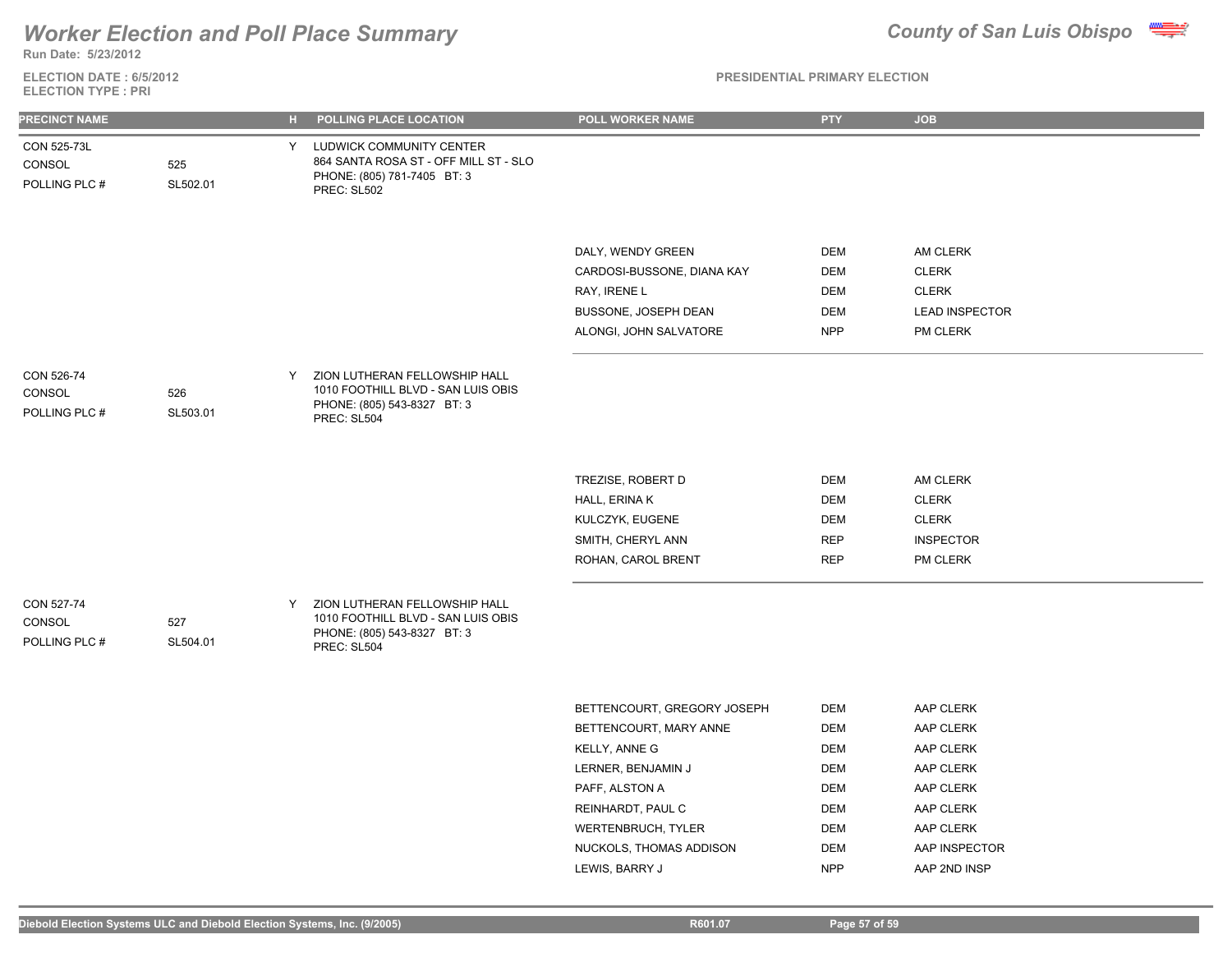

**Run Date: 5/23/2012**

**ELECTION DATE : 6/5/2012 ELECTION TYPE : PRI**

| <b>PRECINCT NAME</b>                   |                 | $H_{\rm{eff}}$ | POLLING PLACE LOCATION                                                                                            | POLL WORKER NAME                                                                                                                                                                                              | <b>PTY</b>                                                                                                   | <b>JOB</b>                                                                                                               |
|----------------------------------------|-----------------|----------------|-------------------------------------------------------------------------------------------------------------------|---------------------------------------------------------------------------------------------------------------------------------------------------------------------------------------------------------------|--------------------------------------------------------------------------------------------------------------|--------------------------------------------------------------------------------------------------------------------------|
| CON 525-73L<br>CONSOL<br>POLLING PLC # | 525<br>SL502.01 | Y.             | LUDWICK COMMUNITY CENTER<br>864 SANTA ROSA ST - OFF MILL ST - SLO<br>PHONE: (805) 781-7405 BT: 3<br>PREC: SL502   |                                                                                                                                                                                                               |                                                                                                              |                                                                                                                          |
|                                        |                 |                |                                                                                                                   | DALY, WENDY GREEN<br>CARDOSI-BUSSONE, DIANA KAY<br>RAY, IRENE L<br>BUSSONE, JOSEPH DEAN<br>ALONGI, JOHN SALVATORE                                                                                             | <b>DEM</b><br><b>DEM</b><br><b>DEM</b><br><b>DEM</b><br><b>NPP</b>                                           | AM CLERK<br><b>CLERK</b><br><b>CLERK</b><br><b>LEAD INSPECTOR</b><br>PM CLERK                                            |
| CON 526-74<br>CONSOL<br>POLLING PLC #  | 526<br>SL503.01 | Y              | ZION LUTHERAN FELLOWSHIP HALL<br>1010 FOOTHILL BLVD - SAN LUIS OBIS<br>PHONE: (805) 543-8327 BT: 3<br>PREC: SL504 |                                                                                                                                                                                                               |                                                                                                              |                                                                                                                          |
|                                        |                 |                |                                                                                                                   | TREZISE, ROBERT D<br>HALL, ERINA K<br>KULCZYK, EUGENE<br>SMITH, CHERYL ANN<br>ROHAN, CAROL BRENT                                                                                                              | <b>DEM</b><br><b>DEM</b><br><b>DEM</b><br><b>REP</b><br><b>REP</b>                                           | AM CLERK<br><b>CLERK</b><br><b>CLERK</b><br><b>INSPECTOR</b><br>PM CLERK                                                 |
| CON 527-74<br>CONSOL<br>POLLING PLC #  | 527<br>SL504.01 | Y              | ZION LUTHERAN FELLOWSHIP HALL<br>1010 FOOTHILL BLVD - SAN LUIS OBIS<br>PHONE: (805) 543-8327 BT: 3<br>PREC: SL504 |                                                                                                                                                                                                               |                                                                                                              |                                                                                                                          |
|                                        |                 |                |                                                                                                                   | BETTENCOURT, GREGORY JOSEPH<br>BETTENCOURT, MARY ANNE<br>KELLY, ANNE G<br>LERNER, BENJAMIN J<br>PAFF, ALSTON A<br>REINHARDT, PAUL C<br><b>WERTENBRUCH, TYLER</b><br>NUCKOLS, THOMAS ADDISON<br>LEWIS, BARRY J | DEM<br><b>DEM</b><br><b>DEM</b><br><b>DEM</b><br><b>DEM</b><br><b>DEM</b><br>DEM<br><b>DEM</b><br><b>NPP</b> | AAP CLERK<br>AAP CLERK<br>AAP CLERK<br>AAP CLERK<br>AAP CLERK<br>AAP CLERK<br>AAP CLERK<br>AAP INSPECTOR<br>AAP 2ND INSP |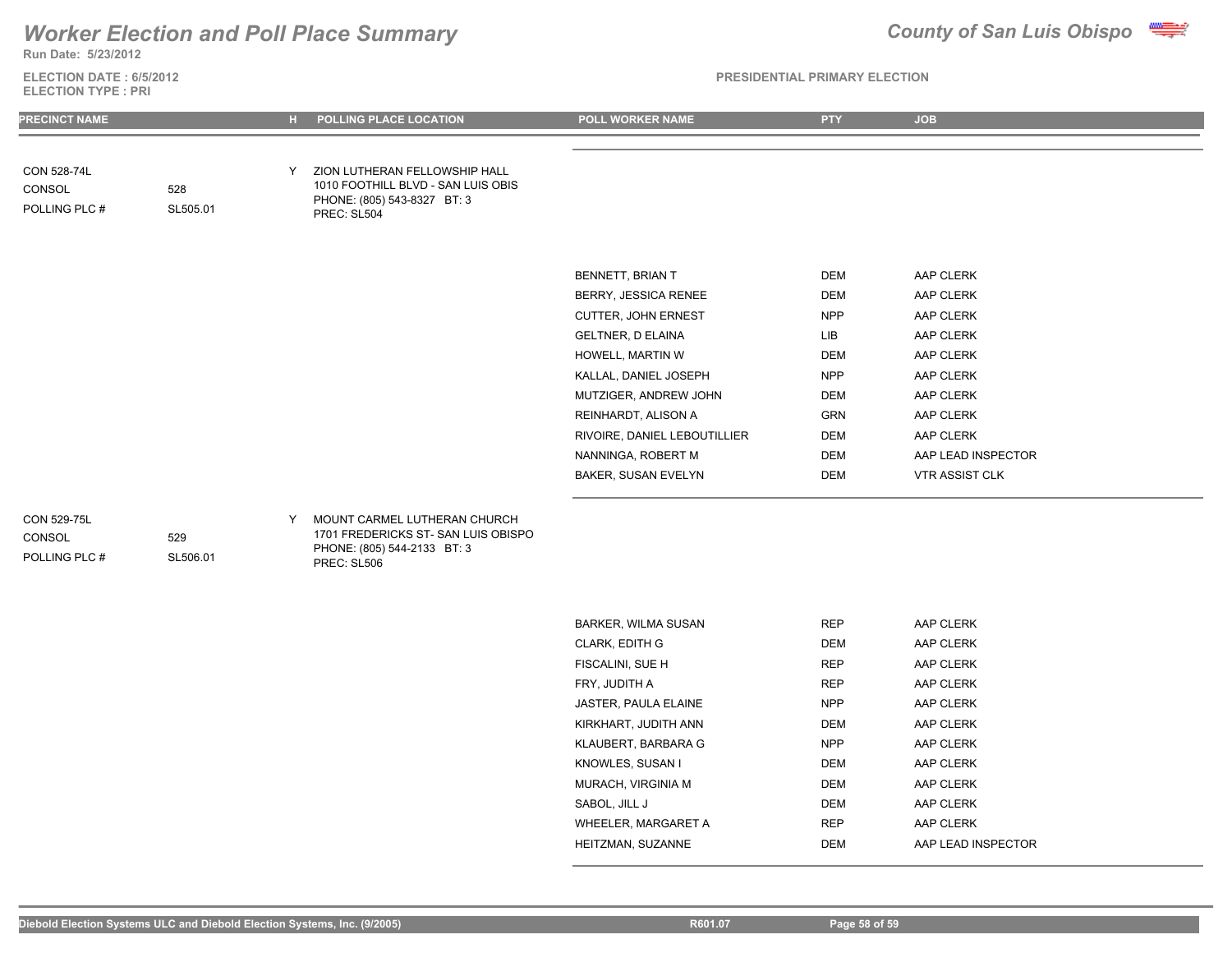## *Worker Election and Poll Place Summary* **County of San Luis Obispo County of San Luis Obispo**



**Run Date: 5/23/2012**

**ELECTION DATE : 6/5/2012 ELECTION TYPE : PRI**

### **PRESIDENTIAL PRIMARY ELECTION**

| PRECINCT NAME                          |                 |   | POLLING PLACE LOCATION                                                                                            | <b>POLL WORKER NAME</b>      | <b>PTY</b> | <b>JOB</b>            |  |
|----------------------------------------|-----------------|---|-------------------------------------------------------------------------------------------------------------------|------------------------------|------------|-----------------------|--|
|                                        |                 |   |                                                                                                                   |                              |            |                       |  |
| CON 528-74L<br>CONSOL<br>POLLING PLC # | 528<br>SL505.01 | Y | ZION LUTHERAN FELLOWSHIP HALL<br>1010 FOOTHILL BLVD - SAN LUIS OBIS<br>PHONE: (805) 543-8327 BT: 3<br>PREC: SL504 |                              |            |                       |  |
|                                        |                 |   |                                                                                                                   |                              |            |                       |  |
|                                        |                 |   |                                                                                                                   | BENNETT, BRIAN T             | DEM        | AAP CLERK             |  |
|                                        |                 |   |                                                                                                                   | BERRY, JESSICA RENEE         | <b>DEM</b> | AAP CLERK             |  |
|                                        |                 |   |                                                                                                                   | CUTTER, JOHN ERNEST          | <b>NPP</b> | AAP CLERK             |  |
|                                        |                 |   |                                                                                                                   | <b>GELTNER, D ELAINA</b>     | LIB        | AAP CLERK             |  |
|                                        |                 |   |                                                                                                                   | HOWELL, MARTIN W             | DEM        | AAP CLERK             |  |
|                                        |                 |   |                                                                                                                   | KALLAL, DANIEL JOSEPH        | <b>NPP</b> | AAP CLERK             |  |
|                                        |                 |   |                                                                                                                   | MUTZIGER, ANDREW JOHN        | DEM        | AAP CLERK             |  |
|                                        |                 |   |                                                                                                                   | REINHARDT, ALISON A          | GRN        | AAP CLERK             |  |
|                                        |                 |   |                                                                                                                   | RIVOIRE, DANIEL LEBOUTILLIER | DEM        | AAP CLERK             |  |
|                                        |                 |   |                                                                                                                   | NANNINGA, ROBERT M           | DEM        | AAP LEAD INSPECTOR    |  |
|                                        |                 |   |                                                                                                                   | BAKER, SUSAN EVELYN          | DEM        | <b>VTR ASSIST CLK</b> |  |
| <b>CON 529-75L</b>                     |                 | Y | MOUNT CARMEL LUTHERAN CHURCH                                                                                      |                              |            |                       |  |

## POLLING PLC # CONSOL

529

1701 FREDERICKS ST- SAN LUIS OBISPO PHONE: (805) 544-2133 BT: 3 PREC: SL506 SL506.01

| <b>BARKER, WILMA SUSAN</b> | <b>REP</b> | AAP CLERK          |
|----------------------------|------------|--------------------|
| <b>CLARK, EDITH G</b>      | DEM        | AAP CLERK          |
| FISCALINI, SUE H           | <b>REP</b> | AAP CLERK          |
| FRY. JUDITH A              | <b>REP</b> | AAP CLERK          |
| JASTER, PAULA ELAINE       | <b>NPP</b> | AAP CLERK          |
| KIRKHART, JUDITH ANN       | DEM        | AAP CLERK          |
| KLAUBERT, BARBARA G        | <b>NPP</b> | AAP CLERK          |
| KNOWLES, SUSAN I           | DEM        | AAP CLERK          |
| MURACH. VIRGINIA M         | DEM        | AAP CLERK          |
| SABOL, JILL J              | DEM        | AAP CLERK          |
| WHEELER, MARGARET A        | <b>REP</b> | AAP CLERK          |
| HEITZMAN, SUZANNE          | DEM        | AAP LEAD INSPECTOR |
|                            |            |                    |